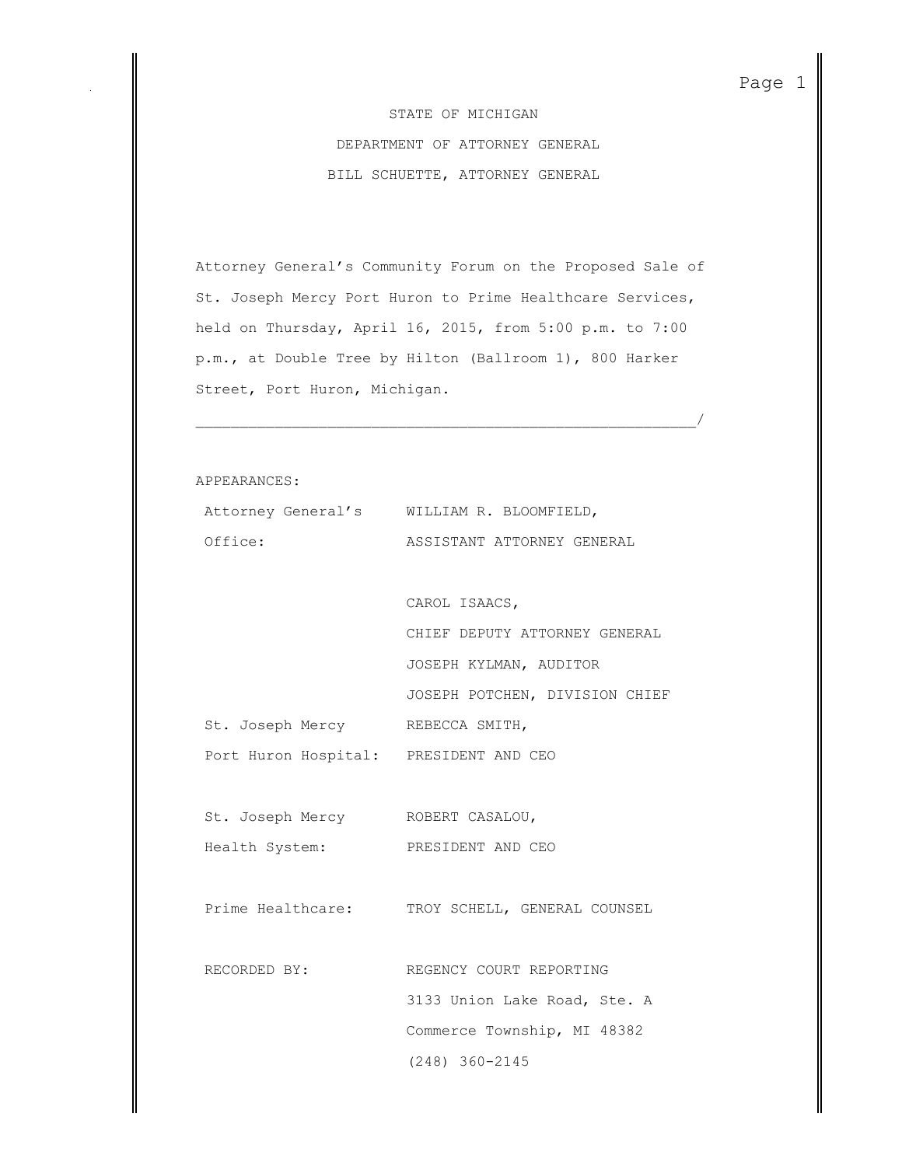STATE OF MICHIGAN DEPARTMENT OF ATTORNEY GENERAL BILL SCHUETTE, ATTORNEY GENERAL

Attorney General's Community Forum on the Proposed Sale of St. Joseph Mercy Port Huron to Prime Healthcare Services, held on Thursday, April 16, 2015, from 5:00 p.m. to 7:00 p.m., at Double Tree by Hilton (Ballroom 1), 800 Harker Street, Port Huron, Michigan.

 $\overline{\phantom{a}}$  , and the contribution of the contribution of the contribution of the contribution of  $\overline{\phantom{a}}$ 

APPEARANCES:

|                                        | Attorney General's WILLIAM R. BLOOMFIELD,      |
|----------------------------------------|------------------------------------------------|
| Office:                                | ASSISTANT ATTORNEY GENERAL                     |
|                                        |                                                |
|                                        | CAROL ISAACS,                                  |
|                                        | CHIEF DEPUTY ATTORNEY GENERAL                  |
|                                        | JOSEPH KYLMAN, AUDITOR                         |
|                                        | JOSEPH POTCHEN, DIVISION CHIEF                 |
| St. Joseph Mercy REBECCA SMITH,        |                                                |
| Port Huron Hospital: PRESIDENT AND CEO |                                                |
|                                        |                                                |
| St. Joseph Mercy ROBERT CASALOU,       |                                                |
| Health System:                         | PRESIDENT AND CEO                              |
|                                        |                                                |
|                                        | Prime Healthcare: TROY SCHELL, GENERAL COUNSEL |
|                                        |                                                |
| RECORDED BY:                           | REGENCY COURT REPORTING                        |
|                                        | 3133 Union Lake Road, Ste. A                   |
|                                        | Commerce Township, MI 48382                    |
|                                        | $(248)$ 360-2145                               |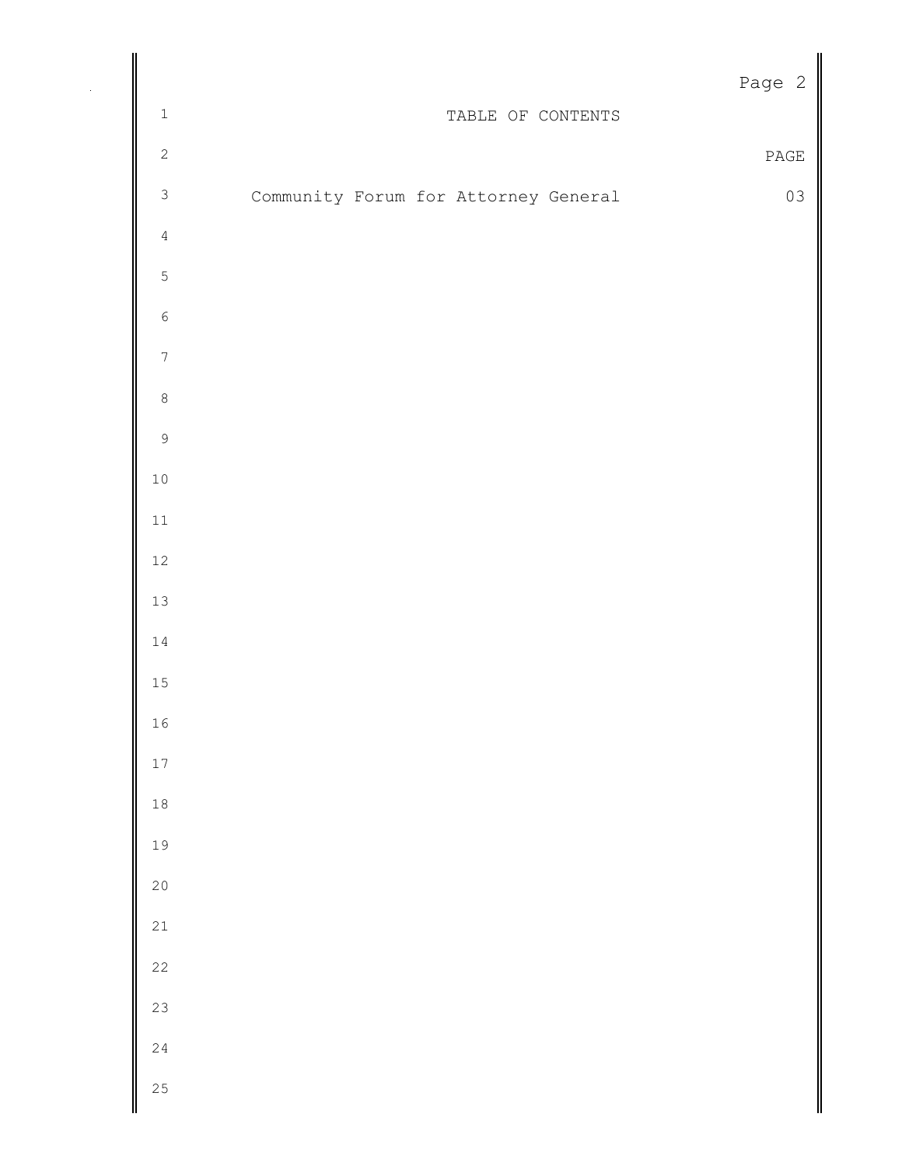|                  |                                      | Page 2                       |
|------------------|--------------------------------------|------------------------------|
| $\mathbbm{1}$    | TABLE OF CONTENTS                    |                              |
| $\sqrt{2}$       |                                      | $\ensuremath{\mathsf{PAGE}}$ |
| $\mathsf 3$      | Community Forum for Attorney General | 03                           |
| $\sqrt{4}$       |                                      |                              |
| $\mathsf S$      |                                      |                              |
| $\epsilon$       |                                      |                              |
| $\boldsymbol{7}$ |                                      |                              |
| $\,8\,$          |                                      |                              |
| $\mathsf 9$      |                                      |                              |
| $1\,0$           |                                      |                              |
| $11\,$           |                                      |                              |
| $12\,$           |                                      |                              |
| $13\,$           |                                      |                              |
| $1\,4$           |                                      |                              |
| $1\,5$           |                                      |                              |
| $1\,6$           |                                      |                              |
| $17\,$           |                                      |                              |
| $1\,8$           |                                      |                              |
| 19               |                                      |                              |
| $20$             |                                      |                              |
| $2\sqrt{1}$      |                                      |                              |
| $2\sqrt{2}$      |                                      |                              |
| 23               |                                      |                              |
| $2\sqrt{4}$      |                                      |                              |
| 25               |                                      |                              |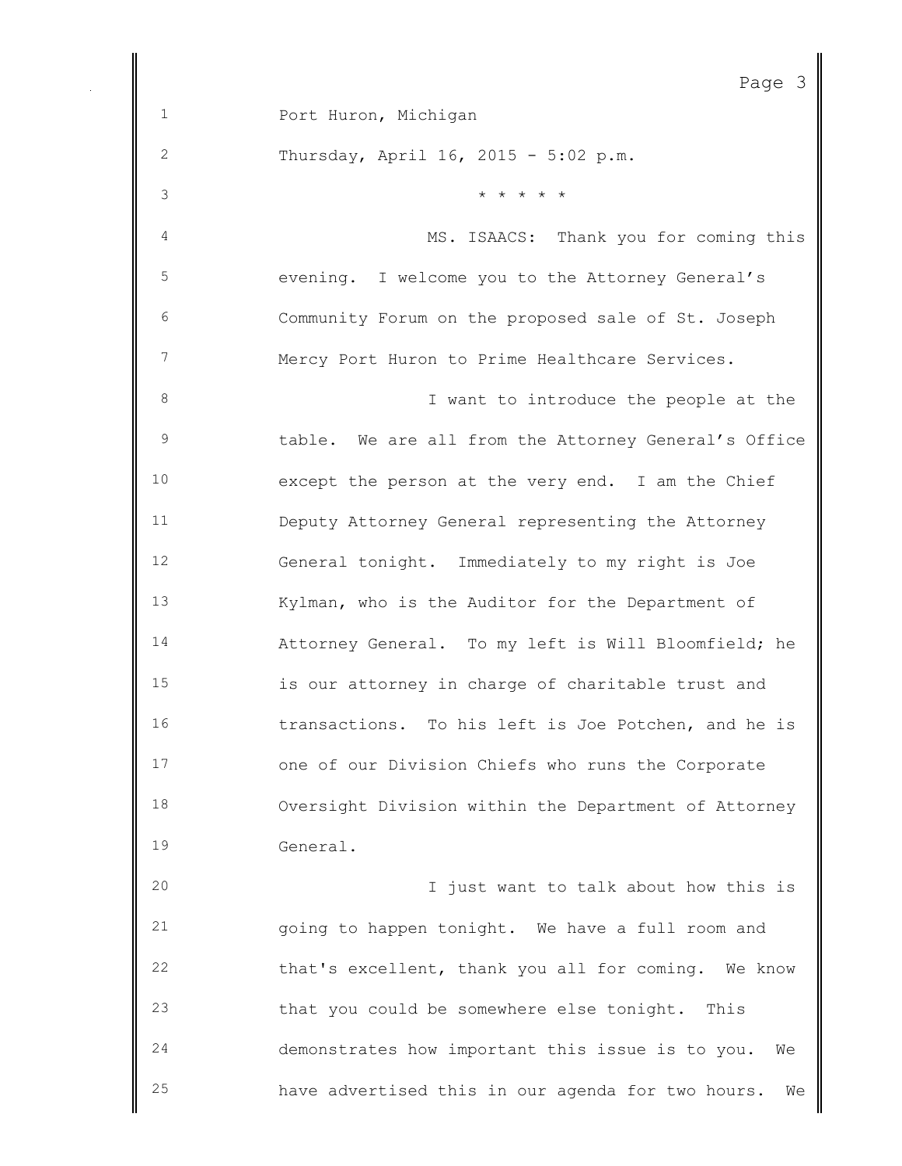Page 3 Port Huron, Michigan Thursday, April 16, 2015 - 5:02 p.m.  $\star \star \star \star \star \star$  MS. ISAACS: Thank you for coming this evening. I welcome you to the Attorney General's Community Forum on the proposed sale of St. Joseph Mercy Port Huron to Prime Healthcare Services. I want to introduce the people at the table. We are all from the Attorney General's Office except the person at the very end. I am the Chief Deputy Attorney General representing the Attorney General tonight. Immediately to my right is Joe Kylman, who is the Auditor for the Department of Attorney General. To my left is Will Bloomfield; he is our attorney in charge of charitable trust and transactions. To his left is Joe Potchen, and he is one of our Division Chiefs who runs the Corporate Oversight Division within the Department of Attorney General. I just want to talk about how this is going to happen tonight. We have a full room and that's excellent, thank you all for coming. We know

 that you could be somewhere else tonight. This demonstrates how important this issue is to you. We have advertised this in our agenda for two hours. We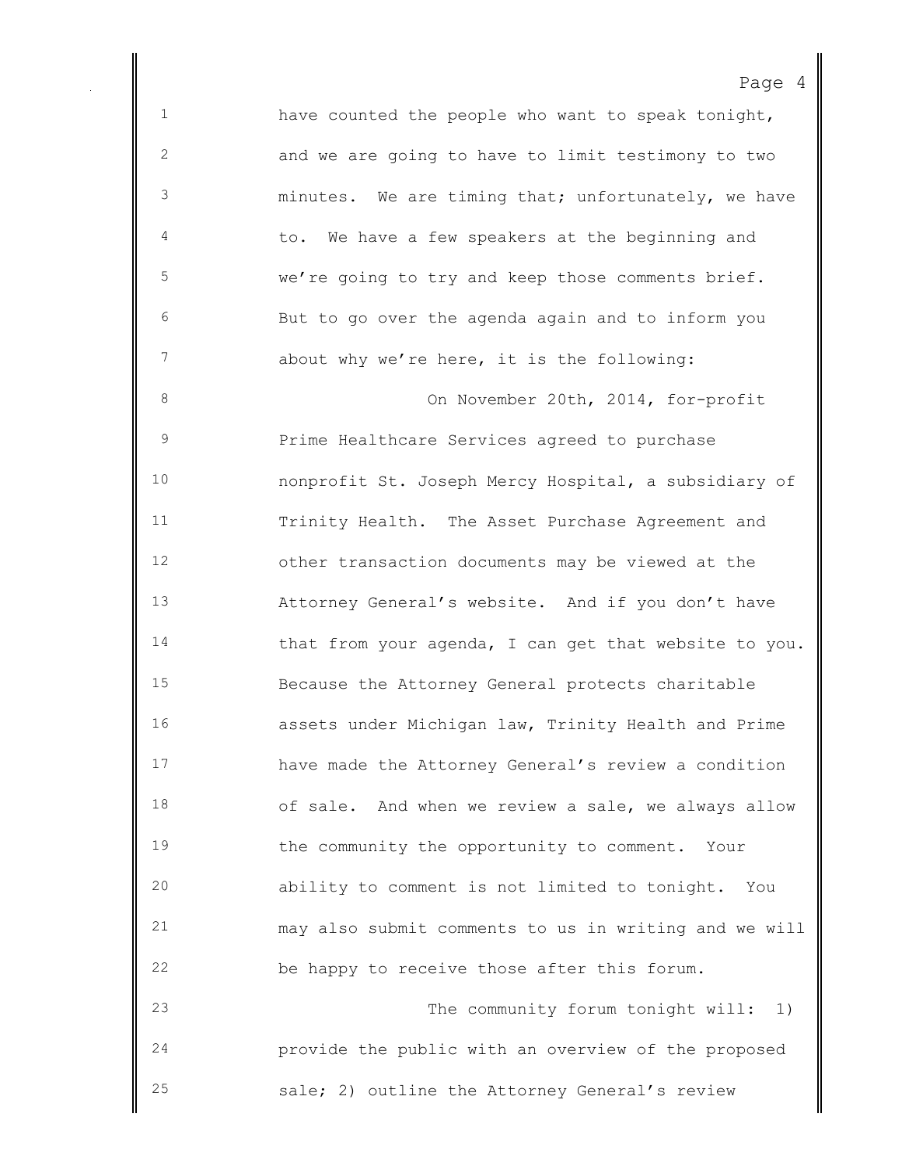have counted the people who want to speak tonight, and we are going to have to limit testimony to two minutes. We are timing that; unfortunately, we have 4 to. We have a few speakers at the beginning and we're going to try and keep those comments brief. But to go over the agenda again and to inform you about why we're here, it is the following: 8 On November 20th, 2014, for-profit Prime Healthcare Services agreed to purchase nonprofit St. Joseph Mercy Hospital, a subsidiary of Trinity Health. The Asset Purchase Agreement and other transaction documents may be viewed at the Attorney General's website. And if you don't have 14 that from your agenda, I can get that website to you. Because the Attorney General protects charitable assets under Michigan law, Trinity Health and Prime have made the Attorney General's review a condition of sale. And when we review a sale, we always allow the community the opportunity to comment. Your ability to comment is not limited to tonight. You may also submit comments to us in writing and we will be happy to receive those after this forum. The community forum tonight will: 1) provide the public with an overview of the proposed

sale; 2) outline the Attorney General's review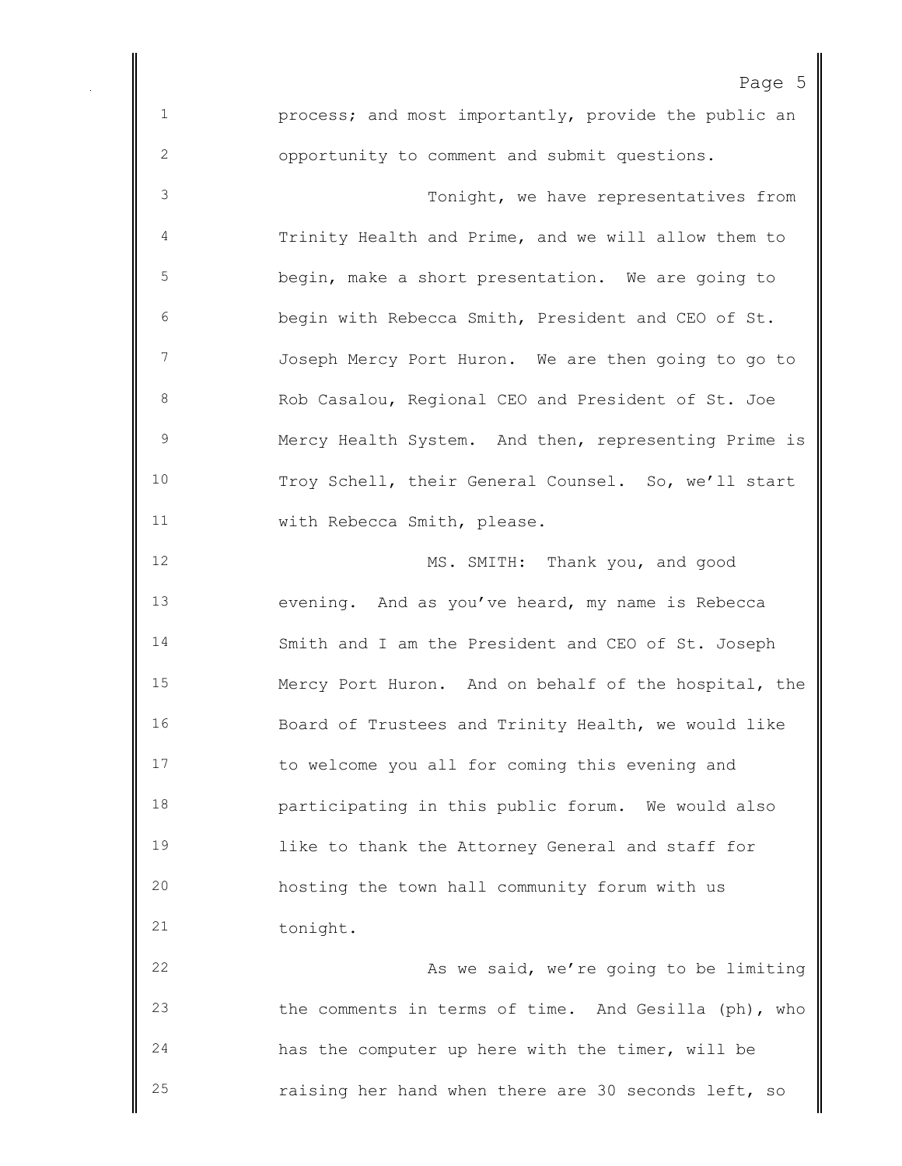Page 5 process; and most importantly, provide the public an opportunity to comment and submit questions. Tonight, we have representatives from Trinity Health and Prime, and we will allow them to begin, make a short presentation. We are going to begin with Rebecca Smith, President and CEO of St. Joseph Mercy Port Huron. We are then going to go to 8 Rob Casalou, Regional CEO and President of St. Joe Mercy Health System. And then, representing Prime is Troy Schell, their General Counsel. So, we'll start with Rebecca Smith, please. MS. SMITH: Thank you, and good evening. And as you've heard, my name is Rebecca Smith and I am the President and CEO of St. Joseph Mercy Port Huron. And on behalf of the hospital, the Board of Trustees and Trinity Health, we would like to welcome you all for coming this evening and participating in this public forum. We would also like to thank the Attorney General and staff for hosting the town hall community forum with us 21 tonight. 22 As we said, we're going to be limiting the comments in terms of time. And Gesilla (ph), who has the computer up here with the timer, will be

raising her hand when there are 30 seconds left, so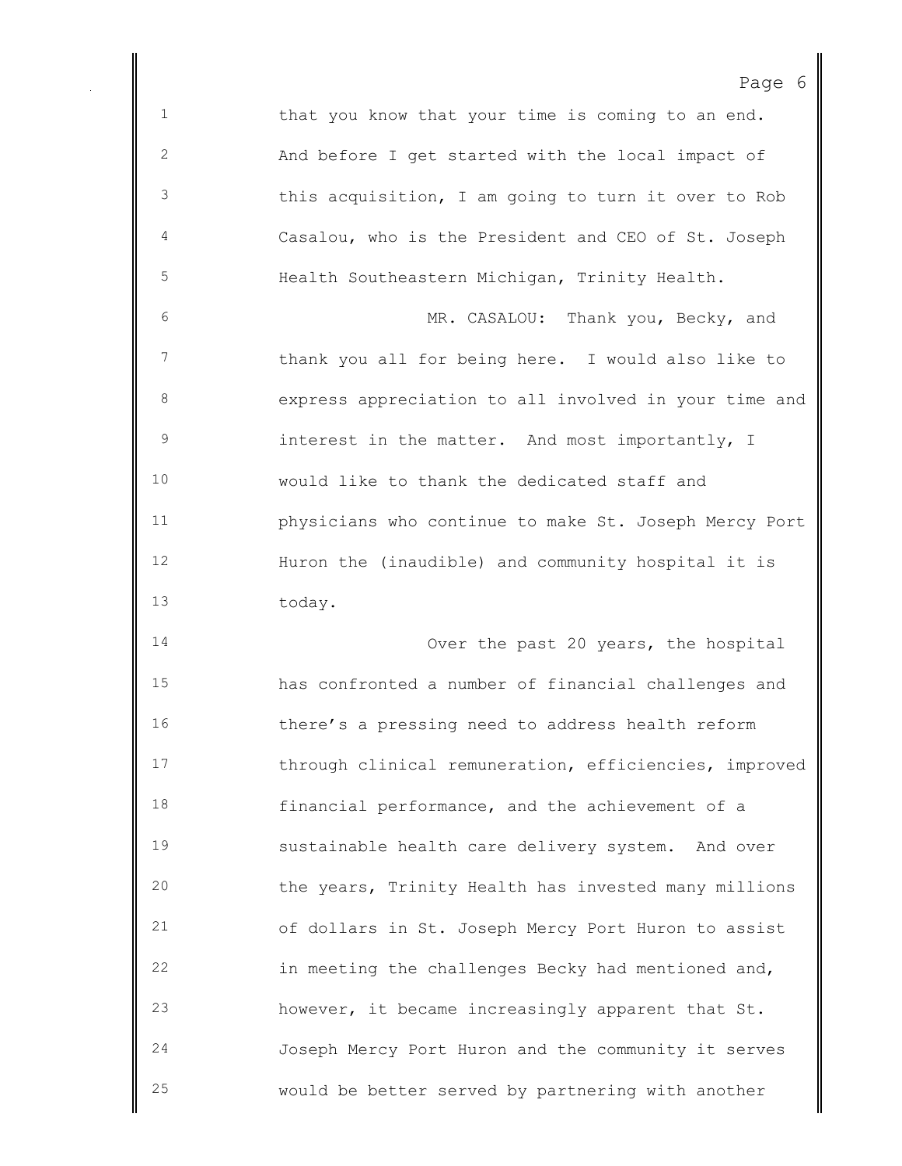1 that you know that your time is coming to an end. And before I get started with the local impact of this acquisition, I am going to turn it over to Rob Casalou, who is the President and CEO of St. Joseph Health Southeastern Michigan, Trinity Health. MR. CASALOU: Thank you, Becky, and thank you all for being here. I would also like to express appreciation to all involved in your time and interest in the matter. And most importantly, I would like to thank the dedicated staff and physicians who continue to make St. Joseph Mercy Port Huron the (inaudible) and community hospital it is today. Over the past 20 years, the hospital has confronted a number of financial challenges and there's a pressing need to address health reform 17 through clinical remuneration, efficiencies, improved financial performance, and the achievement of a sustainable health care delivery system. And over the years, Trinity Health has invested many millions of dollars in St. Joseph Mercy Port Huron to assist in meeting the challenges Becky had mentioned and,

Page 6

 however, it became increasingly apparent that St. Joseph Mercy Port Huron and the community it serves would be better served by partnering with another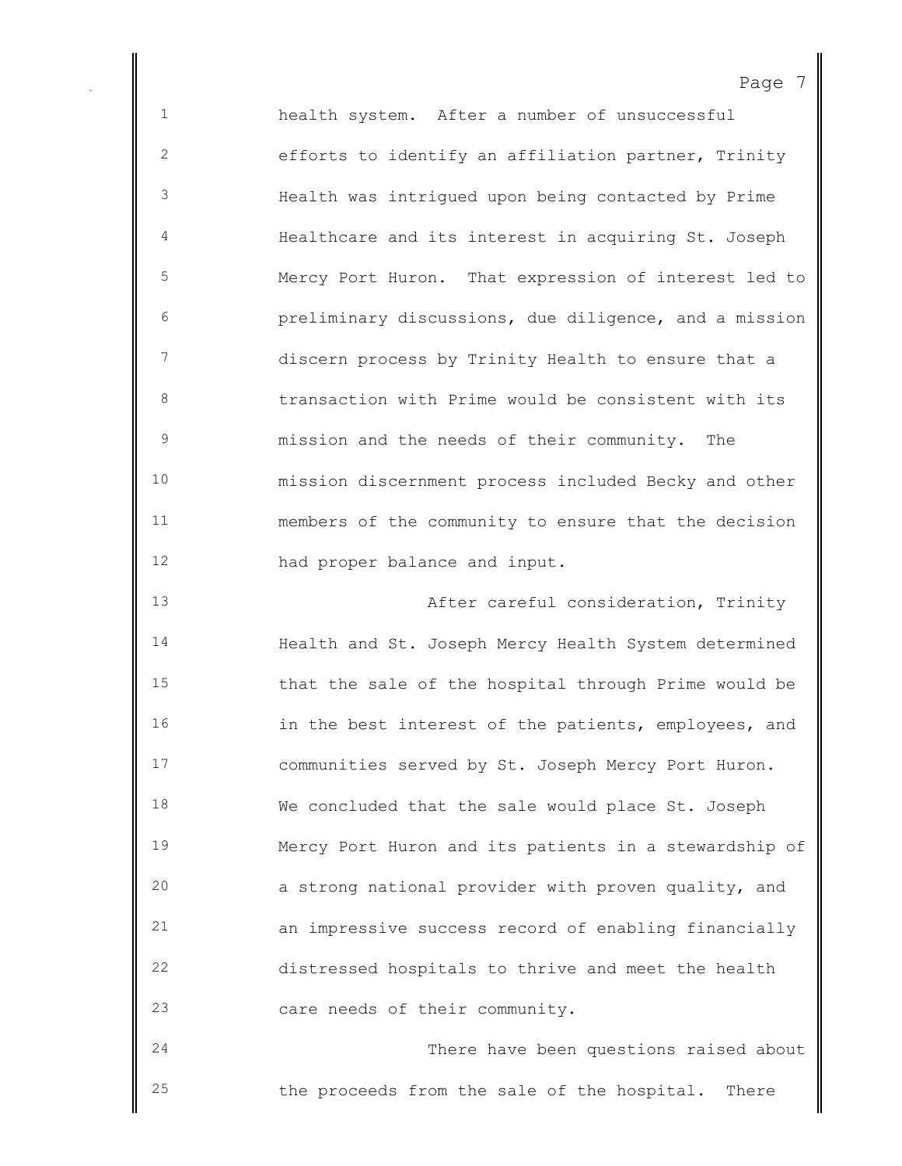health system. After a number of unsuccessful efforts to identify an affiliation partner, Trinity Health was intrigued upon being contacted by Prime Healthcare and its interest in acquiring St. Joseph Mercy Port Huron. That expression of interest led to preliminary discussions, due diligence, and a mission discern process by Trinity Health to ensure that a transaction with Prime would be consistent with its mission and the needs of their community. The mission discernment process included Becky and other members of the community to ensure that the decision had proper balance and input. After careful consideration, Trinity

 Health and St. Joseph Mercy Health System determined that the sale of the hospital through Prime would be in the best interest of the patients, employees, and communities served by St. Joseph Mercy Port Huron. We concluded that the sale would place St. Joseph Mercy Port Huron and its patients in a stewardship of a strong national provider with proven quality, and an impressive success record of enabling financially distressed hospitals to thrive and meet the health care needs of their community.

 There have been questions raised about the proceeds from the sale of the hospital. There

#### Page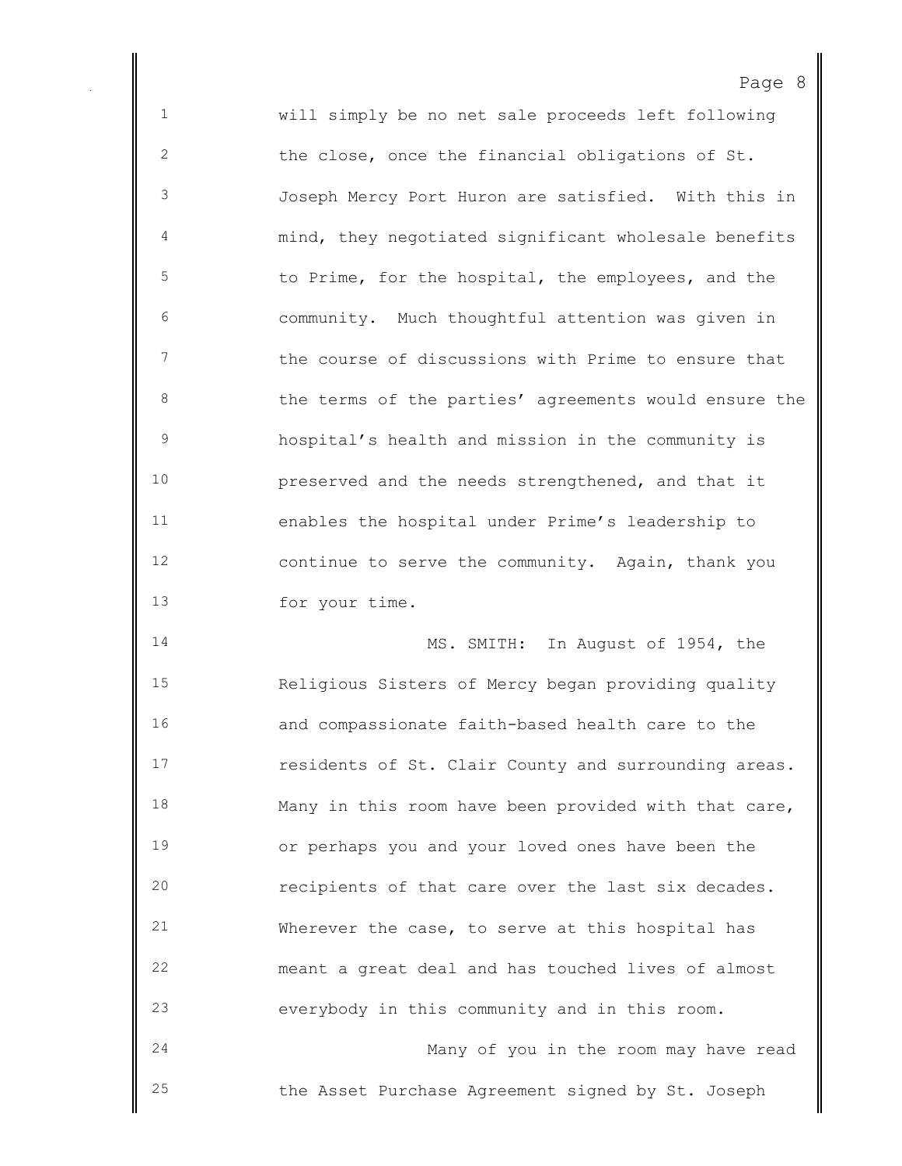will simply be no net sale proceeds left following the close, once the financial obligations of St. Joseph Mercy Port Huron are satisfied. With this in mind, they negotiated significant wholesale benefits to Prime, for the hospital, the employees, and the community. Much thoughtful attention was given in the course of discussions with Prime to ensure that 8 the terms of the parties' agreements would ensure the hospital's health and mission in the community is preserved and the needs strengthened, and that it enables the hospital under Prime's leadership to continue to serve the community. Again, thank you for your time.

Page 8

 MS. SMITH: In August of 1954, the Religious Sisters of Mercy began providing quality and compassionate faith-based health care to the residents of St. Clair County and surrounding areas. Many in this room have been provided with that care, or perhaps you and your loved ones have been the recipients of that care over the last six decades. Wherever the case, to serve at this hospital has meant a great deal and has touched lives of almost everybody in this community and in this room. Many of you in the room may have read

the Asset Purchase Agreement signed by St. Joseph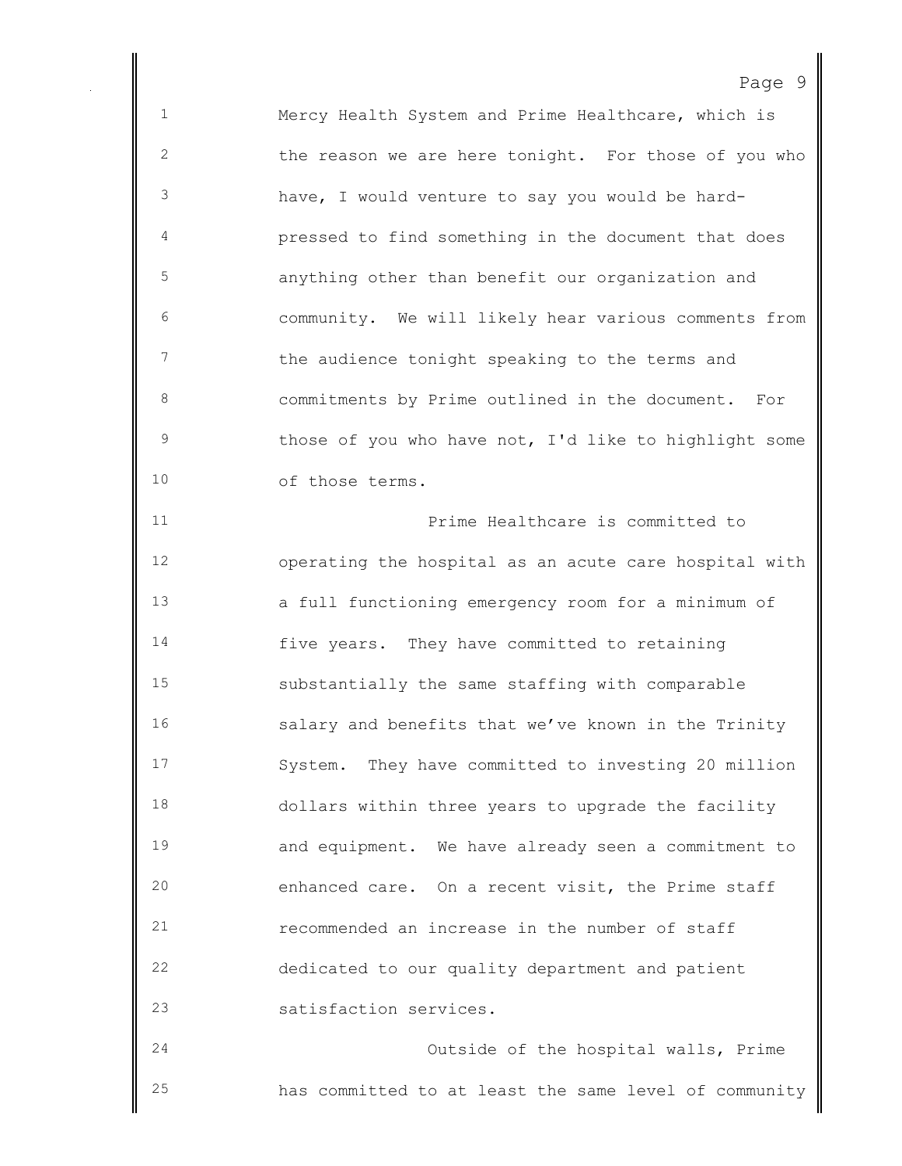Mercy Health System and Prime Healthcare, which is the reason we are here tonight. For those of you who have, I would venture to say you would be hard- pressed to find something in the document that does anything other than benefit our organization and community. We will likely hear various comments from the audience tonight speaking to the terms and commitments by Prime outlined in the document. For 9 those of you who have not, I'd like to highlight some of those terms. Prime Healthcare is committed to operating the hospital as an acute care hospital with a full functioning emergency room for a minimum of five years. They have committed to retaining substantially the same staffing with comparable salary and benefits that we've known in the Trinity System. They have committed to investing 20 million dollars within three years to upgrade the facility and equipment. We have already seen a commitment to enhanced care. On a recent visit, the Prime staff recommended an increase in the number of staff dedicated to our quality department and patient satisfaction services. Outside of the hospital walls, Prime

has committed to at least the same level of community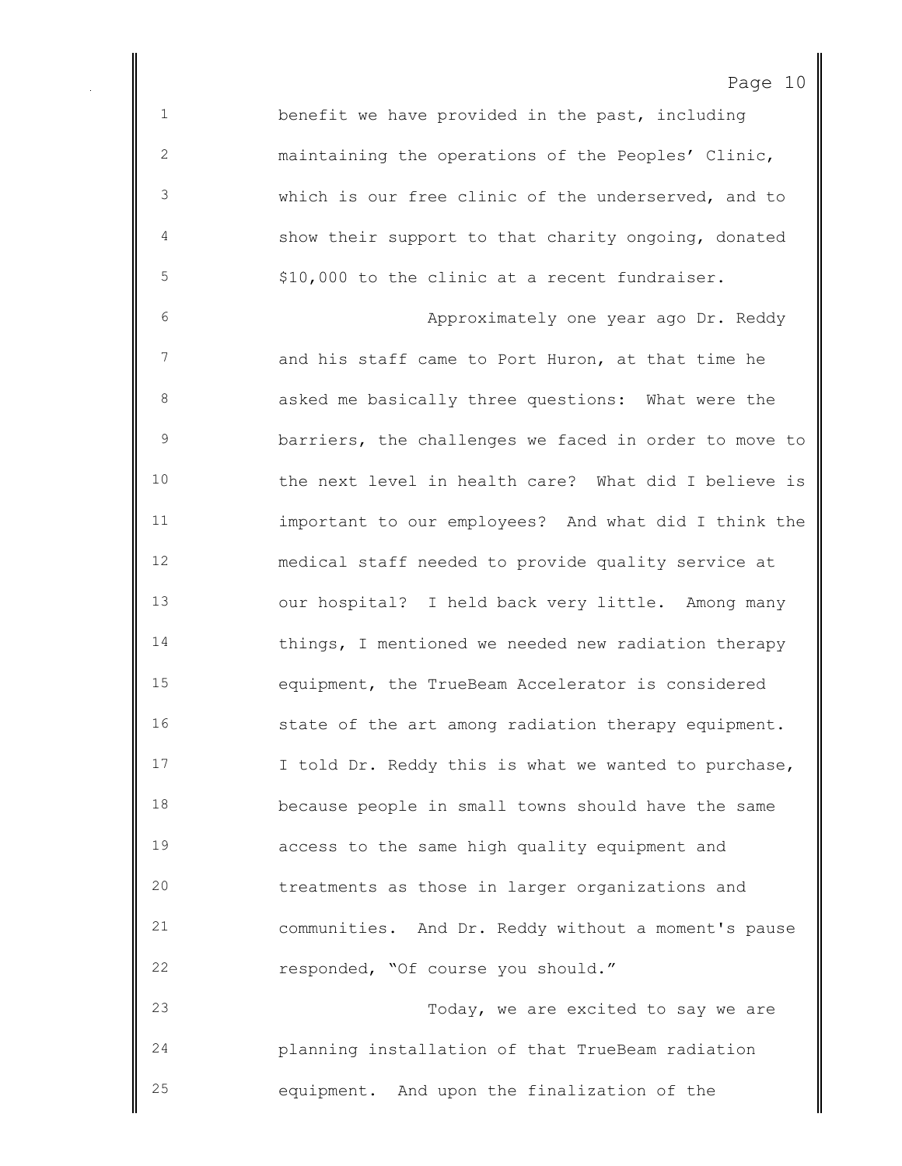benefit we have provided in the past, including maintaining the operations of the Peoples' Clinic, which is our free clinic of the underserved, and to show their support to that charity ongoing, donated \$10,000 to the clinic at a recent fundraiser.

 Approximately one year ago Dr. Reddy and his staff came to Port Huron, at that time he asked me basically three questions: What were the barriers, the challenges we faced in order to move to the next level in health care? What did I believe is important to our employees? And what did I think the medical staff needed to provide quality service at our hospital? I held back very little. Among many things, I mentioned we needed new radiation therapy equipment, the TrueBeam Accelerator is considered 16 state of the art among radiation therapy equipment. 17 I told Dr. Reddy this is what we wanted to purchase, because people in small towns should have the same access to the same high quality equipment and treatments as those in larger organizations and communities. And Dr. Reddy without a moment's pause responded, "Of course you should." Today, we are excited to say we are

 planning installation of that TrueBeam radiation equipment. And upon the finalization of the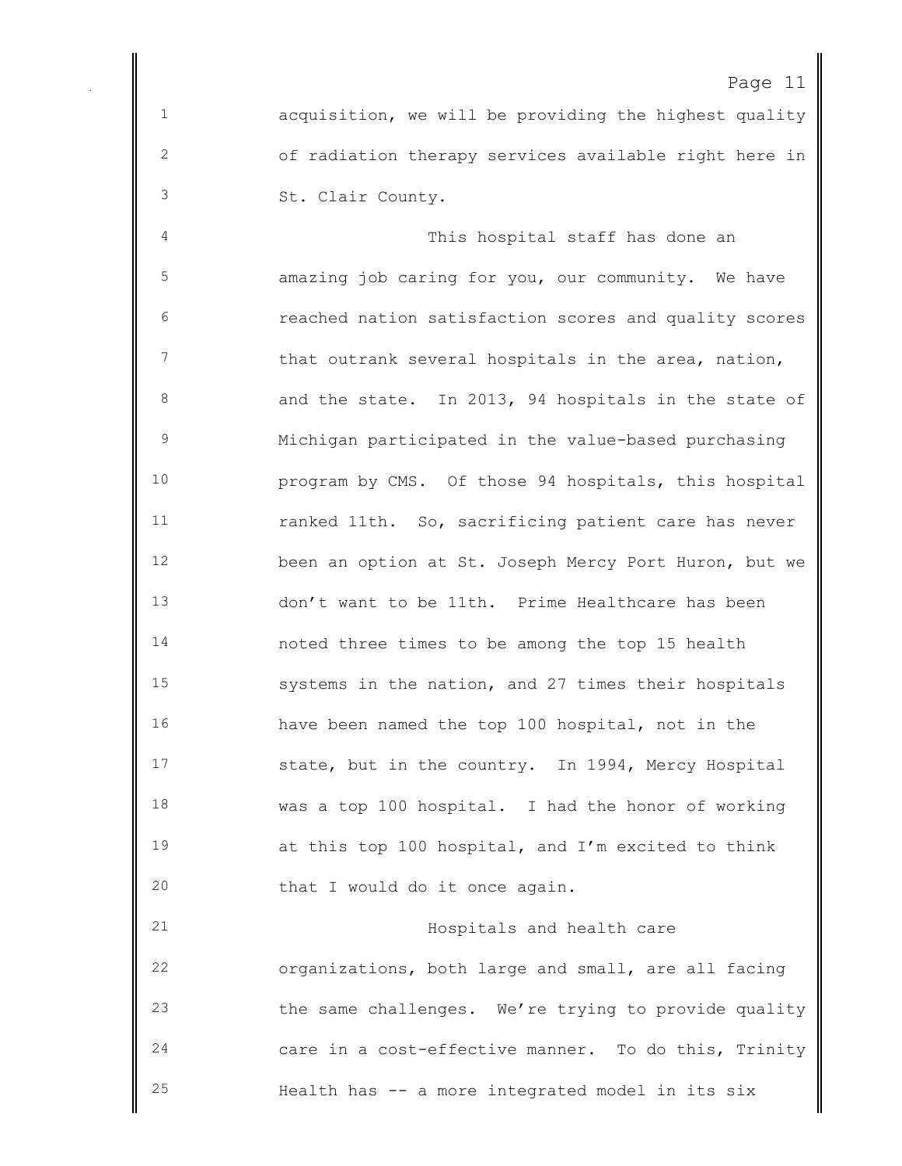acquisition, we will be providing the highest quality of radiation therapy services available right here in St. Clair County.

 This hospital staff has done an amazing job caring for you, our community. We have reached nation satisfaction scores and quality scores 7 that outrank several hospitals in the area, nation, and the state. In 2013, 94 hospitals in the state of Michigan participated in the value-based purchasing program by CMS. Of those 94 hospitals, this hospital ranked 11th. So, sacrificing patient care has never been an option at St. Joseph Mercy Port Huron, but we don't want to be 11th. Prime Healthcare has been noted three times to be among the top 15 health systems in the nation, and 27 times their hospitals have been named the top 100 hospital, not in the state, but in the country. In 1994, Mercy Hospital was a top 100 hospital. I had the honor of working at this top 100 hospital, and I'm excited to think that I would do it once again.

 Hospitals and health care organizations, both large and small, are all facing the same challenges. We're trying to provide quality care in a cost-effective manner. To do this, Trinity Health has -- a more integrated model in its six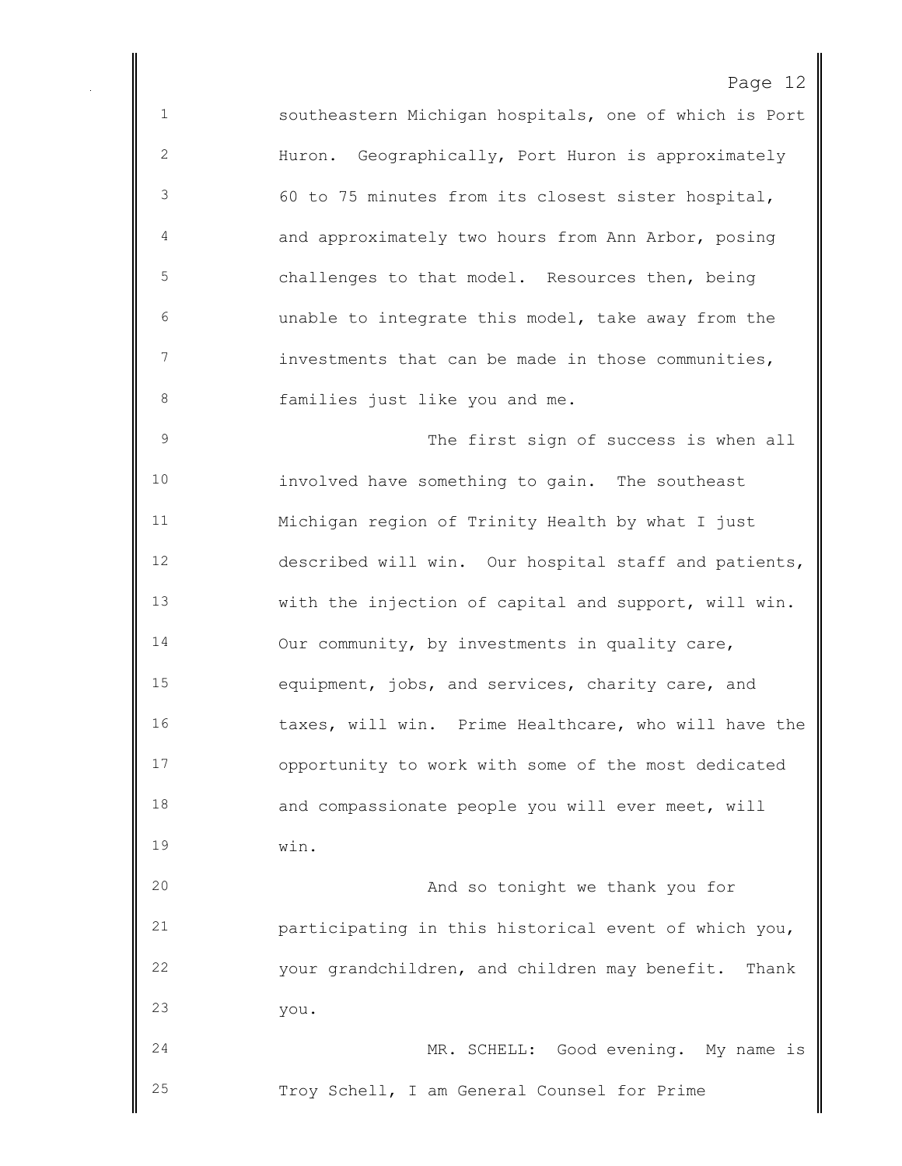southeastern Michigan hospitals, one of which is Port Huron. Geographically, Port Huron is approximately 60 to 75 minutes from its closest sister hospital, and approximately two hours from Ann Arbor, posing challenges to that model. Resources then, being unable to integrate this model, take away from the investments that can be made in those communities, families just like you and me. The first sign of success is when all involved have something to gain. The southeast Michigan region of Trinity Health by what I just described will win. Our hospital staff and patients, with the injection of capital and support, will win. 14 Our community, by investments in quality care, equipment, jobs, and services, charity care, and taxes, will win. Prime Healthcare, who will have the opportunity to work with some of the most dedicated and compassionate people you will ever meet, will

win.

 And so tonight we thank you for participating in this historical event of which you, your grandchildren, and children may benefit. Thank you.

 MR. SCHELL: Good evening. My name is Troy Schell, I am General Counsel for Prime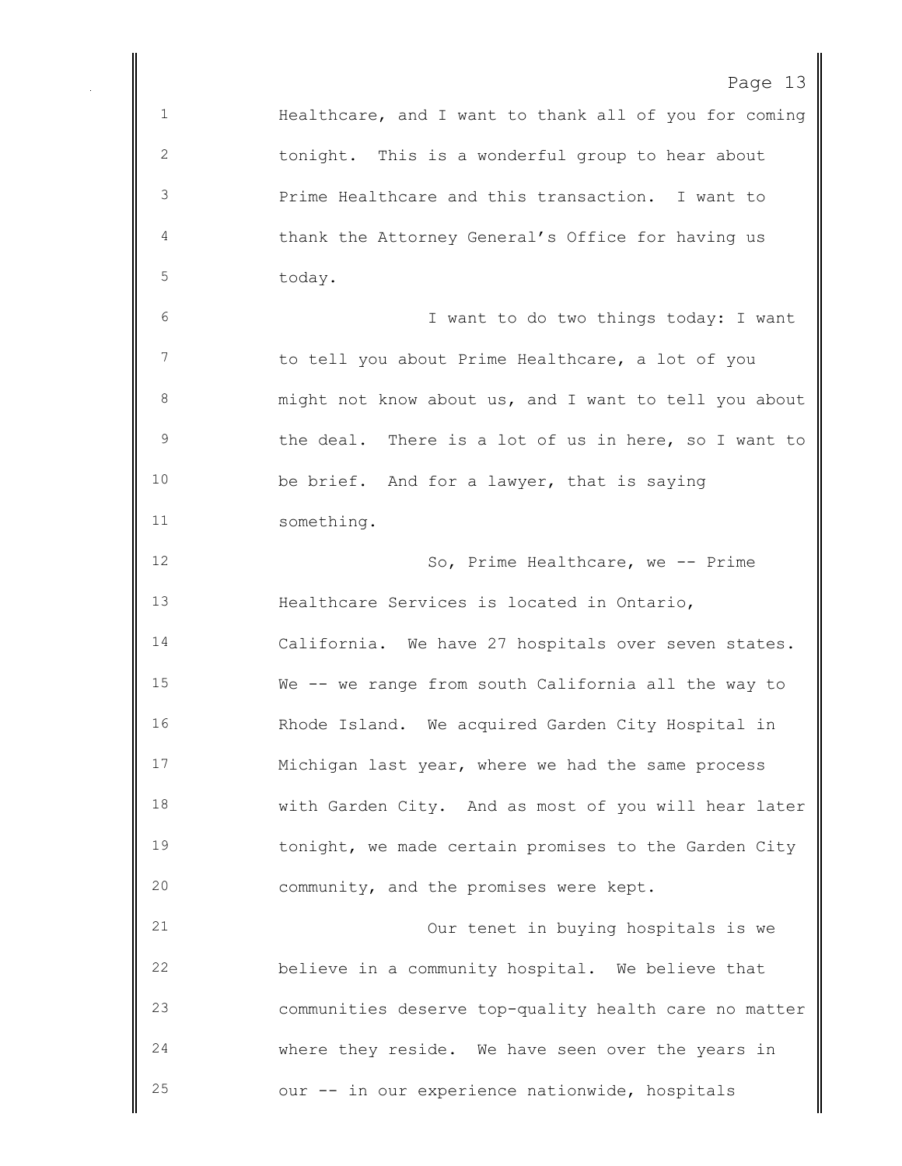Healthcare, and I want to thank all of you for coming tonight. This is a wonderful group to hear about Prime Healthcare and this transaction. I want to thank the Attorney General's Office for having us today. I want to do two things today: I want 7 to tell you about Prime Healthcare, a lot of you might not know about us, and I want to tell you about the deal. There is a lot of us in here, so I want to be brief. And for a lawyer, that is saying something. So, Prime Healthcare, we -- Prime Healthcare Services is located in Ontario, California. We have 27 hospitals over seven states. We -- we range from south California all the way to Rhode Island. We acquired Garden City Hospital in Michigan last year, where we had the same process with Garden City. And as most of you will hear later 19 tonight, we made certain promises to the Garden City community, and the promises were kept. Our tenet in buying hospitals is we believe in a community hospital. We believe that communities deserve top-quality health care no matter where they reside. We have seen over the years in our -- in our experience nationwide, hospitals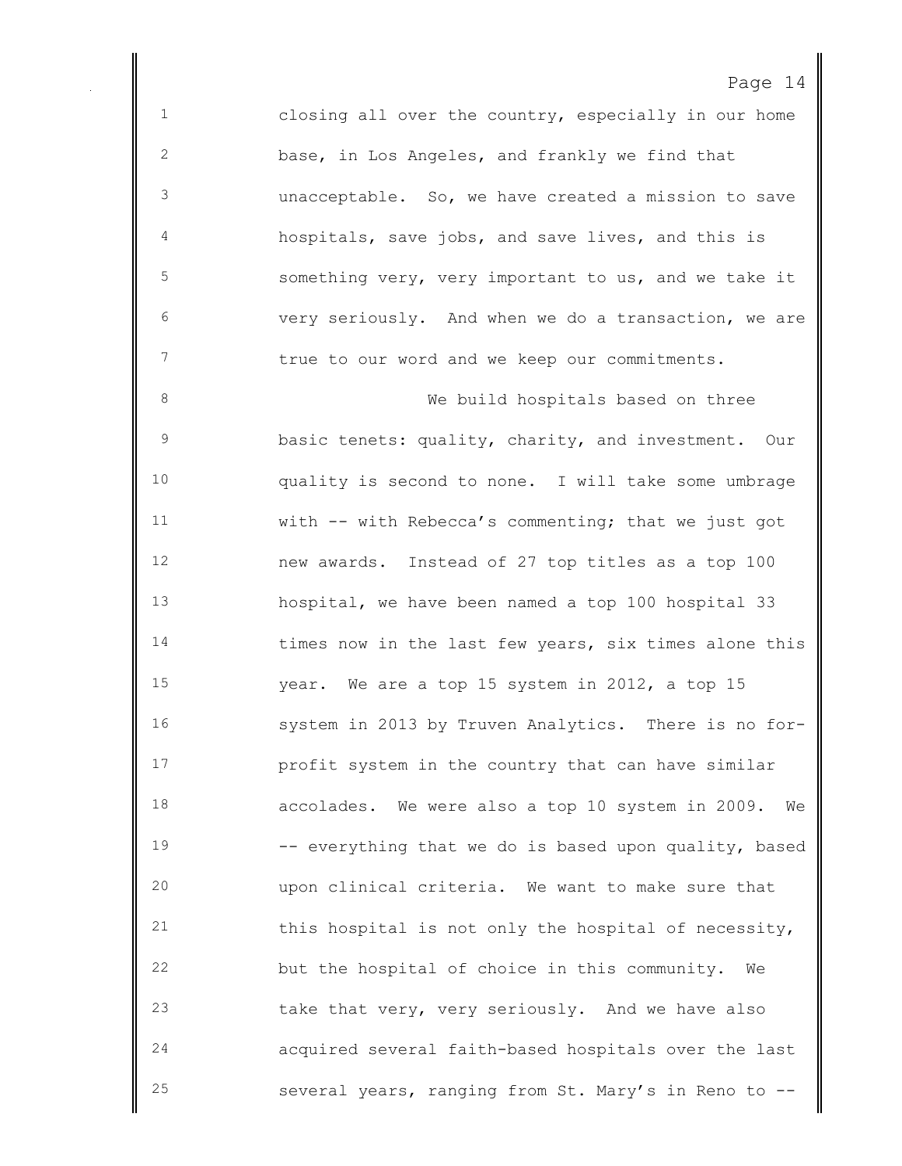closing all over the country, especially in our home base, in Los Angeles, and frankly we find that unacceptable. So, we have created a mission to save hospitals, save jobs, and save lives, and this is something very, very important to us, and we take it very seriously. And when we do a transaction, we are true to our word and we keep our commitments. 8 We build hospitals based on three basic tenets: quality, charity, and investment. Our quality is second to none. I will take some umbrage with -- with Rebecca's commenting; that we just got new awards. Instead of 27 top titles as a top 100 hospital, we have been named a top 100 hospital 33 14 times now in the last few years, six times alone this year. We are a top 15 system in 2012, a top 15 system in 2013 by Truven Analytics. There is no for- profit system in the country that can have similar accolades. We were also a top 10 system in 2009. We 19 -- everything that we do is based upon quality, based upon clinical criteria. We want to make sure that this hospital is not only the hospital of necessity, but the hospital of choice in this community. We take that very, very seriously. And we have also acquired several faith-based hospitals over the last

several years, ranging from St. Mary's in Reno to --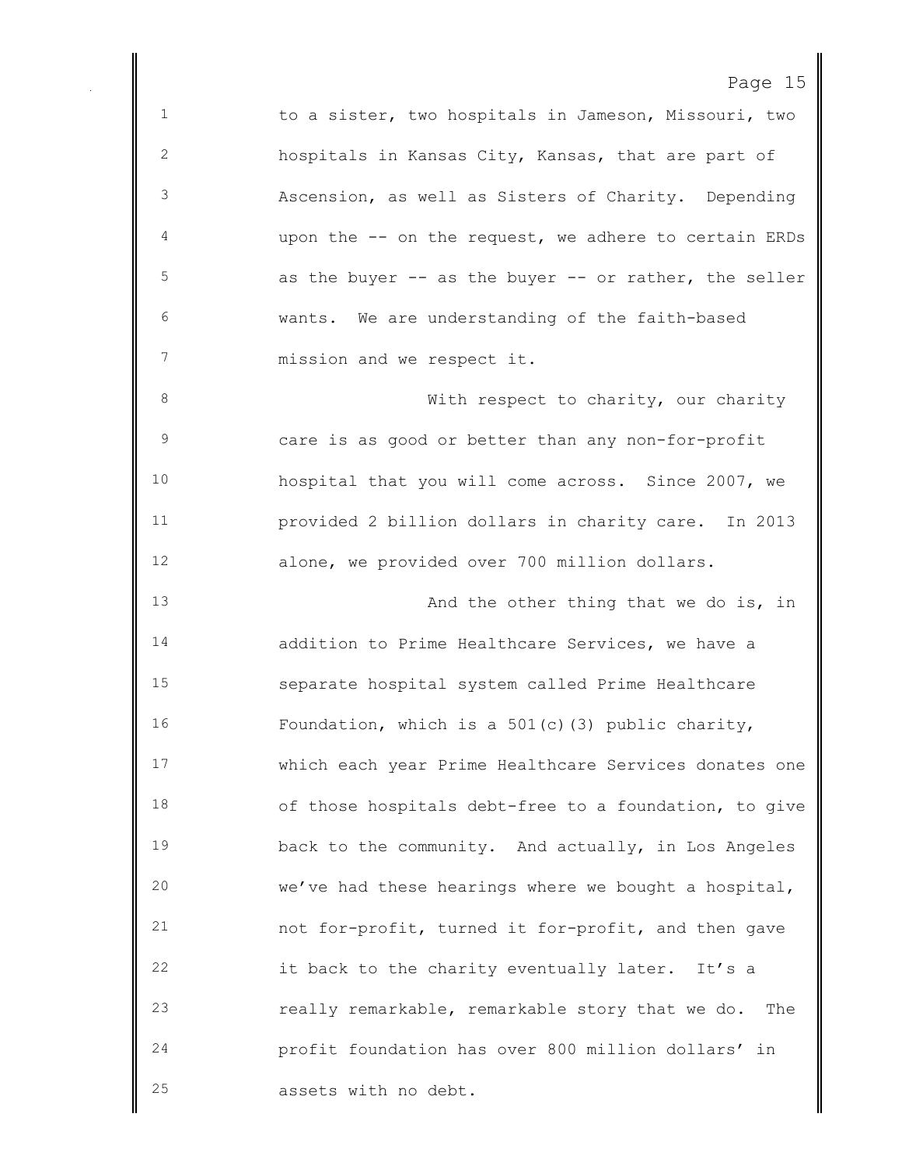Page 15 to a sister, two hospitals in Jameson, Missouri, two hospitals in Kansas City, Kansas, that are part of Ascension, as well as Sisters of Charity. Depending upon the -- on the request, we adhere to certain ERDs as the buyer -- as the buyer -- or rather, the seller wants. We are understanding of the faith-based mission and we respect it. 8 With respect to charity, our charity care is as good or better than any non-for-profit hospital that you will come across. Since 2007, we provided 2 billion dollars in charity care. In 2013 alone, we provided over 700 million dollars. 13 And the other thing that we do is, in addition to Prime Healthcare Services, we have a separate hospital system called Prime Healthcare Foundation, which is a 501(c)(3) public charity, which each year Prime Healthcare Services donates one of those hospitals debt-free to a foundation, to give back to the community. And actually, in Los Angeles we've had these hearings where we bought a hospital, not for-profit, turned it for-profit, and then gave it back to the charity eventually later. It's a really remarkable, remarkable story that we do. The profit foundation has over 800 million dollars' in assets with no debt.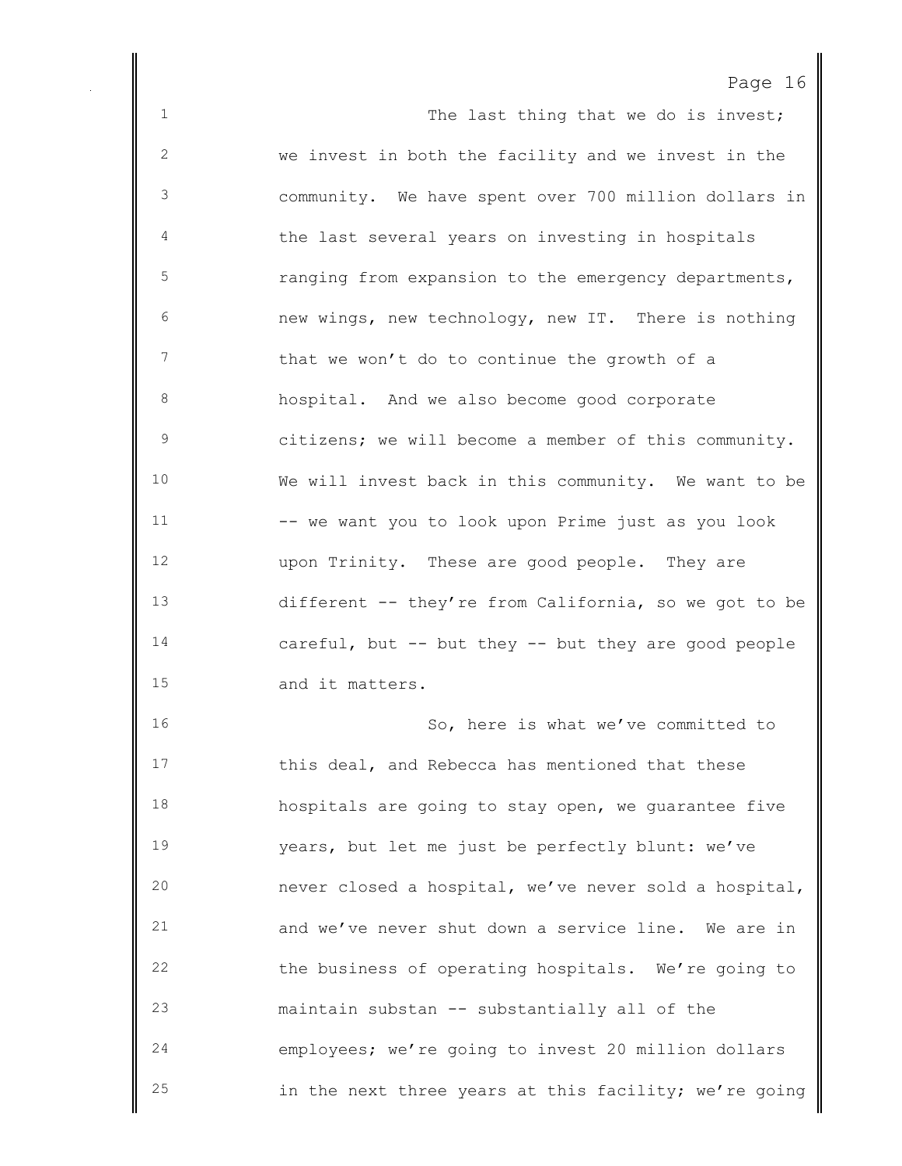1 The last thing that we do is invest; we invest in both the facility and we invest in the community. We have spent over 700 million dollars in the last several years on investing in hospitals ranging from expansion to the emergency departments, new wings, new technology, new IT. There is nothing that we won't do to continue the growth of a hospital. And we also become good corporate citizens; we will become a member of this community. We will invest back in this community. We want to be -- we want you to look upon Prime just as you look upon Trinity. These are good people. They are different -- they're from California, so we got to be careful, but -- but they -- but they are good people and it matters. 16 So, here is what we've committed to 17 this deal, and Rebecca has mentioned that these hospitals are going to stay open, we guarantee five years, but let me just be perfectly blunt: we've never closed a hospital, we've never sold a hospital, and we've never shut down a service line. We are in the business of operating hospitals. We're going to maintain substan -- substantially all of the employees; we're going to invest 20 million dollars

in the next three years at this facility; we're going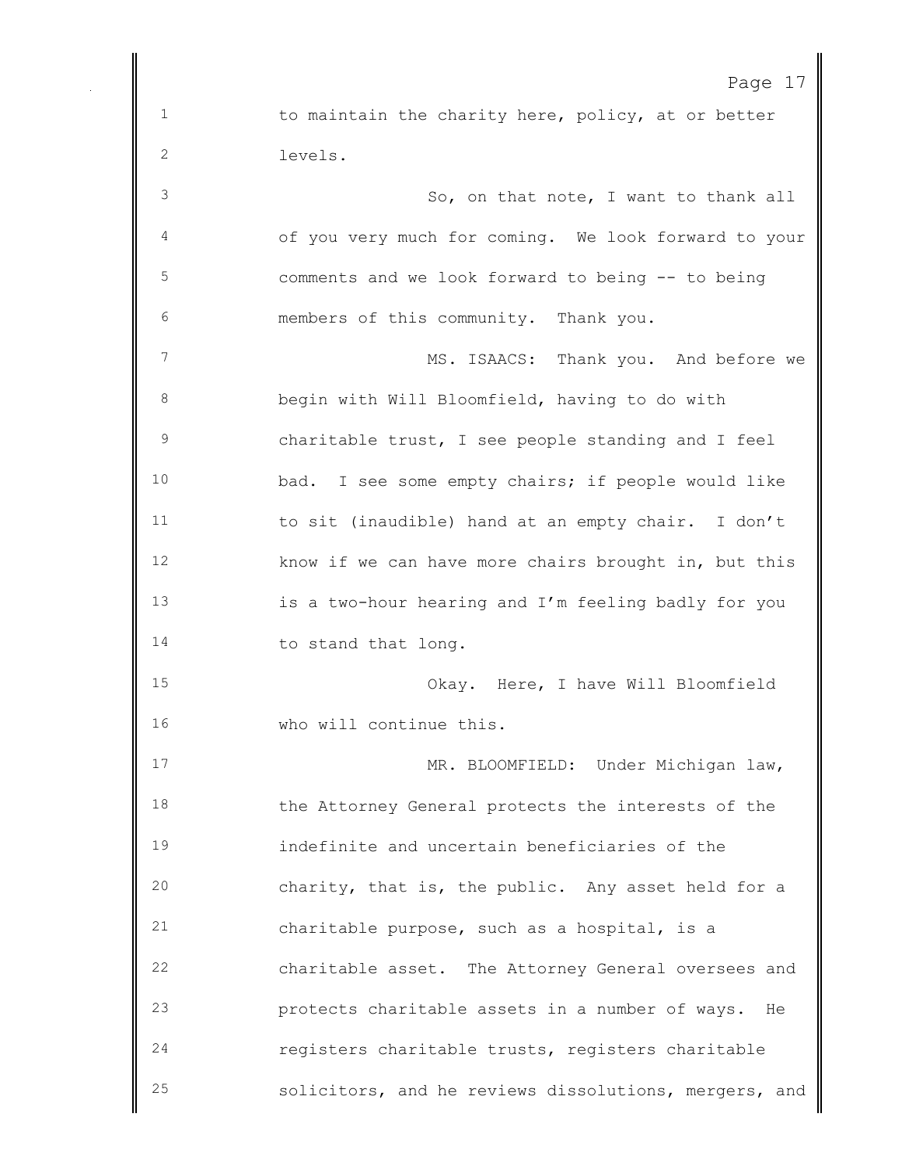Page 17 1 to maintain the charity here, policy, at or better levels. So, on that note, I want to thank all of you very much for coming. We look forward to your comments and we look forward to being -- to being members of this community. Thank you. MS. ISAACS: Thank you. And before we begin with Will Bloomfield, having to do with charitable trust, I see people standing and I feel bad. I see some empty chairs; if people would like to sit (inaudible) hand at an empty chair. I don't know if we can have more chairs brought in, but this is a two-hour hearing and I'm feeling badly for you 14 to stand that long. Okay. Here, I have Will Bloomfield who will continue this. MR. BLOOMFIELD: Under Michigan law, the Attorney General protects the interests of the indefinite and uncertain beneficiaries of the charity, that is, the public. Any asset held for a charitable purpose, such as a hospital, is a charitable asset. The Attorney General oversees and protects charitable assets in a number of ways. He registers charitable trusts, registers charitable solicitors, and he reviews dissolutions, mergers, and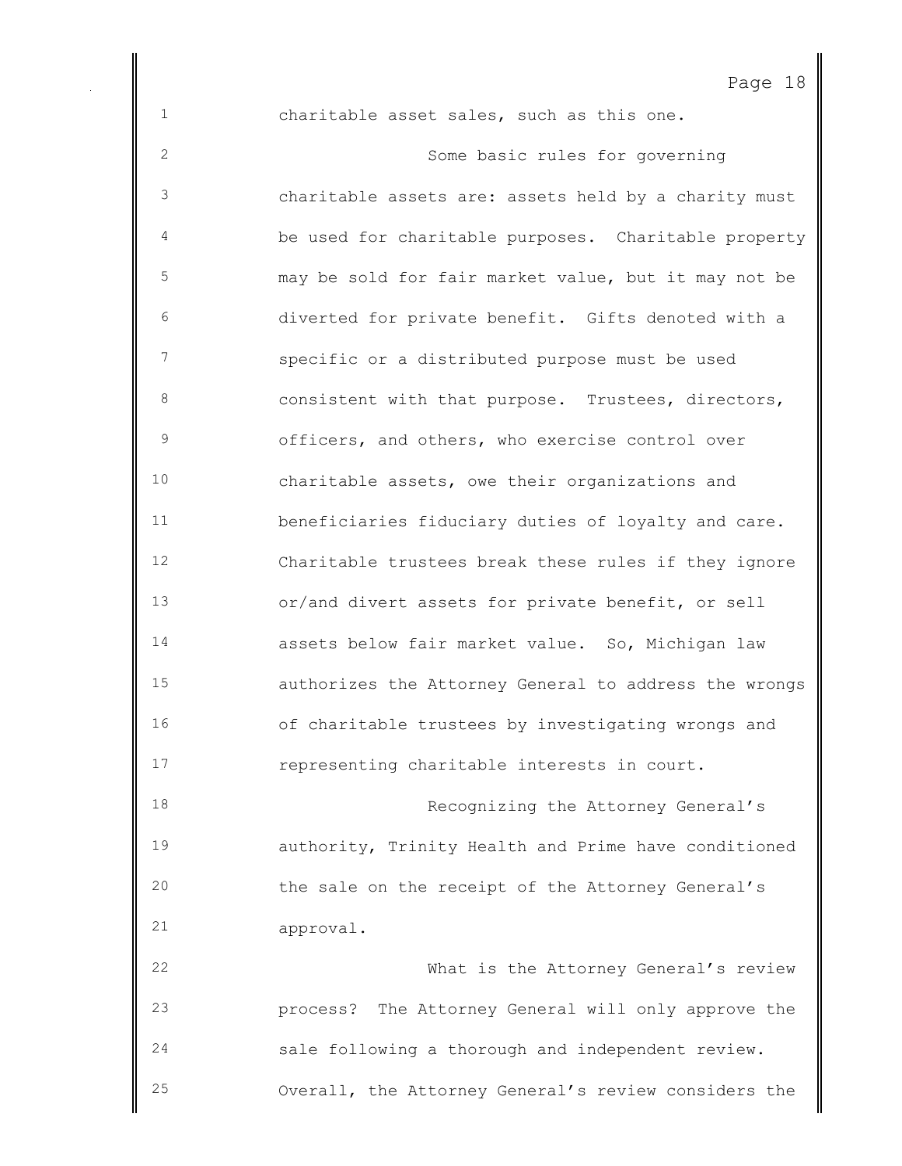charitable asset sales, such as this one.

 Some basic rules for governing charitable assets are: assets held by a charity must be used for charitable purposes. Charitable property may be sold for fair market value, but it may not be diverted for private benefit. Gifts denoted with a specific or a distributed purpose must be used consistent with that purpose. Trustees, directors, officers, and others, who exercise control over charitable assets, owe their organizations and beneficiaries fiduciary duties of loyalty and care. Charitable trustees break these rules if they ignore or/and divert assets for private benefit, or sell assets below fair market value. So, Michigan law authorizes the Attorney General to address the wrongs of charitable trustees by investigating wrongs and representing charitable interests in court. **Recognizing the Attorney General's**  authority, Trinity Health and Prime have conditioned the sale on the receipt of the Attorney General's approval. What is the Attorney General's review process? The Attorney General will only approve the sale following a thorough and independent review. Overall, the Attorney General's review considers the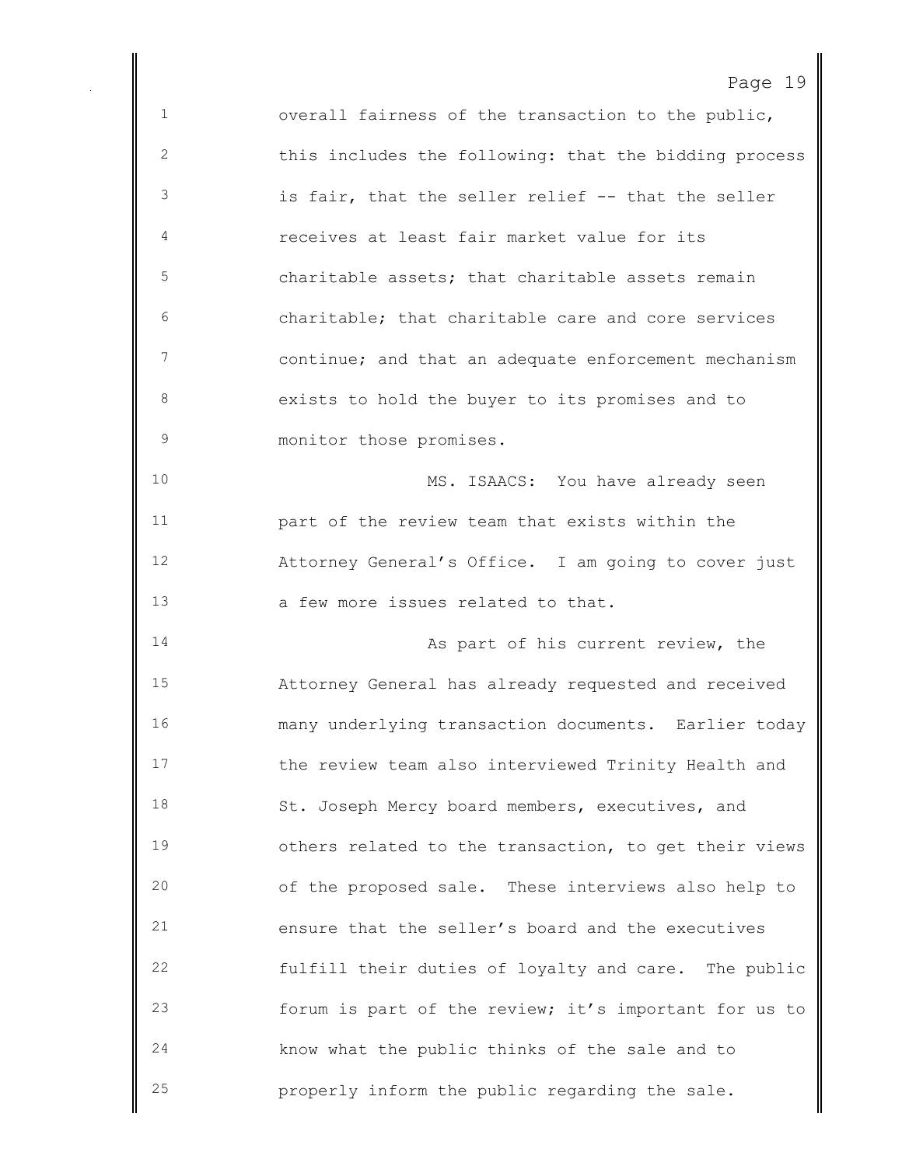| C<br>٦.<br>⊣ |  |  |
|--------------|--|--|
|--------------|--|--|

 overall fairness of the transaction to the public, this includes the following: that the bidding process is fair, that the seller relief -- that the seller receives at least fair market value for its charitable assets; that charitable assets remain charitable; that charitable care and core services continue; and that an adequate enforcement mechanism exists to hold the buyer to its promises and to 9 monitor those promises. MS. ISAACS: You have already seen part of the review team that exists within the Attorney General's Office. I am going to cover just a few more issues related to that. 14 As part of his current review, the Attorney General has already requested and received many underlying transaction documents. Earlier today the review team also interviewed Trinity Health and 18 St. Joseph Mercy board members, executives, and others related to the transaction, to get their views of the proposed sale. These interviews also help to ensure that the seller's board and the executives fulfill their duties of loyalty and care. The public forum is part of the review; it's important for us to know what the public thinks of the sale and to properly inform the public regarding the sale.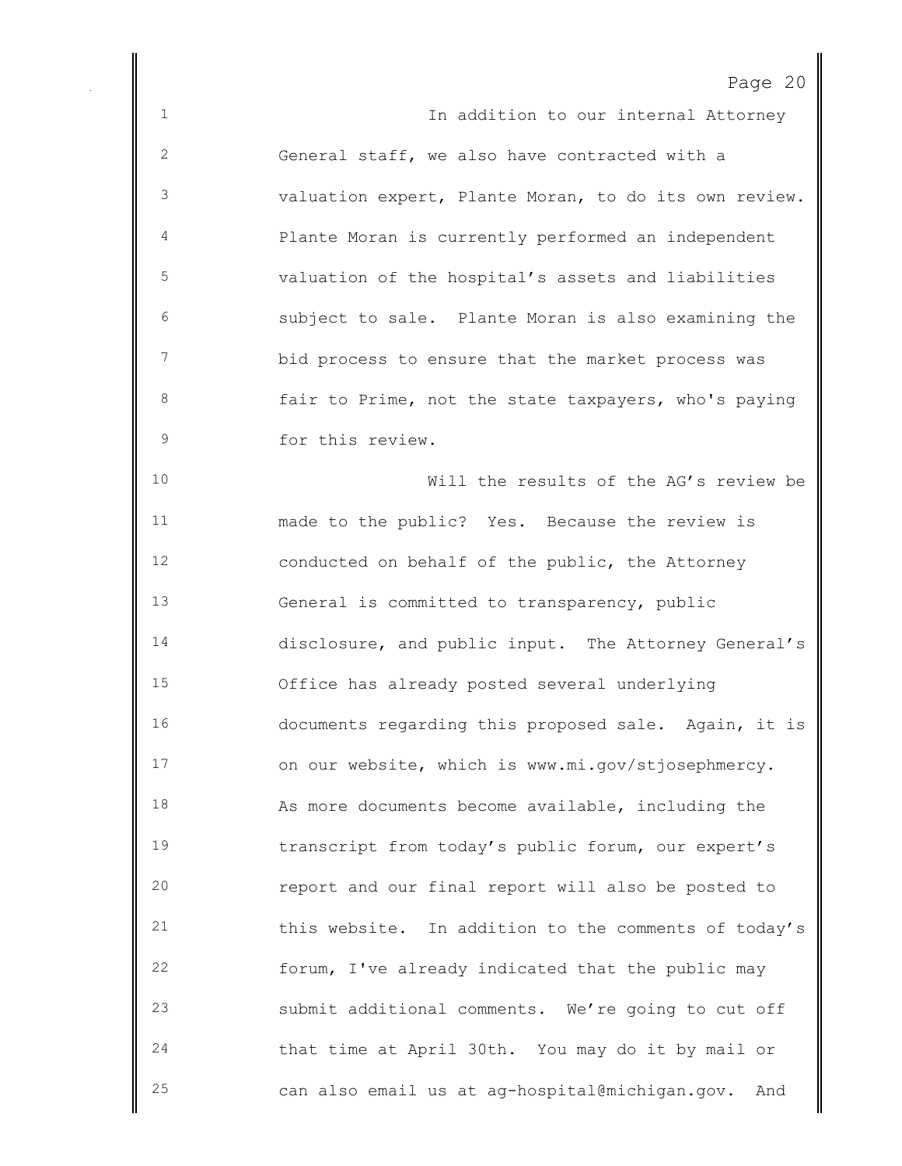| C<br>Э.<br>⊂ |  |
|--------------|--|
|--------------|--|

1 1 In addition to our internal Attorney General staff, we also have contracted with a valuation expert, Plante Moran, to do its own review. Plante Moran is currently performed an independent valuation of the hospital's assets and liabilities subject to sale. Plante Moran is also examining the bid process to ensure that the market process was **fair to Prime, not the state taxpayers, who's paying**  for this review. Will the results of the AG's review be made to the public? Yes. Because the review is conducted on behalf of the public, the Attorney General is committed to transparency, public disclosure, and public input. The Attorney General's Office has already posted several underlying documents regarding this proposed sale. Again, it is on our website, which is www.mi.gov/stjosephmercy. As more documents become available, including the transcript from today's public forum, our expert's report and our final report will also be posted to this website. In addition to the comments of today's forum, I've already indicated that the public may submit additional comments. We're going to cut off that time at April 30th. You may do it by mail or can also email us at ag-hospital@michigan.gov. And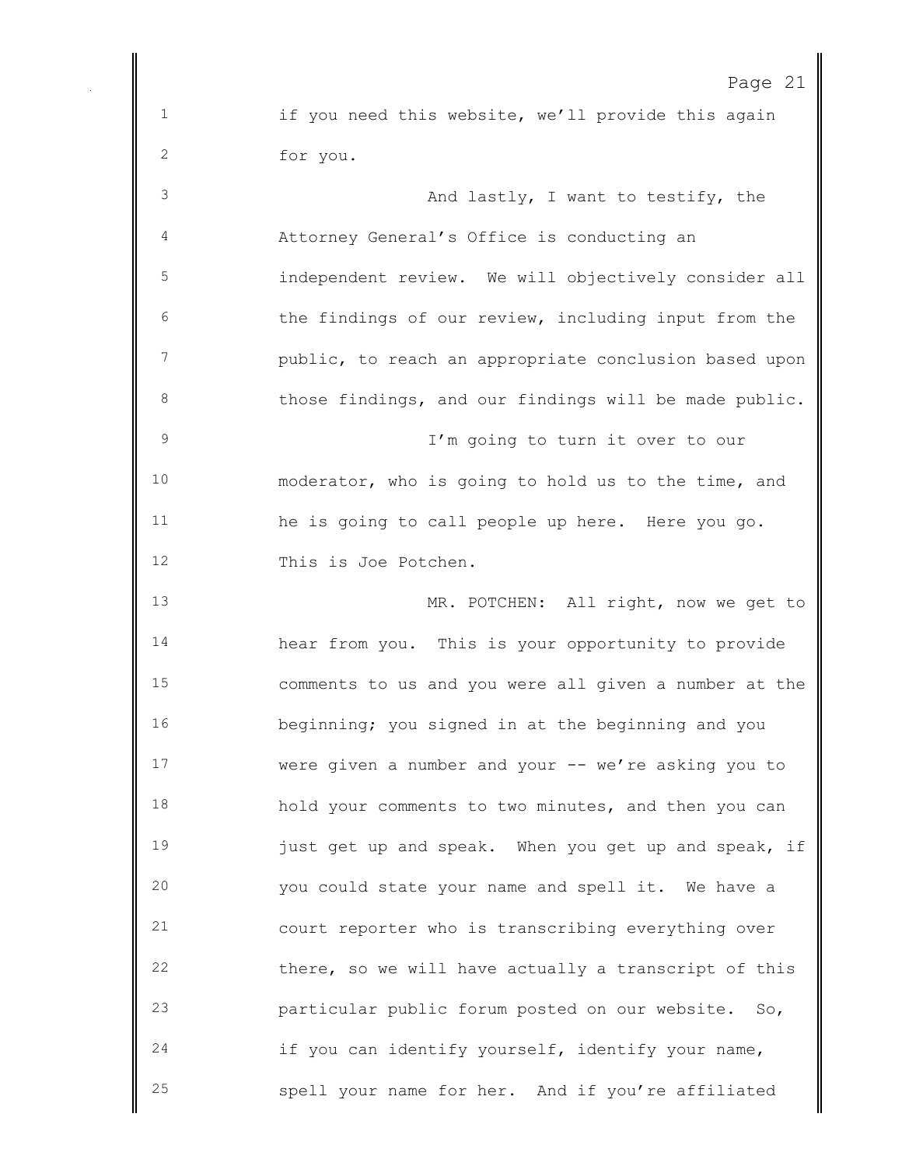1 if you need this website, we'll provide this again for you. And lastly, I want to testify, the Attorney General's Office is conducting an independent review. We will objectively consider all the findings of our review, including input from the public, to reach an appropriate conclusion based upon 8 those findings, and our findings will be made public. I'm going to turn it over to our moderator, who is going to hold us to the time, and he is going to call people up here. Here you go. This is Joe Potchen. MR. POTCHEN: All right, now we get to hear from you. This is your opportunity to provide comments to us and you were all given a number at the beginning; you signed in at the beginning and you were given a number and your -- we're asking you to hold your comments to two minutes, and then you can **just get up and speak.** When you get up and speak, if you could state your name and spell it. We have a court reporter who is transcribing everything over there, so we will have actually a transcript of this particular public forum posted on our website. So, if you can identify yourself, identify your name, spell your name for her. And if you're affiliated

Page 21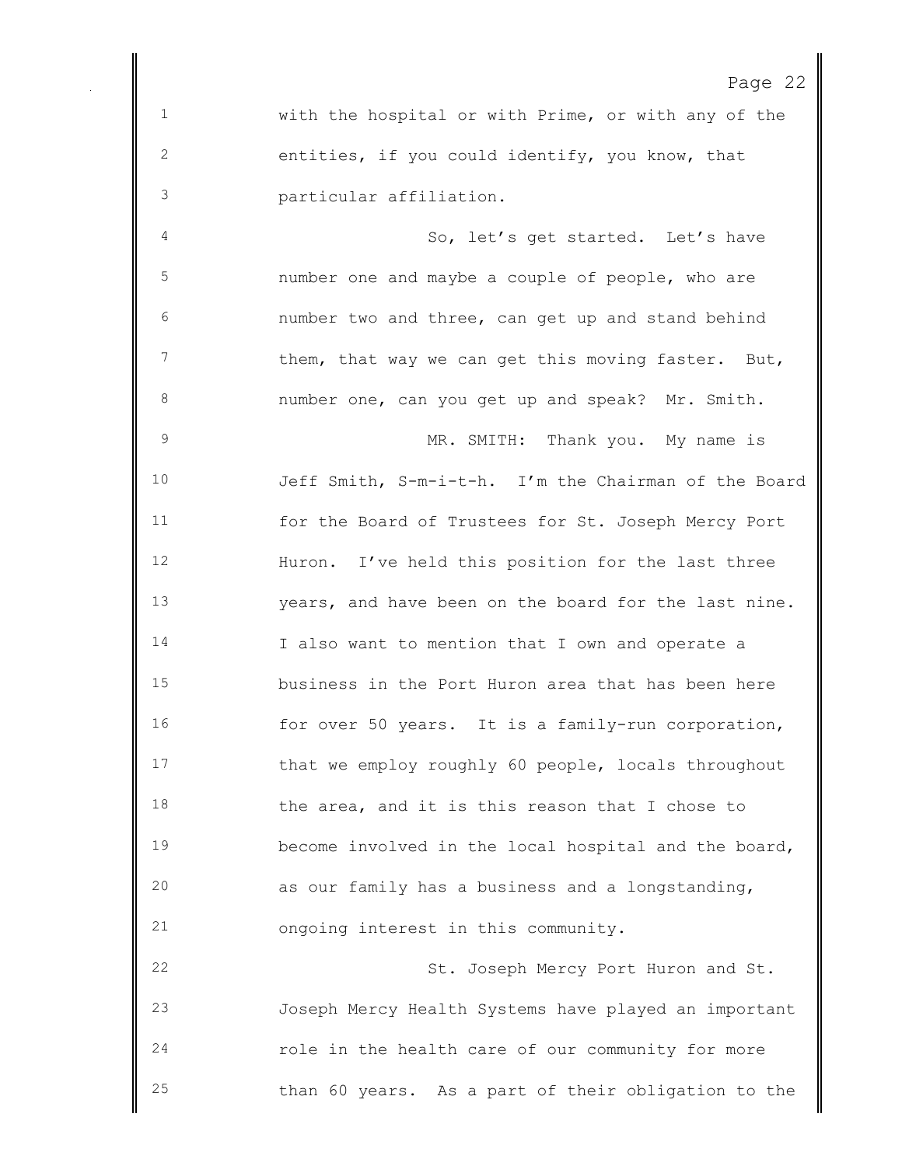| . . |  |
|-----|--|
|-----|--|

 with the hospital or with Prime, or with any of the entities, if you could identify, you know, that particular affiliation.

4 So, let's get started. Let's have number one and maybe a couple of people, who are number two and three, can get up and stand behind 7 them, that way we can get this moving faster. But, number one, can you get up and speak? Mr. Smith.

 MR. SMITH: Thank you. My name is Jeff Smith, S-m-i-t-h. I'm the Chairman of the Board for the Board of Trustees for St. Joseph Mercy Port Huron. I've held this position for the last three years, and have been on the board for the last nine. I also want to mention that I own and operate a business in the Port Huron area that has been here for over 50 years. It is a family-run corporation, that we employ roughly 60 people, locals throughout 18 the area, and it is this reason that I chose to become involved in the local hospital and the board, as our family has a business and a longstanding, ongoing interest in this community.

22 St. Joseph Mercy Port Huron and St. Joseph Mercy Health Systems have played an important role in the health care of our community for more than 60 years. As a part of their obligation to the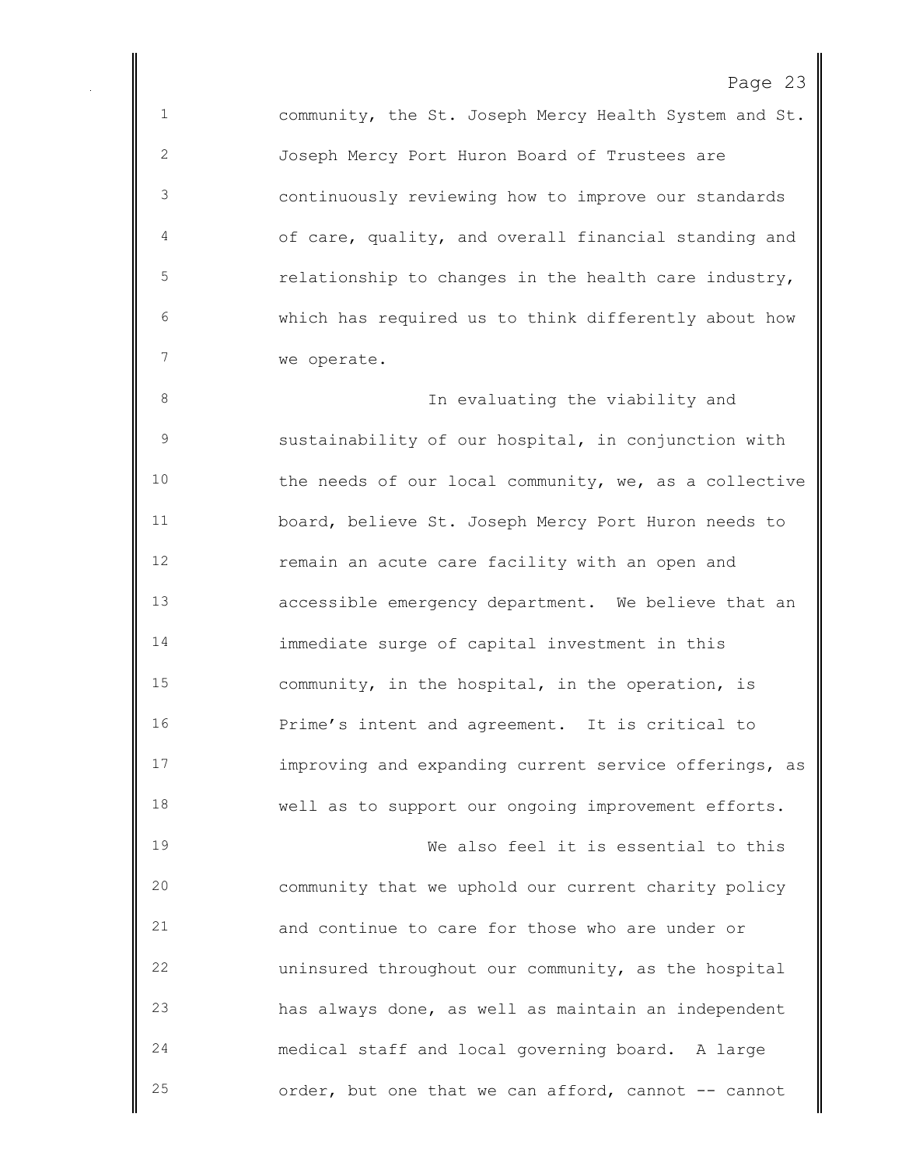community, the St. Joseph Mercy Health System and St. Joseph Mercy Port Huron Board of Trustees are continuously reviewing how to improve our standards of care, quality, and overall financial standing and relationship to changes in the health care industry, which has required us to think differently about how we operate.

 In evaluating the viability and sustainability of our hospital, in conjunction with the needs of our local community, we, as a collective board, believe St. Joseph Mercy Port Huron needs to remain an acute care facility with an open and accessible emergency department. We believe that an immediate surge of capital investment in this community, in the hospital, in the operation, is Prime's intent and agreement. It is critical to improving and expanding current service offerings, as well as to support our ongoing improvement efforts.

 We also feel it is essential to this community that we uphold our current charity policy and continue to care for those who are under or uninsured throughout our community, as the hospital has always done, as well as maintain an independent medical staff and local governing board. A large order, but one that we can afford, cannot -- cannot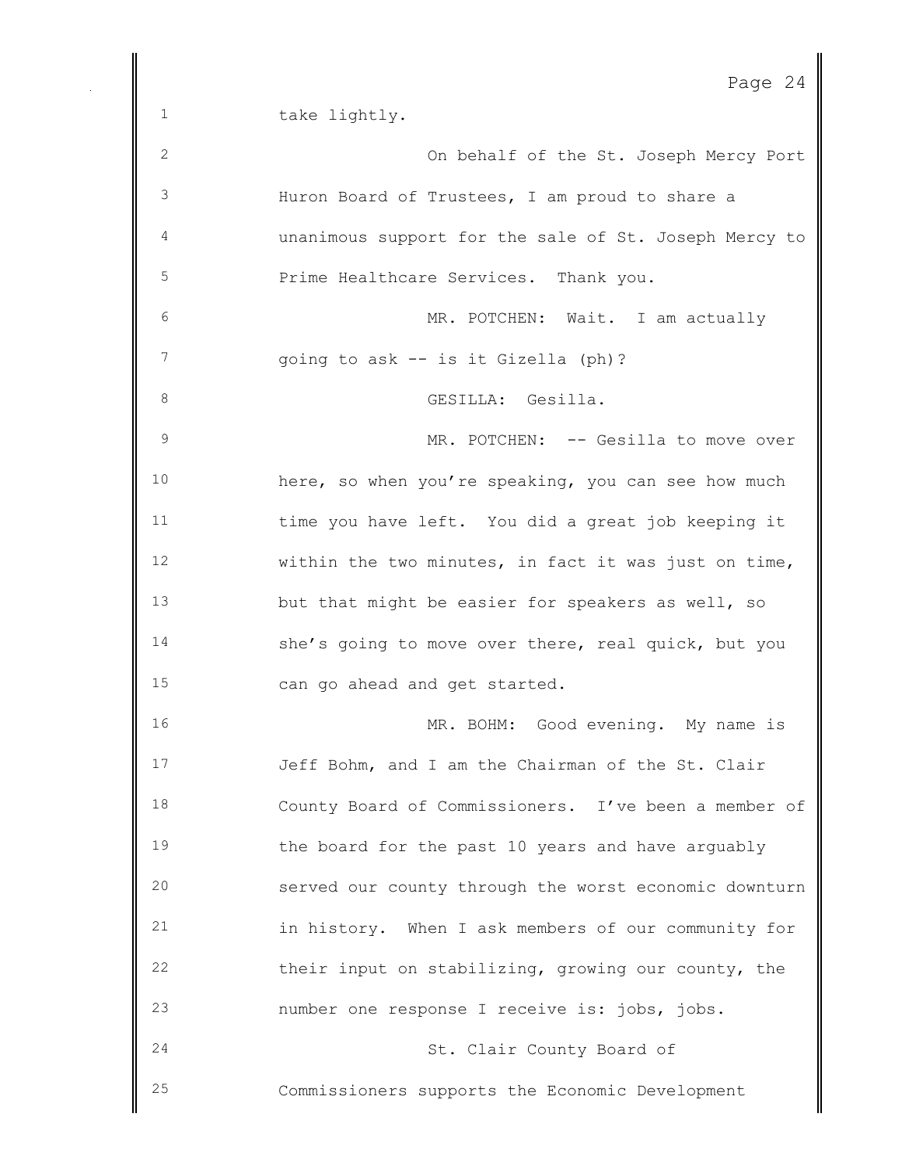1 take lightly.

 On behalf of the St. Joseph Mercy Port Huron Board of Trustees, I am proud to share a unanimous support for the sale of St. Joseph Mercy to Prime Healthcare Services. Thank you. MR. POTCHEN: Wait. I am actually going to ask -- is it Gizella (ph)? GESILLA: Gesilla. 9 MR. POTCHEN: -- Gesilla to move over here, so when you're speaking, you can see how much time you have left. You did a great job keeping it within the two minutes, in fact it was just on time, but that might be easier for speakers as well, so she's going to move over there, real quick, but you can go ahead and get started. MR. BOHM: Good evening. My name is Jeff Bohm, and I am the Chairman of the St. Clair County Board of Commissioners. I've been a member of the board for the past 10 years and have arguably served our county through the worst economic downturn in history. When I ask members of our community for their input on stabilizing, growing our county, the number one response I receive is: jobs, jobs. St. Clair County Board of Commissioners supports the Economic Development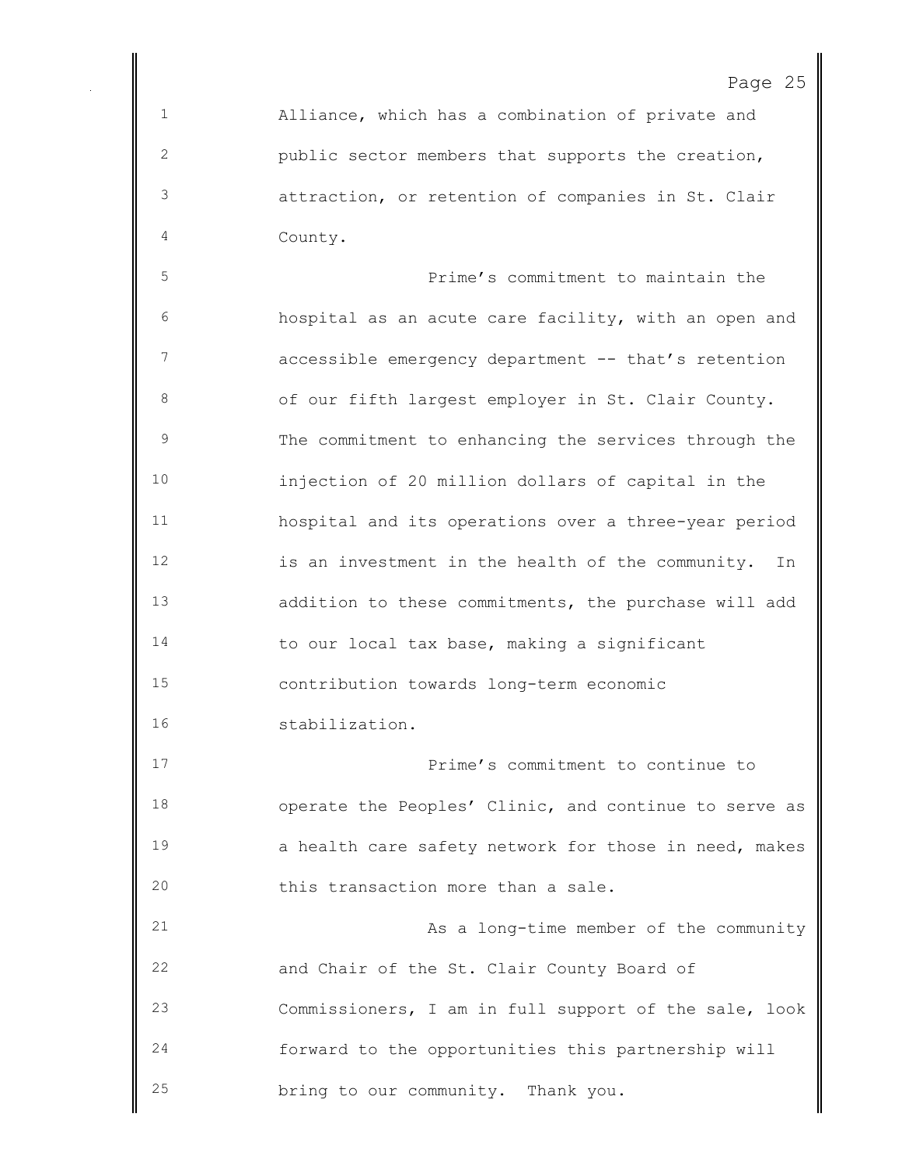Alliance, which has a combination of private and public sector members that supports the creation, attraction, or retention of companies in St. Clair County.

 Prime's commitment to maintain the hospital as an acute care facility, with an open and 7 accessible emergency department -- that's retention of our fifth largest employer in St. Clair County. The commitment to enhancing the services through the injection of 20 million dollars of capital in the hospital and its operations over a three-year period is an investment in the health of the community. In addition to these commitments, the purchase will add to our local tax base, making a significant contribution towards long-term economic stabilization.

 Prime's commitment to continue to operate the Peoples' Clinic, and continue to serve as 19 a health care safety network for those in need, makes this transaction more than a sale.

 As a long-time member of the community and Chair of the St. Clair County Board of Commissioners, I am in full support of the sale, look forward to the opportunities this partnership will bring to our community. Thank you.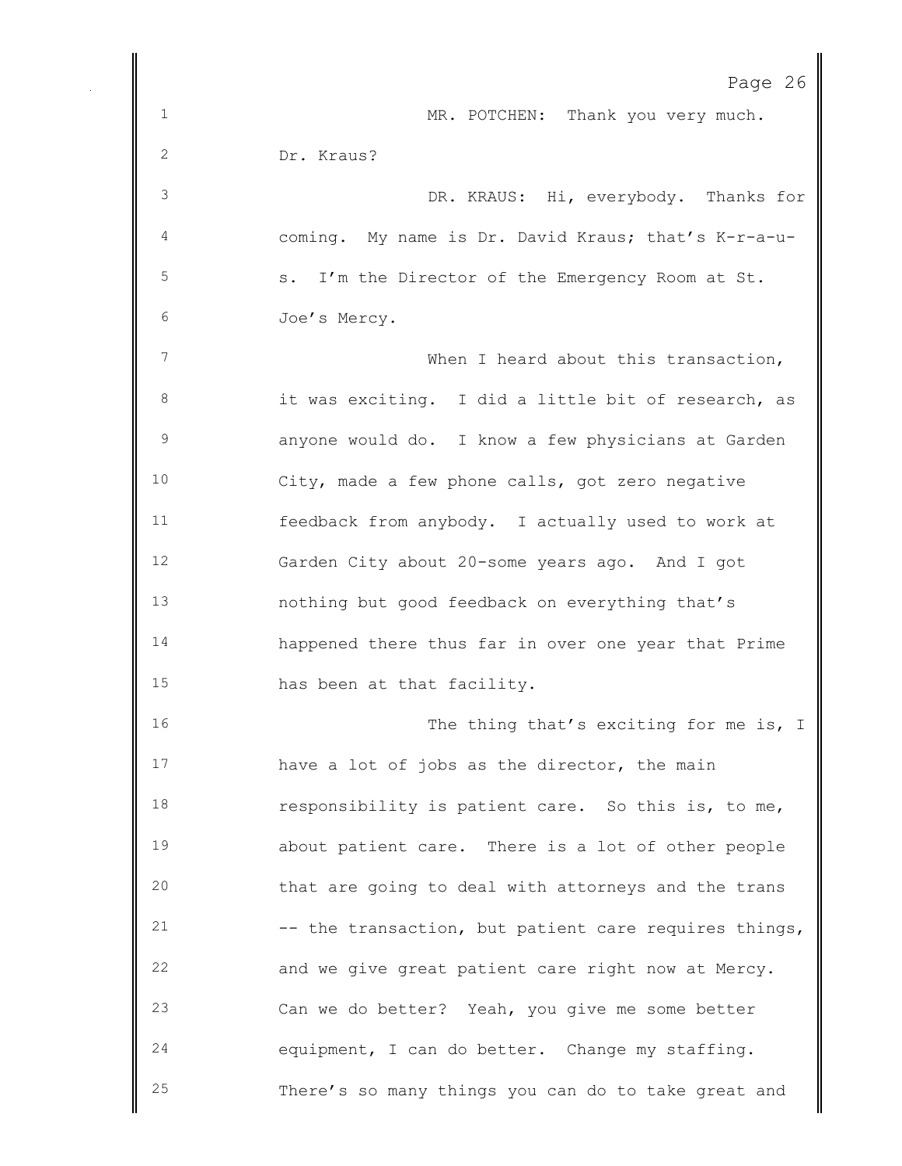|              | Page 26                                               |
|--------------|-------------------------------------------------------|
| $\mathbf 1$  | MR. POTCHEN: Thank you very much.                     |
| $\mathbf{2}$ | Dr. Kraus?                                            |
| 3            | DR. KRAUS: Hi, everybody. Thanks for                  |
| 4            | coming. My name is Dr. David Kraus; that's K-r-a-u-   |
| 5            | s. I'm the Director of the Emergency Room at St.      |
| 6            | Joe's Mercy.                                          |
| 7            | When I heard about this transaction,                  |
| 8            | it was exciting. I did a little bit of research, as   |
| $\mathsf 9$  | anyone would do. I know a few physicians at Garden    |
| 10           | City, made a few phone calls, got zero negative       |
| 11           | feedback from anybody. I actually used to work at     |
| 12           | Garden City about 20-some years ago. And I got        |
| 13           | nothing but good feedback on everything that's        |
| 14           | happened there thus far in over one year that Prime   |
| 15           | has been at that facility.                            |
| 16           | The thing that's exciting for me is, I                |
| 17           | have a lot of jobs as the director, the main          |
| 18           | responsibility is patient care. So this is, to me,    |
| 19           | about patient care. There is a lot of other people    |
| 20           | that are going to deal with attorneys and the trans   |
| 21           | -- the transaction, but patient care requires things, |
| 22           | and we give great patient care right now at Mercy.    |
| 23           | Can we do better? Yeah, you give me some better       |
| 24           | equipment, I can do better. Change my staffing.       |
| 25           | There's so many things you can do to take great and   |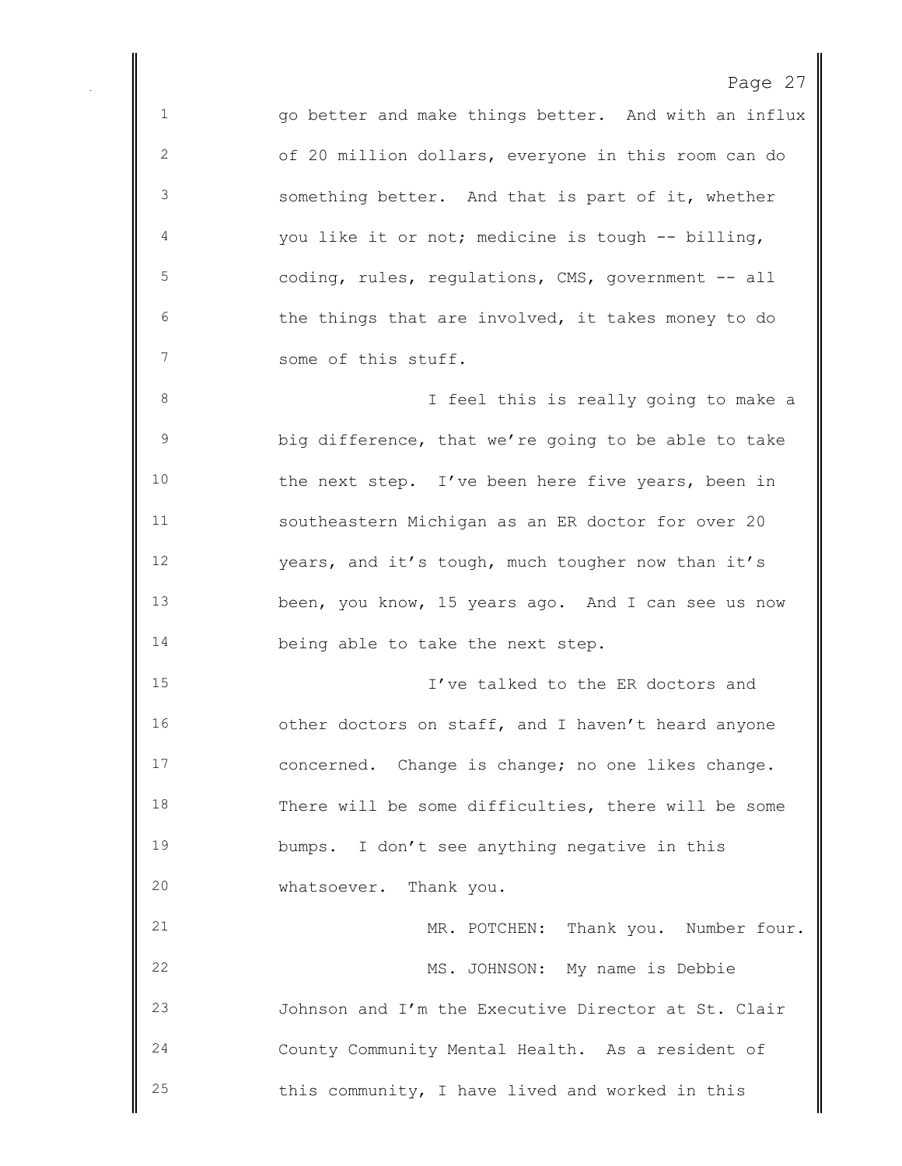go better and make things better. And with an influx of 20 million dollars, everyone in this room can do something better. And that is part of it, whether you like it or not; medicine is tough -- billing, coding, rules, regulations, CMS, government -- all the things that are involved, it takes money to do some of this stuff. I feel this is really going to make a big difference, that we're going to be able to take 10 the next step. I've been here five years, been in southeastern Michigan as an ER doctor for over 20 years, and it's tough, much tougher now than it's been, you know, 15 years ago. And I can see us now 14 being able to take the next step. I've talked to the ER doctors and 16 other doctors on staff, and I haven't heard anyone concerned. Change is change; no one likes change. There will be some difficulties, there will be some bumps. I don't see anything negative in this whatsoever. Thank you. MR. POTCHEN: Thank you. Number four. MS. JOHNSON: My name is Debbie Johnson and I'm the Executive Director at St. Clair County Community Mental Health. As a resident of this community, I have lived and worked in this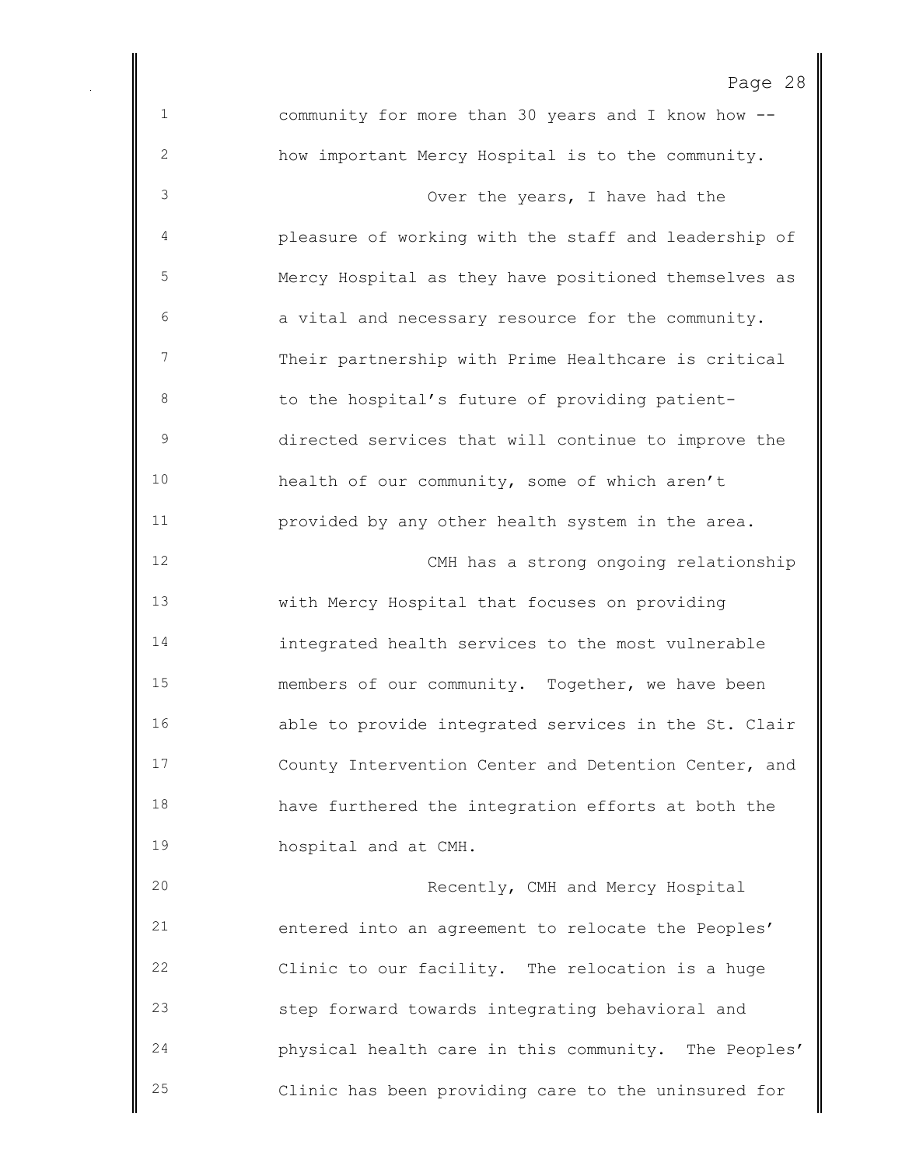community for more than 30 years and I know how -- how important Mercy Hospital is to the community. Over the years, I have had the pleasure of working with the staff and leadership of Mercy Hospital as they have positioned themselves as a vital and necessary resource for the community. Their partnership with Prime Healthcare is critical 8 to the hospital's future of providing patient- directed services that will continue to improve the health of our community, some of which aren't provided by any other health system in the area. CMH has a strong ongoing relationship with Mercy Hospital that focuses on providing integrated health services to the most vulnerable members of our community. Together, we have been able to provide integrated services in the St. Clair County Intervention Center and Detention Center, and have furthered the integration efforts at both the hospital and at CMH. Recently, CMH and Mercy Hospital entered into an agreement to relocate the Peoples' Clinic to our facility. The relocation is a huge step forward towards integrating behavioral and physical health care in this community. The Peoples' Clinic has been providing care to the uninsured for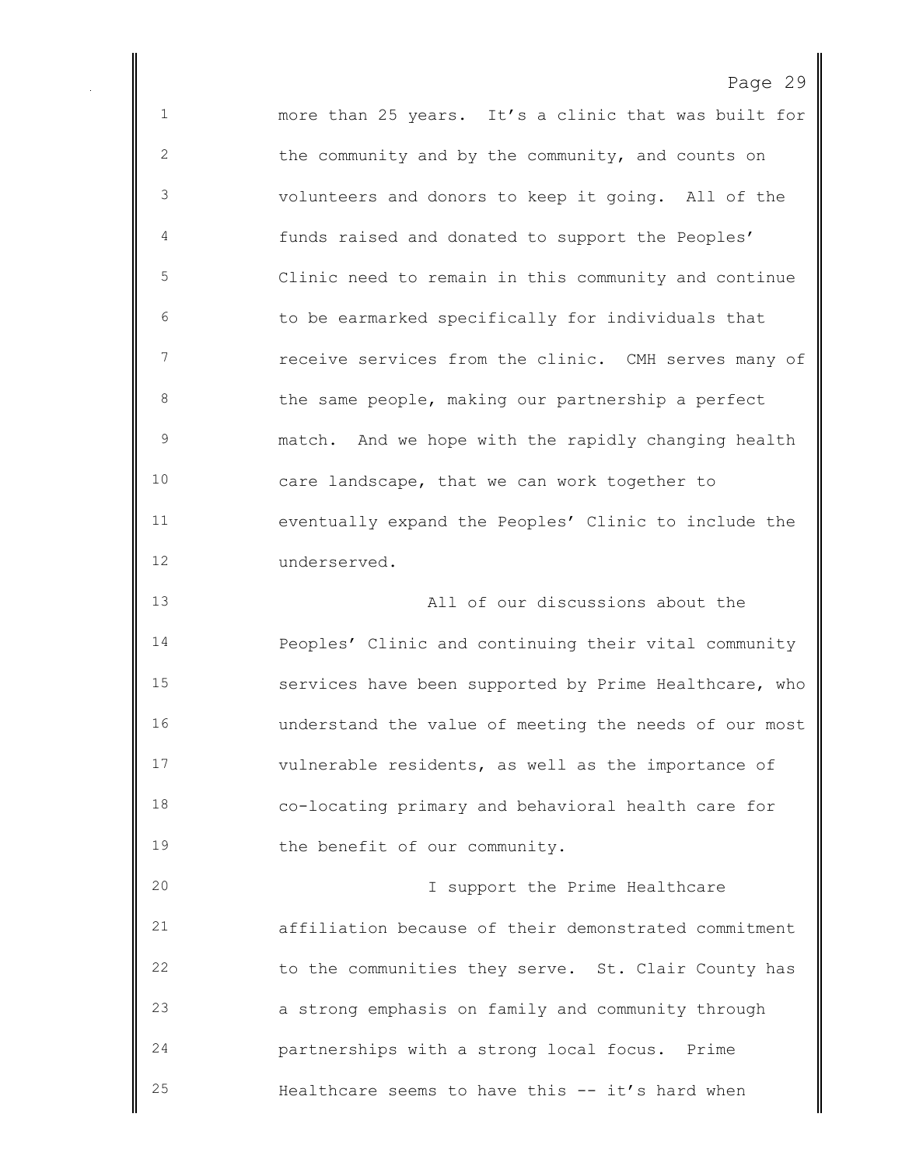more than 25 years. It's a clinic that was built for 2 the community and by the community, and counts on volunteers and donors to keep it going. All of the funds raised and donated to support the Peoples' Clinic need to remain in this community and continue to be earmarked specifically for individuals that receive services from the clinic. CMH serves many of 8 b the same people, making our partnership a perfect match. And we hope with the rapidly changing health care landscape, that we can work together to eventually expand the Peoples' Clinic to include the underserved. All of our discussions about the

 Peoples' Clinic and continuing their vital community services have been supported by Prime Healthcare, who understand the value of meeting the needs of our most vulnerable residents, as well as the importance of co-locating primary and behavioral health care for 19 the benefit of our community.

 I support the Prime Healthcare affiliation because of their demonstrated commitment to the communities they serve. St. Clair County has a strong emphasis on family and community through partnerships with a strong local focus. Prime Healthcare seems to have this -- it's hard when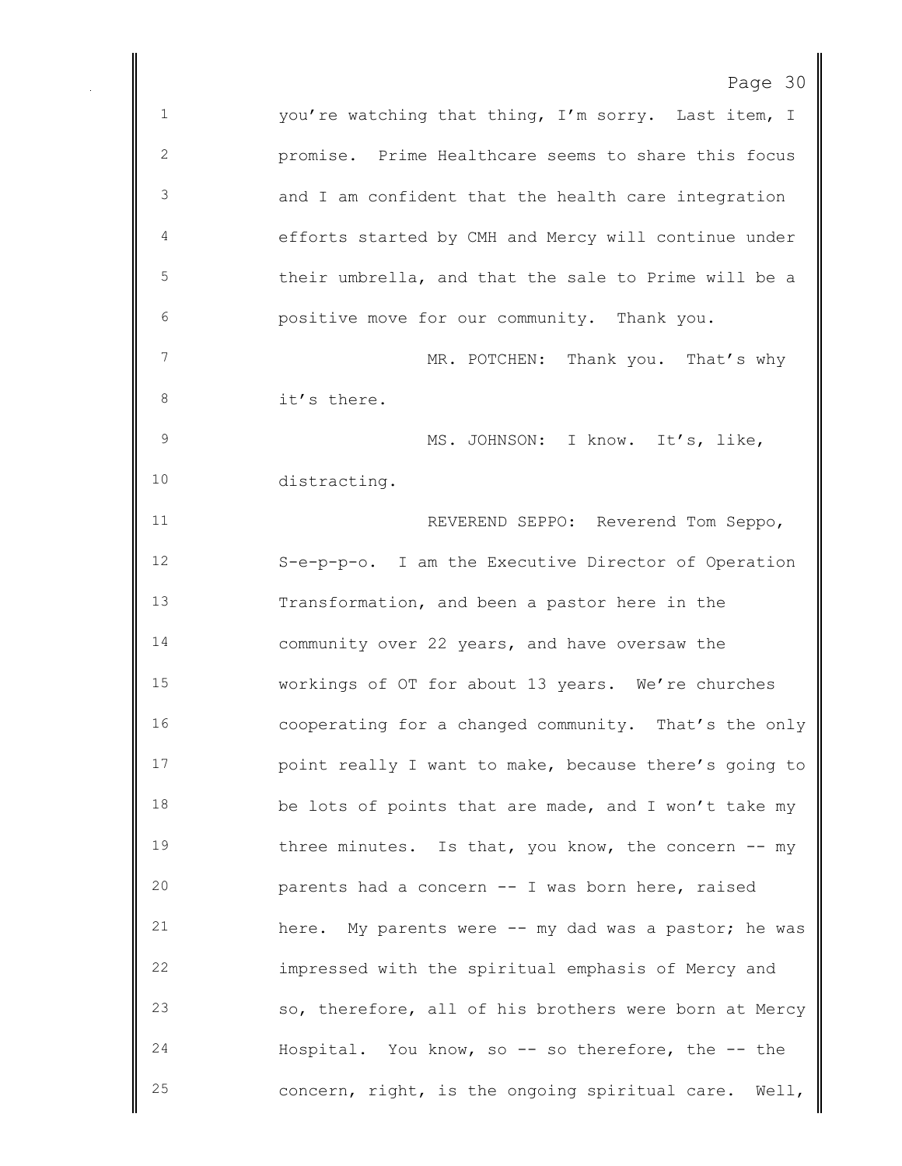| aar |  |
|-----|--|
|-----|--|

 you're watching that thing, I'm sorry. Last item, I promise. Prime Healthcare seems to share this focus and I am confident that the health care integration efforts started by CMH and Mercy will continue under their umbrella, and that the sale to Prime will be a positive move for our community. Thank you. 7 MR. POTCHEN: Thank you. That's why it's there. 9 MS. JOHNSON: I know. It's, like, distracting. REVEREND SEPPO: Reverend Tom Seppo, S-e-p-p-o. I am the Executive Director of Operation Transformation, and been a pastor here in the community over 22 years, and have oversaw the workings of OT for about 13 years. We're churches cooperating for a changed community. That's the only point really I want to make, because there's going to 18 be lots of points that are made, and I won't take my 19 three minutes. Is that, you know, the concern -- my parents had a concern -- I was born here, raised here. My parents were -- my dad was a pastor; he was impressed with the spiritual emphasis of Mercy and so, therefore, all of his brothers were born at Mercy Hospital. You know, so -- so therefore, the -- the concern, right, is the ongoing spiritual care. Well,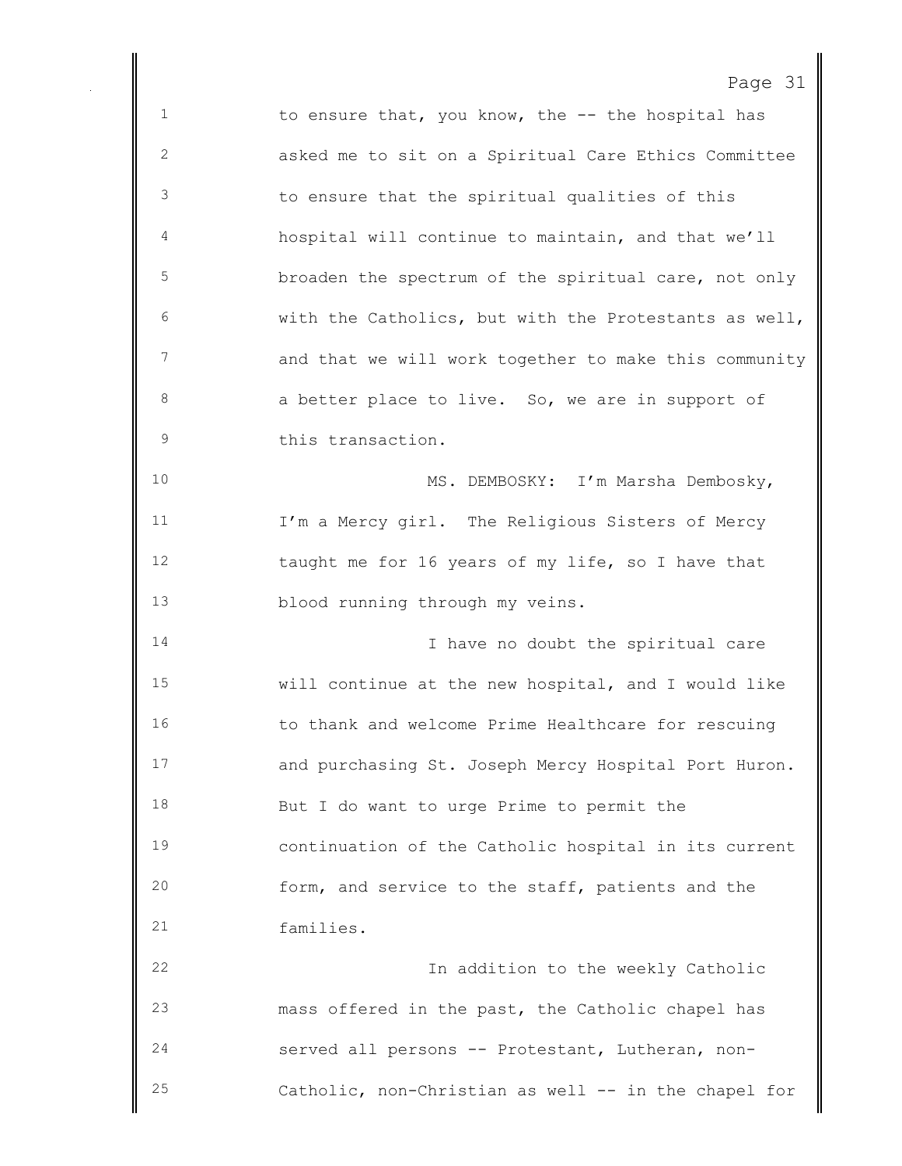1 to ensure that, you know, the -- the hospital has asked me to sit on a Spiritual Care Ethics Committee to ensure that the spiritual qualities of this hospital will continue to maintain, and that we'll broaden the spectrum of the spiritual care, not only with the Catholics, but with the Protestants as well, 7 and that we will work together to make this community 8 a better place to live. So, we are in support of this transaction. 10 MS. DEMBOSKY: I'm Marsha Dembosky, I'm a Mercy girl. The Religious Sisters of Mercy taught me for 16 years of my life, so I have that blood running through my veins. 14 14 I have no doubt the spiritual care will continue at the new hospital, and I would like to thank and welcome Prime Healthcare for rescuing and purchasing St. Joseph Mercy Hospital Port Huron. But I do want to urge Prime to permit the continuation of the Catholic hospital in its current form, and service to the staff, patients and the families. In addition to the weekly Catholic mass offered in the past, the Catholic chapel has served all persons -- Protestant, Lutheran, non-

Catholic, non-Christian as well -- in the chapel for

Page 31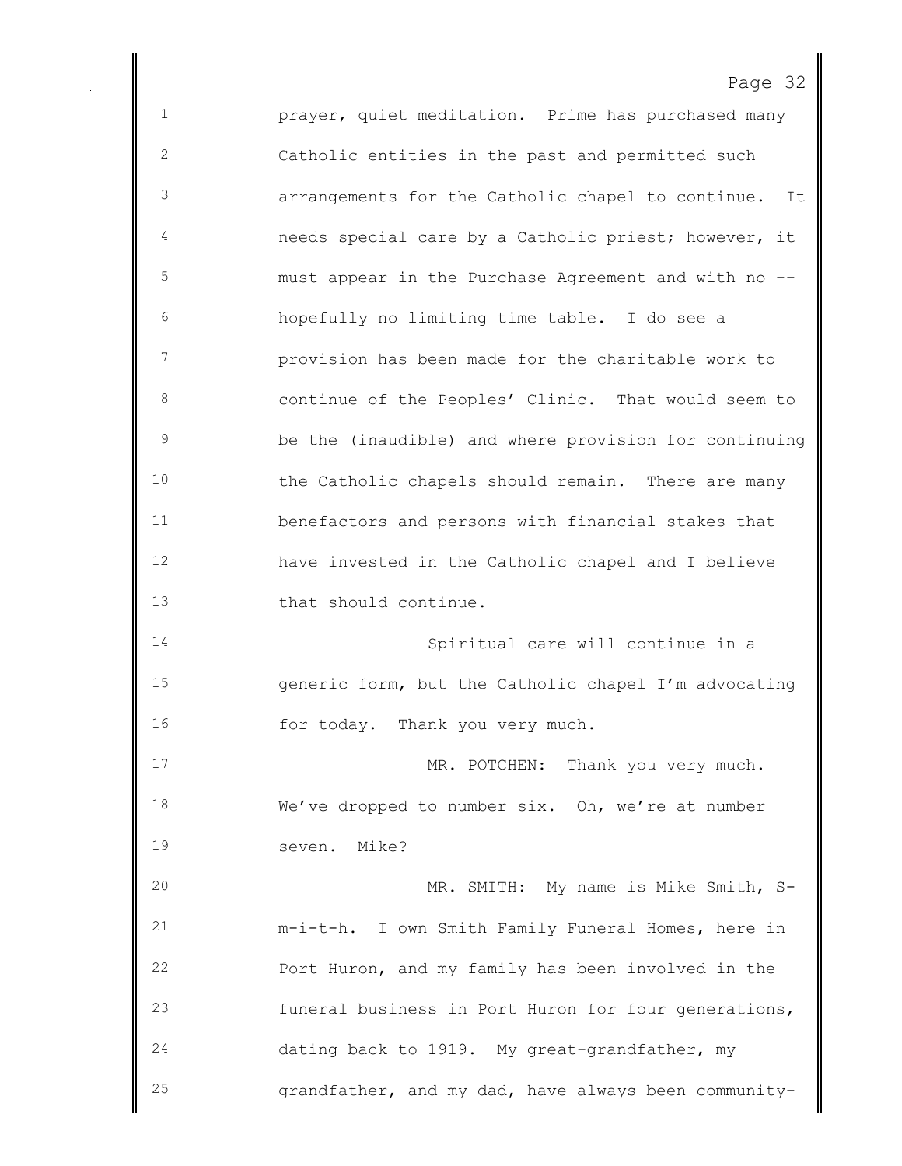prayer, quiet meditation. Prime has purchased many Catholic entities in the past and permitted such arrangements for the Catholic chapel to continue. It needs special care by a Catholic priest; however, it must appear in the Purchase Agreement and with no -- hopefully no limiting time table. I do see a provision has been made for the charitable work to continue of the Peoples' Clinic. That would seem to be the (inaudible) and where provision for continuing the Catholic chapels should remain. There are many benefactors and persons with financial stakes that have invested in the Catholic chapel and I believe that should continue. Spiritual care will continue in a generic form, but the Catholic chapel I'm advocating 16 for today. Thank you very much. 17 MR. POTCHEN: Thank you very much. We've dropped to number six. Oh, we're at number seven. Mike? MR. SMITH: My name is Mike Smith, S- m-i-t-h. I own Smith Family Funeral Homes, here in Port Huron, and my family has been involved in the funeral business in Port Huron for four generations, dating back to 1919. My great-grandfather, my grandfather, and my dad, have always been community-

Page 32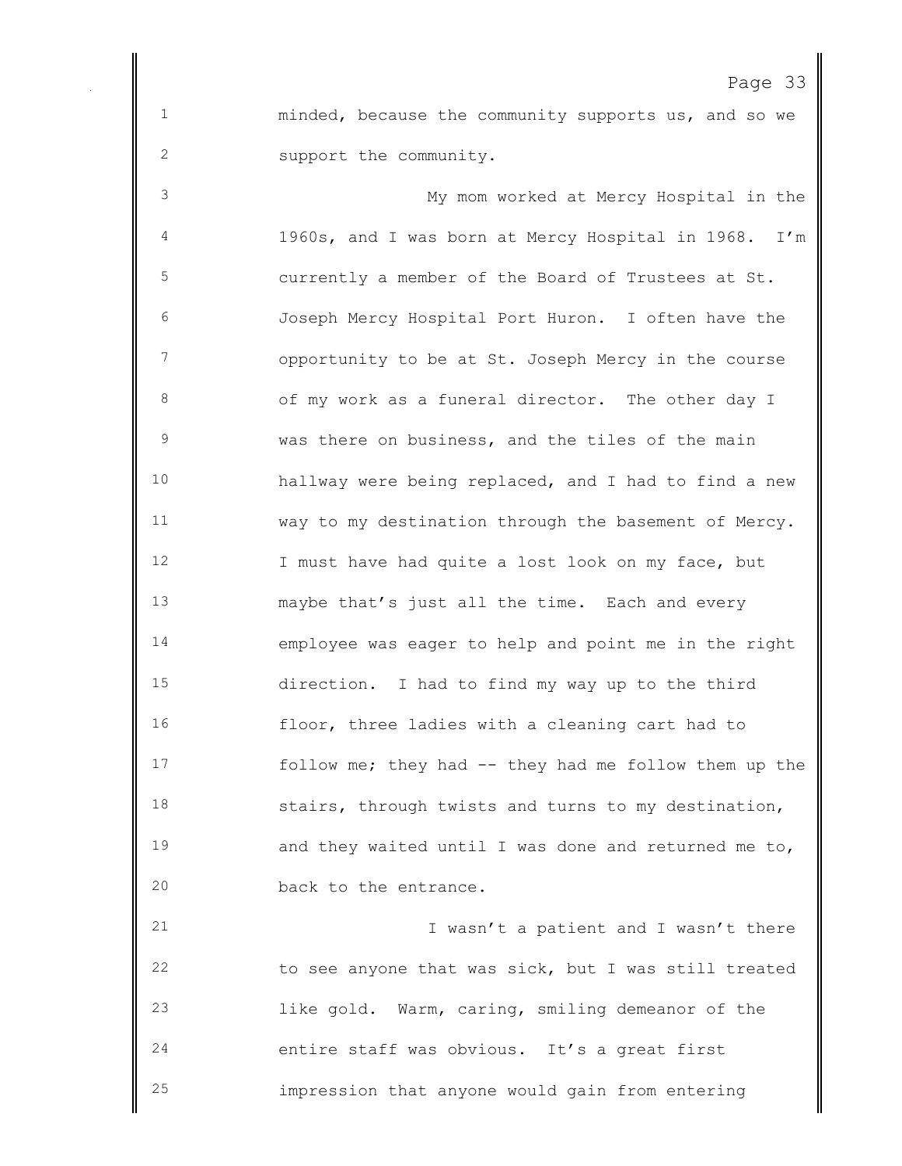minded, because the community supports us, and so we support the community.

 My mom worked at Mercy Hospital in the 1960s, and I was born at Mercy Hospital in 1968. I'm currently a member of the Board of Trustees at St. Joseph Mercy Hospital Port Huron. I often have the opportunity to be at St. Joseph Mercy in the course of my work as a funeral director. The other day I was there on business, and the tiles of the main hallway were being replaced, and I had to find a new way to my destination through the basement of Mercy. 12 I must have had quite a lost look on my face, but maybe that's just all the time. Each and every employee was eager to help and point me in the right direction. I had to find my way up to the third floor, three ladies with a cleaning cart had to follow me; they had -- they had me follow them up the stairs, through twists and turns to my destination, and they waited until I was done and returned me to, 20 back to the entrance.

 I wasn't a patient and I wasn't there to see anyone that was sick, but I was still treated like gold. Warm, caring, smiling demeanor of the entire staff was obvious. It's a great first impression that anyone would gain from entering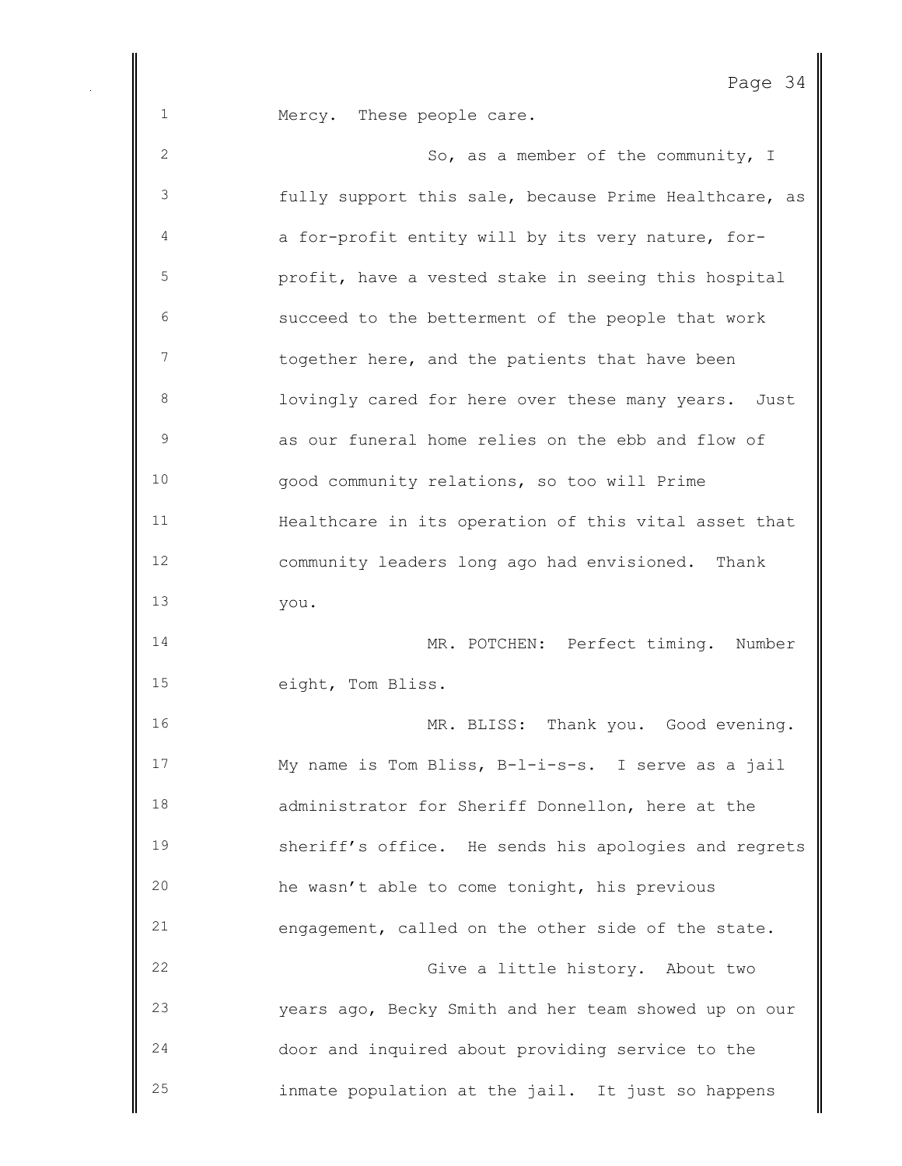Mercy. These people care.

 So, as a member of the community, I fully support this sale, because Prime Healthcare, as a for-profit entity will by its very nature, for- profit, have a vested stake in seeing this hospital succeed to the betterment of the people that work 7 together here, and the patients that have been 8 lovingly cared for here over these many years. Just as our funeral home relies on the ebb and flow of good community relations, so too will Prime Healthcare in its operation of this vital asset that community leaders long ago had envisioned. Thank you. MR. POTCHEN: Perfect timing. Number eight, Tom Bliss. 16 MR. BLISS: Thank you. Good evening. My name is Tom Bliss, B-l-i-s-s. I serve as a jail administrator for Sheriff Donnellon, here at the sheriff's office. He sends his apologies and regrets he wasn't able to come tonight, his previous engagement, called on the other side of the state. Give a little history. About two years ago, Becky Smith and her team showed up on our door and inquired about providing service to the inmate population at the jail. It just so happens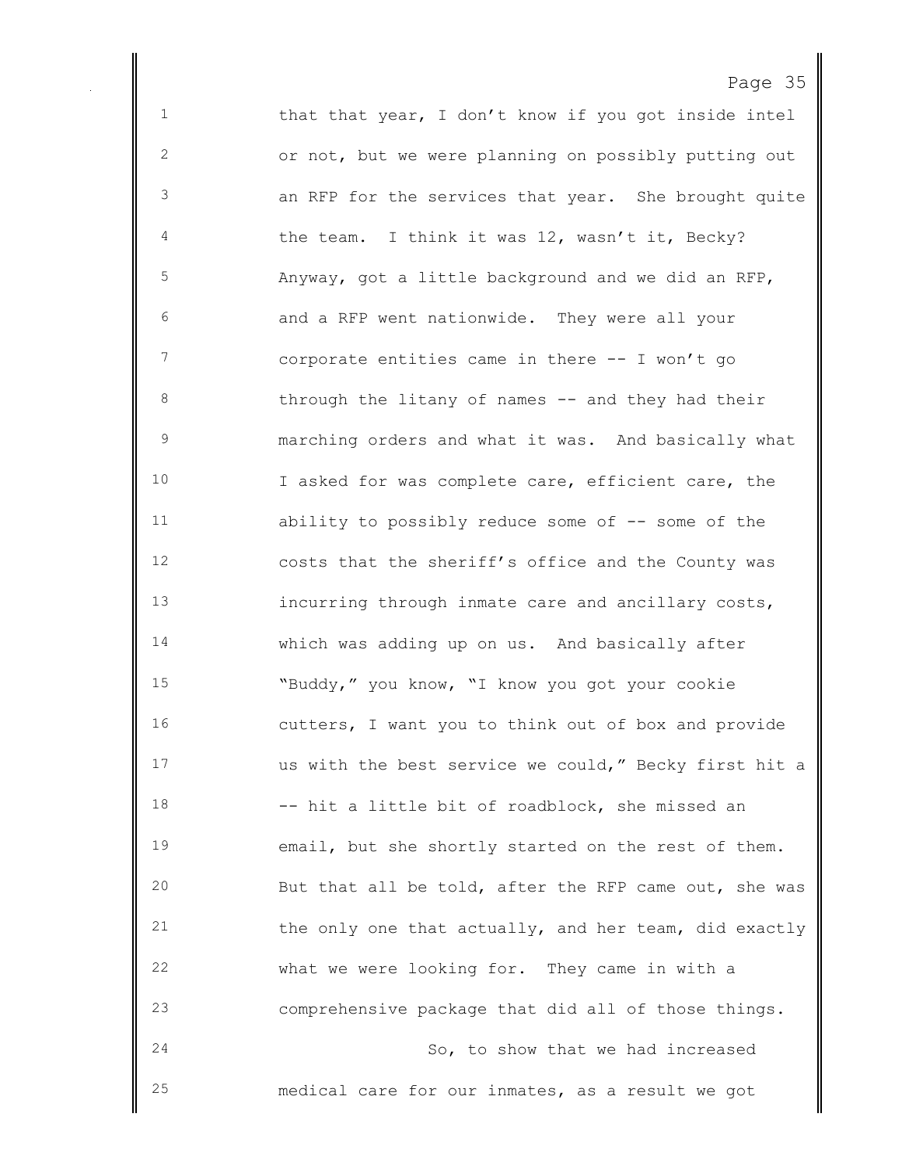1 that that year, I don't know if you got inside intel or not, but we were planning on possibly putting out an RFP for the services that year. She brought quite the team. I think it was 12, wasn't it, Becky? Anyway, got a little background and we did an RFP, and a RFP went nationwide. They were all your corporate entities came in there -- I won't go 8 through the litany of names -- and they had their marching orders and what it was. And basically what I asked for was complete care, efficient care, the ability to possibly reduce some of -- some of the costs that the sheriff's office and the County was incurring through inmate care and ancillary costs, which was adding up on us. And basically after "Buddy," you know, "I know you got your cookie cutters, I want you to think out of box and provide us with the best service we could," Becky first hit a -- hit a little bit of roadblock, she missed an email, but she shortly started on the rest of them. But that all be told, after the RFP came out, she was 21 the only one that actually, and her team, did exactly what we were looking for. They came in with a comprehensive package that did all of those things. So, to show that we had increased medical care for our inmates, as a result we got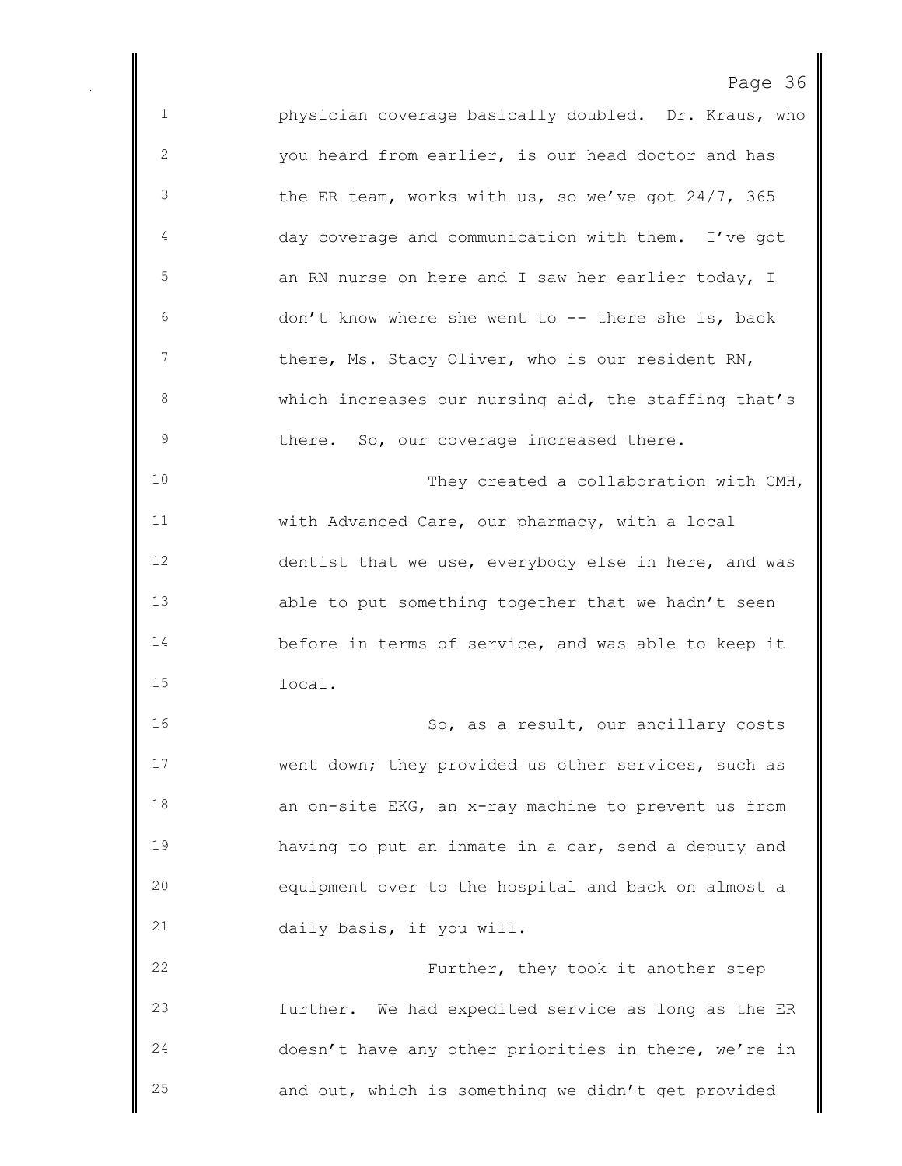physician coverage basically doubled. Dr. Kraus, who you heard from earlier, is our head doctor and has the ER team, works with us, so we've got 24/7, 365 day coverage and communication with them. I've got 5 3 5 5 5 an RN nurse on here and I saw her earlier today, I don't know where she went to -- there she is, back 7 there, Ms. Stacy Oliver, who is our resident RN, which increases our nursing aid, the staffing that's 9 there. So, our coverage increased there. They created a collaboration with CMH, with Advanced Care, our pharmacy, with a local dentist that we use, everybody else in here, and was able to put something together that we hadn't seen before in terms of service, and was able to keep it local. So, as a result, our ancillary costs went down; they provided us other services, such as an on-site EKG, an x-ray machine to prevent us from having to put an inmate in a car, send a deputy and equipment over to the hospital and back on almost a daily basis, if you will. Further, they took it another step further. We had expedited service as long as the ER doesn't have any other priorities in there, we're in and out, which is something we didn't get provided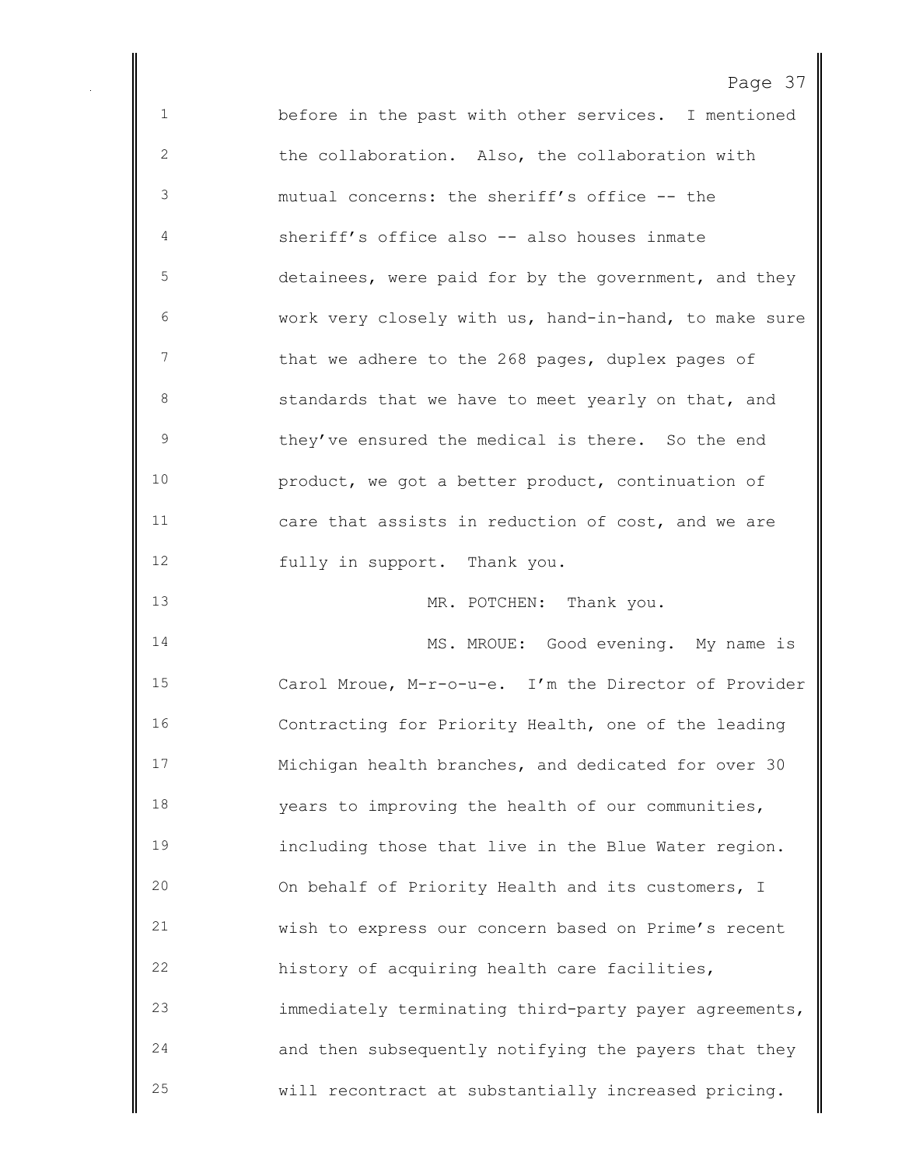| - |  |
|---|--|
|---|--|

 before in the past with other services. I mentioned the collaboration. Also, the collaboration with mutual concerns: the sheriff's office -- the sheriff's office also -- also houses inmate detainees, were paid for by the government, and they work very closely with us, hand-in-hand, to make sure 7 that we adhere to the 268 pages, duplex pages of **Standards** that we have to meet yearly on that, and they've ensured the medical is there. So the end product, we got a better product, continuation of care that assists in reduction of cost, and we are fully in support. Thank you. 13 MR. POTCHEN: Thank you. 14 MS. MROUE: Good evening. My name is Carol Mroue, M-r-o-u-e. I'm the Director of Provider Contracting for Priority Health, one of the leading Michigan health branches, and dedicated for over 30 years to improving the health of our communities, including those that live in the Blue Water region. On behalf of Priority Health and its customers, I wish to express our concern based on Prime's recent history of acquiring health care facilities, immediately terminating third-party payer agreements, and then subsequently notifying the payers that they will recontract at substantially increased pricing.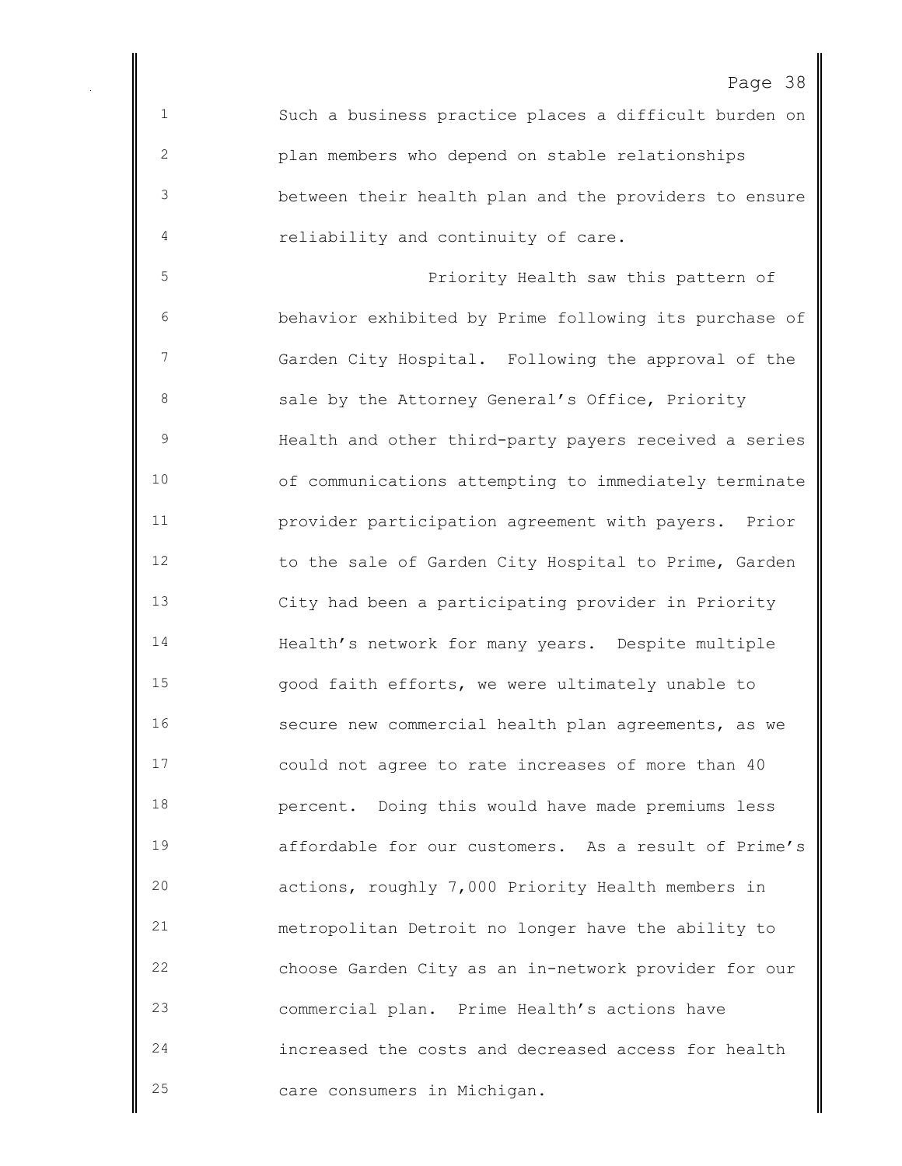Such a business practice places a difficult burden on plan members who depend on stable relationships between their health plan and the providers to ensure reliability and continuity of care.

 Priority Health saw this pattern of behavior exhibited by Prime following its purchase of Garden City Hospital. Following the approval of the 8 3 Sale by the Attorney General's Office, Priority Health and other third-party payers received a series of communications attempting to immediately terminate provider participation agreement with payers. Prior 12 to the sale of Garden City Hospital to Prime, Garden City had been a participating provider in Priority Health's network for many years. Despite multiple good faith efforts, we were ultimately unable to secure new commercial health plan agreements, as we could not agree to rate increases of more than 40 percent. Doing this would have made premiums less affordable for our customers. As a result of Prime's actions, roughly 7,000 Priority Health members in metropolitan Detroit no longer have the ability to choose Garden City as an in-network provider for our commercial plan. Prime Health's actions have increased the costs and decreased access for health care consumers in Michigan.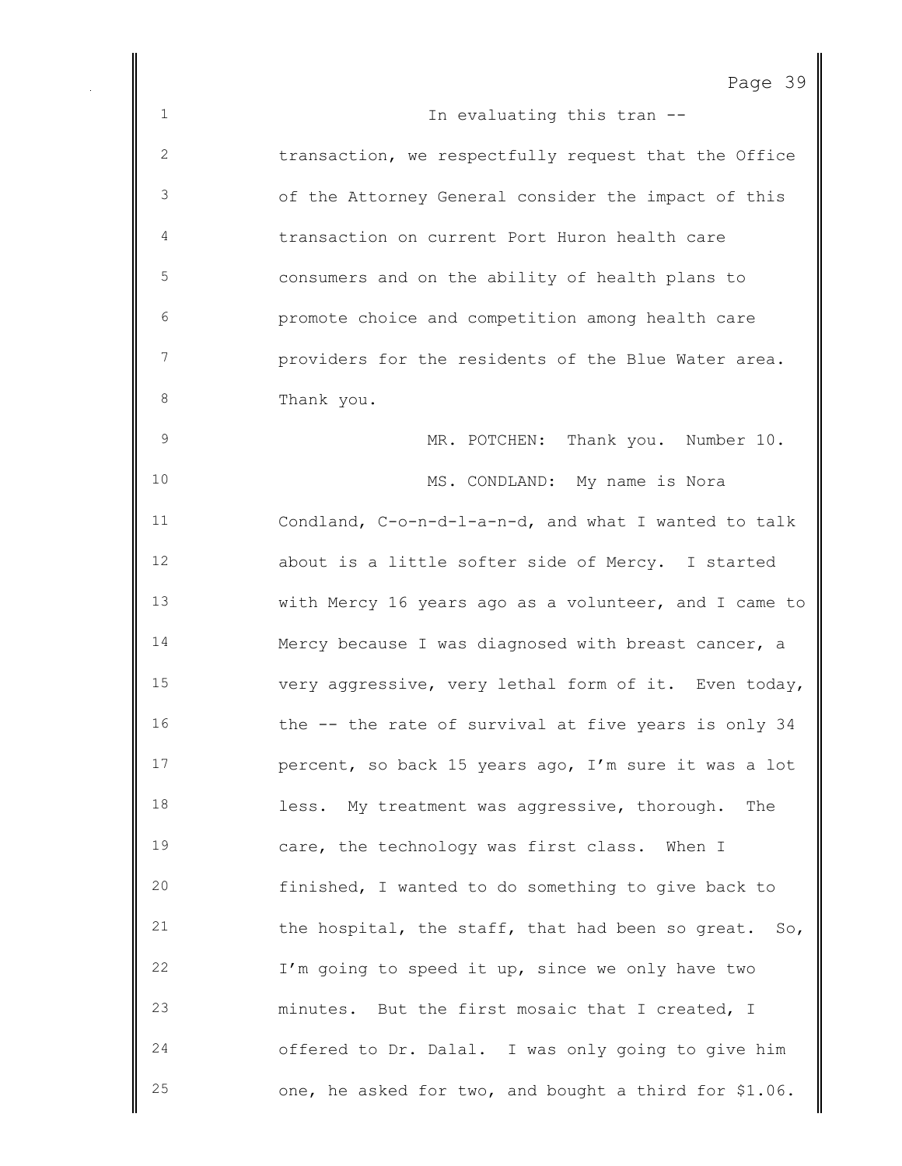```
Page 39
```
1 In evaluating this tran  $-$  transaction, we respectfully request that the Office of the Attorney General consider the impact of this transaction on current Port Huron health care consumers and on the ability of health plans to promote choice and competition among health care providers for the residents of the Blue Water area. 8 Thank you. MR. POTCHEN: Thank you. Number 10. MS. CONDLAND: My name is Nora Condland, C-o-n-d-l-a-n-d, and what I wanted to talk about is a little softer side of Mercy. I started with Mercy 16 years ago as a volunteer, and I came to Mercy because I was diagnosed with breast cancer, a very aggressive, very lethal form of it. Even today, 16 the -- the rate of survival at five years is only 34 percent, so back 15 years ago, I'm sure it was a lot less. My treatment was aggressive, thorough. The care, the technology was first class. When I finished, I wanted to do something to give back to the hospital, the staff, that had been so great. So, I'm going to speed it up, since we only have two minutes. But the first mosaic that I created, I offered to Dr. Dalal. I was only going to give him one, he asked for two, and bought a third for \$1.06.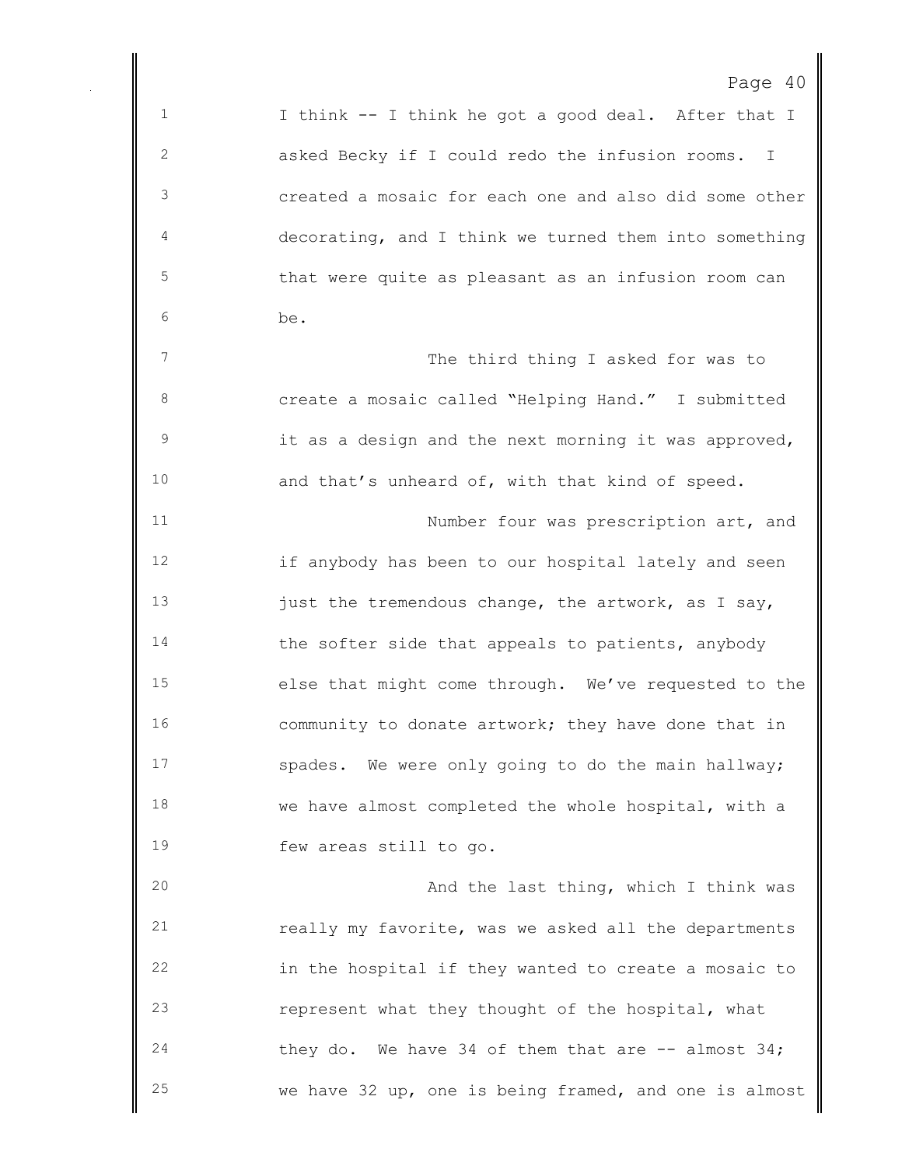I think -- I think he got a good deal. After that I asked Becky if I could redo the infusion rooms. I created a mosaic for each one and also did some other decorating, and I think we turned them into something that were quite as pleasant as an infusion room can be. 7 The third thing I asked for was to create a mosaic called "Helping Hand." I submitted it as a design and the next morning it was approved, and that's unheard of, with that kind of speed. Number four was prescription art, and if anybody has been to our hospital lately and seen 13 just the tremendous change, the artwork, as I say, 14 the softer side that appeals to patients, anybody else that might come through. We've requested to the 16 community to donate artwork; they have done that in spades. We were only going to do the main hallway; we have almost completed the whole hospital, with a few areas still to go. And the last thing, which I think was really my favorite, was we asked all the departments in the hospital if they wanted to create a mosaic to represent what they thought of the hospital, what they do. We have 34 of them that are -- almost 34;

we have 32 up, one is being framed, and one is almost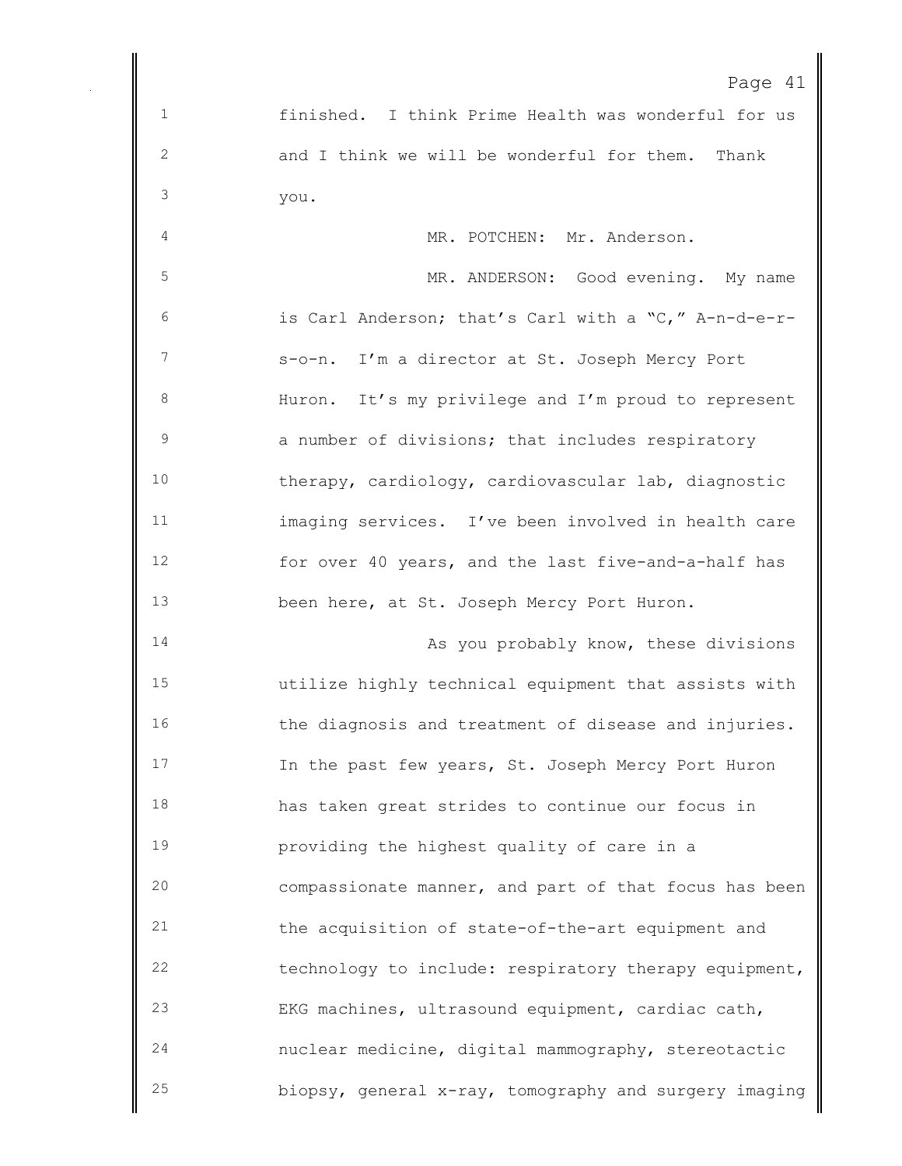finished. I think Prime Health was wonderful for us and I think we will be wonderful for them. Thank you.

4 MR. POTCHEN: Mr. Anderson. MR. ANDERSON: Good evening. My name is Carl Anderson; that's Carl with a "C," A-n-d-e-r- s-o-n. I'm a director at St. Joseph Mercy Port Huron. It's my privilege and I'm proud to represent 9 3 3 a number of divisions; that includes respiratory therapy, cardiology, cardiovascular lab, diagnostic imaging services. I've been involved in health care for over 40 years, and the last five-and-a-half has been here, at St. Joseph Mercy Port Huron.

14 As you probably know, these divisions utilize highly technical equipment that assists with the diagnosis and treatment of disease and injuries. In the past few years, St. Joseph Mercy Port Huron has taken great strides to continue our focus in providing the highest quality of care in a compassionate manner, and part of that focus has been the acquisition of state-of-the-art equipment and technology to include: respiratory therapy equipment, EKG machines, ultrasound equipment, cardiac cath, nuclear medicine, digital mammography, stereotactic biopsy, general x-ray, tomography and surgery imaging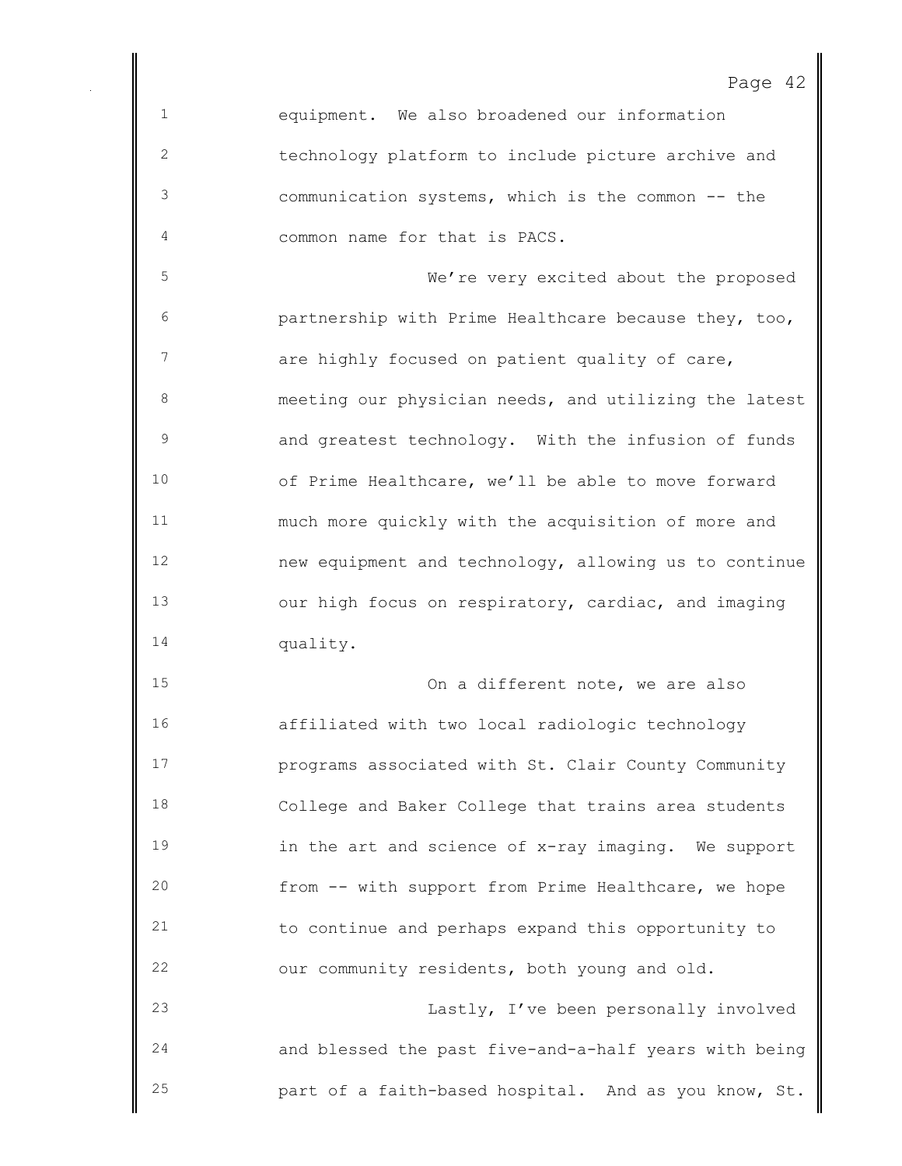equipment. We also broadened our information technology platform to include picture archive and communication systems, which is the common -- the common name for that is PACS.

 We're very excited about the proposed partnership with Prime Healthcare because they, too, 7 are highly focused on patient quality of care, meeting our physician needs, and utilizing the latest and greatest technology. With the infusion of funds of Prime Healthcare, we'll be able to move forward much more quickly with the acquisition of more and new equipment and technology, allowing us to continue our high focus on respiratory, cardiac, and imaging quality.

 On a different note, we are also affiliated with two local radiologic technology programs associated with St. Clair County Community College and Baker College that trains area students in the art and science of x-ray imaging. We support from -- with support from Prime Healthcare, we hope to continue and perhaps expand this opportunity to our community residents, both young and old. Lastly, I've been personally involved and blessed the past five-and-a-half years with being

part of a faith-based hospital. And as you know, St.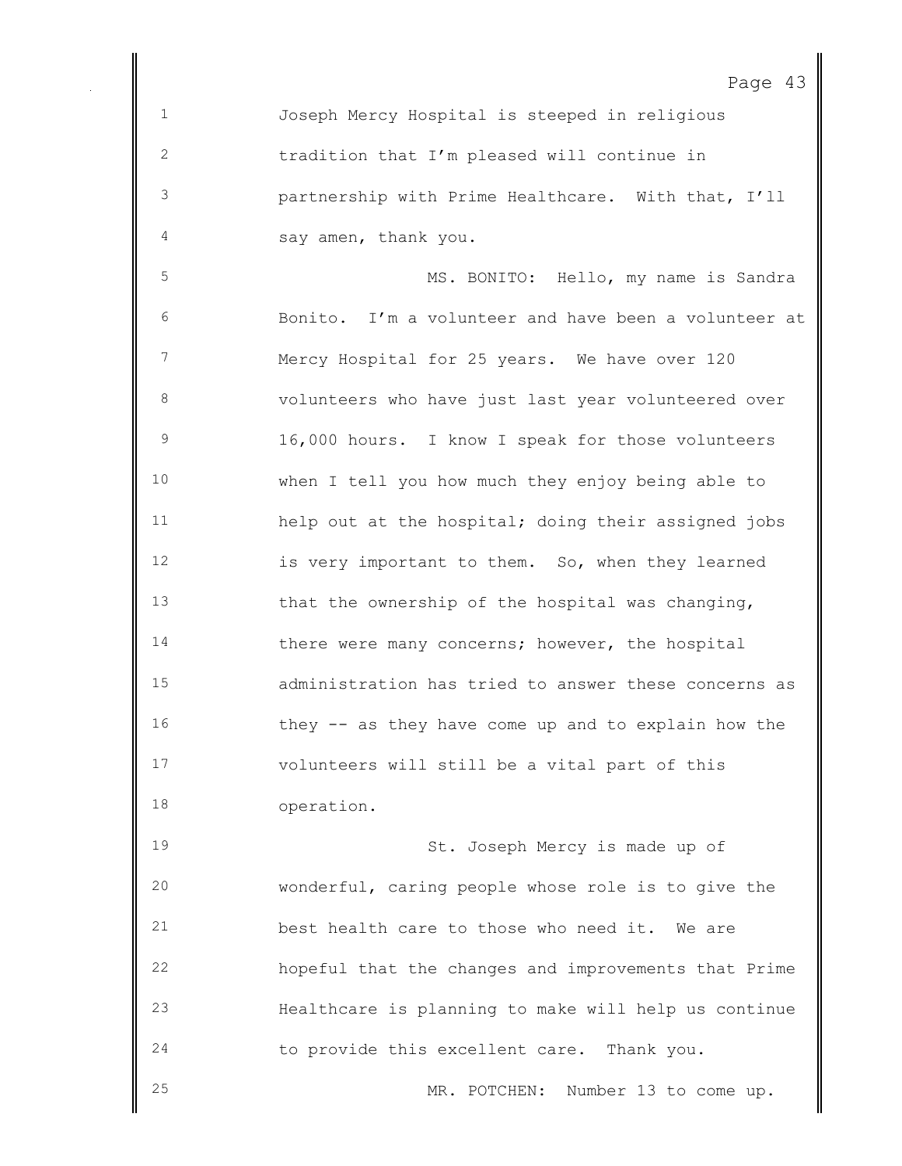Page 43 Joseph Mercy Hospital is steeped in religious tradition that I'm pleased will continue in partnership with Prime Healthcare. With that, I'll say amen, thank you. MS. BONITO: Hello, my name is Sandra Bonito. I'm a volunteer and have been a volunteer at Mercy Hospital for 25 years. We have over 120 volunteers who have just last year volunteered over 16,000 hours. I know I speak for those volunteers when I tell you how much they enjoy being able to help out at the hospital; doing their assigned jobs is very important to them. So, when they learned 13 that the ownership of the hospital was changing, 14 there were many concerns; however, the hospital administration has tried to answer these concerns as

 they -- as they have come up and to explain how the volunteers will still be a vital part of this operation.

 St. Joseph Mercy is made up of wonderful, caring people whose role is to give the best health care to those who need it. We are hopeful that the changes and improvements that Prime Healthcare is planning to make will help us continue to provide this excellent care. Thank you.

MR. POTCHEN: Number 13 to come up.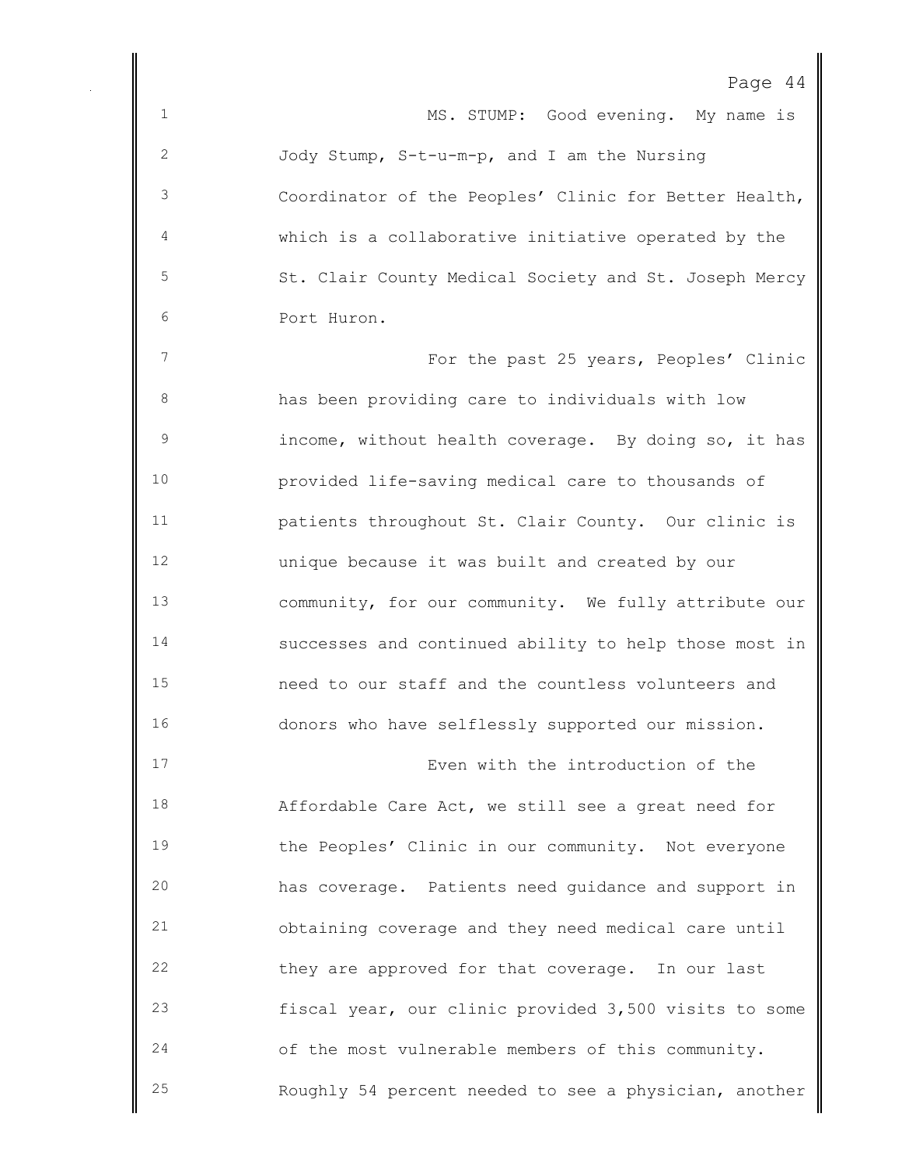| c<br>-11 |  |  |
|----------|--|--|
|----------|--|--|

1 MS. STUMP: Good evening. My name is Jody Stump, S-t-u-m-p, and I am the Nursing Coordinator of the Peoples' Clinic for Better Health, which is a collaborative initiative operated by the St. Clair County Medical Society and St. Joseph Mercy Port Huron. For the past 25 years, Peoples' Clinic has been providing care to individuals with low income, without health coverage. By doing so, it has provided life-saving medical care to thousands of patients throughout St. Clair County. Our clinic is unique because it was built and created by our

 community, for our community. We fully attribute our successes and continued ability to help those most in need to our staff and the countless volunteers and donors who have selflessly supported our mission.

 Even with the introduction of the Affordable Care Act, we still see a great need for the Peoples' Clinic in our community. Not everyone has coverage. Patients need guidance and support in obtaining coverage and they need medical care until they are approved for that coverage. In our last fiscal year, our clinic provided 3,500 visits to some of the most vulnerable members of this community. Roughly 54 percent needed to see a physician, another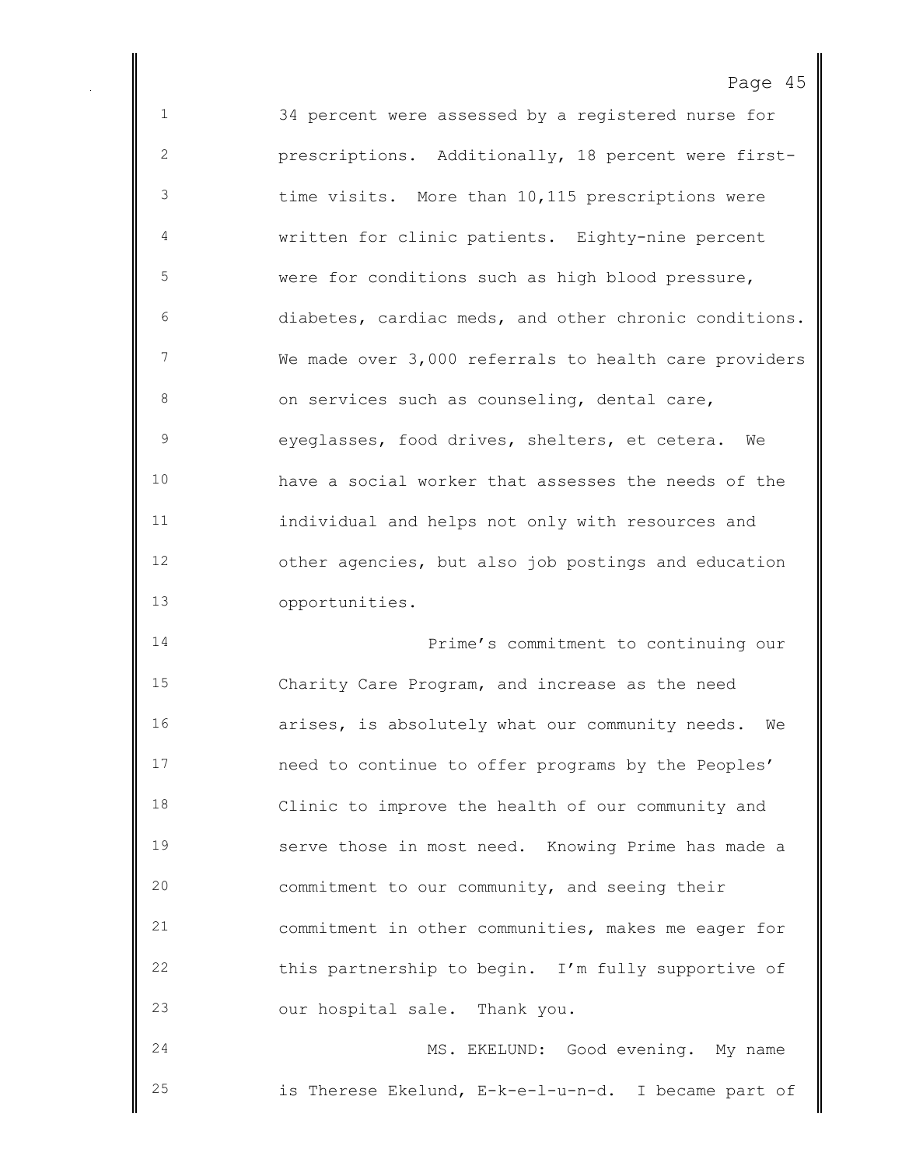| $\epsilon$<br>− |  |
|-----------------|--|
|-----------------|--|

 34 percent were assessed by a registered nurse for prescriptions. Additionally, 18 percent were first- time visits. More than 10,115 prescriptions were written for clinic patients. Eighty-nine percent were for conditions such as high blood pressure, diabetes, cardiac meds, and other chronic conditions. We made over 3,000 referrals to health care providers 8 on services such as counseling, dental care, eyeglasses, food drives, shelters, et cetera. We have a social worker that assesses the needs of the individual and helps not only with resources and other agencies, but also job postings and education opportunities.

 Prime's commitment to continuing our Charity Care Program, and increase as the need arises, is absolutely what our community needs. We need to continue to offer programs by the Peoples' Clinic to improve the health of our community and serve those in most need. Knowing Prime has made a commitment to our community, and seeing their commitment in other communities, makes me eager for this partnership to begin. I'm fully supportive of our hospital sale. Thank you.

 MS. EKELUND: Good evening. My name is Therese Ekelund, E-k-e-l-u-n-d. I became part of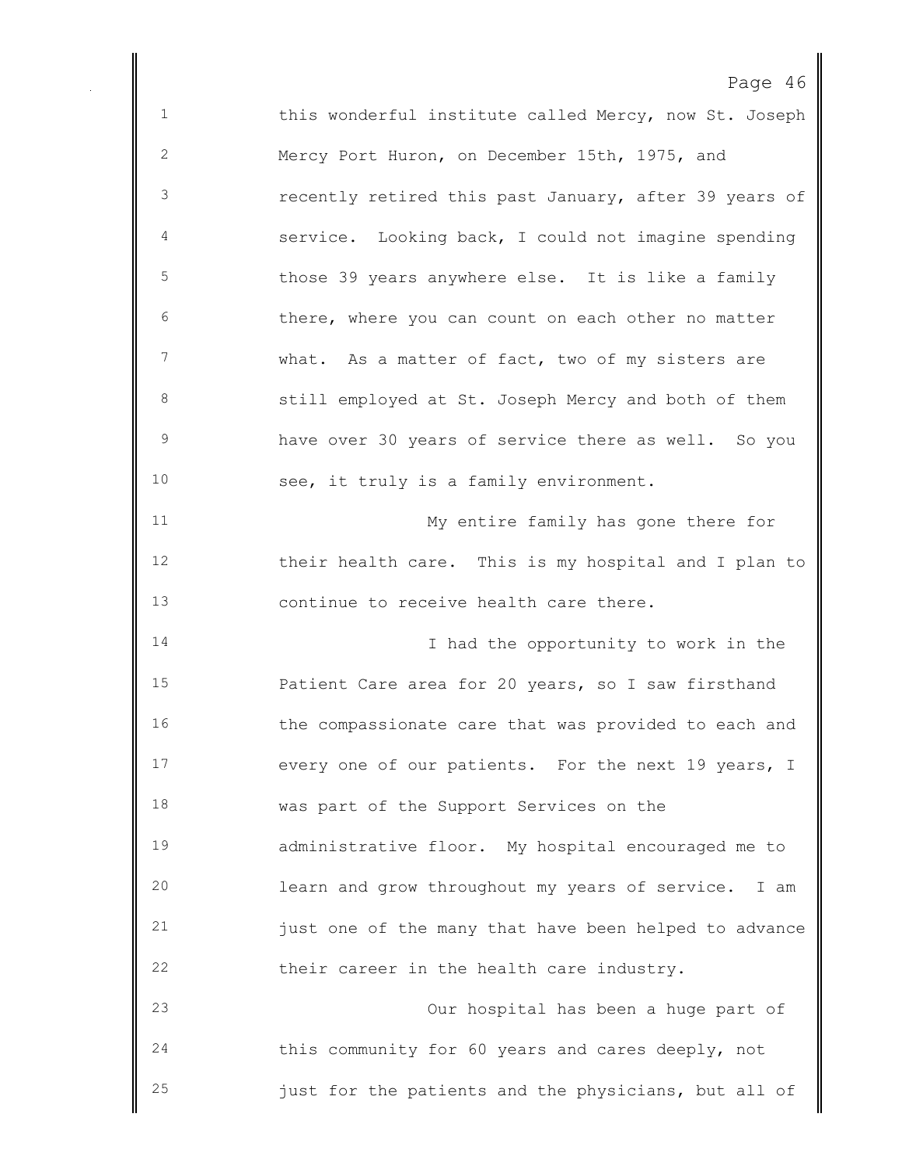Page 46 1 this wonderful institute called Mercy, now St. Joseph Mercy Port Huron, on December 15th, 1975, and recently retired this past January, after 39 years of service. Looking back, I could not imagine spending 5 those 39 years anywhere else. It is like a family there, where you can count on each other no matter what. As a matter of fact, two of my sisters are still employed at St. Joseph Mercy and both of them have over 30 years of service there as well. So you see, it truly is a family environment. My entire family has gone there for their health care. This is my hospital and I plan to continue to receive health care there. 14 14 I had the opportunity to work in the Patient Care area for 20 years, so I saw firsthand 16 the compassionate care that was provided to each and every one of our patients. For the next 19 years, I was part of the Support Services on the administrative floor. My hospital encouraged me to learn and grow throughout my years of service. I am just one of the many that have been helped to advance their career in the health care industry. Our hospital has been a huge part of this community for 60 years and cares deeply, not just for the patients and the physicians, but all of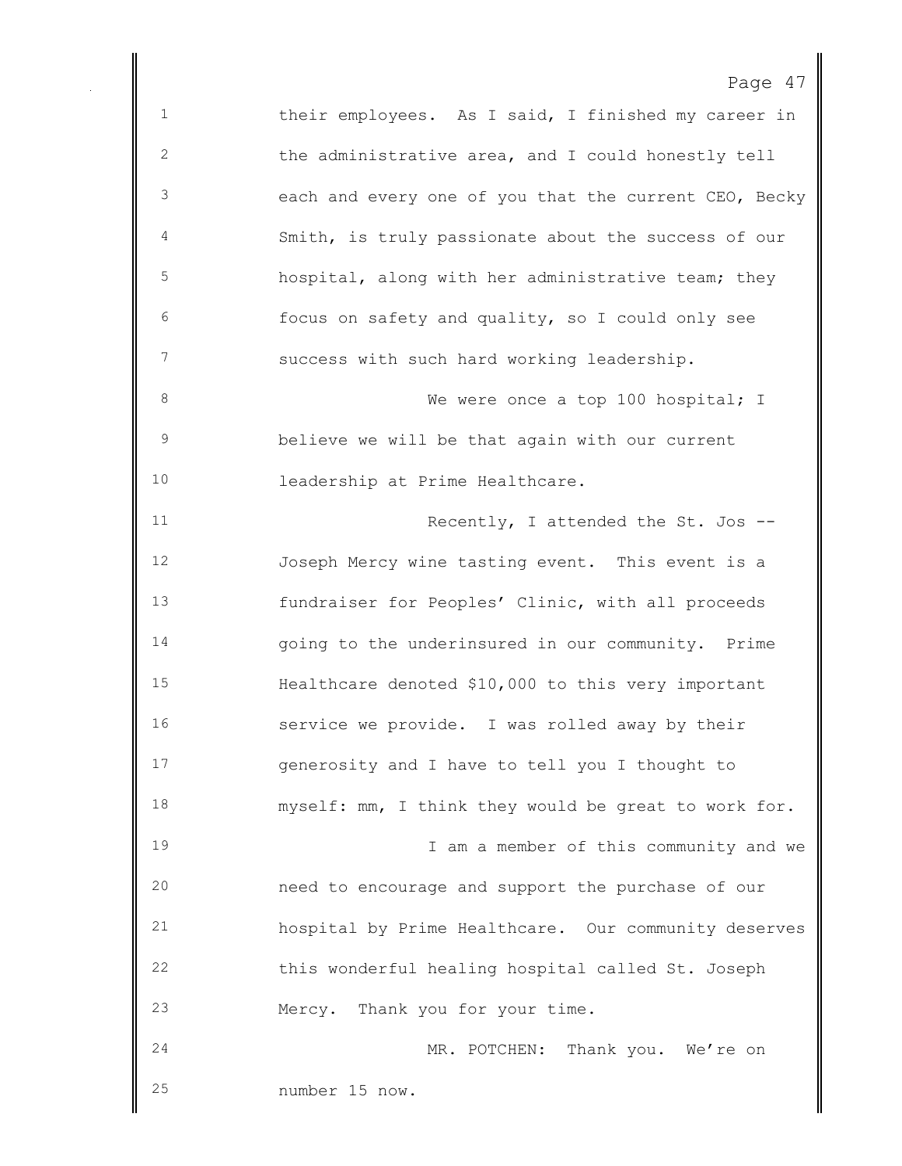Page 47 their employees. As I said, I finished my career in the administrative area, and I could honestly tell each and every one of you that the current CEO, Becky Smith, is truly passionate about the success of our hospital, along with her administrative team; they focus on safety and quality, so I could only see success with such hard working leadership. 8 We were once a top 100 hospital; I believe we will be that again with our current leadership at Prime Healthcare. 11 Recently, I attended the St. Jos -- Joseph Mercy wine tasting event. This event is a fundraiser for Peoples' Clinic, with all proceeds going to the underinsured in our community. Prime Healthcare denoted \$10,000 to this very important service we provide. I was rolled away by their generosity and I have to tell you I thought to myself: mm, I think they would be great to work for. 19 19 I am a member of this community and we need to encourage and support the purchase of our hospital by Prime Healthcare. Our community deserves this wonderful healing hospital called St. Joseph Mercy. Thank you for your time. MR. POTCHEN: Thank you. We're on number 15 now.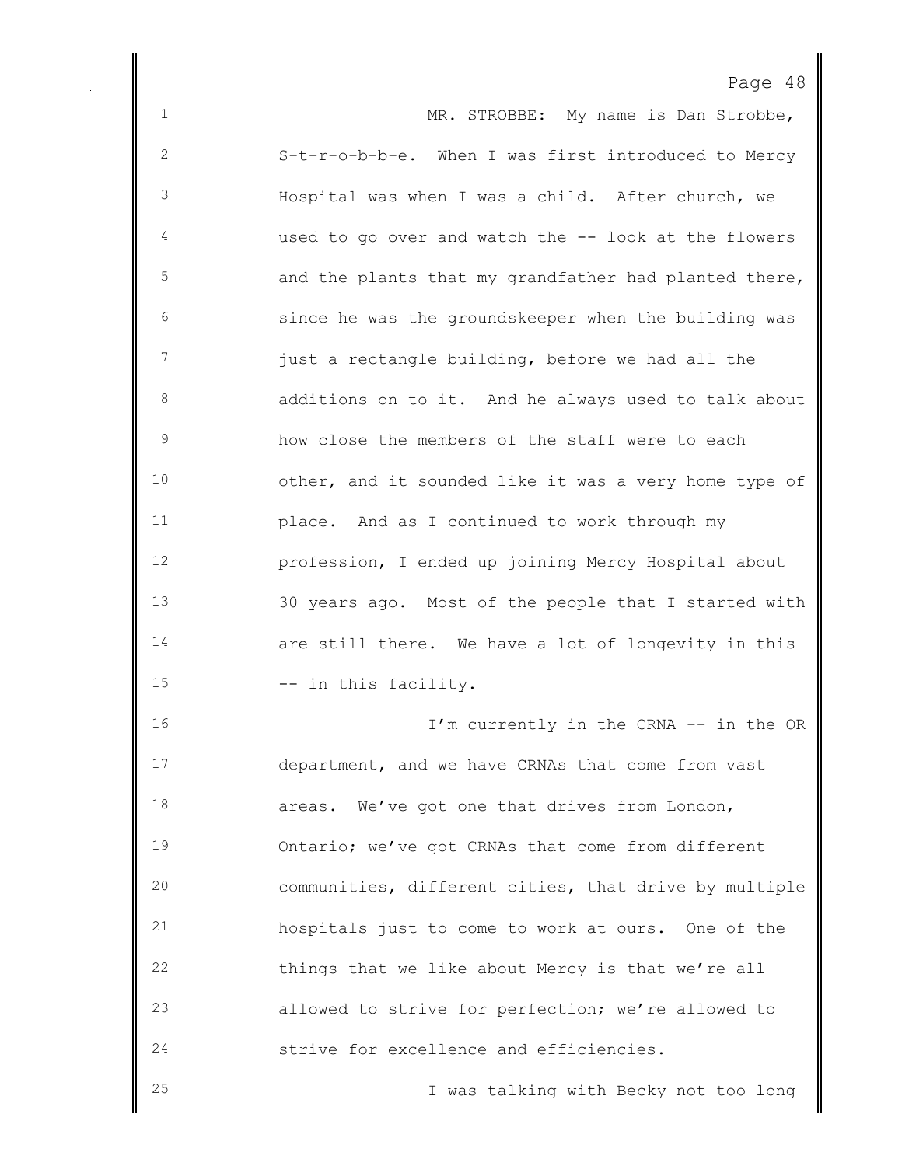1 MR. STROBBE: My name is Dan Strobbe, S-t-r-o-b-b-e. When I was first introduced to Mercy Hospital was when I was a child. After church, we used to go over and watch the -- look at the flowers 5 and the plants that my grandfather had planted there, since he was the groundskeeper when the building was just a rectangle building, before we had all the additions on to it. And he always used to talk about how close the members of the staff were to each other, and it sounded like it was a very home type of place. And as I continued to work through my profession, I ended up joining Mercy Hospital about 30 years ago. Most of the people that I started with are still there. We have a lot of longevity in this 15 -- in this facility. 16 I'm currently in the CRNA -- in the OR department, and we have CRNAs that come from vast areas. We've got one that drives from London, Ontario; we've got CRNAs that come from different communities, different cities, that drive by multiple hospitals just to come to work at ours. One of the things that we like about Mercy is that we're all allowed to strive for perfection; we're allowed to strive for excellence and efficiencies.

I was talking with Becky not too long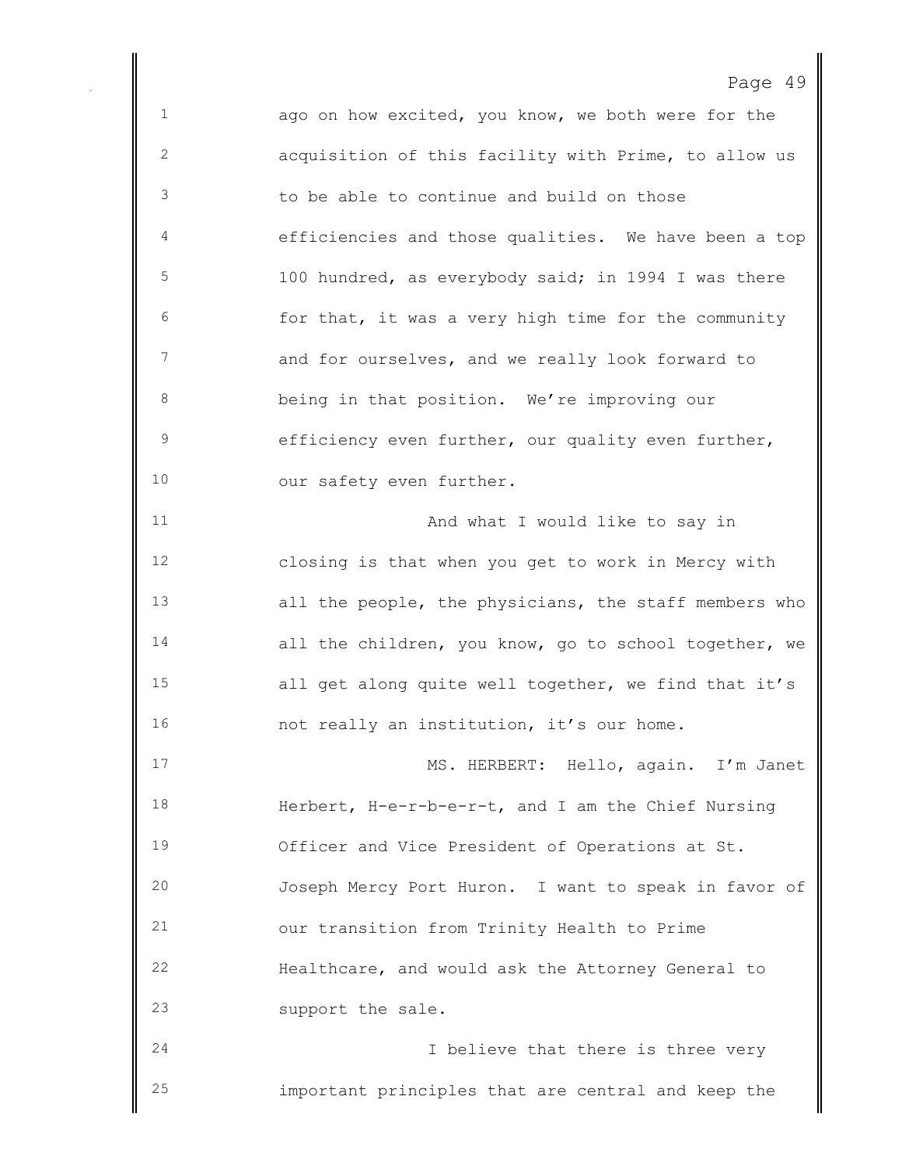ago on how excited, you know, we both were for the acquisition of this facility with Prime, to allow us to be able to continue and build on those efficiencies and those qualities. We have been a top 100 hundred, as everybody said; in 1994 I was there for that, it was a very high time for the community and for ourselves, and we really look forward to being in that position. We're improving our efficiency even further, our quality even further, 10 our safety even further. And what I would like to say in closing is that when you get to work in Mercy with all the people, the physicians, the staff members who 14 all the children, you know, go to school together, we all get along quite well together, we find that it's not really an institution, it's our home. MS. HERBERT: Hello, again. I'm Janet Herbert, H-e-r-b-e-r-t, and I am the Chief Nursing Officer and Vice President of Operations at St. Joseph Mercy Port Huron. I want to speak in favor of our transition from Trinity Health to Prime Healthcare, and would ask the Attorney General to support the sale. I believe that there is three very

important principles that are central and keep the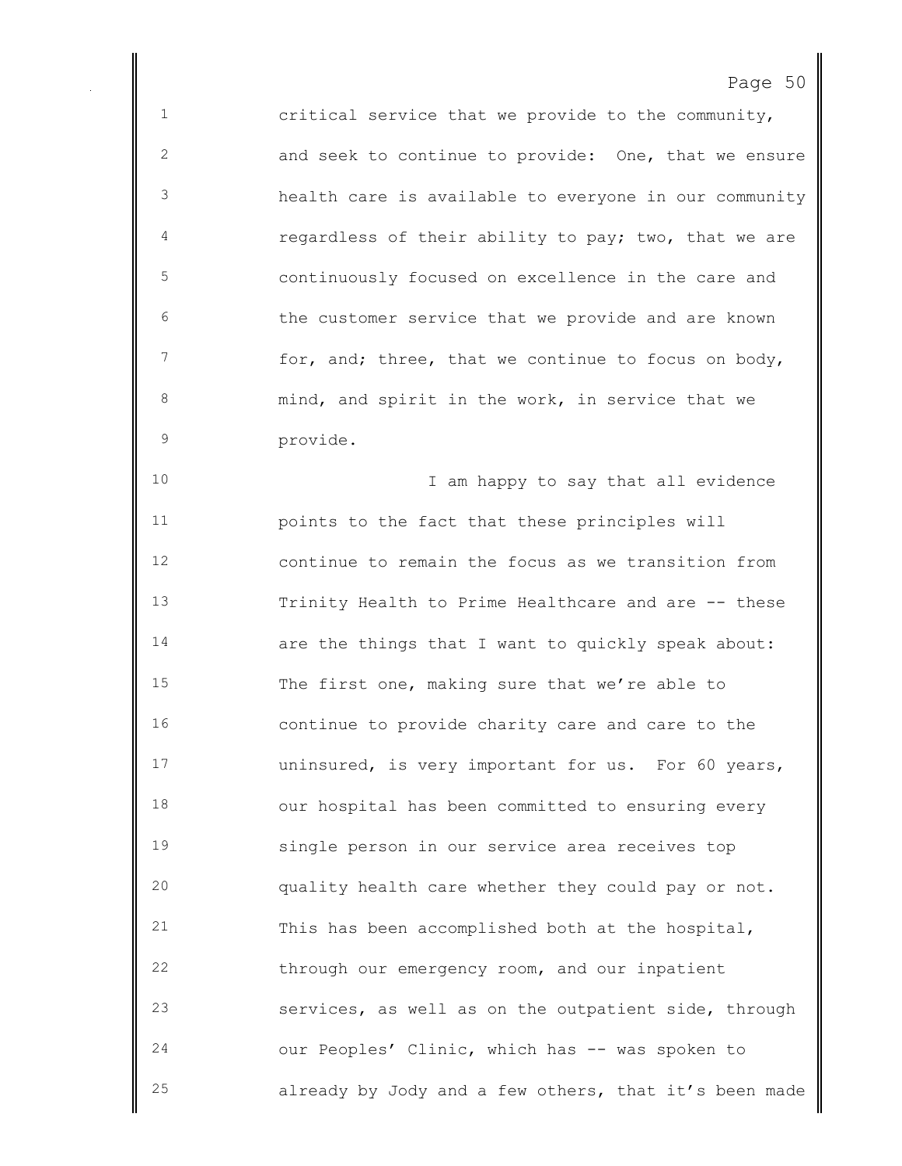critical service that we provide to the community, and seek to continue to provide: One, that we ensure health care is available to everyone in our community **regardless of their ability to pay; two, that we are**  continuously focused on excellence in the care and the customer service that we provide and are known for, and; three, that we continue to focus on body, mind, and spirit in the work, in service that we provide. 10 10 I am happy to say that all evidence points to the fact that these principles will continue to remain the focus as we transition from Trinity Health to Prime Healthcare and are -- these are the things that I want to quickly speak about: The first one, making sure that we're able to continue to provide charity care and care to the uninsured, is very important for us. For 60 years, our hospital has been committed to ensuring every single person in our service area receives top quality health care whether they could pay or not. This has been accomplished both at the hospital, through our emergency room, and our inpatient services, as well as on the outpatient side, through our Peoples' Clinic, which has -- was spoken to already by Jody and a few others, that it's been made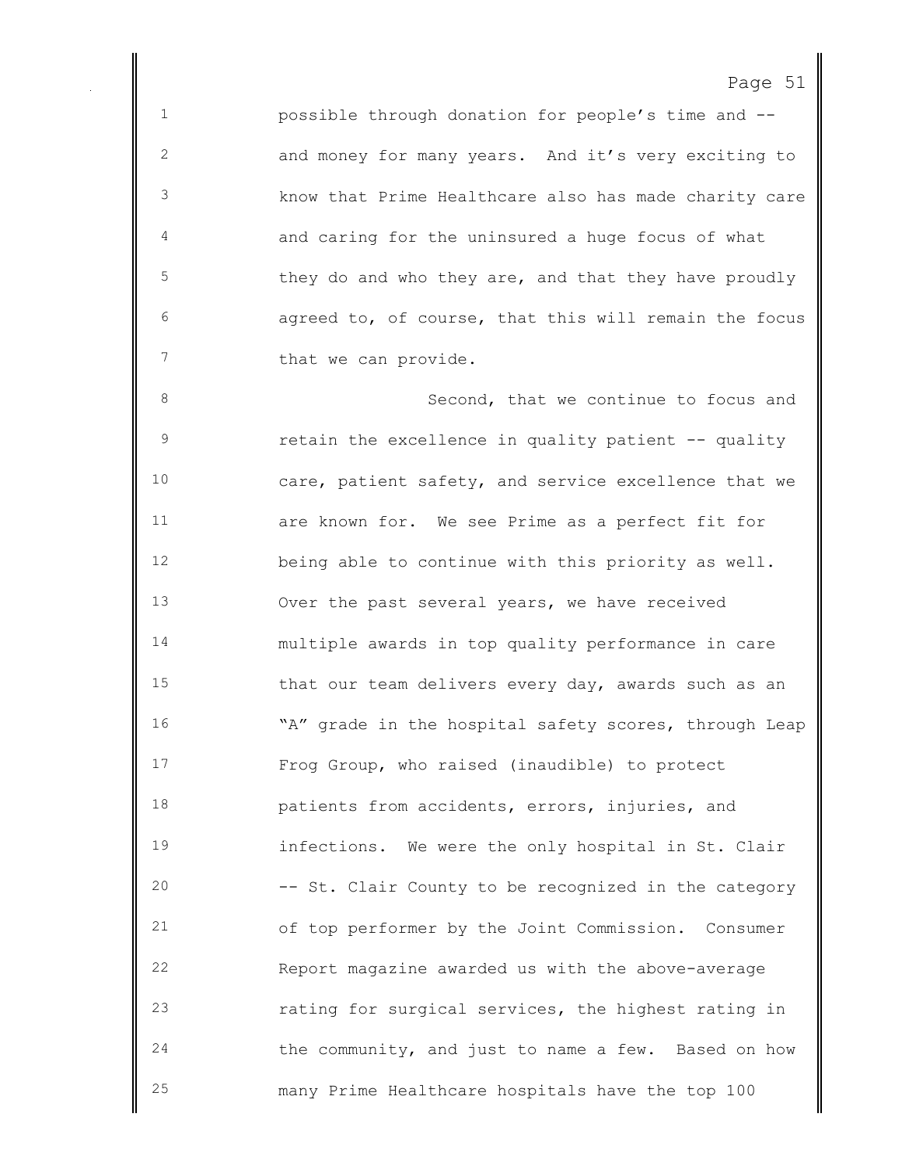possible through donation for people's time and -- and money for many years. And it's very exciting to know that Prime Healthcare also has made charity care and caring for the uninsured a huge focus of what they do and who they are, and that they have proudly agreed to, of course, that this will remain the focus 7 that we can provide.

8 Second, that we continue to focus and retain the excellence in quality patient -- quality care, patient safety, and service excellence that we are known for. We see Prime as a perfect fit for being able to continue with this priority as well. Over the past several years, we have received multiple awards in top quality performance in care that our team delivers every day, awards such as an 16 "A" grade in the hospital safety scores, through Leap Frog Group, who raised (inaudible) to protect patients from accidents, errors, injuries, and infections. We were the only hospital in St. Clair -- St. Clair County to be recognized in the category of top performer by the Joint Commission. Consumer Report magazine awarded us with the above-average rating for surgical services, the highest rating in the community, and just to name a few. Based on how many Prime Healthcare hospitals have the top 100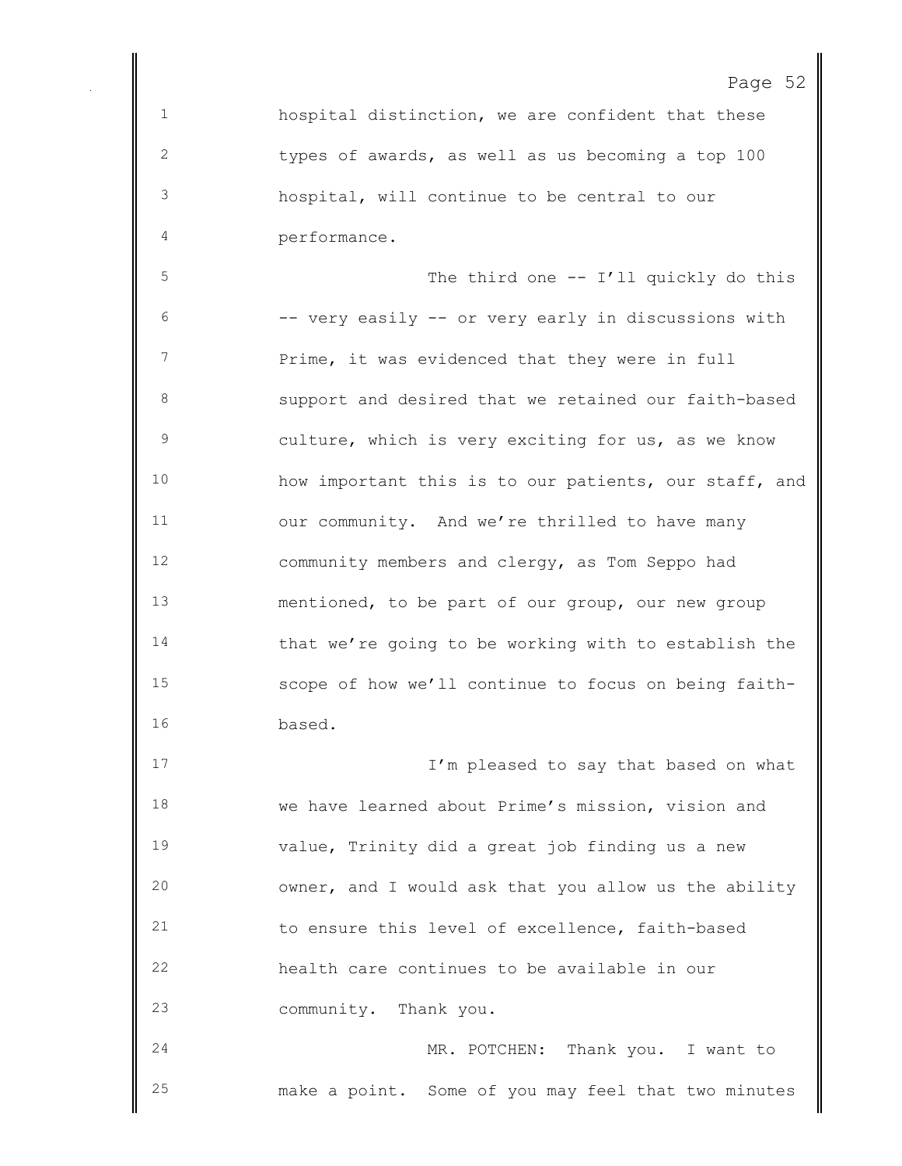hospital distinction, we are confident that these types of awards, as well as us becoming a top 100 hospital, will continue to be central to our performance.

 The third one -- I'll quickly do this -- very easily -- or very early in discussions with 7 Prime, it was evidenced that they were in full support and desired that we retained our faith-based culture, which is very exciting for us, as we know how important this is to our patients, our staff, and our community. And we're thrilled to have many community members and clergy, as Tom Seppo had mentioned, to be part of our group, our new group that we're going to be working with to establish the scope of how we'll continue to focus on being faith-based.

17 17 I'm pleased to say that based on what we have learned about Prime's mission, vision and value, Trinity did a great job finding us a new owner, and I would ask that you allow us the ability to ensure this level of excellence, faith-based health care continues to be available in our community. Thank you.

 MR. POTCHEN: Thank you. I want to make a point. Some of you may feel that two minutes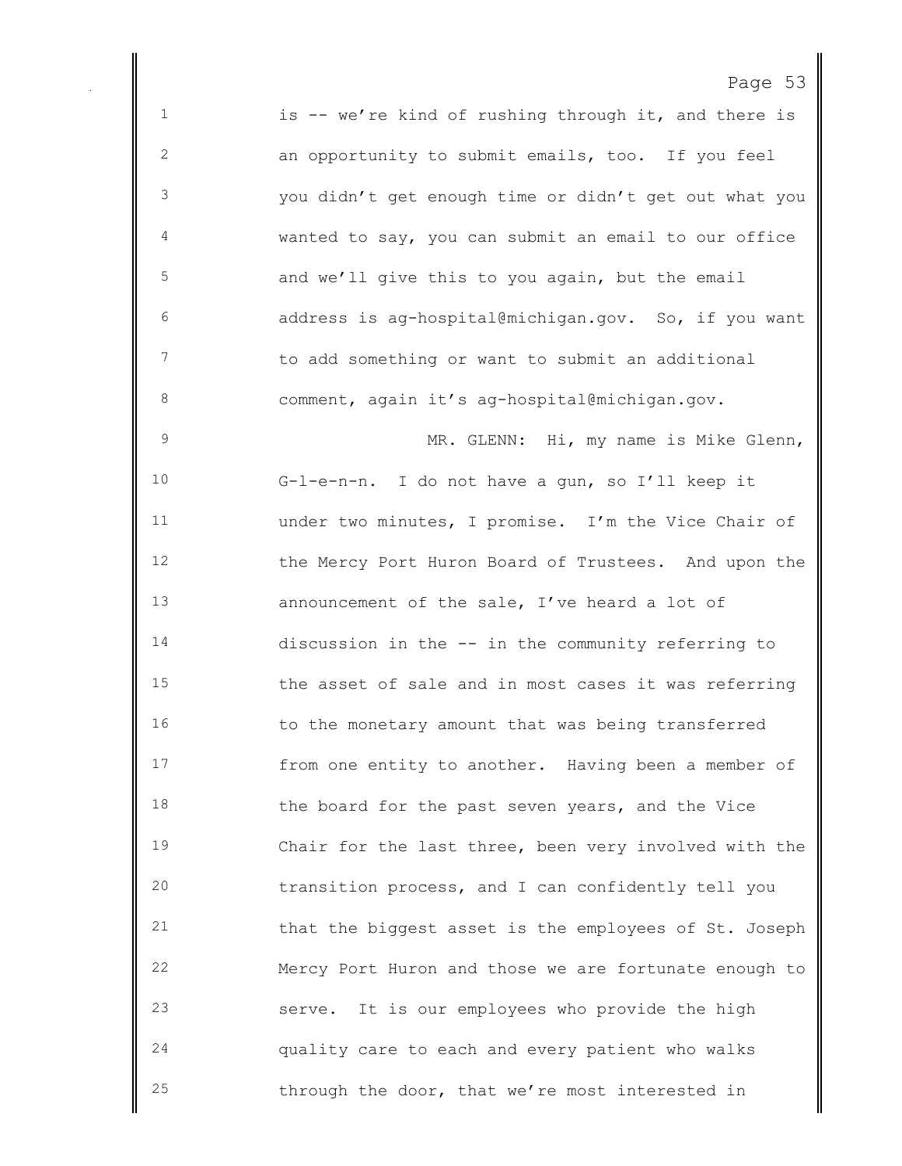1 is -- we're kind of rushing through it, and there is an opportunity to submit emails, too. If you feel you didn't get enough time or didn't get out what you wanted to say, you can submit an email to our office and we'll give this to you again, but the email address is ag-hospital@michigan.gov. So, if you want to add something or want to submit an additional comment, again it's ag-hospital@michigan.gov. MR. GLENN: Hi, my name is Mike Glenn, G-l-e-n-n. I do not have a gun, so I'll keep it under two minutes, I promise. I'm the Vice Chair of the Mercy Port Huron Board of Trustees. And upon the announcement of the sale, I've heard a lot of discussion in the -- in the community referring to the asset of sale and in most cases it was referring 16 to the monetary amount that was being transferred from one entity to another. Having been a member of 18 the board for the past seven years, and the Vice Chair for the last three, been very involved with the transition process, and I can confidently tell you that the biggest asset is the employees of St. Joseph Mercy Port Huron and those we are fortunate enough to serve. It is our employees who provide the high quality care to each and every patient who walks through the door, that we're most interested in

Page 53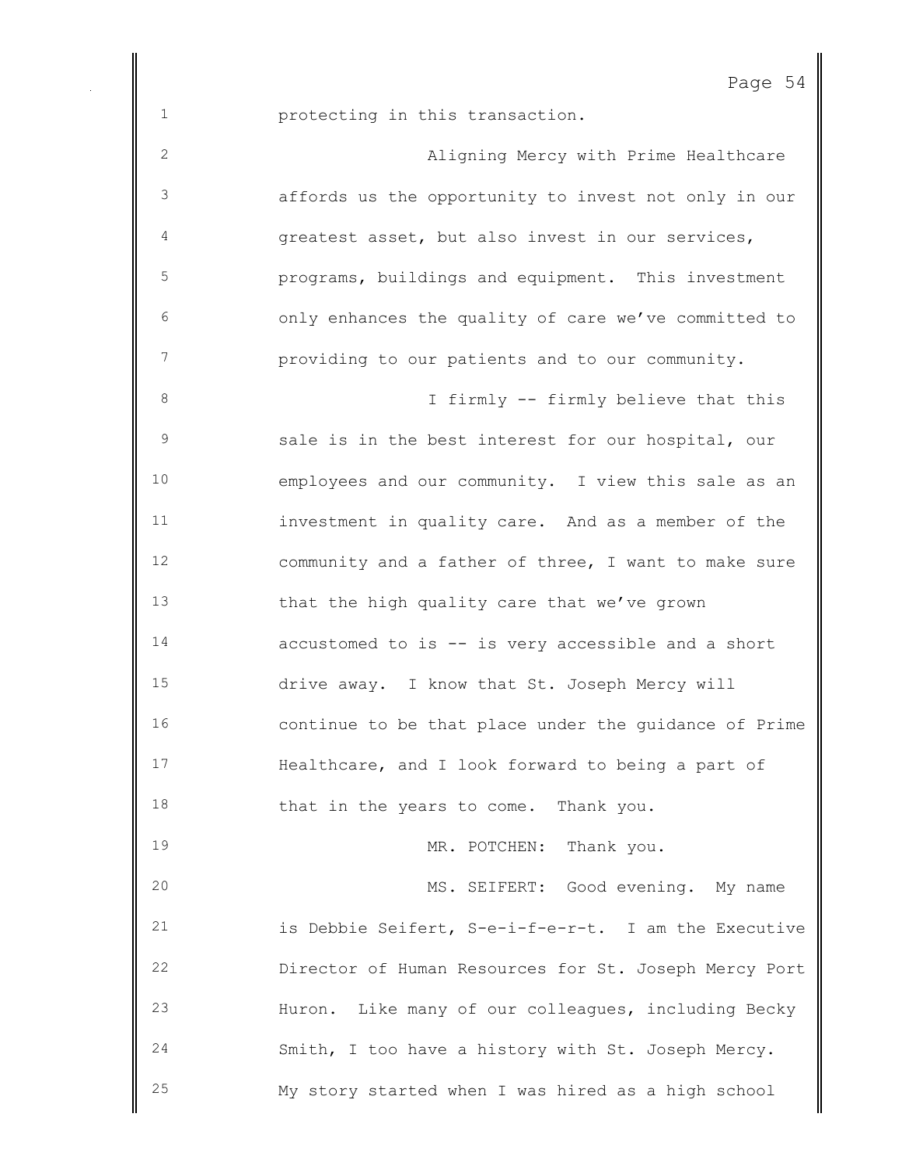protecting in this transaction.

| $\mathbf{2}$ | Aligning Mercy with Prime Healthcare                  |
|--------------|-------------------------------------------------------|
| 3            | affords us the opportunity to invest not only in our  |
| 4            | greatest asset, but also invest in our services,      |
| 5            | programs, buildings and equipment. This investment    |
| 6            | only enhances the quality of care we've committed to  |
| 7            | providing to our patients and to our community.       |
| $\,8\,$      | I firmly -- firmly believe that this                  |
| $\mathsf 9$  | sale is in the best interest for our hospital, our    |
| 10           | employees and our community. I view this sale as an   |
| 11           | investment in quality care. And as a member of the    |
| 12           | community and a father of three, I want to make sure  |
| 13           | that the high quality care that we've grown           |
| 14           | accustomed to is -- is very accessible and a short    |
| 15           | drive away. I know that St. Joseph Mercy will         |
| 16           | continue to be that place under the quidance of Prime |
| 17           | Healthcare, and I look forward to being a part of     |
| 18           | that in the years to come. Thank you.                 |
| 19           | MR. POTCHEN: Thank you.                               |
| 20           | MS. SEIFERT: Good evening. My name                    |
| 21           | is Debbie Seifert, S-e-i-f-e-r-t. I am the Executive  |
| 22           | Director of Human Resources for St. Joseph Mercy Port |
| 23           | Huron. Like many of our colleagues, including Becky   |
| 24           | Smith, I too have a history with St. Joseph Mercy.    |
| 25           | My story started when I was hired as a high school    |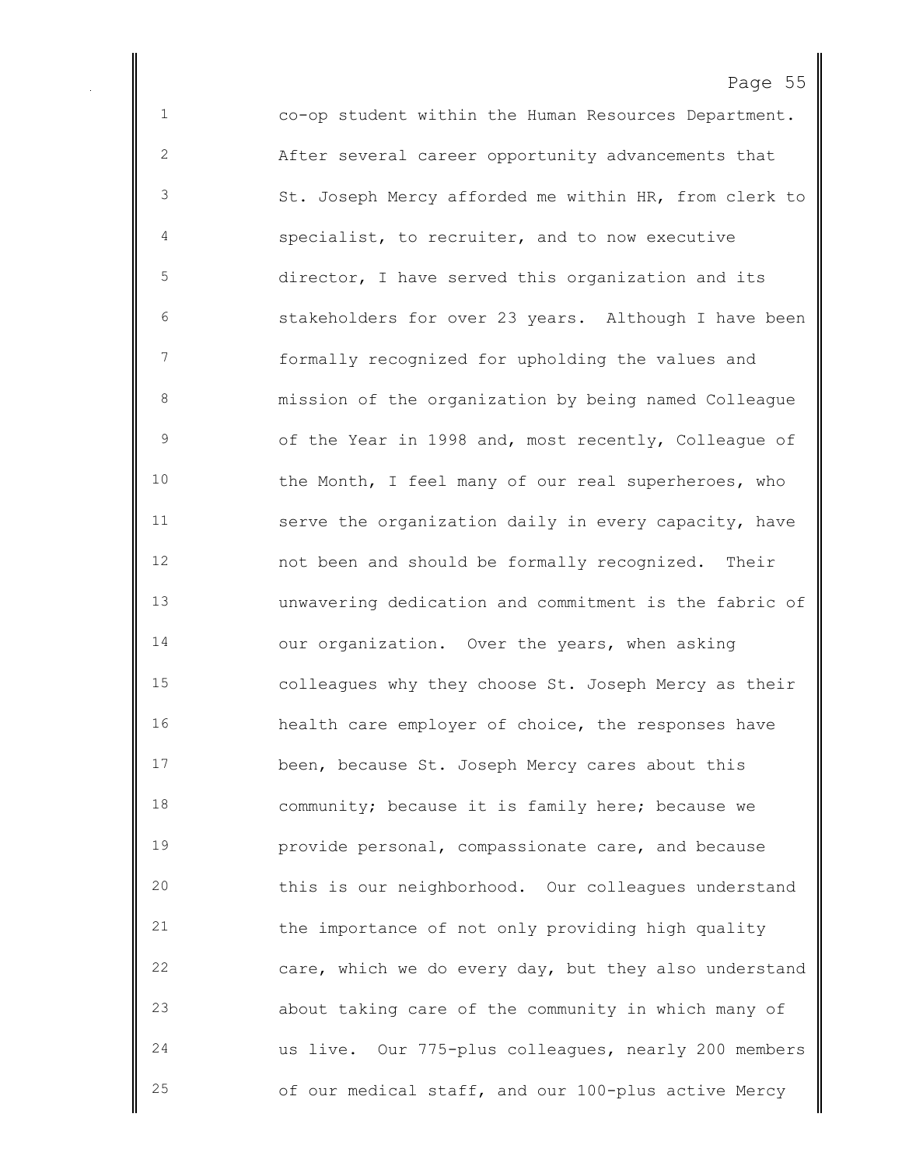co-op student within the Human Resources Department. After several career opportunity advancements that St. Joseph Mercy afforded me within HR, from clerk to specialist, to recruiter, and to now executive director, I have served this organization and its stakeholders for over 23 years. Although I have been formally recognized for upholding the values and mission of the organization by being named Colleague of the Year in 1998 and, most recently, Colleague of the Month, I feel many of our real superheroes, who serve the organization daily in every capacity, have not been and should be formally recognized. Their unwavering dedication and commitment is the fabric of our organization. Over the years, when asking colleagues why they choose St. Joseph Mercy as their health care employer of choice, the responses have been, because St. Joseph Mercy cares about this community; because it is family here; because we provide personal, compassionate care, and because this is our neighborhood. Our colleagues understand the importance of not only providing high quality care, which we do every day, but they also understand about taking care of the community in which many of us live. Our 775-plus colleagues, nearly 200 members of our medical staff, and our 100-plus active Mercy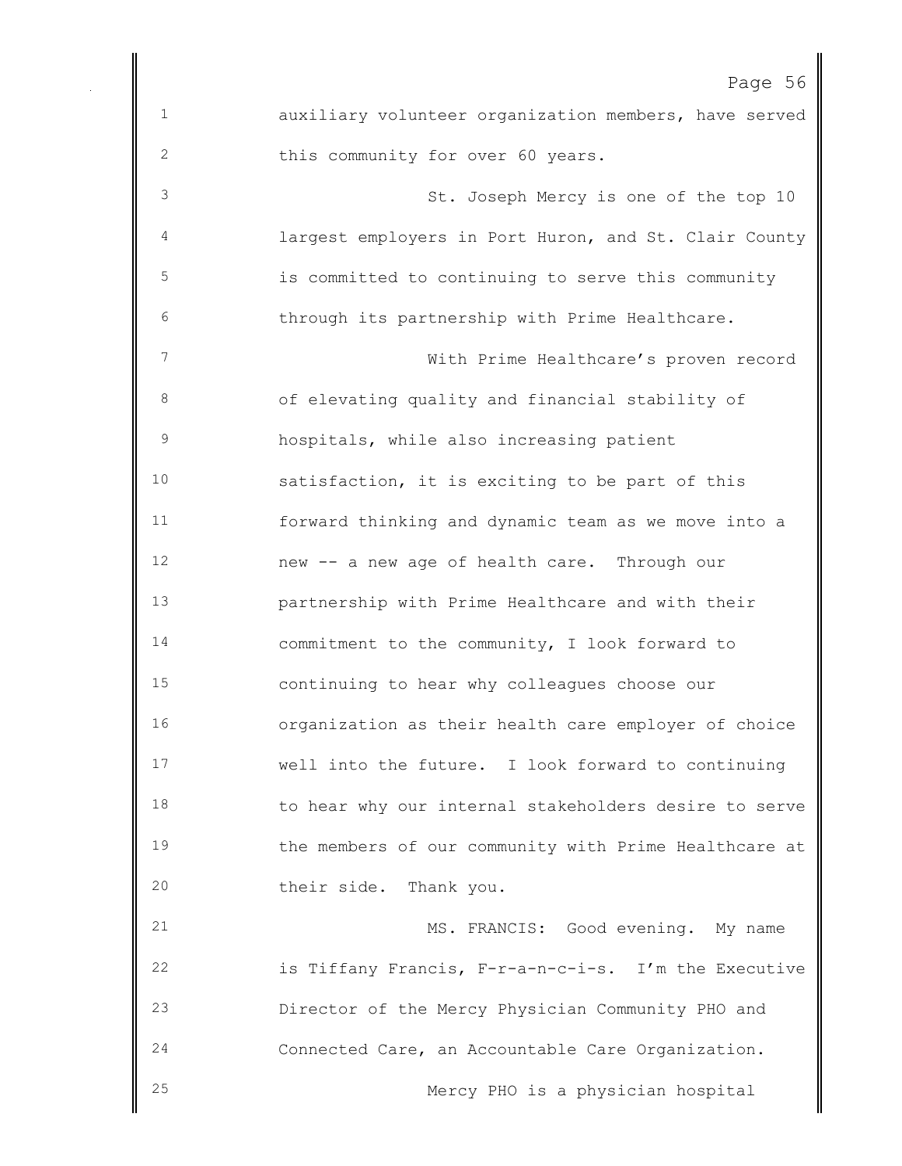|                | Page 56                                               |
|----------------|-------------------------------------------------------|
| $\mathbf 1$    | auxiliary volunteer organization members, have served |
| $\mathbf{2}$   | this community for over 60 years.                     |
| 3              | St. Joseph Mercy is one of the top 10                 |
| 4              | largest employers in Port Huron, and St. Clair County |
| 5              | is committed to continuing to serve this community    |
| 6              | through its partnership with Prime Healthcare.        |
| $\overline{7}$ | With Prime Healthcare's proven record                 |
| 8              | of elevating quality and financial stability of       |
| $\mathsf 9$    | hospitals, while also increasing patient              |
| 10             | satisfaction, it is exciting to be part of this       |
| 11             | forward thinking and dynamic team as we move into a   |
| 12             | new -- a new age of health care. Through our          |
| 13             | partnership with Prime Healthcare and with their      |
| 14             | commitment to the community, I look forward to        |
| 15             | continuing to hear why colleagues choose our          |
| 16             | organization as their health care employer of choice  |
| 17             | well into the future. I look forward to continuing    |
| 18             | to hear why our internal stakeholders desire to serve |
| 19             | the members of our community with Prime Healthcare at |
| 20             | their side. Thank you.                                |
| 21             | MS. FRANCIS: Good evening. My name                    |
| 22             | is Tiffany Francis, F-r-a-n-c-i-s. I'm the Executive  |
| 23             | Director of the Mercy Physician Community PHO and     |
| 24             | Connected Care, an Accountable Care Organization.     |
| 25             | Mercy PHO is a physician hospital                     |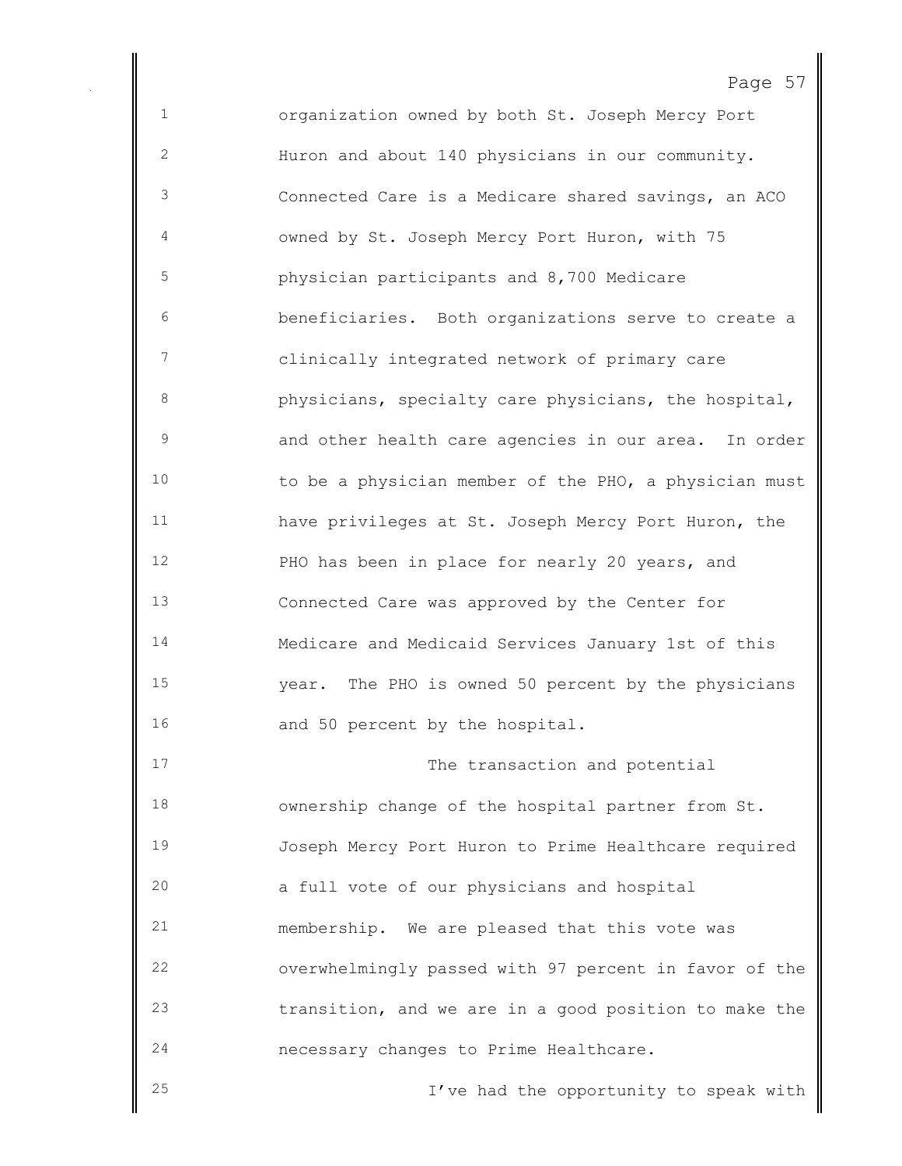organization owned by both St. Joseph Mercy Port Huron and about 140 physicians in our community. Connected Care is a Medicare shared savings, an ACO owned by St. Joseph Mercy Port Huron, with 75 physician participants and 8,700 Medicare beneficiaries. Both organizations serve to create a clinically integrated network of primary care physicians, specialty care physicians, the hospital, and other health care agencies in our area. In order to be a physician member of the PHO, a physician must have privileges at St. Joseph Mercy Port Huron, the PHO has been in place for nearly 20 years, and Connected Care was approved by the Center for Medicare and Medicaid Services January 1st of this year. The PHO is owned 50 percent by the physicians 16 and 50 percent by the hospital. 17 The transaction and potential ownership change of the hospital partner from St. Joseph Mercy Port Huron to Prime Healthcare required a full vote of our physicians and hospital membership. We are pleased that this vote was overwhelmingly passed with 97 percent in favor of the transition, and we are in a good position to make the necessary changes to Prime Healthcare. I've had the opportunity to speak with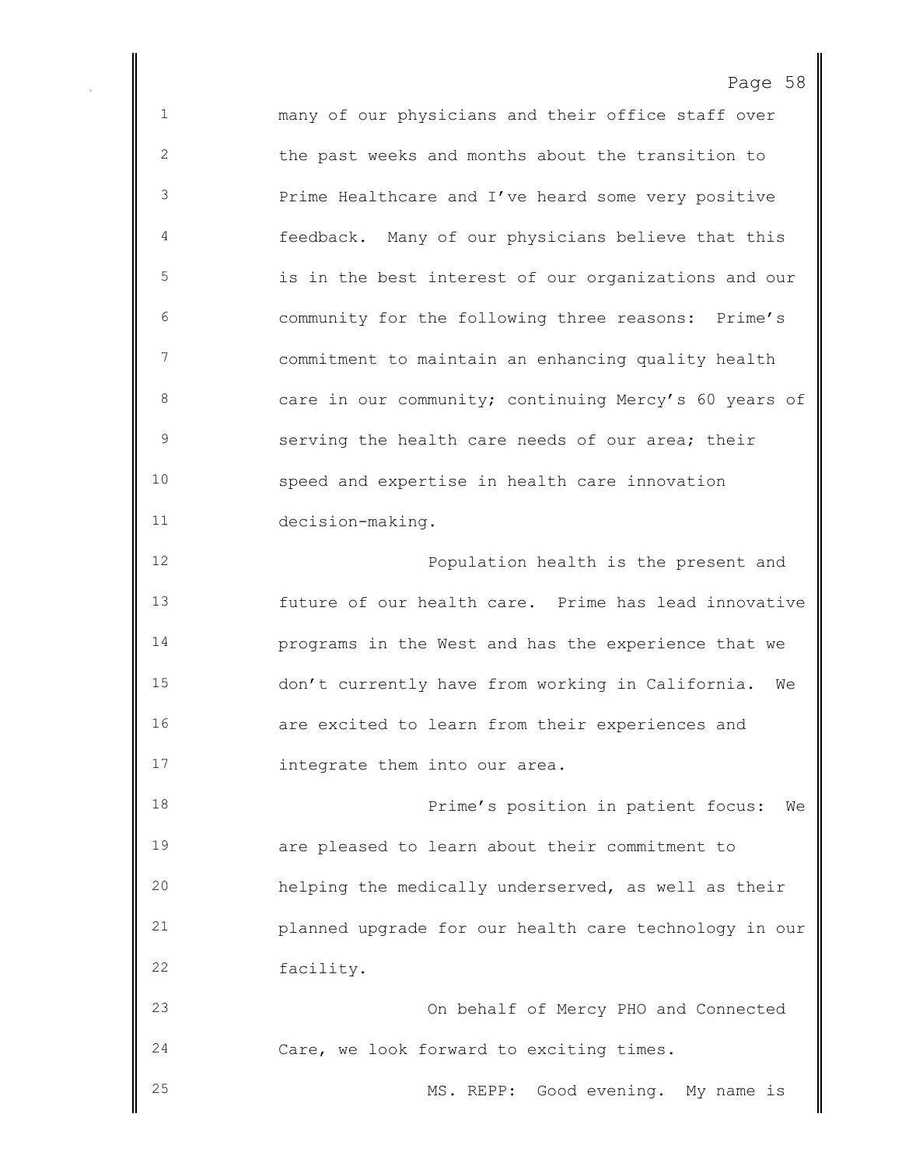many of our physicians and their office staff over the past weeks and months about the transition to Prime Healthcare and I've heard some very positive feedback. Many of our physicians believe that this is in the best interest of our organizations and our community for the following three reasons: Prime's commitment to maintain an enhancing quality health 8 care in our community; continuing Mercy's 60 years of serving the health care needs of our area; their speed and expertise in health care innovation decision-making. Population health is the present and future of our health care. Prime has lead innovative programs in the West and has the experience that we don't currently have from working in California. We are excited to learn from their experiences and **integrate them into our area.**  Prime's position in patient focus: We are pleased to learn about their commitment to helping the medically underserved, as well as their planned upgrade for our health care technology in our facility. On behalf of Mercy PHO and Connected Care, we look forward to exciting times.

MS. REPP: Good evening. My name is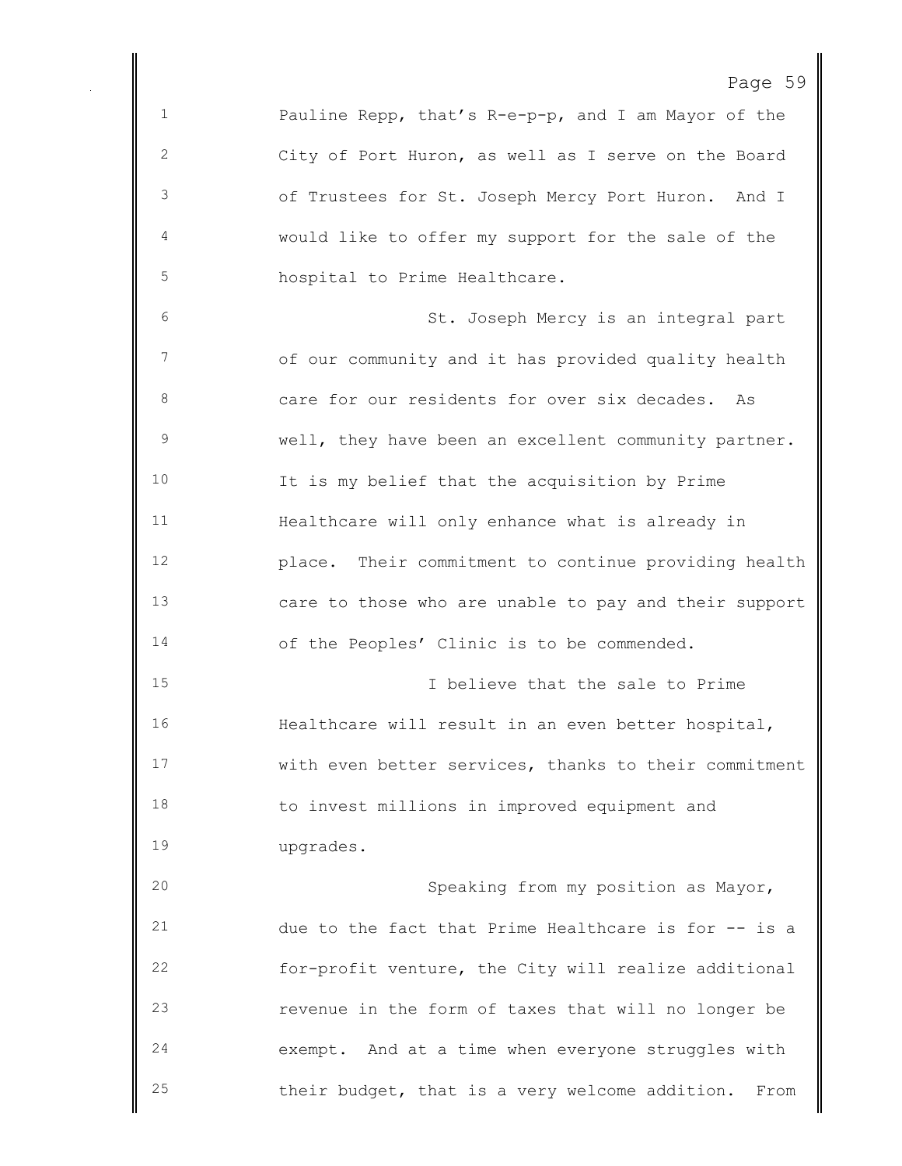```
Page 59
```
 Pauline Repp, that's R-e-p-p, and I am Mayor of the City of Port Huron, as well as I serve on the Board of Trustees for St. Joseph Mercy Port Huron. And I would like to offer my support for the sale of the hospital to Prime Healthcare. St. Joseph Mercy is an integral part of our community and it has provided quality health care for our residents for over six decades. As well, they have been an excellent community partner. It is my belief that the acquisition by Prime Healthcare will only enhance what is already in place. Their commitment to continue providing health care to those who are unable to pay and their support of the Peoples' Clinic is to be commended. I believe that the sale to Prime Healthcare will result in an even better hospital, with even better services, thanks to their commitment to invest millions in improved equipment and upgrades. Speaking from my position as Mayor, due to the fact that Prime Healthcare is for -- is a for-profit venture, the City will realize additional revenue in the form of taxes that will no longer be exempt. And at a time when everyone struggles with their budget, that is a very welcome addition. From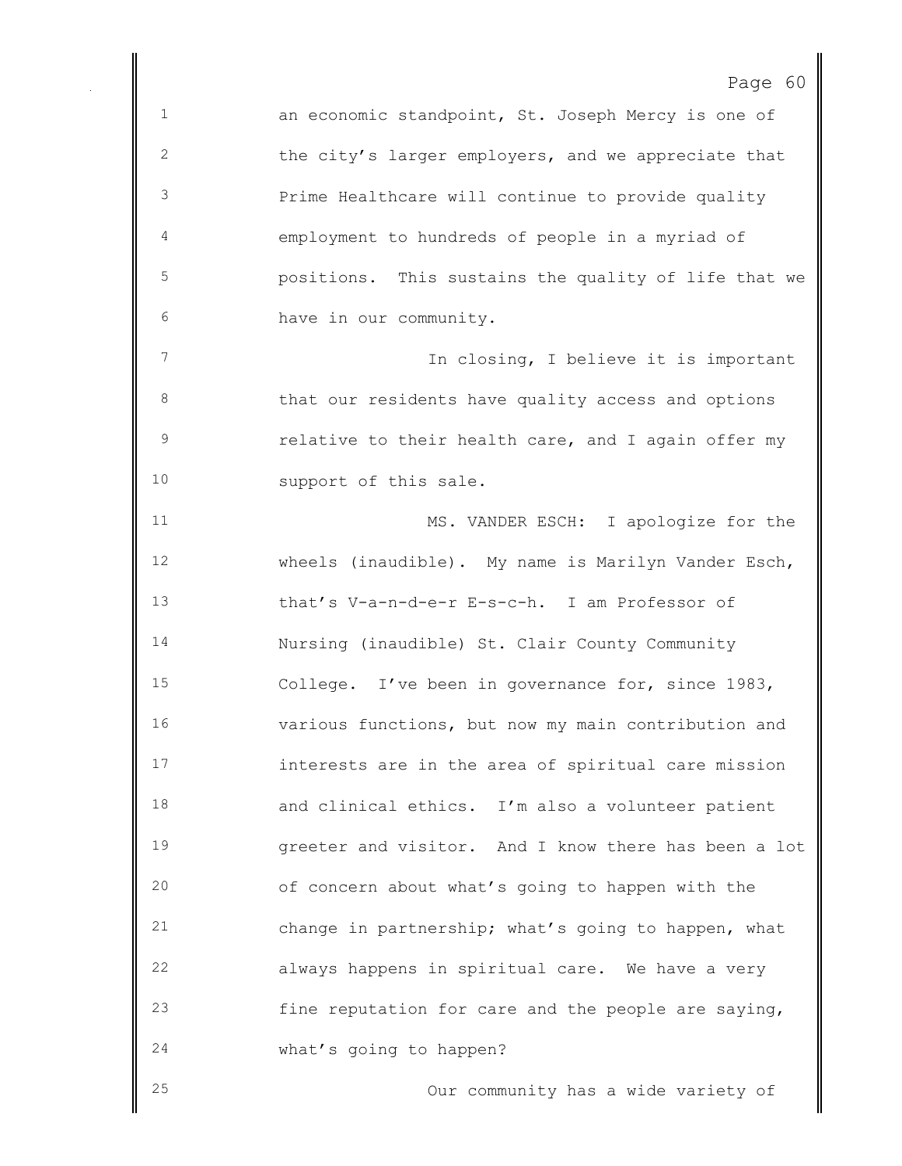an economic standpoint, St. Joseph Mercy is one of 2 the city's larger employers, and we appreciate that Prime Healthcare will continue to provide quality employment to hundreds of people in a myriad of positions. This sustains the quality of life that we have in our community. 7 In closing, I believe it is important 8 that our residents have quality access and options relative to their health care, and I again offer my 10 support of this sale. 11 MS. VANDER ESCH: I apologize for the wheels (inaudible). My name is Marilyn Vander Esch, that's V-a-n-d-e-r E-s-c-h. I am Professor of Nursing (inaudible) St. Clair County Community College. I've been in governance for, since 1983, various functions, but now my main contribution and interests are in the area of spiritual care mission and clinical ethics. I'm also a volunteer patient greeter and visitor. And I know there has been a lot of concern about what's going to happen with the change in partnership; what's going to happen, what always happens in spiritual care. We have a very fine reputation for care and the people are saying, what's going to happen? Our community has a wide variety of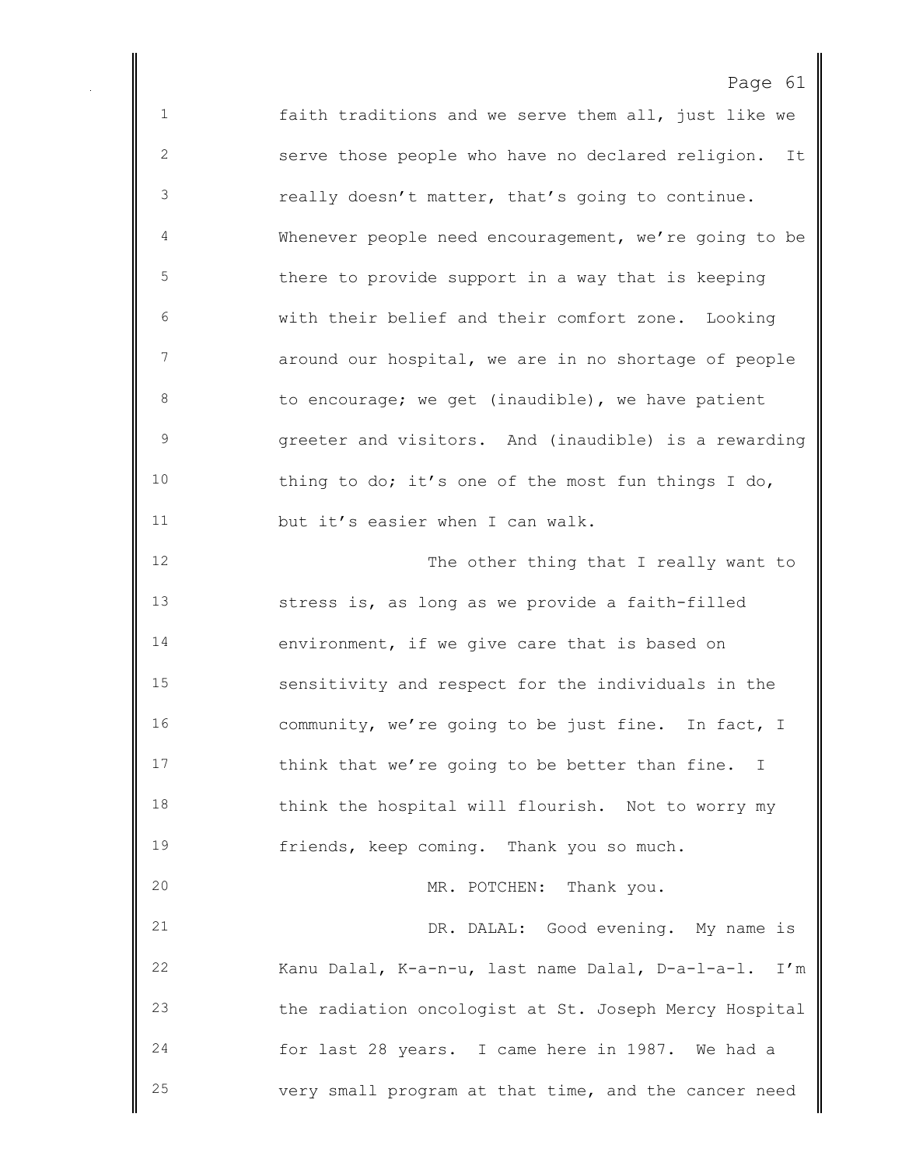faith traditions and we serve them all, just like we serve those people who have no declared religion. It really doesn't matter, that's going to continue. Whenever people need encouragement, we're going to be there to provide support in a way that is keeping with their belief and their comfort zone. Looking around our hospital, we are in no shortage of people 8 to encourage; we get (inaudible), we have patient greeter and visitors. And (inaudible) is a rewarding thing to do; it's one of the most fun things I do, but it's easier when I can walk. 12 The other thing that I really want to stress is, as long as we provide a faith-filled environment, if we give care that is based on sensitivity and respect for the individuals in the community, we're going to be just fine. In fact, I 17 think that we're going to be better than fine. I think the hospital will flourish. Not to worry my friends, keep coming. Thank you so much. 20 MR. POTCHEN: Thank you. DR. DALAL: Good evening. My name is Kanu Dalal, K-a-n-u, last name Dalal, D-a-l-a-l. I'm the radiation oncologist at St. Joseph Mercy Hospital

 for last 28 years. I came here in 1987. We had a very small program at that time, and the cancer need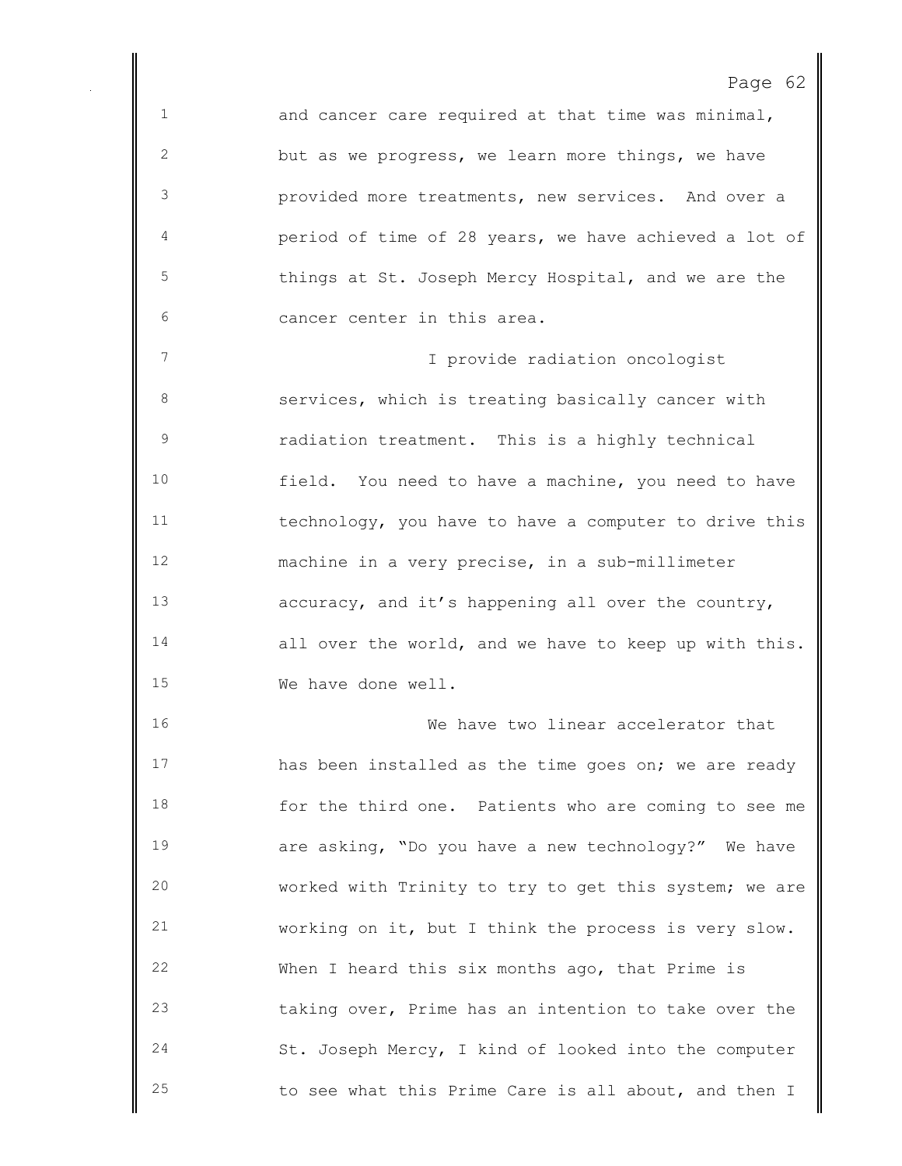and cancer care required at that time was minimal, but as we progress, we learn more things, we have provided more treatments, new services. And over a period of time of 28 years, we have achieved a lot of things at St. Joseph Mercy Hospital, and we are the cancer center in this area.

 I provide radiation oncologist services, which is treating basically cancer with radiation treatment. This is a highly technical field. You need to have a machine, you need to have technology, you have to have a computer to drive this machine in a very precise, in a sub-millimeter accuracy, and it's happening all over the country, all over the world, and we have to keep up with this. We have done well.

 We have two linear accelerator that 17 has been installed as the time goes on; we are ready for the third one. Patients who are coming to see me are asking, "Do you have a new technology?" We have worked with Trinity to try to get this system; we are working on it, but I think the process is very slow. When I heard this six months ago, that Prime is taking over, Prime has an intention to take over the St. Joseph Mercy, I kind of looked into the computer to see what this Prime Care is all about, and then I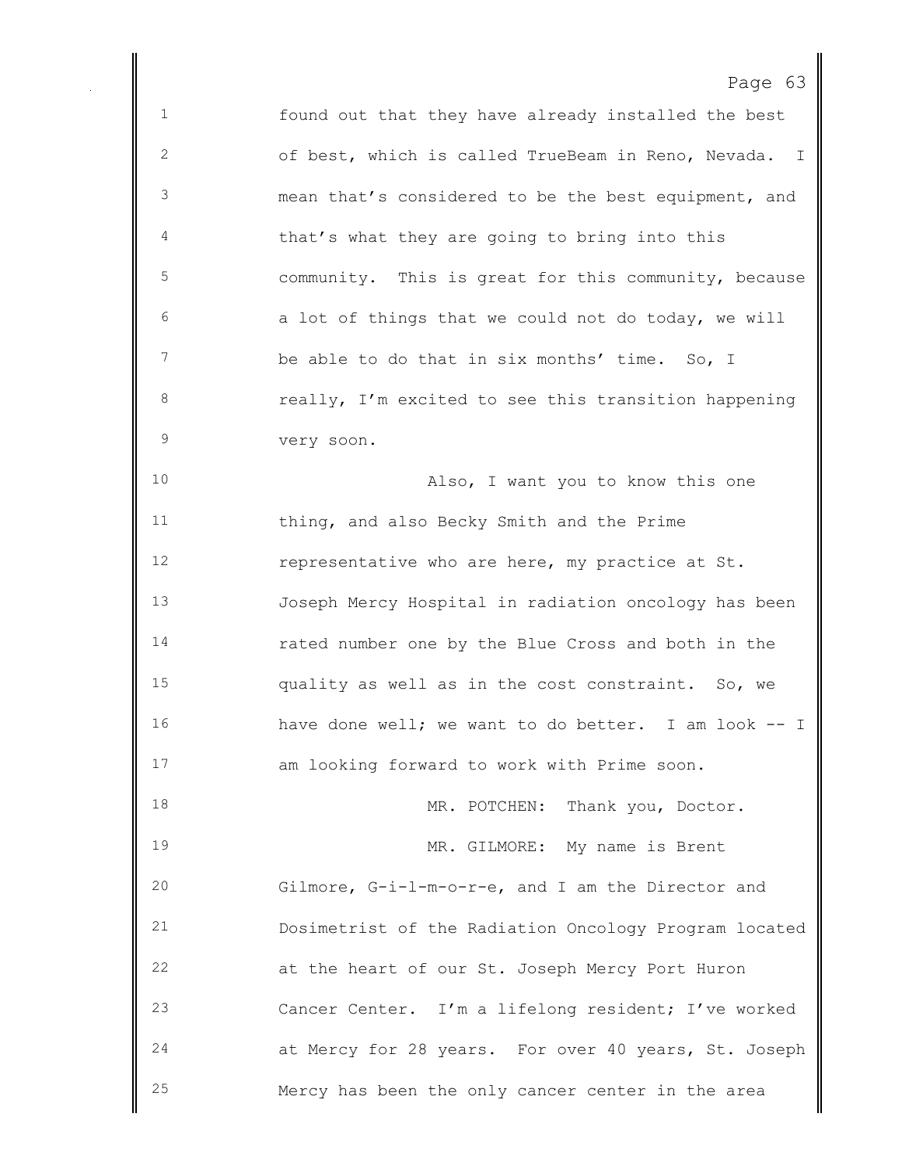found out that they have already installed the best of best, which is called TrueBeam in Reno, Nevada. I mean that's considered to be the best equipment, and that's what they are going to bring into this community. This is great for this community, because a lot of things that we could not do today, we will be able to do that in six months' time. So, I **8** really, I'm excited to see this transition happening very soon. Also, I want you to know this one thing, and also Becky Smith and the Prime representative who are here, my practice at St. Joseph Mercy Hospital in radiation oncology has been rated number one by the Blue Cross and both in the quality as well as in the cost constraint. So, we have done well; we want to do better. I am look -- I am looking forward to work with Prime soon. 18 MR. POTCHEN: Thank you, Doctor. MR. GILMORE: My name is Brent Gilmore, G-i-l-m-o-r-e, and I am the Director and Dosimetrist of the Radiation Oncology Program located at the heart of our St. Joseph Mercy Port Huron Cancer Center. I'm a lifelong resident; I've worked at Mercy for 28 years. For over 40 years, St. Joseph Mercy has been the only cancer center in the area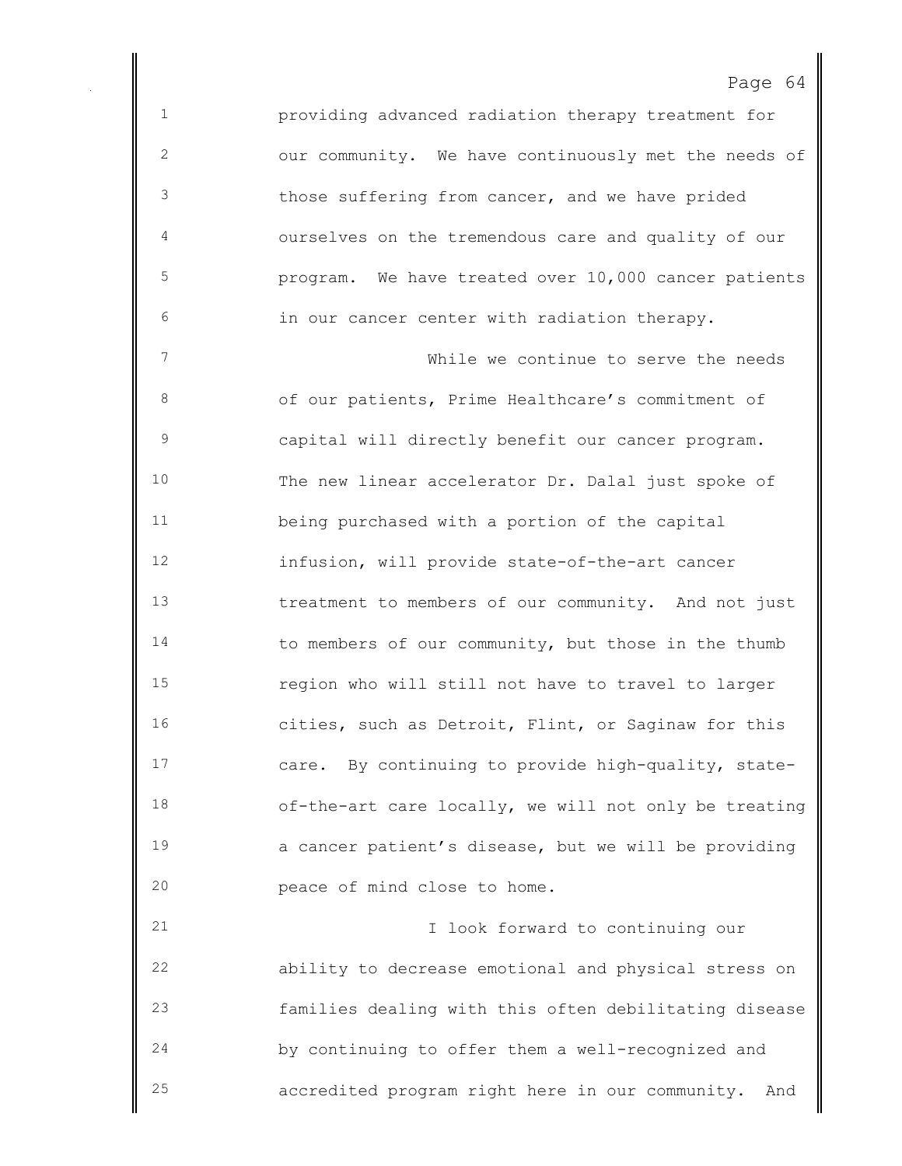providing advanced radiation therapy treatment for our community. We have continuously met the needs of those suffering from cancer, and we have prided ourselves on the tremendous care and quality of our program. We have treated over 10,000 cancer patients in our cancer center with radiation therapy.

 While we continue to serve the needs of our patients, Prime Healthcare's commitment of capital will directly benefit our cancer program. The new linear accelerator Dr. Dalal just spoke of being purchased with a portion of the capital infusion, will provide state-of-the-art cancer treatment to members of our community. And not just 14 to members of our community, but those in the thumb region who will still not have to travel to larger cities, such as Detroit, Flint, or Saginaw for this care. By continuing to provide high-quality, state- of-the-art care locally, we will not only be treating a cancer patient's disease, but we will be providing peace of mind close to home.

 I look forward to continuing our ability to decrease emotional and physical stress on families dealing with this often debilitating disease by continuing to offer them a well-recognized and accredited program right here in our community. And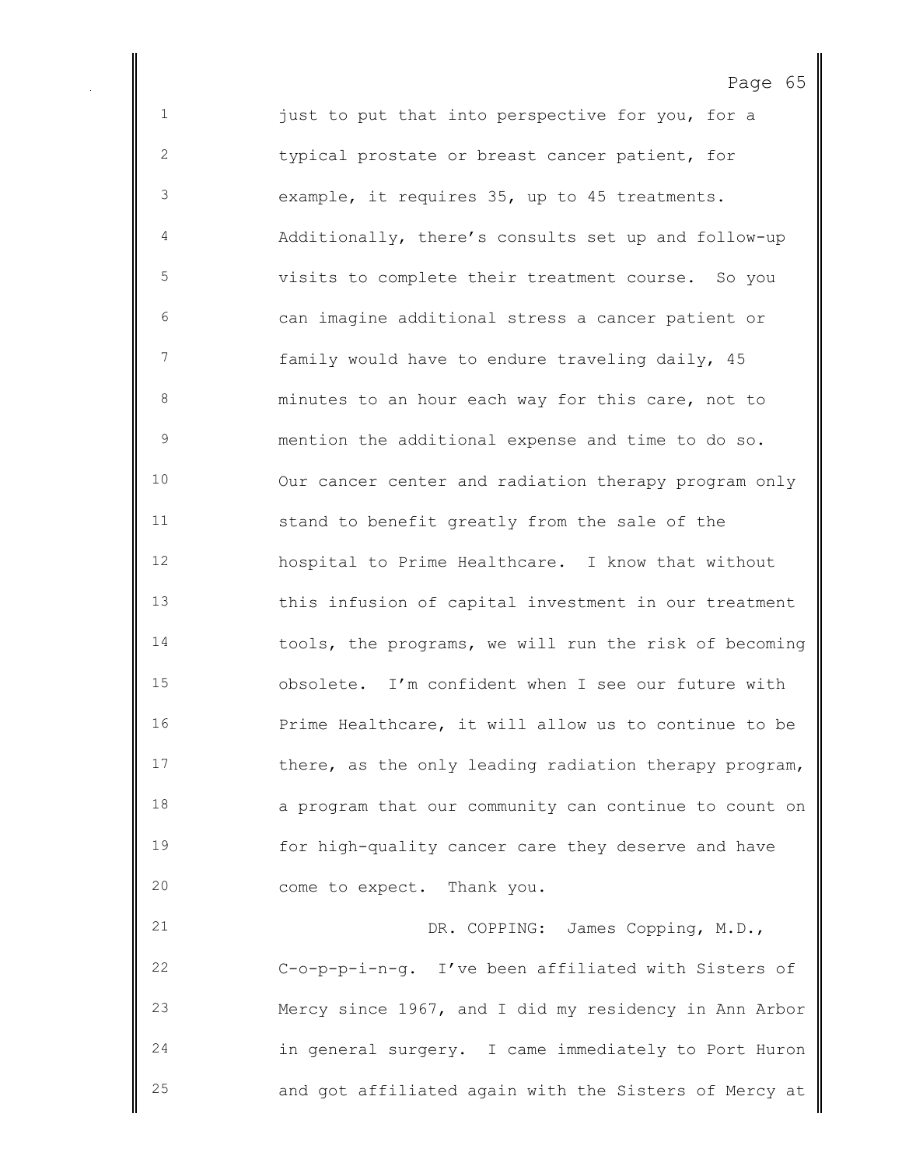1 just to put that into perspective for you, for a typical prostate or breast cancer patient, for example, it requires 35, up to 45 treatments. Additionally, there's consults set up and follow-up visits to complete their treatment course. So you can imagine additional stress a cancer patient or family would have to endure traveling daily, 45 minutes to an hour each way for this care, not to mention the additional expense and time to do so. Our cancer center and radiation therapy program only stand to benefit greatly from the sale of the hospital to Prime Healthcare. I know that without this infusion of capital investment in our treatment tools, the programs, we will run the risk of becoming obsolete. I'm confident when I see our future with Prime Healthcare, it will allow us to continue to be 17 there, as the only leading radiation therapy program, a program that our community can continue to count on for high-quality cancer care they deserve and have come to expect. Thank you.

Page 65

 DR. COPPING: James Copping, M.D., C-o-p-p-i-n-g. I've been affiliated with Sisters of Mercy since 1967, and I did my residency in Ann Arbor in general surgery. I came immediately to Port Huron and got affiliated again with the Sisters of Mercy at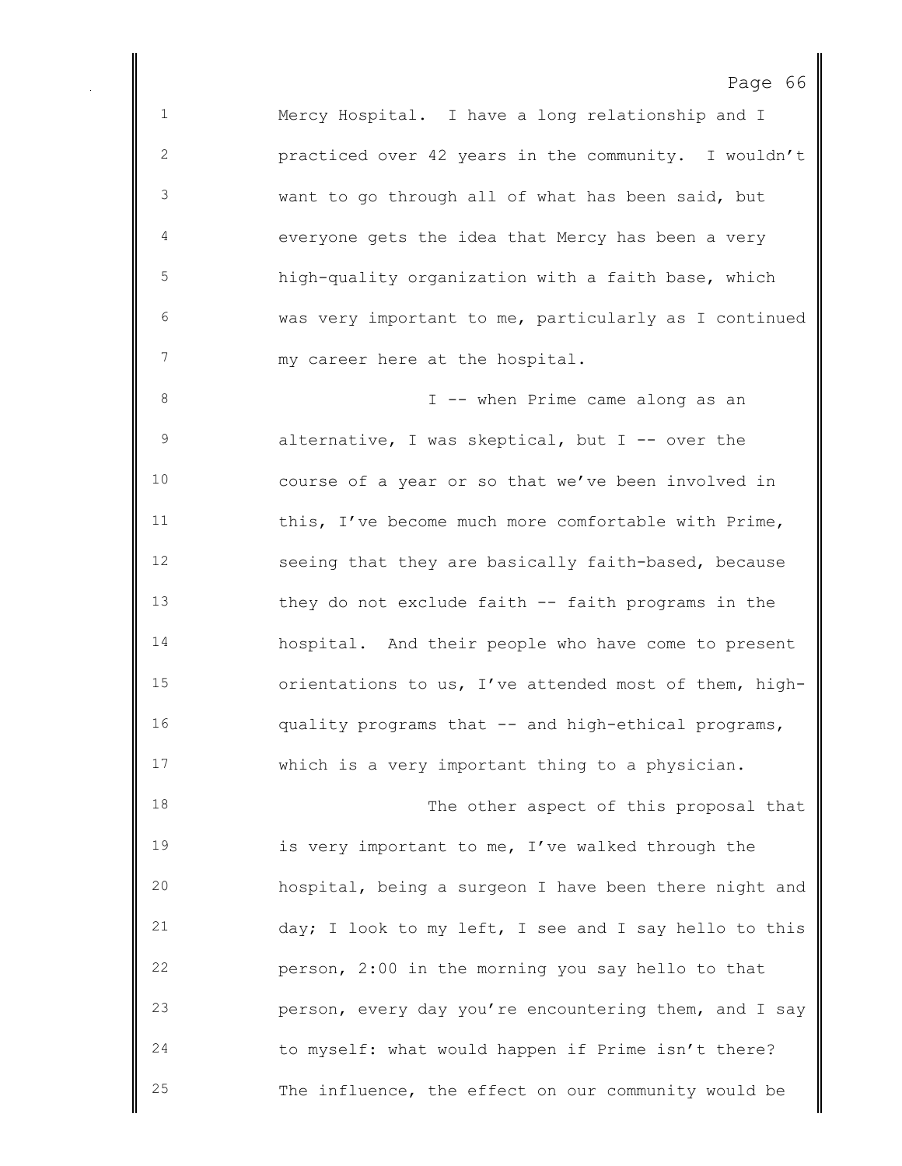Mercy Hospital. I have a long relationship and I practiced over 42 years in the community. I wouldn't want to go through all of what has been said, but everyone gets the idea that Mercy has been a very high-quality organization with a faith base, which was very important to me, particularly as I continued my career here at the hospital. 8 I -- when Prime came along as an 9 alternative, I was skeptical, but I -- over the course of a year or so that we've been involved in this, I've become much more comfortable with Prime, seeing that they are basically faith-based, because they do not exclude faith -- faith programs in the hospital. And their people who have come to present orientations to us, I've attended most of them, high- quality programs that -- and high-ethical programs, which is a very important thing to a physician. The other aspect of this proposal that is very important to me, I've walked through the hospital, being a surgeon I have been there night and day; I look to my left, I see and I say hello to this person, 2:00 in the morning you say hello to that person, every day you're encountering them, and I say to myself: what would happen if Prime isn't there?

The influence, the effect on our community would be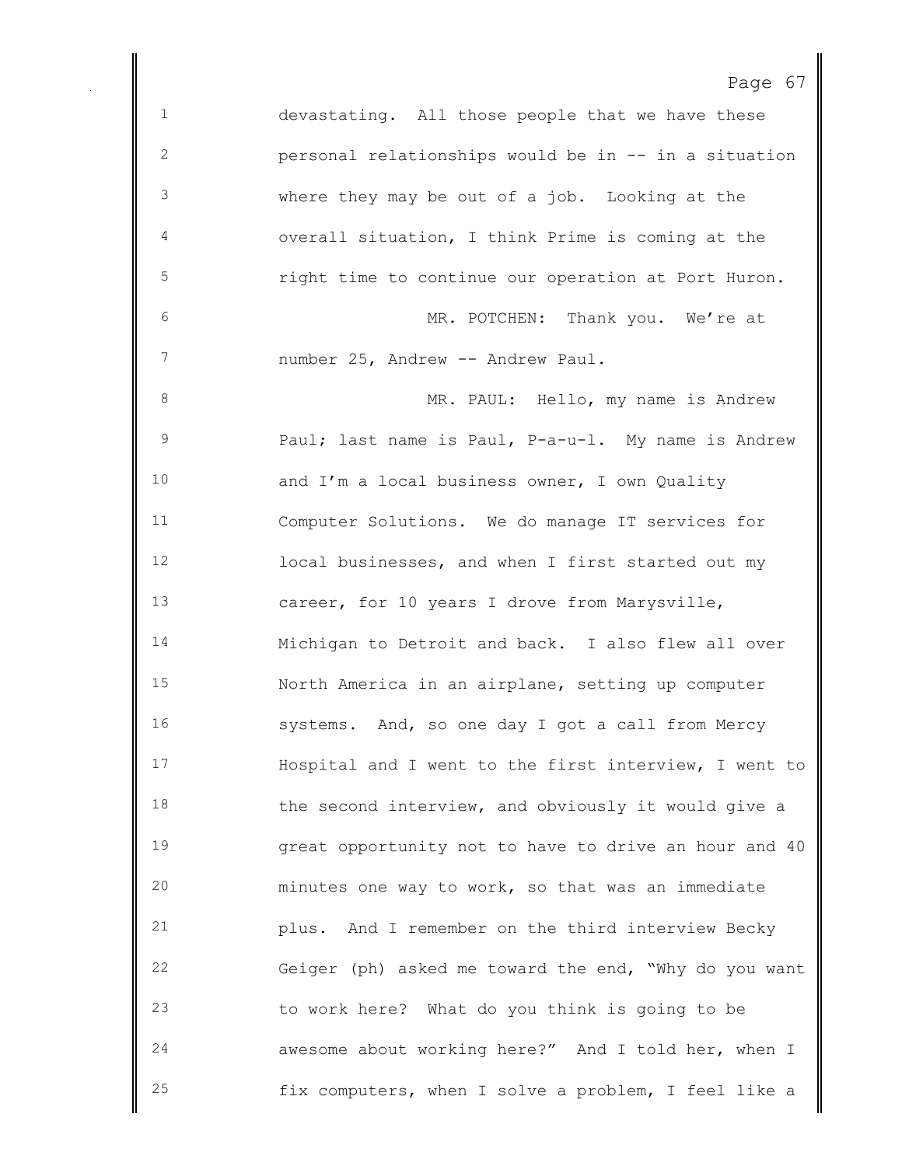devastating. All those people that we have these personal relationships would be in -- in a situation where they may be out of a job. Looking at the overall situation, I think Prime is coming at the right time to continue our operation at Port Huron. MR. POTCHEN: Thank you. We're at 7 number 25, Andrew -- Andrew Paul. 8 MR. PAUL: Hello, my name is Andrew 9 Paul; last name is Paul, P-a-u-l. My name is Andrew and I'm a local business owner, I own Quality Computer Solutions. We do manage IT services for local businesses, and when I first started out my career, for 10 years I drove from Marysville, Michigan to Detroit and back. I also flew all over North America in an airplane, setting up computer systems. And, so one day I got a call from Mercy Hospital and I went to the first interview, I went to 18 the second interview, and obviously it would give a great opportunity not to have to drive an hour and 40 minutes one way to work, so that was an immediate plus. And I remember on the third interview Becky Geiger (ph) asked me toward the end, "Why do you want to work here? What do you think is going to be awesome about working here?" And I told her, when I fix computers, when I solve a problem, I feel like a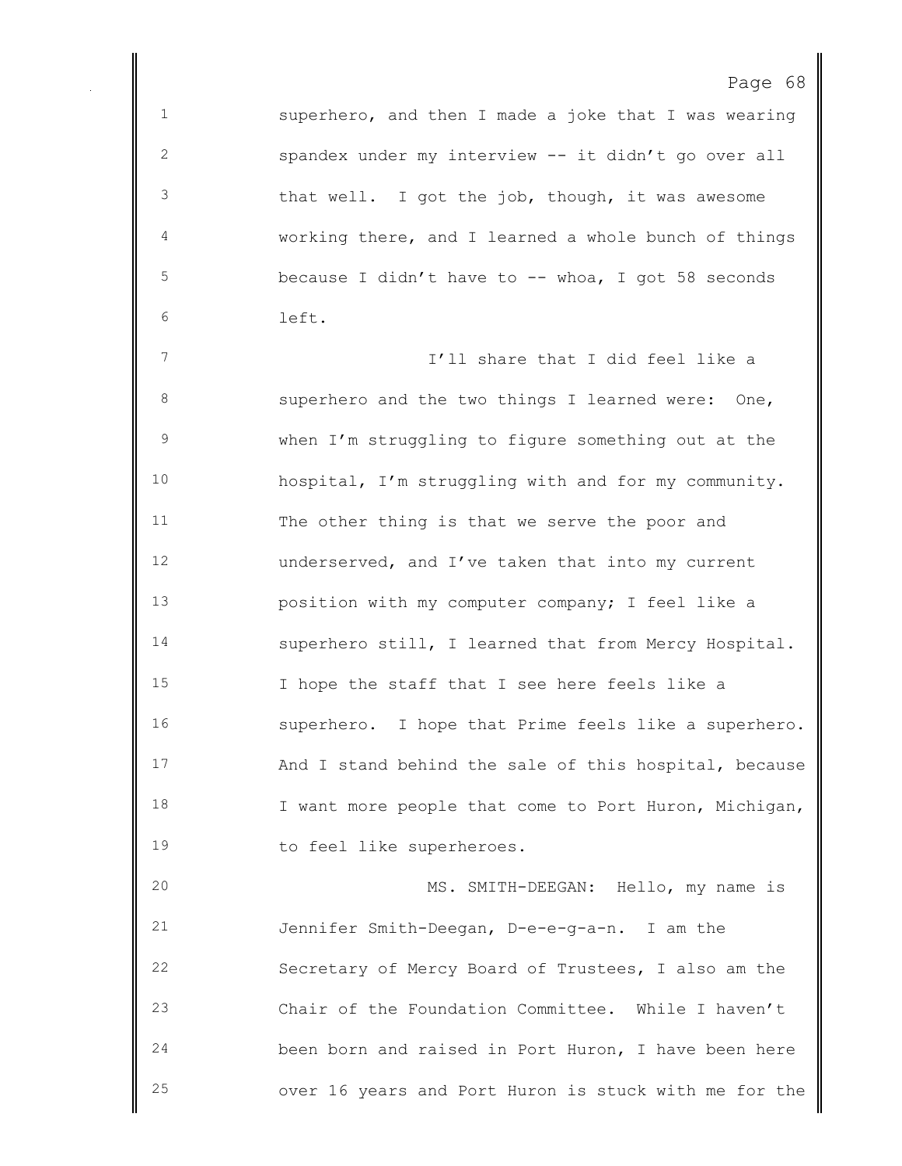superhero, and then I made a joke that I was wearing spandex under my interview -- it didn't go over all that well. I got the job, though, it was awesome working there, and I learned a whole bunch of things because I didn't have to -- whoa, I got 58 seconds left.

 I'll share that I did feel like a superhero and the two things I learned were: One, when I'm struggling to figure something out at the hospital, I'm struggling with and for my community. The other thing is that we serve the poor and underserved, and I've taken that into my current position with my computer company; I feel like a superhero still, I learned that from Mercy Hospital. I hope the staff that I see here feels like a superhero. I hope that Prime feels like a superhero. And I stand behind the sale of this hospital, because 18 I want more people that come to Port Huron, Michigan, to feel like superheroes.

 MS. SMITH-DEEGAN: Hello, my name is Jennifer Smith-Deegan, D-e-e-g-a-n. I am the Secretary of Mercy Board of Trustees, I also am the Chair of the Foundation Committee. While I haven't been born and raised in Port Huron, I have been here over 16 years and Port Huron is stuck with me for the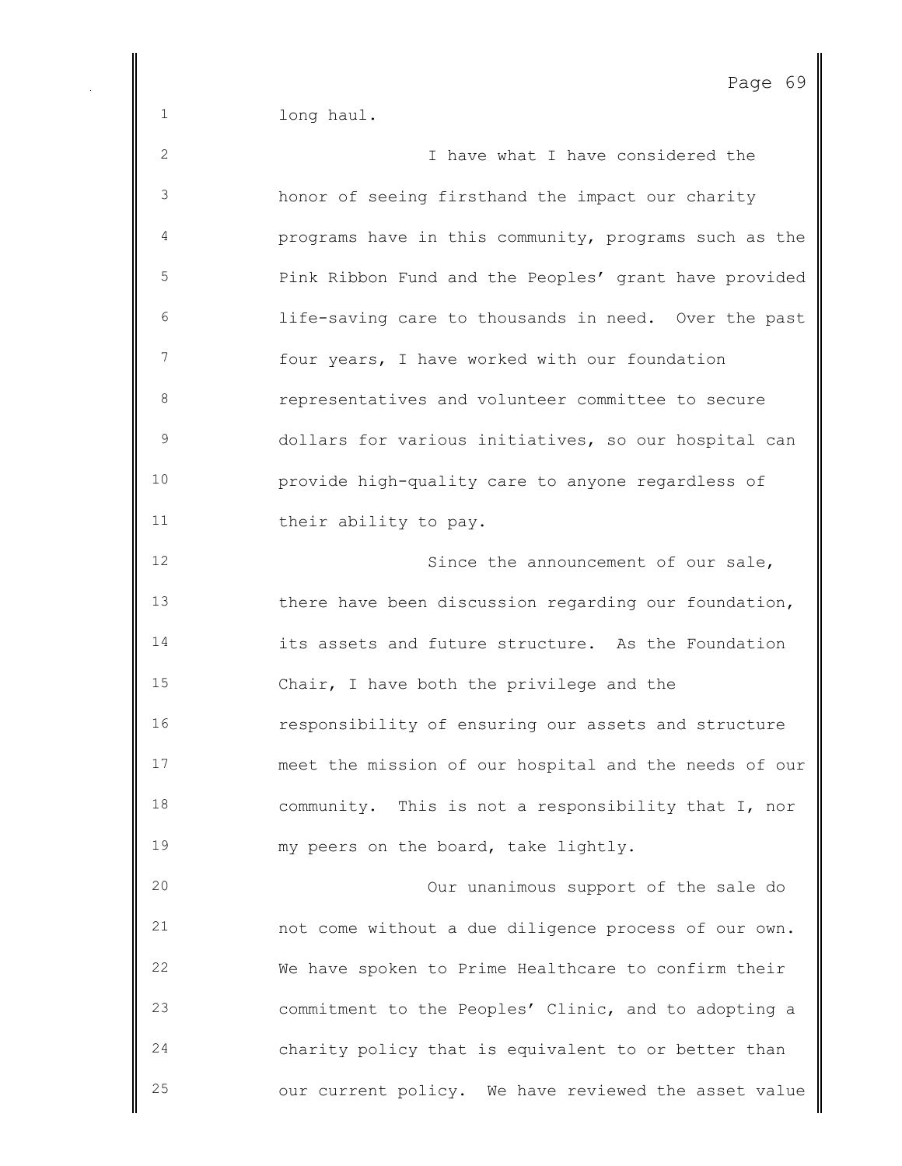long haul.

| 2  | I have what I have considered the                     |
|----|-------------------------------------------------------|
| 3  | honor of seeing firsthand the impact our charity      |
| 4  | programs have in this community, programs such as the |
| 5  | Pink Ribbon Fund and the Peoples' grant have provided |
| 6  | life-saving care to thousands in need. Over the past  |
| 7  | four years, I have worked with our foundation         |
| 8  | representatives and volunteer committee to secure     |
| 9  | dollars for various initiatives, so our hospital can  |
| 10 | provide high-quality care to anyone regardless of     |
| 11 | their ability to pay.                                 |
| 12 | Since the announcement of our sale,                   |
| 13 | there have been discussion regarding our foundation,  |
| 14 | its assets and future structure. As the Foundation    |
| 15 | Chair, I have both the privilege and the              |
| 16 | responsibility of ensuring our assets and structure   |
| 17 | meet the mission of our hospital and the needs of our |
| 18 | community. This is not a responsibility that I, nor   |
| 19 | my peers on the board, take lightly.                  |
| 20 | Our unanimous support of the sale do                  |
| 21 | not come without a due diligence process of our own.  |
| 22 | We have spoken to Prime Healthcare to confirm their   |
| 23 | commitment to the Peoples' Clinic, and to adopting a  |
| 24 | charity policy that is equivalent to or better than   |
| 25 | our current policy. We have reviewed the asset value  |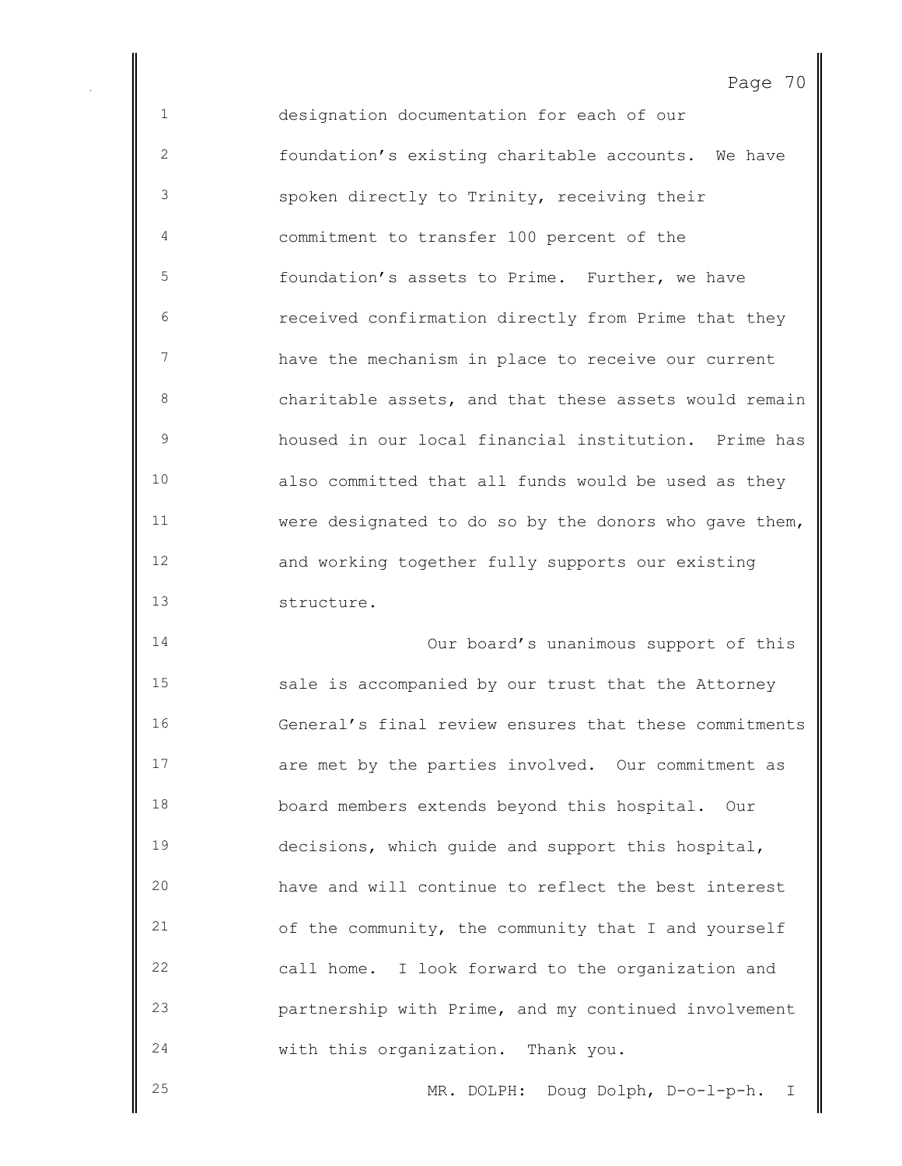designation documentation for each of our foundation's existing charitable accounts. We have spoken directly to Trinity, receiving their commitment to transfer 100 percent of the foundation's assets to Prime. Further, we have received confirmation directly from Prime that they have the mechanism in place to receive our current 8 6 8 6 charitable assets, and that these assets would remain housed in our local financial institution. Prime has also committed that all funds would be used as they were designated to do so by the donors who gave them, and working together fully supports our existing structure.

 Our board's unanimous support of this sale is accompanied by our trust that the Attorney General's final review ensures that these commitments are met by the parties involved. Our commitment as board members extends beyond this hospital. Our decisions, which guide and support this hospital, have and will continue to reflect the best interest of the community, the community that I and yourself call home. I look forward to the organization and partnership with Prime, and my continued involvement with this organization. Thank you.

MR. DOLPH: Doug Dolph, D-o-l-p-h. I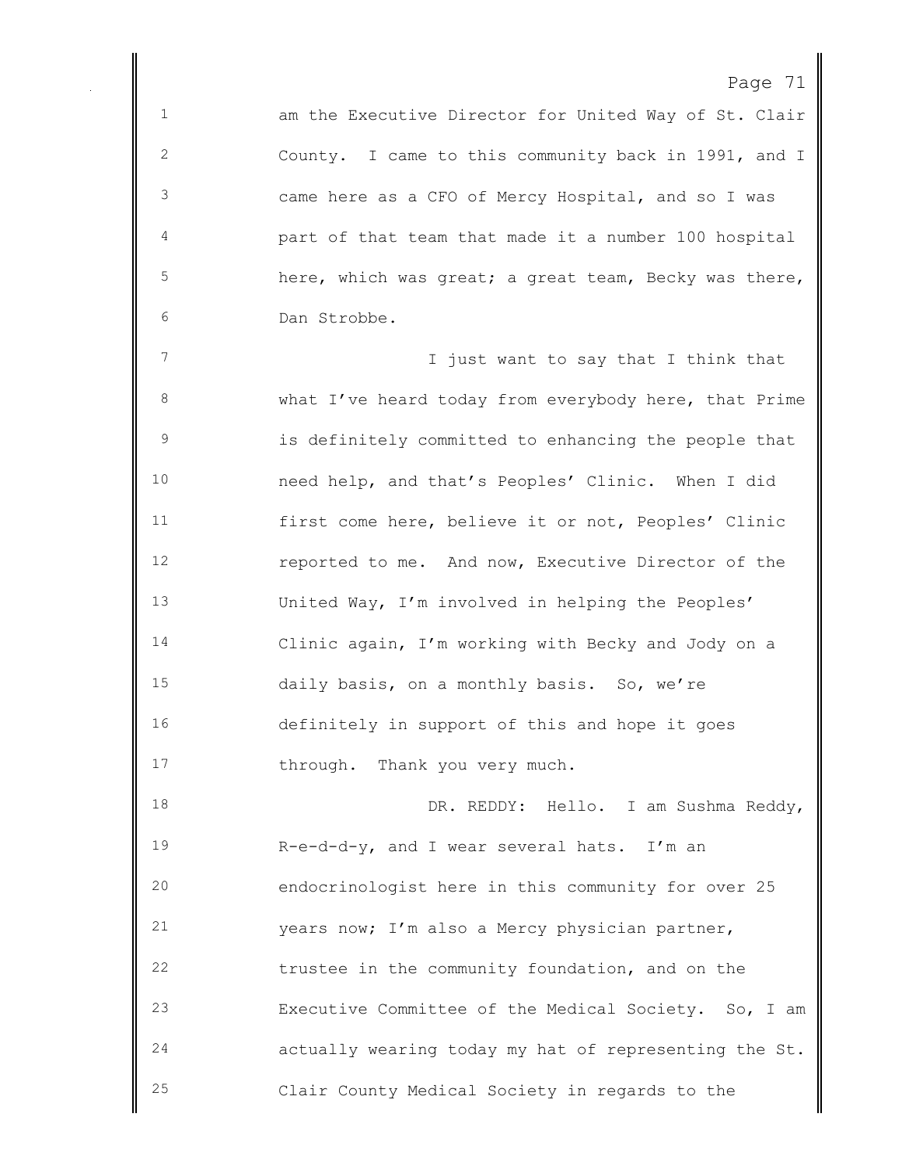1 am the Executive Director for United Way of St. Clair County. I came to this community back in 1991, and I came here as a CFO of Mercy Hospital, and so I was part of that team that made it a number 100 hospital 5 here, which was great; a great team, Becky was there, Dan Strobbe.

**I** just want to say that I think that what I've heard today from everybody here, that Prime is definitely committed to enhancing the people that need help, and that's Peoples' Clinic. When I did first come here, believe it or not, Peoples' Clinic reported to me. And now, Executive Director of the United Way, I'm involved in helping the Peoples' Clinic again, I'm working with Becky and Jody on a daily basis, on a monthly basis. So, we're definitely in support of this and hope it goes 17 through. Thank you very much.

 DR. REDDY: Hello. I am Sushma Reddy, R-e-d-d-y, and I wear several hats. I'm an endocrinologist here in this community for over 25 years now; I'm also a Mercy physician partner, trustee in the community foundation, and on the Executive Committee of the Medical Society. So, I am actually wearing today my hat of representing the St. Clair County Medical Society in regards to the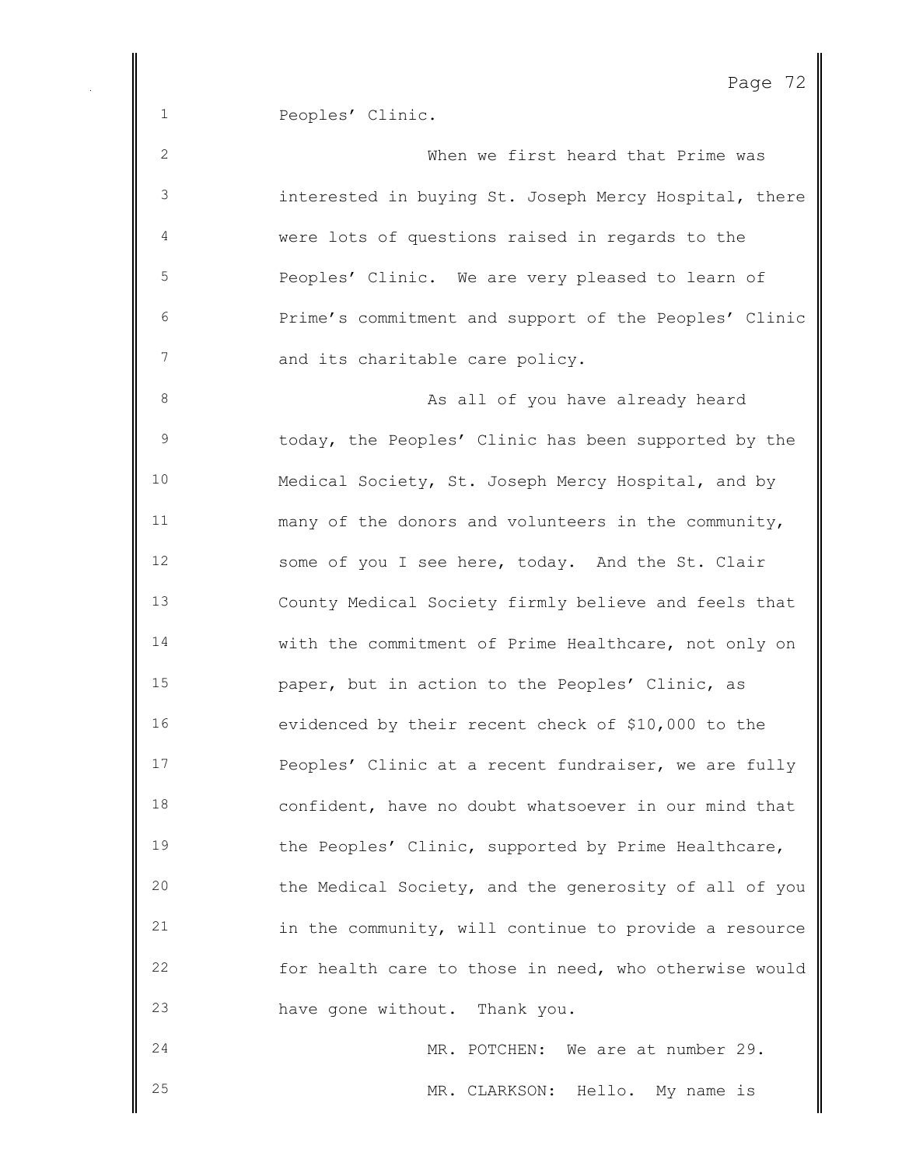Peoples' Clinic.

| $\mathbf{2}$   | When we first heard that Prime was                    |
|----------------|-------------------------------------------------------|
| $\mathsf 3$    | interested in buying St. Joseph Mercy Hospital, there |
| $\overline{4}$ | were lots of questions raised in regards to the       |
| 5              | Peoples' Clinic. We are very pleased to learn of      |
| 6              | Prime's commitment and support of the Peoples' Clinic |
| 7              | and its charitable care policy.                       |
| 8              | As all of you have already heard                      |
| $\mathsf 9$    | today, the Peoples' Clinic has been supported by the  |
| 10             | Medical Society, St. Joseph Mercy Hospital, and by    |
| 11             | many of the donors and volunteers in the community,   |
| 12             | some of you I see here, today. And the St. Clair      |
| 13             | County Medical Society firmly believe and feels that  |
| 14             | with the commitment of Prime Healthcare, not only on  |
| 15             | paper, but in action to the Peoples' Clinic, as       |
| 16             | evidenced by their recent check of \$10,000 to the    |
| 17             | Peoples' Clinic at a recent fundraiser, we are fully  |
| 18             | confident, have no doubt whatsoever in our mind that  |
| 19             | the Peoples' Clinic, supported by Prime Healthcare,   |
| 20             | the Medical Society, and the generosity of all of you |
| 21             | in the community, will continue to provide a resource |
| 22             | for health care to those in need, who otherwise would |
| 23             | have gone without. Thank you.                         |
| 24             | MR. POTCHEN: We are at number 29.                     |
| 25             | MR. CLARKSON:<br>Hello.<br>My name is                 |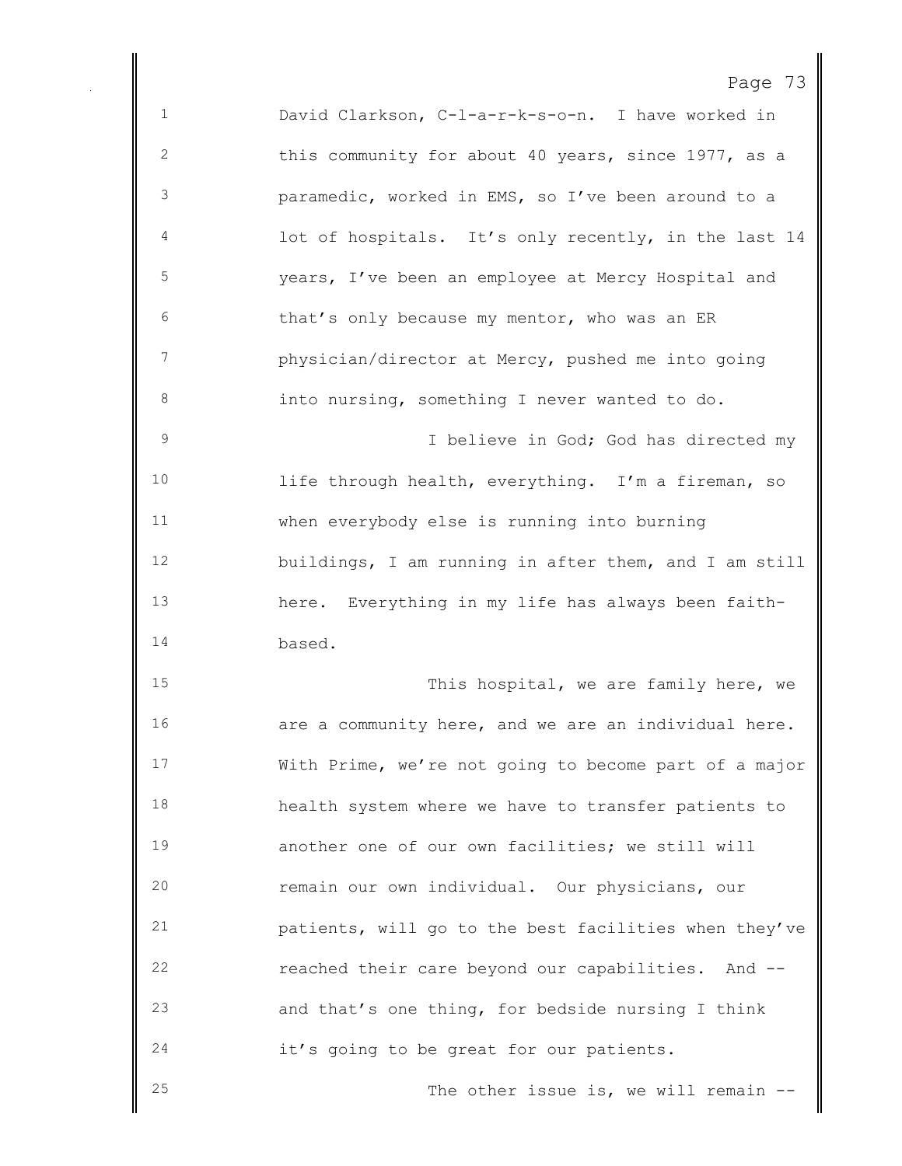Page 73 David Clarkson, C-l-a-r-k-s-o-n. I have worked in this community for about 40 years, since 1977, as a paramedic, worked in EMS, so I've been around to a lot of hospitals. It's only recently, in the last 14 years, I've been an employee at Mercy Hospital and that's only because my mentor, who was an ER physician/director at Mercy, pushed me into going into nursing, something I never wanted to do. 9 1 Delieve in God; God has directed my life through health, everything. I'm a fireman, so when everybody else is running into burning buildings, I am running in after them, and I am still here. Everything in my life has always been faith- based. 15 This hospital, we are family here, we are a community here, and we are an individual here. With Prime, we're not going to become part of a major health system where we have to transfer patients to another one of our own facilities; we still will remain our own individual. Our physicians, our patients, will go to the best facilities when they've reached their care beyond our capabilities. And -- and that's one thing, for bedside nursing I think it's going to be great for our patients. 25 The other issue is, we will remain --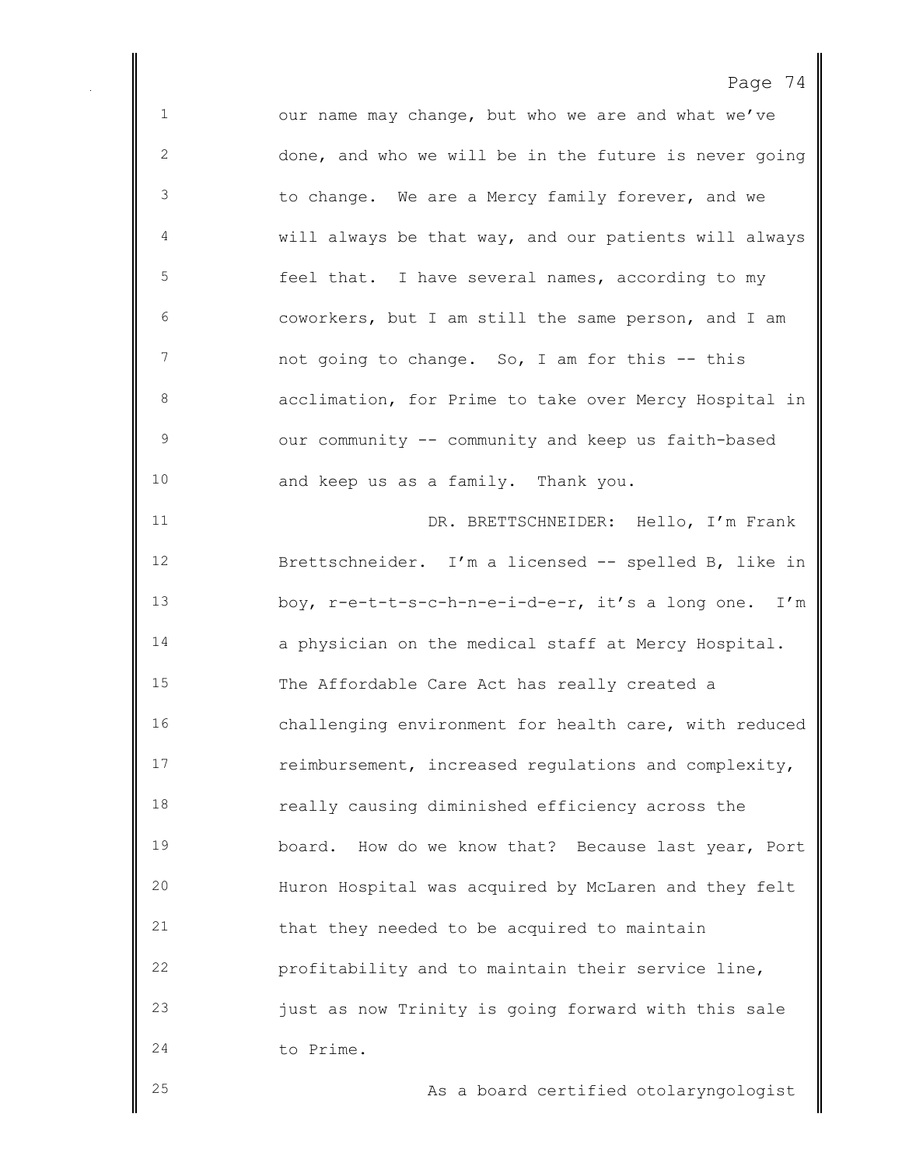our name may change, but who we are and what we've done, and who we will be in the future is never going to change. We are a Mercy family forever, and we will always be that way, and our patients will always feel that. I have several names, according to my coworkers, but I am still the same person, and I am 7 not going to change. So, I am for this -- this acclimation, for Prime to take over Mercy Hospital in our community -- community and keep us faith-based and keep us as a family. Thank you. DR. BRETTSCHNEIDER: Hello, I'm Frank Brettschneider. I'm a licensed -- spelled B, like in boy, r-e-t-t-s-c-h-n-e-i-d-e-r, it's a long one. I'm a physician on the medical staff at Mercy Hospital. The Affordable Care Act has really created a challenging environment for health care, with reduced reimbursement, increased regulations and complexity, really causing diminished efficiency across the board. How do we know that? Because last year, Port Huron Hospital was acquired by McLaren and they felt that they needed to be acquired to maintain profitability and to maintain their service line, just as now Trinity is going forward with this sale to Prime. As a board certified otolaryngologist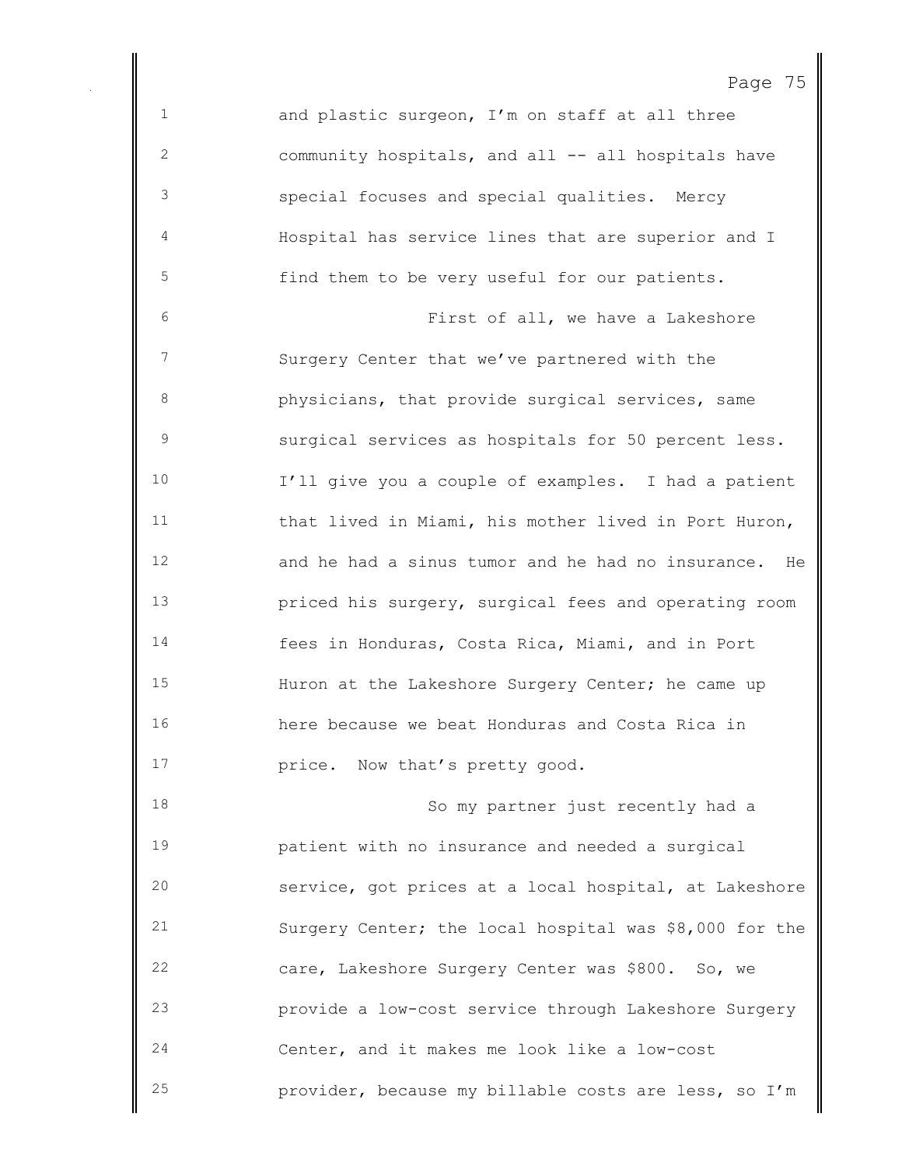and plastic surgeon, I'm on staff at all three community hospitals, and all -- all hospitals have special focuses and special qualities. Mercy Hospital has service lines that are superior and I find them to be very useful for our patients. First of all, we have a Lakeshore Surgery Center that we've partnered with the physicians, that provide surgical services, same surgical services as hospitals for 50 percent less. I'll give you a couple of examples. I had a patient that lived in Miami, his mother lived in Port Huron, and he had a sinus tumor and he had no insurance. He priced his surgery, surgical fees and operating room fees in Honduras, Costa Rica, Miami, and in Port Huron at the Lakeshore Surgery Center; he came up here because we beat Honduras and Costa Rica in **price.** Now that's pretty good. 18 So my partner just recently had a patient with no insurance and needed a surgical service, got prices at a local hospital, at Lakeshore Surgery Center; the local hospital was \$8,000 for the care, Lakeshore Surgery Center was \$800. So, we provide a low-cost service through Lakeshore Surgery Center, and it makes me look like a low-cost

provider, because my billable costs are less, so I'm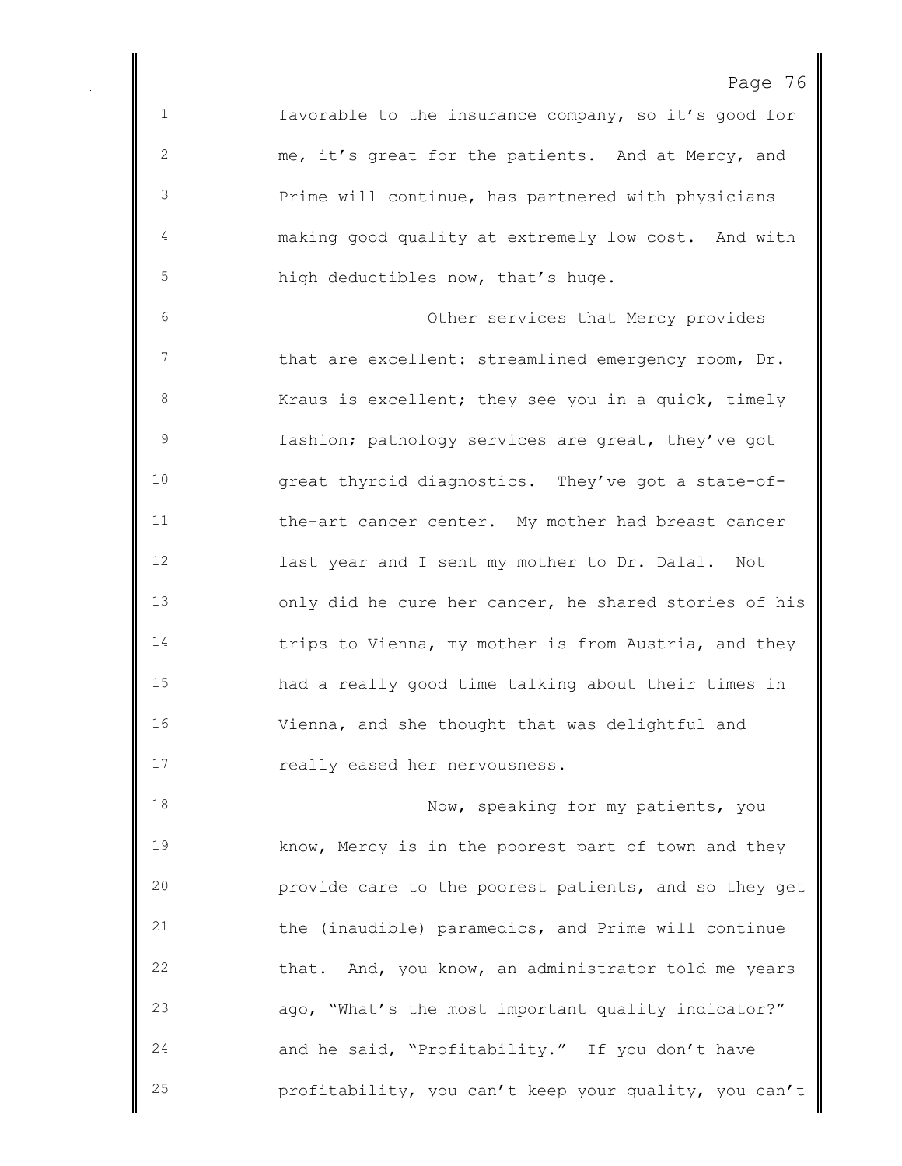favorable to the insurance company, so it's good for me, it's great for the patients. And at Mercy, and Prime will continue, has partnered with physicians making good quality at extremely low cost. And with high deductibles now, that's huge.

 Other services that Mercy provides 7 that are excellent: streamlined emergency room, Dr. 8 Kraus is excellent; they see you in a quick, timely fashion; pathology services are great, they've got great thyroid diagnostics. They've got a state-of- the-art cancer center. My mother had breast cancer last year and I sent my mother to Dr. Dalal. Not only did he cure her cancer, he shared stories of his trips to Vienna, my mother is from Austria, and they had a really good time talking about their times in Vienna, and she thought that was delightful and really eased her nervousness.

18 Now, speaking for my patients, you know, Mercy is in the poorest part of town and they provide care to the poorest patients, and so they get the (inaudible) paramedics, and Prime will continue that. And, you know, an administrator told me years ago, "What's the most important quality indicator?" and he said, "Profitability." If you don't have profitability, you can't keep your quality, you can't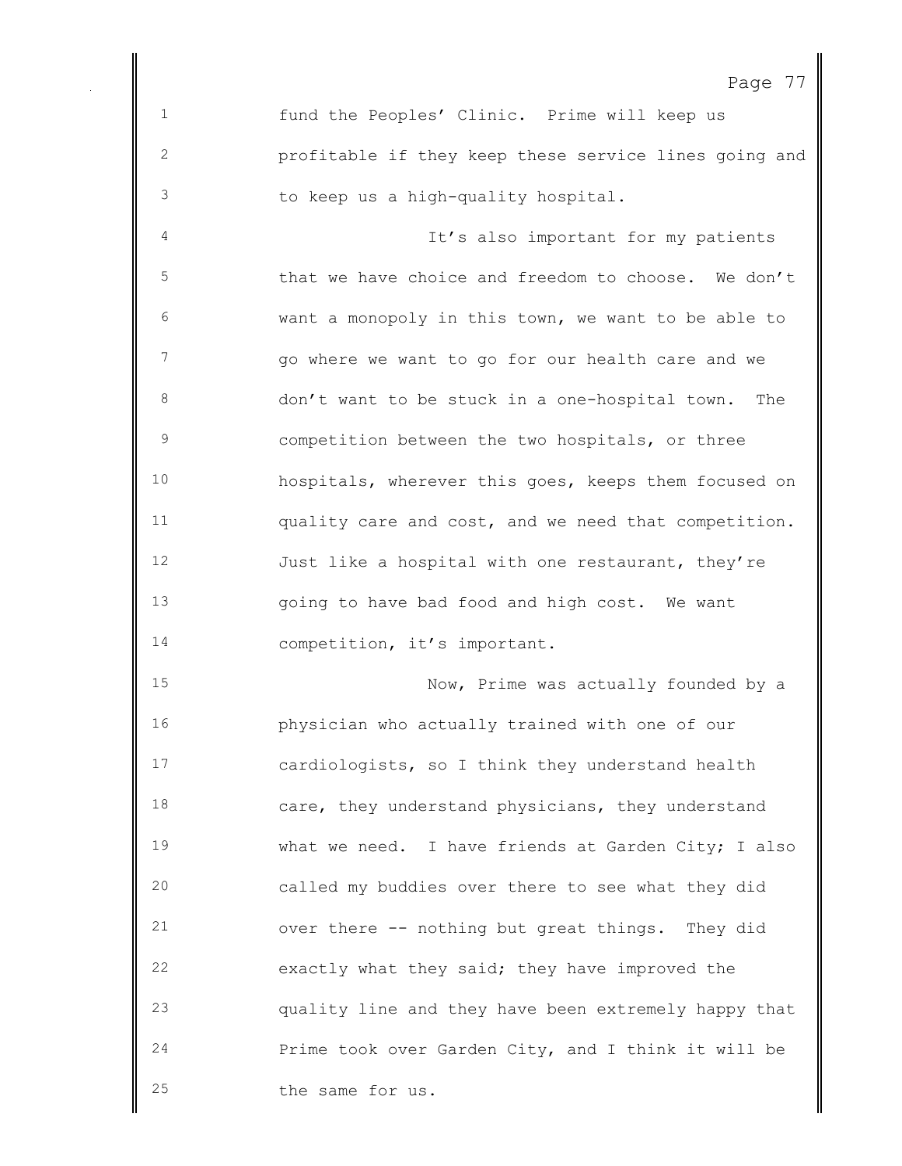fund the Peoples' Clinic. Prime will keep us profitable if they keep these service lines going and to keep us a high-quality hospital.

 It's also important for my patients that we have choice and freedom to choose. We don't want a monopoly in this town, we want to be able to go where we want to go for our health care and we don't want to be stuck in a one-hospital town. The competition between the two hospitals, or three hospitals, wherever this goes, keeps them focused on quality care and cost, and we need that competition. 12 Just like a hospital with one restaurant, they're going to have bad food and high cost. We want 14 competition, it's important.

15 Now, Prime was actually founded by a physician who actually trained with one of our cardiologists, so I think they understand health care, they understand physicians, they understand what we need. I have friends at Garden City; I also called my buddies over there to see what they did over there -- nothing but great things. They did exactly what they said; they have improved the quality line and they have been extremely happy that Prime took over Garden City, and I think it will be the same for us.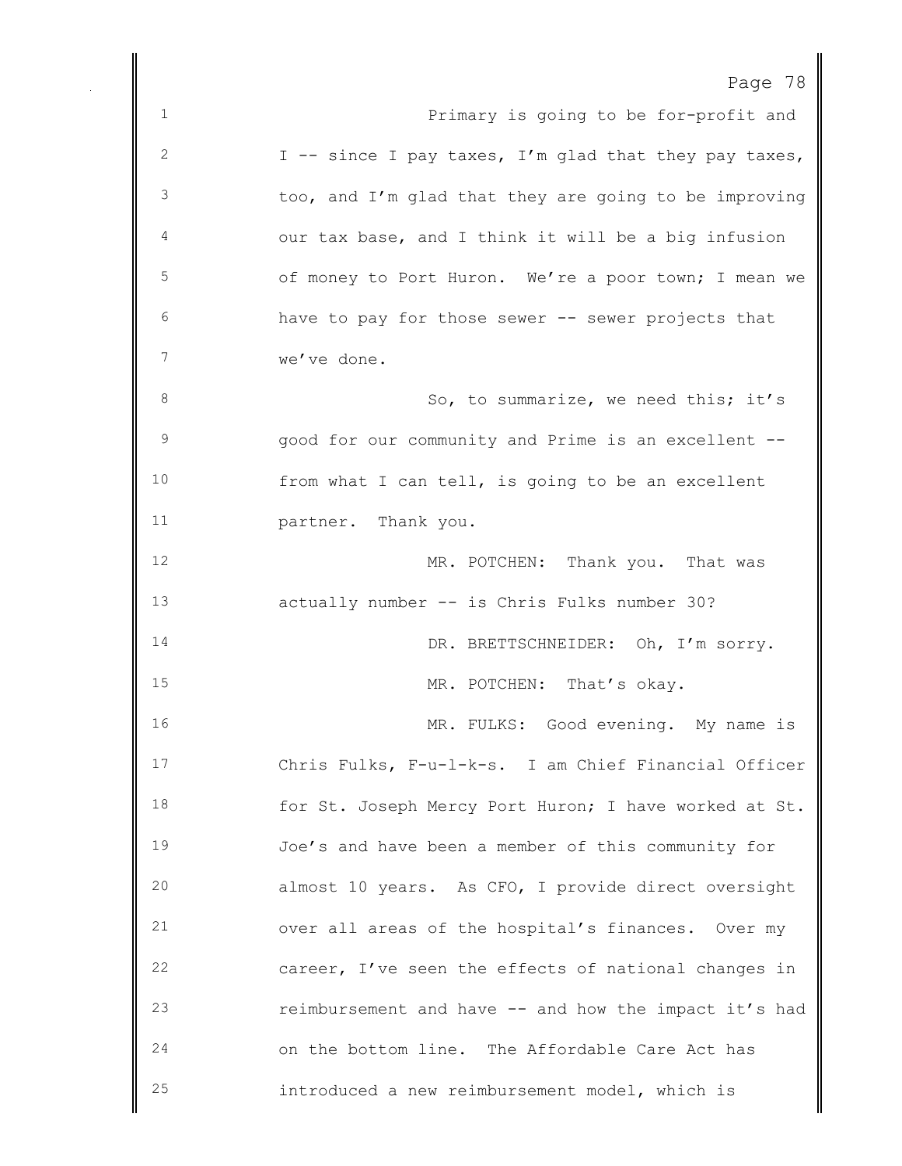| . വ<br>◅ |  |  |
|----------|--|--|
|----------|--|--|

| $\mathbf{1}$ | Primary is going to be for-profit and                 |
|--------------|-------------------------------------------------------|
| 2            | I -- since I pay taxes, I'm glad that they pay taxes, |
| 3            | too, and I'm glad that they are going to be improving |
| 4            | our tax base, and I think it will be a big infusion   |
| $\mathsf S$  | of money to Port Huron. We're a poor town; I mean we  |
| 6            | have to pay for those sewer -- sewer projects that    |
| 7            | we've done.                                           |
| 8            | So, to summarize, we need this; it's                  |
| 9            | good for our community and Prime is an excellent --   |
| 10           | from what I can tell, is going to be an excellent     |
| 11           | partner. Thank you.                                   |
| 12           | MR. POTCHEN: Thank you. That was                      |
| 13           | actually number -- is Chris Fulks number 30?          |
| 14           | DR. BRETTSCHNEIDER: Oh, I'm sorry.                    |
| 15           | MR. POTCHEN: That's okay.                             |
| 16           | MR. FULKS: Good evening. My name is                   |
| 17           | Chris Fulks, F-u-1-k-s. I am Chief Financial Officer  |
| 18           | for St. Joseph Mercy Port Huron; I have worked at St. |
| 19           | Joe's and have been a member of this community for    |
| 20           | almost 10 years. As CFO, I provide direct oversight   |
| 21           | over all areas of the hospital's finances. Over my    |
| 22           | career, I've seen the effects of national changes in  |
| 23           | reimbursement and have -- and how the impact it's had |
| 24           | on the bottom line. The Affordable Care Act has       |
| 25           | introduced a new reimbursement model, which is        |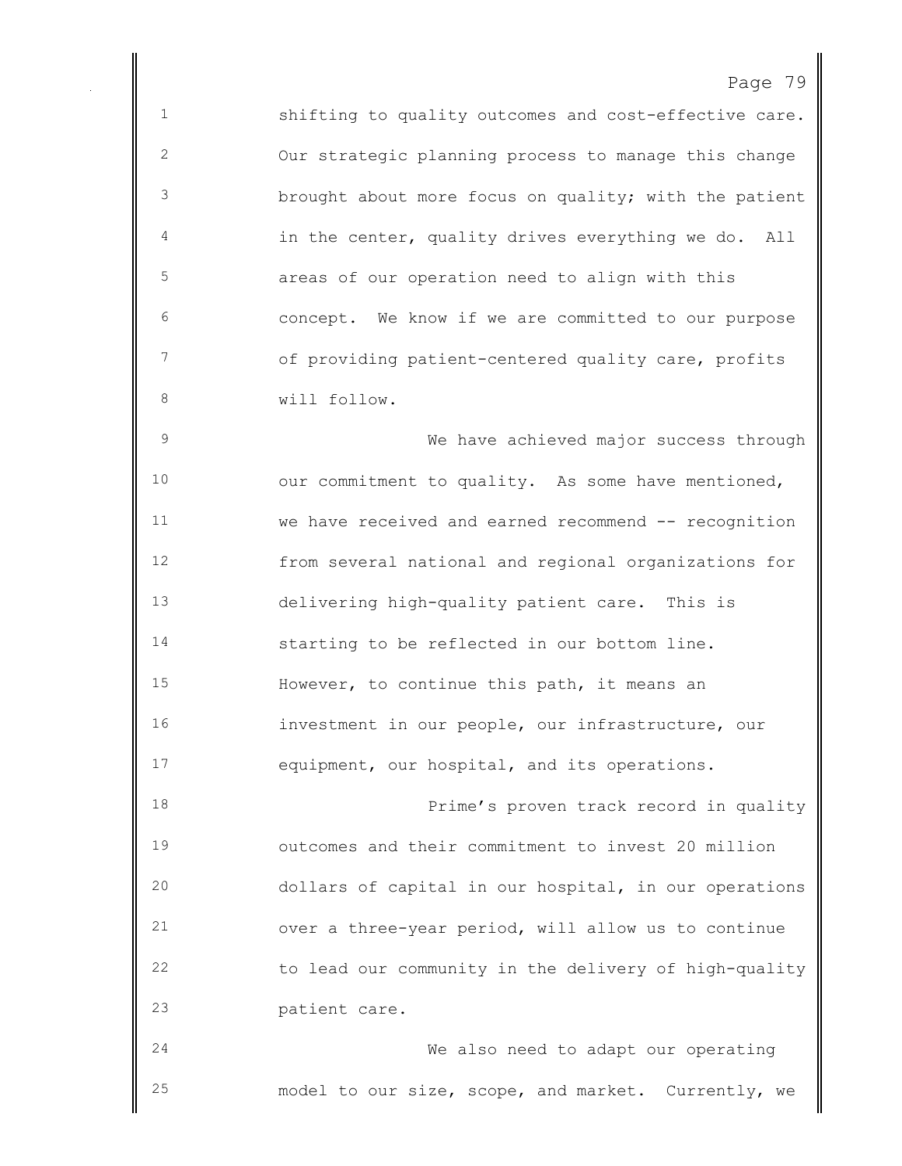shifting to quality outcomes and cost-effective care. Our strategic planning process to manage this change brought about more focus on quality; with the patient in the center, quality drives everything we do. All areas of our operation need to align with this concept. We know if we are committed to our purpose of providing patient-centered quality care, profits will follow. We have achieved major success through

10 our commitment to quality. As some have mentioned, we have received and earned recommend -- recognition from several national and regional organizations for delivering high-quality patient care. This is starting to be reflected in our bottom line. However, to continue this path, it means an investment in our people, our infrastructure, our equipment, our hospital, and its operations.

**Prime's proven track record in quality**  outcomes and their commitment to invest 20 million dollars of capital in our hospital, in our operations over a three-year period, will allow us to continue to lead our community in the delivery of high-quality patient care.

 We also need to adapt our operating model to our size, scope, and market. Currently, we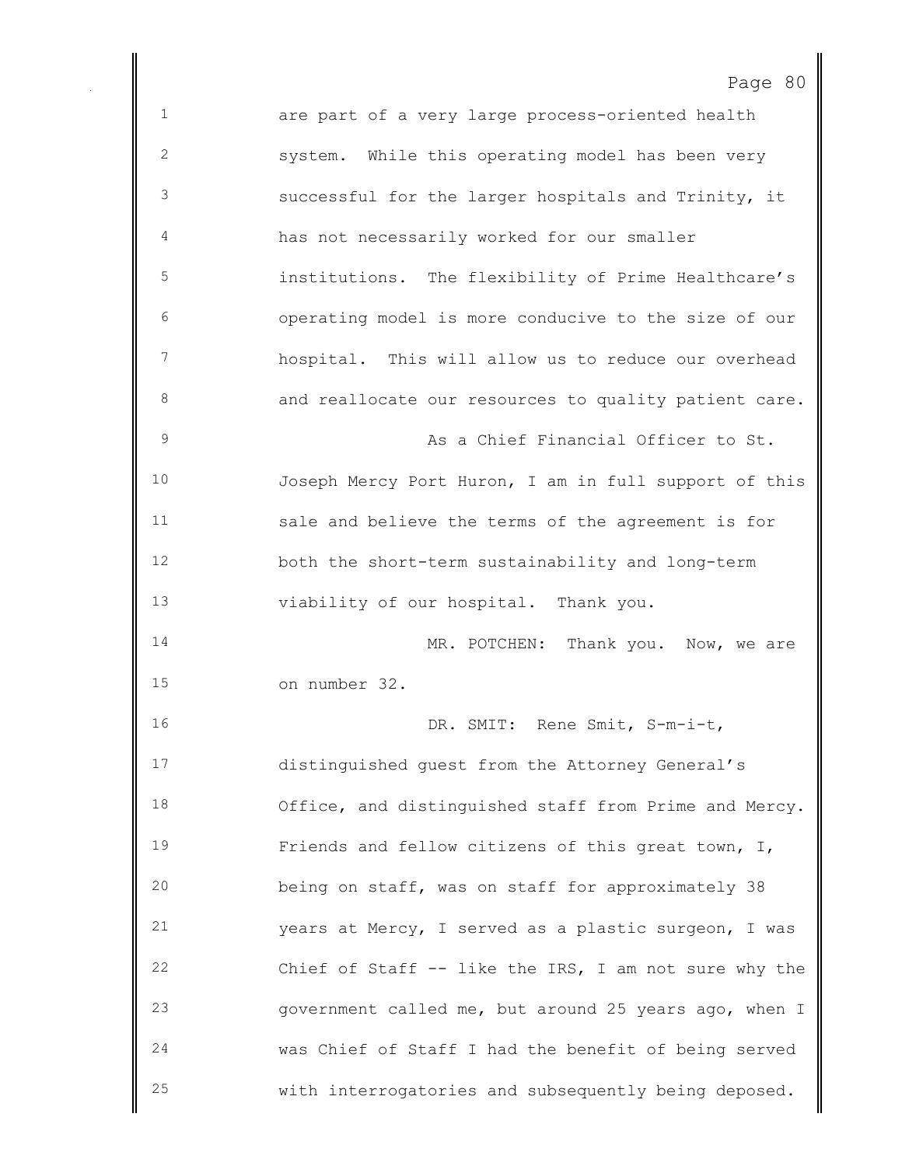are part of a very large process-oriented health system. While this operating model has been very successful for the larger hospitals and Trinity, it has not necessarily worked for our smaller institutions. The flexibility of Prime Healthcare's operating model is more conducive to the size of our hospital. This will allow us to reduce our overhead 8 and reallocate our resources to quality patient care. As a Chief Financial Officer to St. Joseph Mercy Port Huron, I am in full support of this sale and believe the terms of the agreement is for both the short-term sustainability and long-term viability of our hospital. Thank you. 14 MR. POTCHEN: Thank you. Now, we are on number 32. 16 DR. SMIT: Rene Smit, S-m-i-t, distinguished guest from the Attorney General's Office, and distinguished staff from Prime and Mercy. Friends and fellow citizens of this great town, I, being on staff, was on staff for approximately 38 years at Mercy, I served as a plastic surgeon, I was Chief of Staff -- like the IRS, I am not sure why the government called me, but around 25 years ago, when I was Chief of Staff I had the benefit of being served with interrogatories and subsequently being deposed.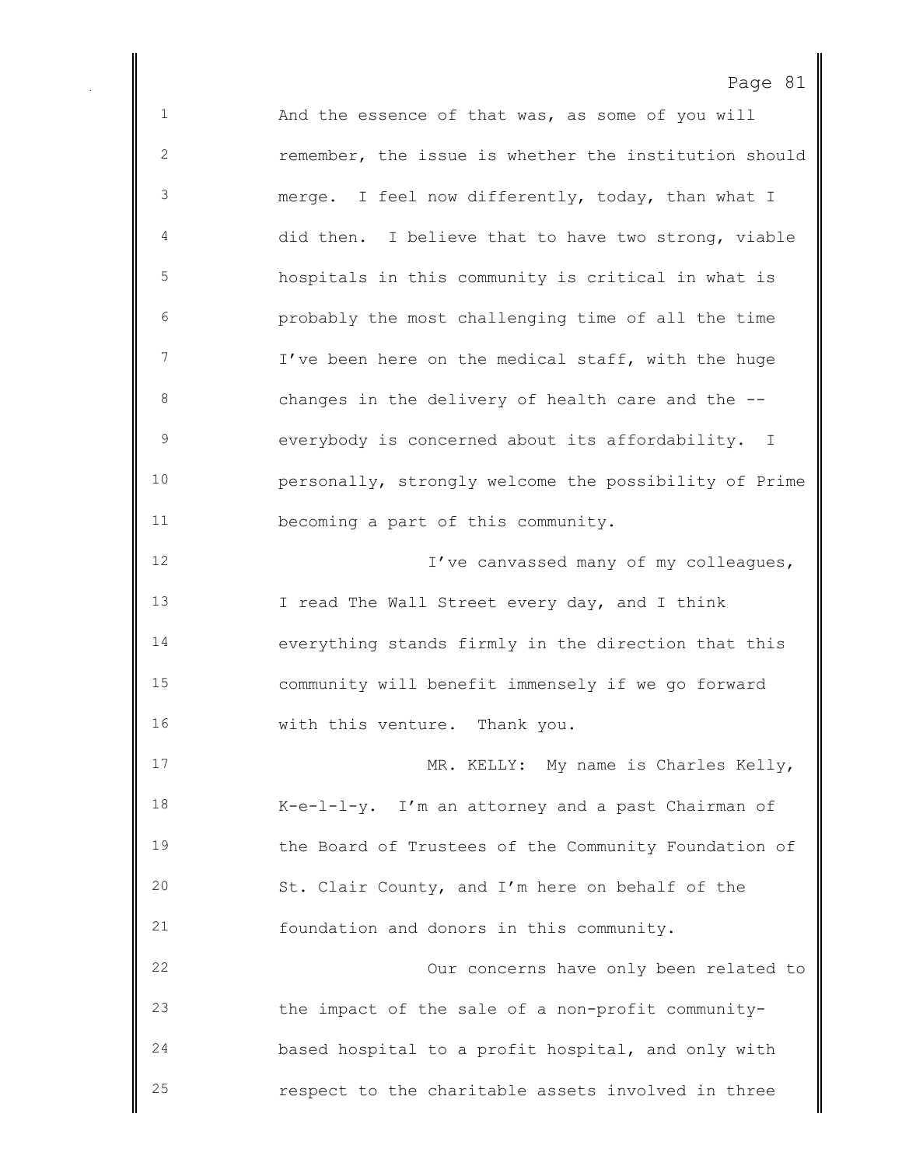| C<br>~ |  |
|--------|--|
|--------|--|

 And the essence of that was, as some of you will remember, the issue is whether the institution should merge. I feel now differently, today, than what I did then. I believe that to have two strong, viable hospitals in this community is critical in what is probably the most challenging time of all the time I've been here on the medical staff, with the huge changes in the delivery of health care and the -- everybody is concerned about its affordability. I personally, strongly welcome the possibility of Prime becoming a part of this community. **I've canvassed many of my colleagues,**  I read The Wall Street every day, and I think everything stands firmly in the direction that this community will benefit immensely if we go forward 16 with this venture. Thank you. 17 MR. KELLY: My name is Charles Kelly, K-e-l-l-y. I'm an attorney and a past Chairman of the Board of Trustees of the Community Foundation of St. Clair County, and I'm here on behalf of the foundation and donors in this community. Our concerns have only been related to the impact of the sale of a non-profit community- based hospital to a profit hospital, and only with respect to the charitable assets involved in three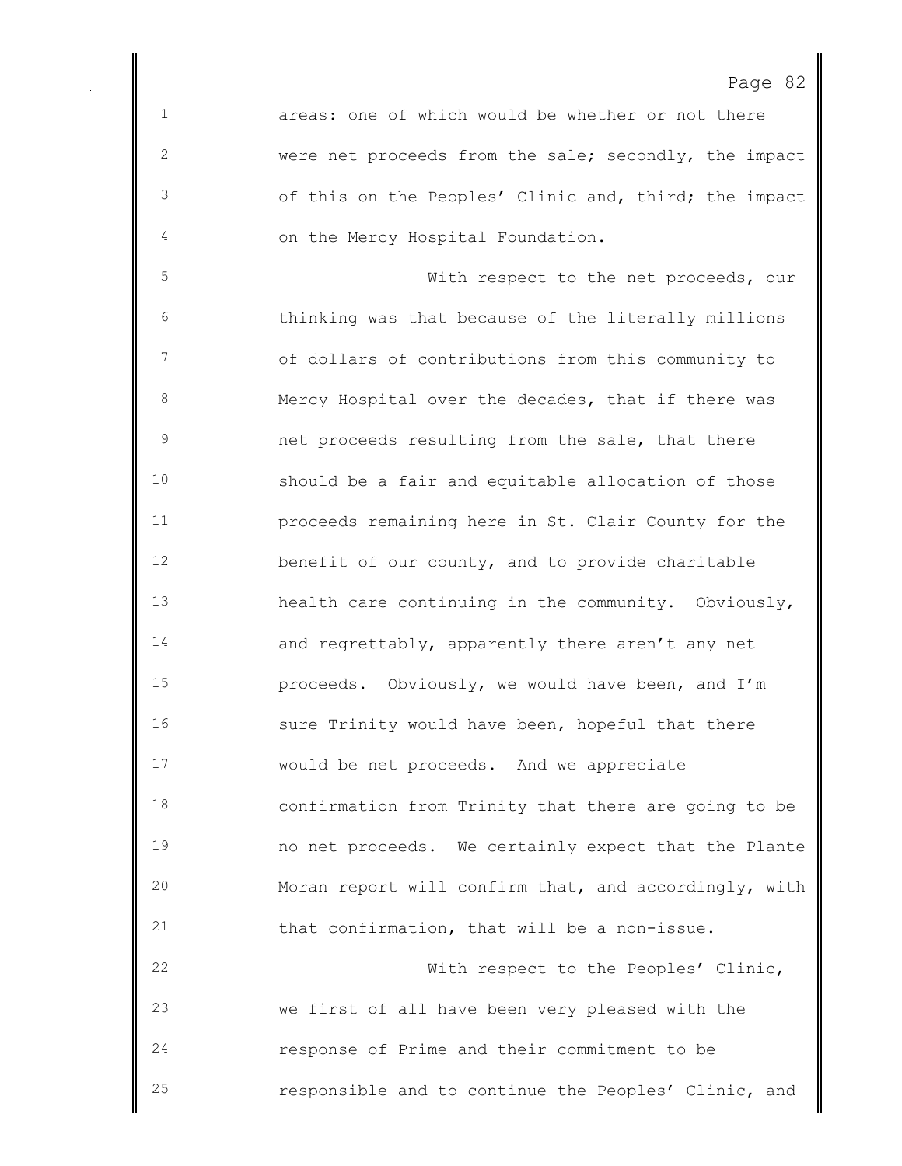areas: one of which would be whether or not there were net proceeds from the sale; secondly, the impact of this on the Peoples' Clinic and, third; the impact on the Mercy Hospital Foundation.

 With respect to the net proceeds, our thinking was that because of the literally millions of dollars of contributions from this community to Mercy Hospital over the decades, that if there was net proceeds resulting from the sale, that there should be a fair and equitable allocation of those proceeds remaining here in St. Clair County for the benefit of our county, and to provide charitable health care continuing in the community. Obviously, and regrettably, apparently there aren't any net proceeds. Obviously, we would have been, and I'm 16 sure Trinity would have been, hopeful that there would be net proceeds. And we appreciate confirmation from Trinity that there are going to be no net proceeds. We certainly expect that the Plante Moran report will confirm that, and accordingly, with that confirmation, that will be a non-issue. With respect to the Peoples' Clinic,

 we first of all have been very pleased with the response of Prime and their commitment to be responsible and to continue the Peoples' Clinic, and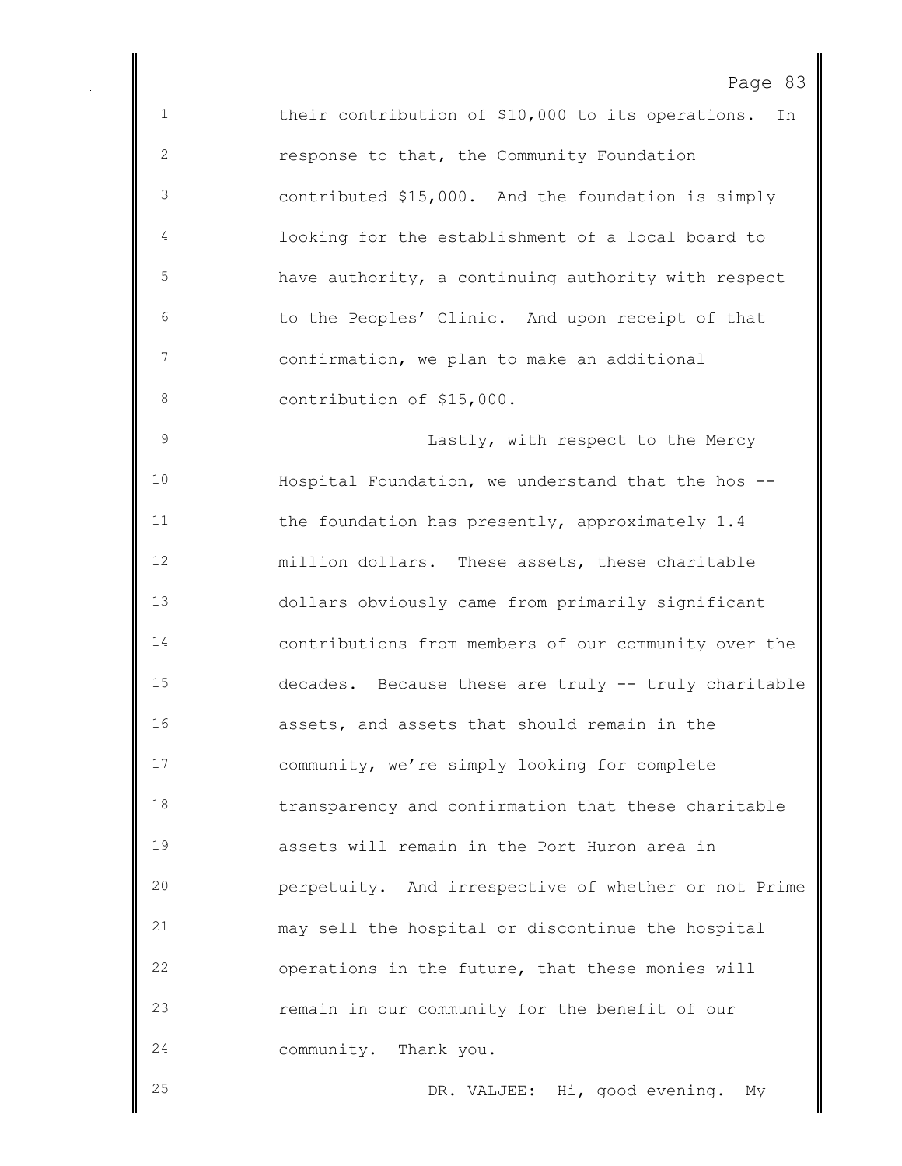their contribution of \$10,000 to its operations. In response to that, the Community Foundation contributed \$15,000. And the foundation is simply looking for the establishment of a local board to have authority, a continuing authority with respect to the Peoples' Clinic. And upon receipt of that confirmation, we plan to make an additional 8 contribution of \$15,000. Lastly, with respect to the Mercy Hospital Foundation, we understand that the hos -- the foundation has presently, approximately 1.4 million dollars. These assets, these charitable dollars obviously came from primarily significant contributions from members of our community over the decades. Because these are truly -- truly charitable assets, and assets that should remain in the community, we're simply looking for complete transparency and confirmation that these charitable assets will remain in the Port Huron area in perpetuity. And irrespective of whether or not Prime may sell the hospital or discontinue the hospital operations in the future, that these monies will remain in our community for the benefit of our

community. Thank you.

DR. VALJEE: Hi, good evening. My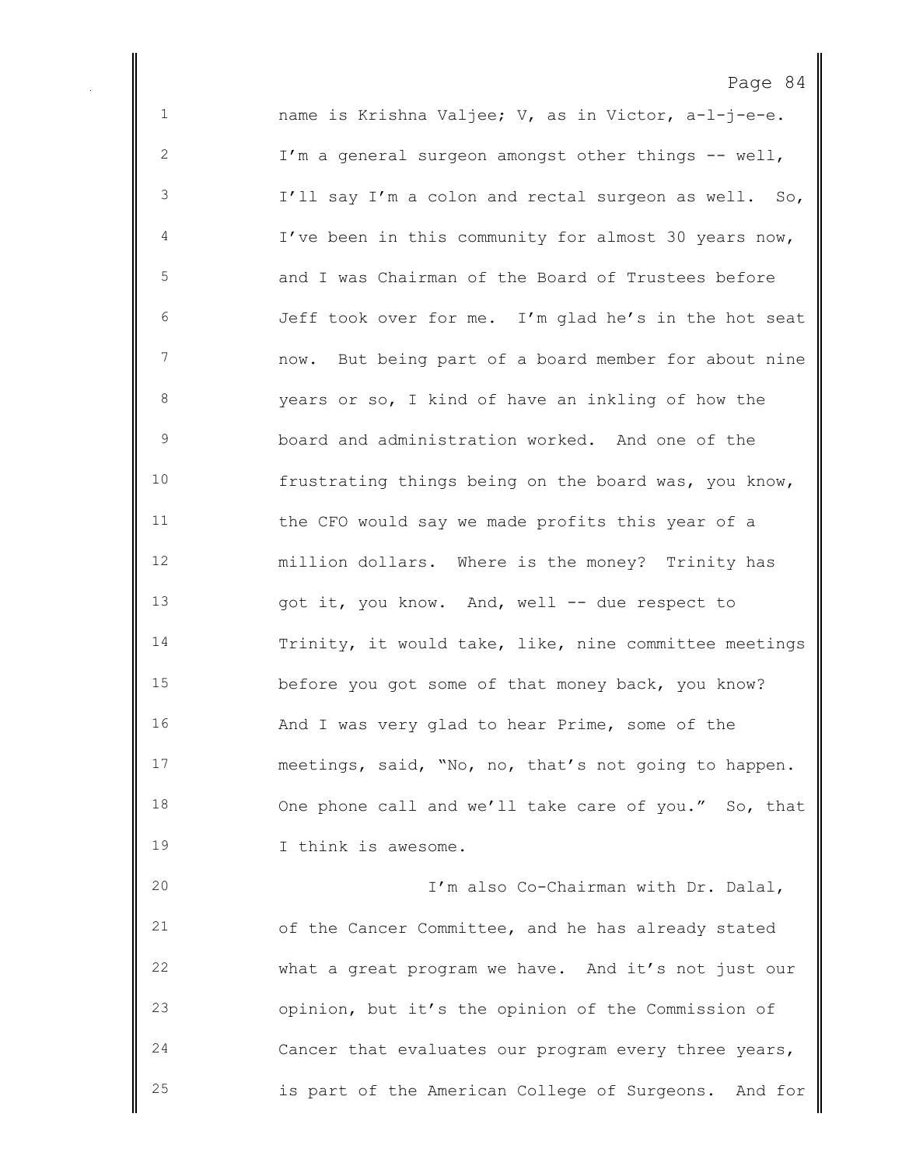name is Krishna Valjee; V, as in Victor, a-l-j-e-e. I'm a general surgeon amongst other things -- well, I'll say I'm a colon and rectal surgeon as well. So, I've been in this community for almost 30 years now, and I was Chairman of the Board of Trustees before Jeff took over for me. I'm glad he's in the hot seat now. But being part of a board member for about nine years or so, I kind of have an inkling of how the board and administration worked. And one of the frustrating things being on the board was, you know, the CFO would say we made profits this year of a million dollars. Where is the money? Trinity has 13 got it, you know. And, well -- due respect to Trinity, it would take, like, nine committee meetings before you got some of that money back, you know? And I was very glad to hear Prime, some of the meetings, said, "No, no, that's not going to happen. 18 One phone call and we'll take care of you." So, that I think is awesome. I'm also Co-Chairman with Dr. Dalal, of the Cancer Committee, and he has already stated what a great program we have. And it's not just our

 opinion, but it's the opinion of the Commission of Cancer that evaluates our program every three years, is part of the American College of Surgeons. And for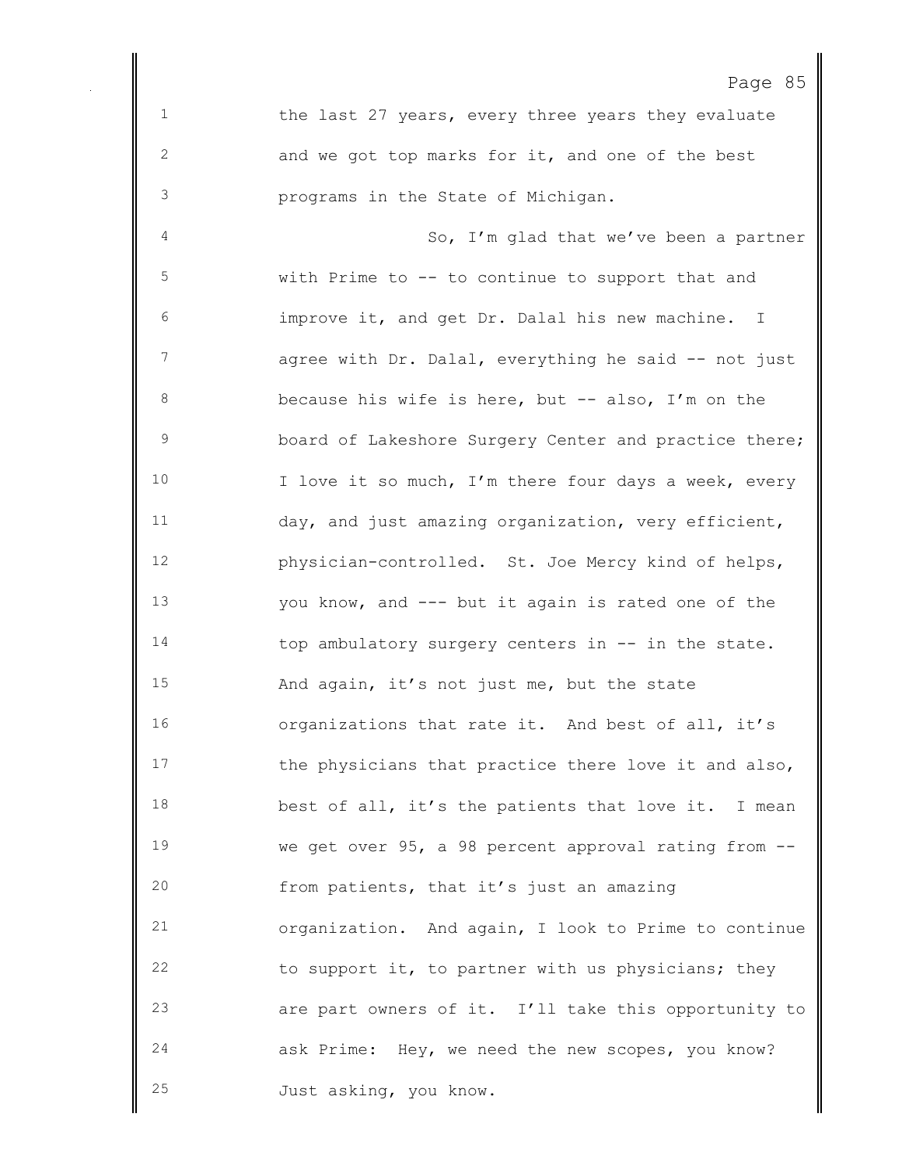1 the last 27 years, every three years they evaluate and we got top marks for it, and one of the best programs in the State of Michigan. So, I'm glad that we've been a partner with Prime to -- to continue to support that and improve it, and get Dr. Dalal his new machine. I 7 agree with Dr. Dalal, everything he said -- not just because his wife is here, but -- also, I'm on the board of Lakeshore Surgery Center and practice there; 10 I love it so much, I'm there four days a week, every day, and just amazing organization, very efficient, physician-controlled. St. Joe Mercy kind of helps, you know, and --- but it again is rated one of the 14 top ambulatory surgery centers in -- in the state. And again, it's not just me, but the state organizations that rate it. And best of all, it's 17 the physicians that practice there love it and also, best of all, it's the patients that love it. I mean we get over 95, a 98 percent approval rating from -- from patients, that it's just an amazing organization. And again, I look to Prime to continue to support it, to partner with us physicians; they are part owners of it. I'll take this opportunity to ask Prime: Hey, we need the new scopes, you know?

Just asking, you know.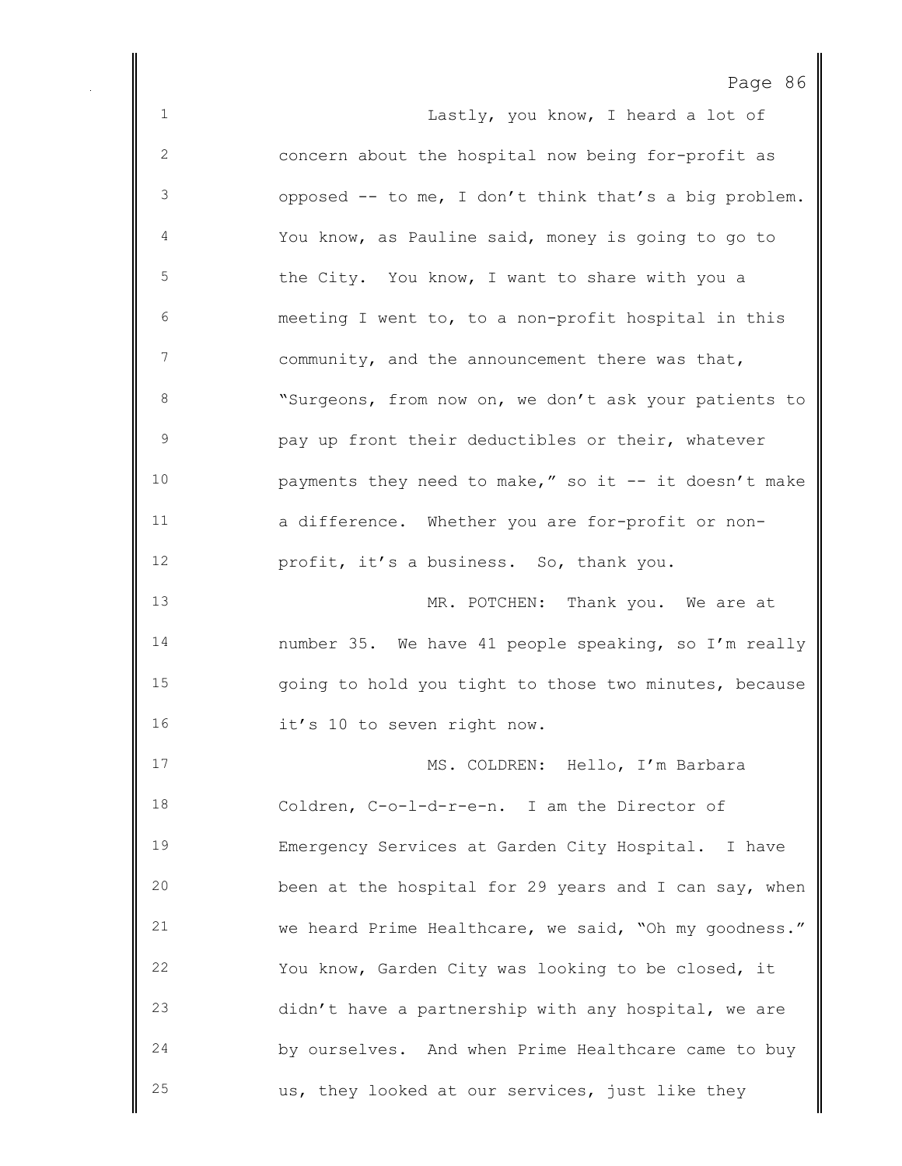| Page | 86 |
|------|----|
|------|----|

1 Lastly, you know, I heard a lot of concern about the hospital now being for-profit as opposed -- to me, I don't think that's a big problem. You know, as Pauline said, money is going to go to the City. You know, I want to share with you a meeting I went to, to a non-profit hospital in this community, and the announcement there was that, "Surgeons, from now on, we don't ask your patients to pay up front their deductibles or their, whatever payments they need to make," so it -- it doesn't make a difference. Whether you are for-profit or non- profit, it's a business. So, thank you. 13 MR. POTCHEN: Thank you. We are at number 35. We have 41 people speaking, so I'm really going to hold you tight to those two minutes, because 16 it's 10 to seven right now. MS. COLDREN: Hello, I'm Barbara Coldren, C-o-l-d-r-e-n. I am the Director of Emergency Services at Garden City Hospital. I have been at the hospital for 29 years and I can say, when we heard Prime Healthcare, we said, "Oh my goodness." You know, Garden City was looking to be closed, it didn't have a partnership with any hospital, we are by ourselves. And when Prime Healthcare came to buy us, they looked at our services, just like they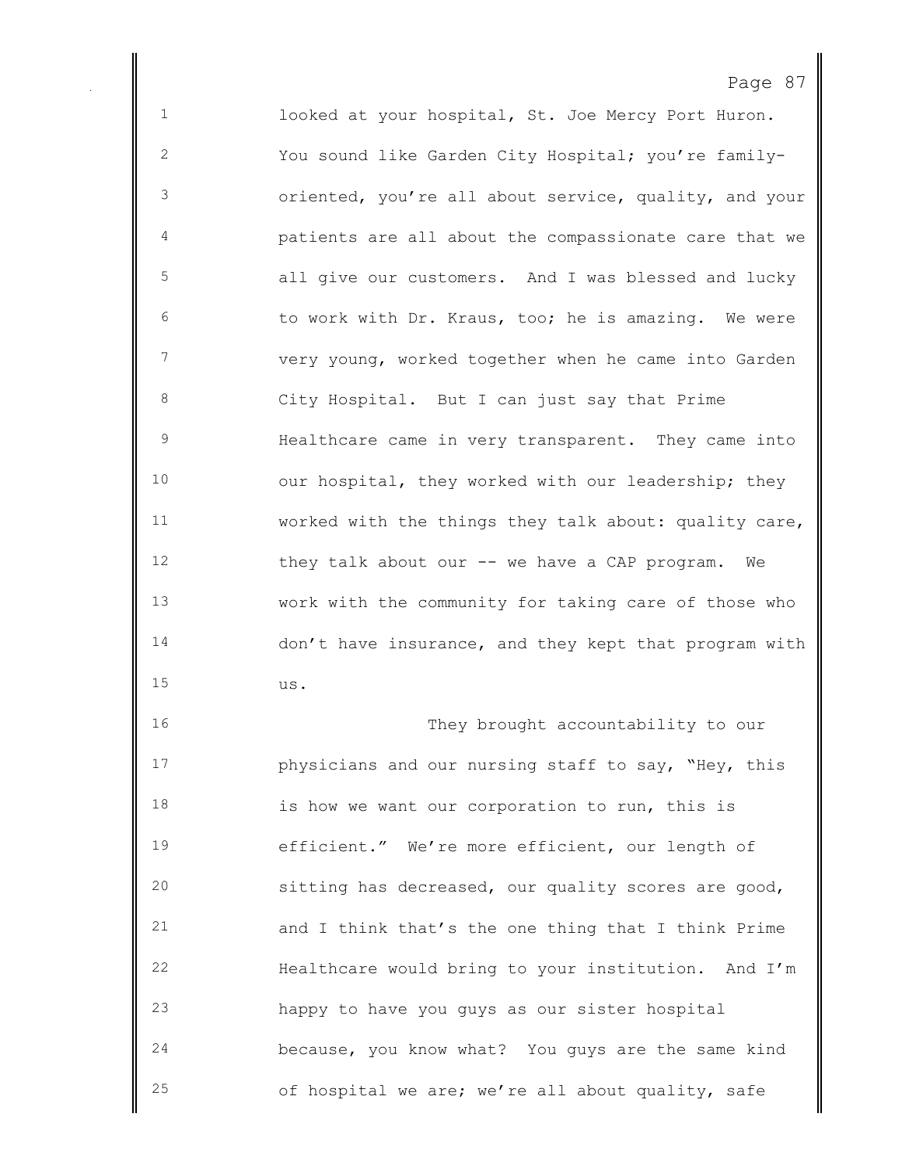looked at your hospital, St. Joe Mercy Port Huron. You sound like Garden City Hospital; you're family- oriented, you're all about service, quality, and your patients are all about the compassionate care that we all give our customers. And I was blessed and lucky to work with Dr. Kraus, too; he is amazing. We were very young, worked together when he came into Garden City Hospital. But I can just say that Prime Healthcare came in very transparent. They came into 10 our hospital, they worked with our leadership; they worked with the things they talk about: quality care, they talk about our -- we have a CAP program. We work with the community for taking care of those who don't have insurance, and they kept that program with us.

16 They brought accountability to our physicians and our nursing staff to say, "Hey, this is how we want our corporation to run, this is efficient." We're more efficient, our length of sitting has decreased, our quality scores are good, and I think that's the one thing that I think Prime Healthcare would bring to your institution. And I'm happy to have you guys as our sister hospital because, you know what? You guys are the same kind of hospital we are; we're all about quality, safe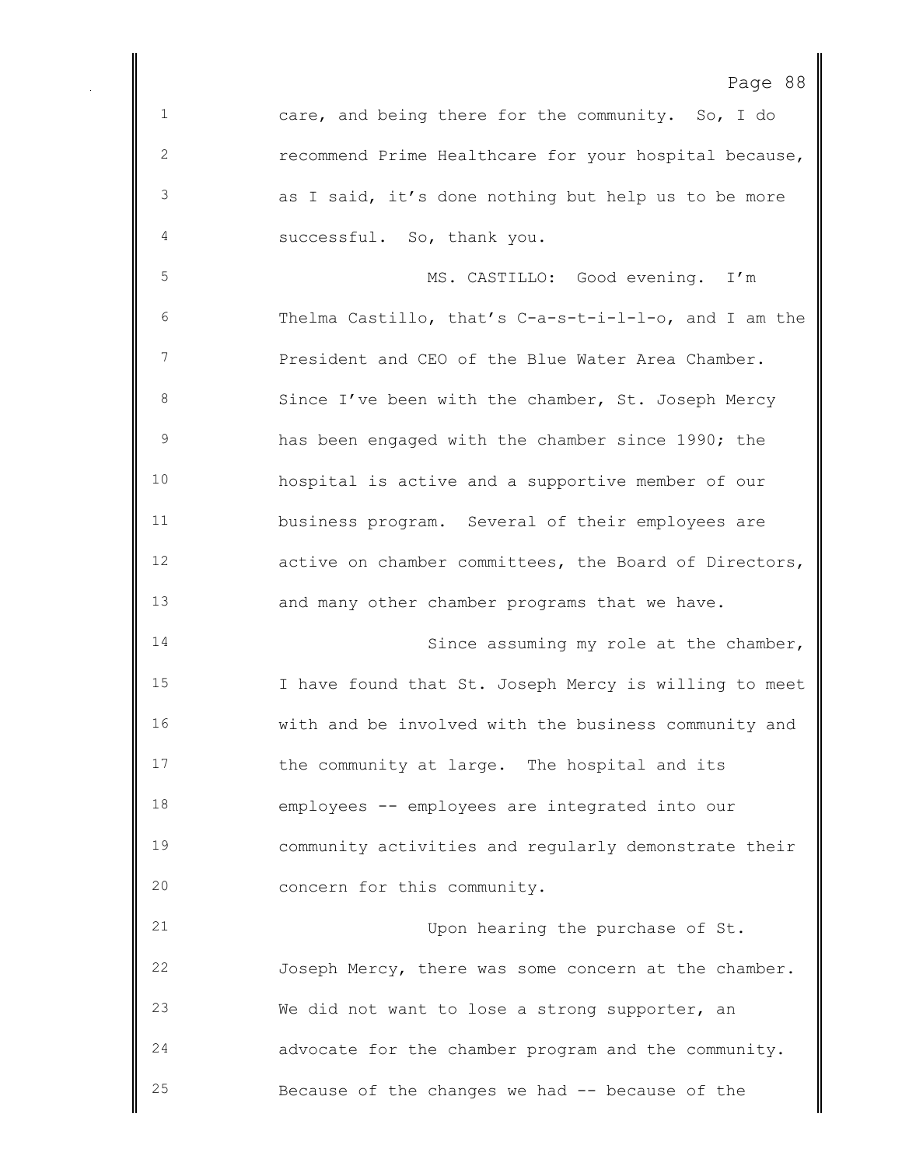```
Page 88
```
 care, and being there for the community. So, I do recommend Prime Healthcare for your hospital because, as I said, it's done nothing but help us to be more successful. So, thank you.

 MS. CASTILLO: Good evening. I'm Thelma Castillo, that's C-a-s-t-i-l-l-o, and I am the President and CEO of the Blue Water Area Chamber. 8 Since I've been with the chamber, St. Joseph Mercy has been engaged with the chamber since 1990; the hospital is active and a supportive member of our business program. Several of their employees are active on chamber committees, the Board of Directors, and many other chamber programs that we have.

14 Since assuming my role at the chamber, I have found that St. Joseph Mercy is willing to meet with and be involved with the business community and 17 the community at large. The hospital and its employees -- employees are integrated into our community activities and regularly demonstrate their concern for this community.

 Upon hearing the purchase of St. Joseph Mercy, there was some concern at the chamber. We did not want to lose a strong supporter, an advocate for the chamber program and the community. Because of the changes we had -- because of the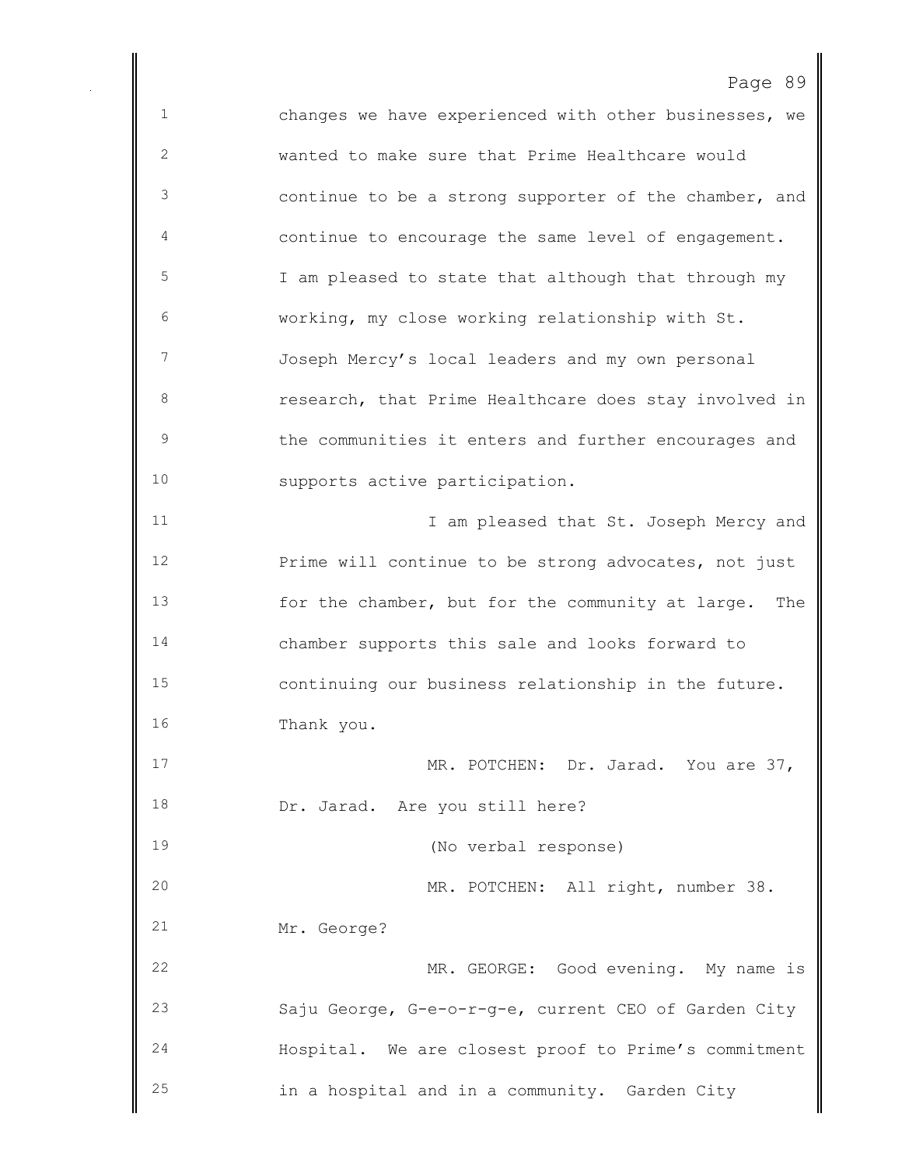Page 89 changes we have experienced with other businesses, we wanted to make sure that Prime Healthcare would continue to be a strong supporter of the chamber, and continue to encourage the same level of engagement. I am pleased to state that although that through my working, my close working relationship with St. Joseph Mercy's local leaders and my own personal research, that Prime Healthcare does stay involved in the communities it enters and further encourages and supports active participation. 11 11 I am pleased that St. Joseph Mercy and Prime will continue to be strong advocates, not just for the chamber, but for the community at large. The chamber supports this sale and looks forward to continuing our business relationship in the future. Thank you. MR. POTCHEN: Dr. Jarad. You are 37, 18 Dr. Jarad. Are you still here? (No verbal response) MR. POTCHEN: All right, number 38. Mr. George? MR. GEORGE: Good evening. My name is Saju George, G-e-o-r-g-e, current CEO of Garden City Hospital. We are closest proof to Prime's commitment in a hospital and in a community. Garden City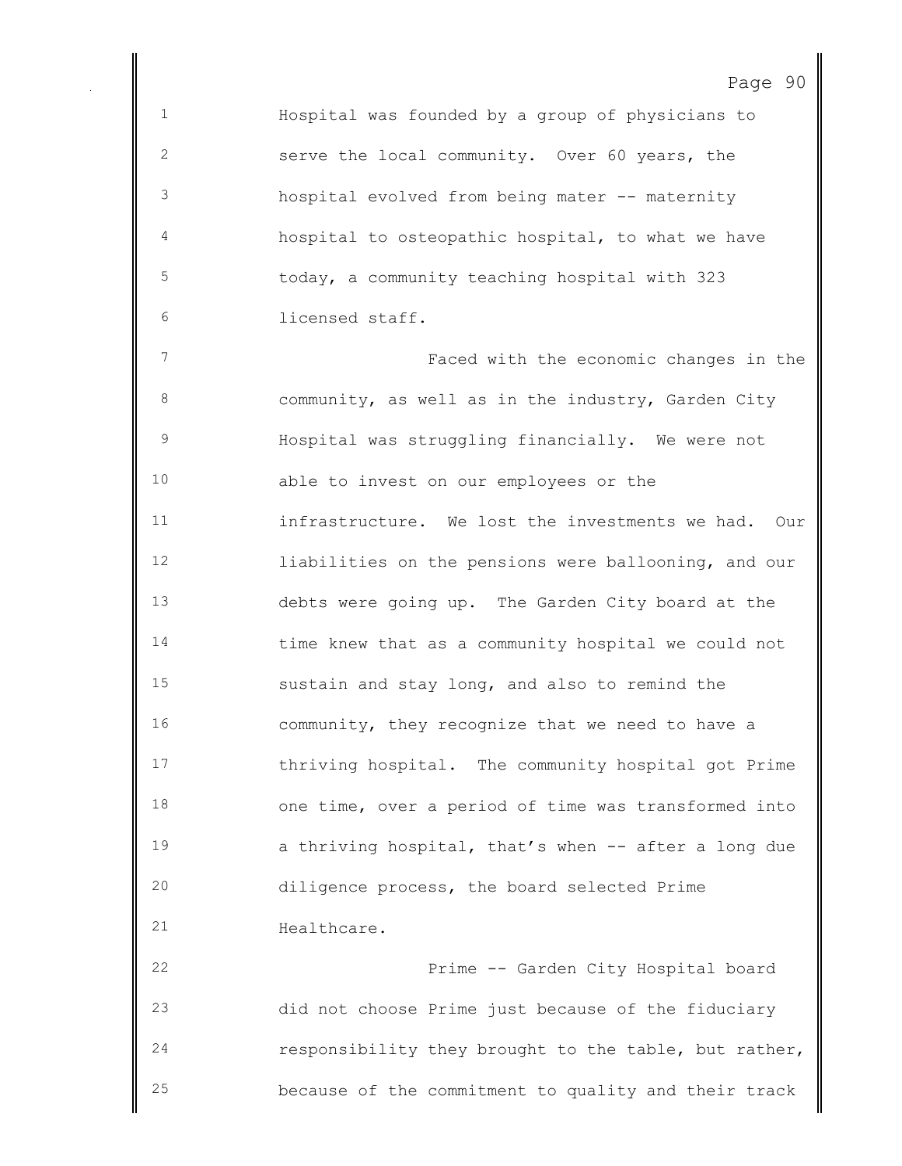Hospital was founded by a group of physicians to serve the local community. Over 60 years, the hospital evolved from being mater -- maternity hospital to osteopathic hospital, to what we have today, a community teaching hospital with 323 licensed staff.

 Faced with the economic changes in the community, as well as in the industry, Garden City Hospital was struggling financially. We were not able to invest on our employees or the infrastructure. We lost the investments we had. Our liabilities on the pensions were ballooning, and our debts were going up. The Garden City board at the time knew that as a community hospital we could not sustain and stay long, and also to remind the community, they recognize that we need to have a thriving hospital. The community hospital got Prime one time, over a period of time was transformed into **a** thriving hospital, that's when -- after a long due diligence process, the board selected Prime 21 Healthcare.

 Prime -- Garden City Hospital board did not choose Prime just because of the fiduciary responsibility they brought to the table, but rather, because of the commitment to quality and their track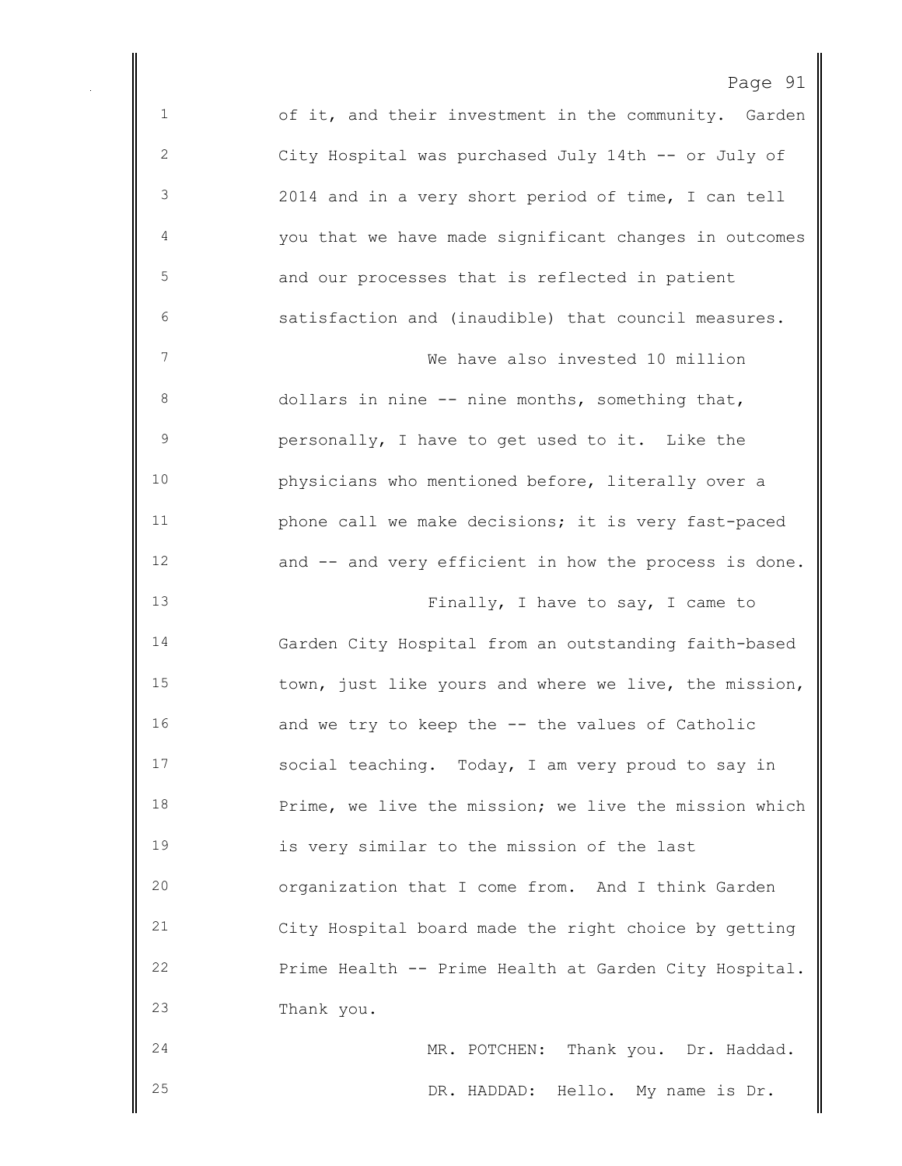of it, and their investment in the community. Garden City Hospital was purchased July 14th -- or July of 2014 and in a very short period of time, I can tell you that we have made significant changes in outcomes and our processes that is reflected in patient satisfaction and (inaudible) that council measures. We have also invested 10 million dollars in nine -- nine months, something that, personally, I have to get used to it. Like the physicians who mentioned before, literally over a **phone call we make decisions; it is very fast-paced**  and -- and very efficient in how the process is done. 13 Finally, I have to say, I came to Garden City Hospital from an outstanding faith-based town, just like yours and where we live, the mission, 16 and we try to keep the -- the values of Catholic social teaching. Today, I am very proud to say in Prime, we live the mission; we live the mission which is very similar to the mission of the last organization that I come from. And I think Garden City Hospital board made the right choice by getting Prime Health -- Prime Health at Garden City Hospital. Thank you. MR. POTCHEN: Thank you. Dr. Haddad.

DR. HADDAD: Hello. My name is Dr.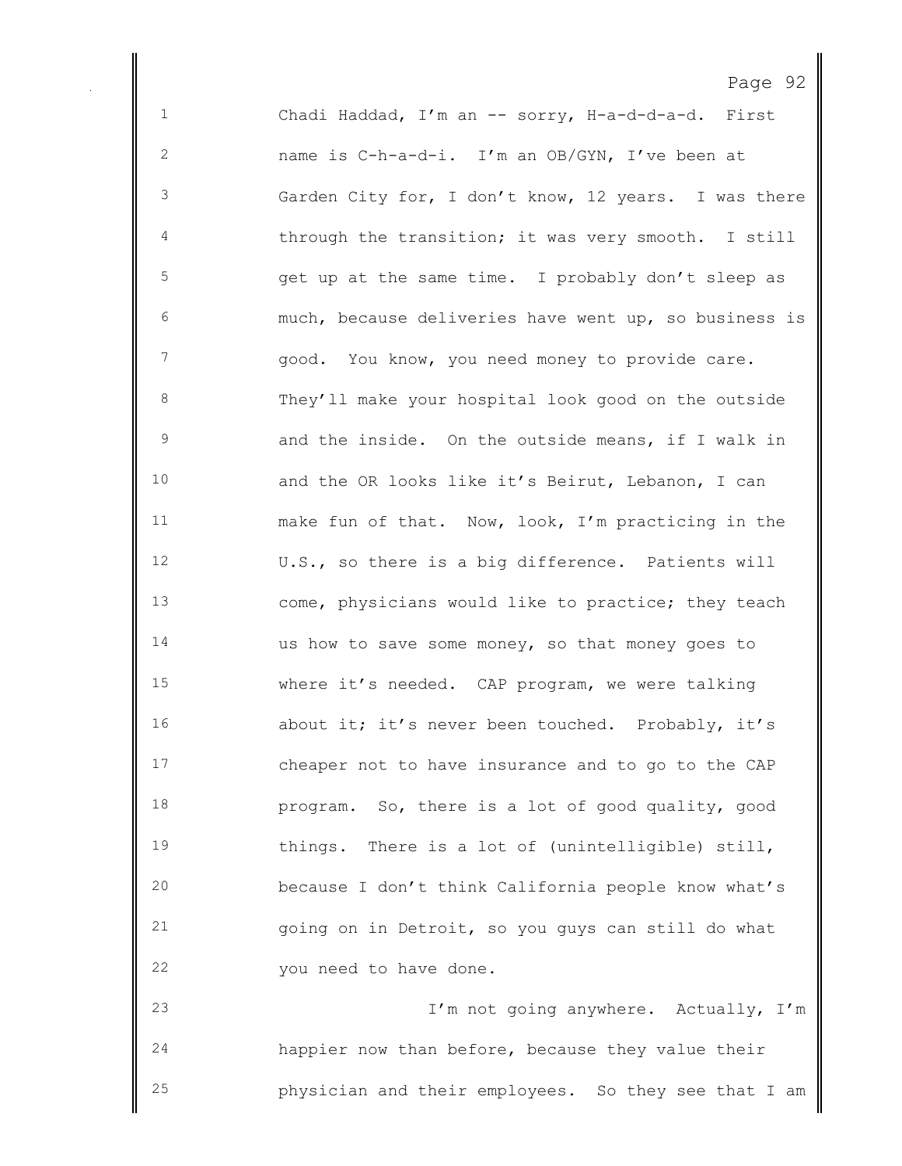Chadi Haddad, I'm an -- sorry, H-a-d-d-a-d. First name is C-h-a-d-i. I'm an OB/GYN, I've been at Garden City for, I don't know, 12 years. I was there through the transition; it was very smooth. I still get up at the same time. I probably don't sleep as much, because deliveries have went up, so business is 7 good. You know, you need money to provide care. They'll make your hospital look good on the outside and the inside. On the outside means, if I walk in and the OR looks like it's Beirut, Lebanon, I can make fun of that. Now, look, I'm practicing in the U.S., so there is a big difference. Patients will come, physicians would like to practice; they teach us how to save some money, so that money goes to where it's needed. CAP program, we were talking about it; it's never been touched. Probably, it's cheaper not to have insurance and to go to the CAP program. So, there is a lot of good quality, good things. There is a lot of (unintelligible) still, because I don't think California people know what's going on in Detroit, so you guys can still do what you need to have done. I'm not going anywhere. Actually, I'm

Page 92

 happier now than before, because they value their physician and their employees. So they see that I am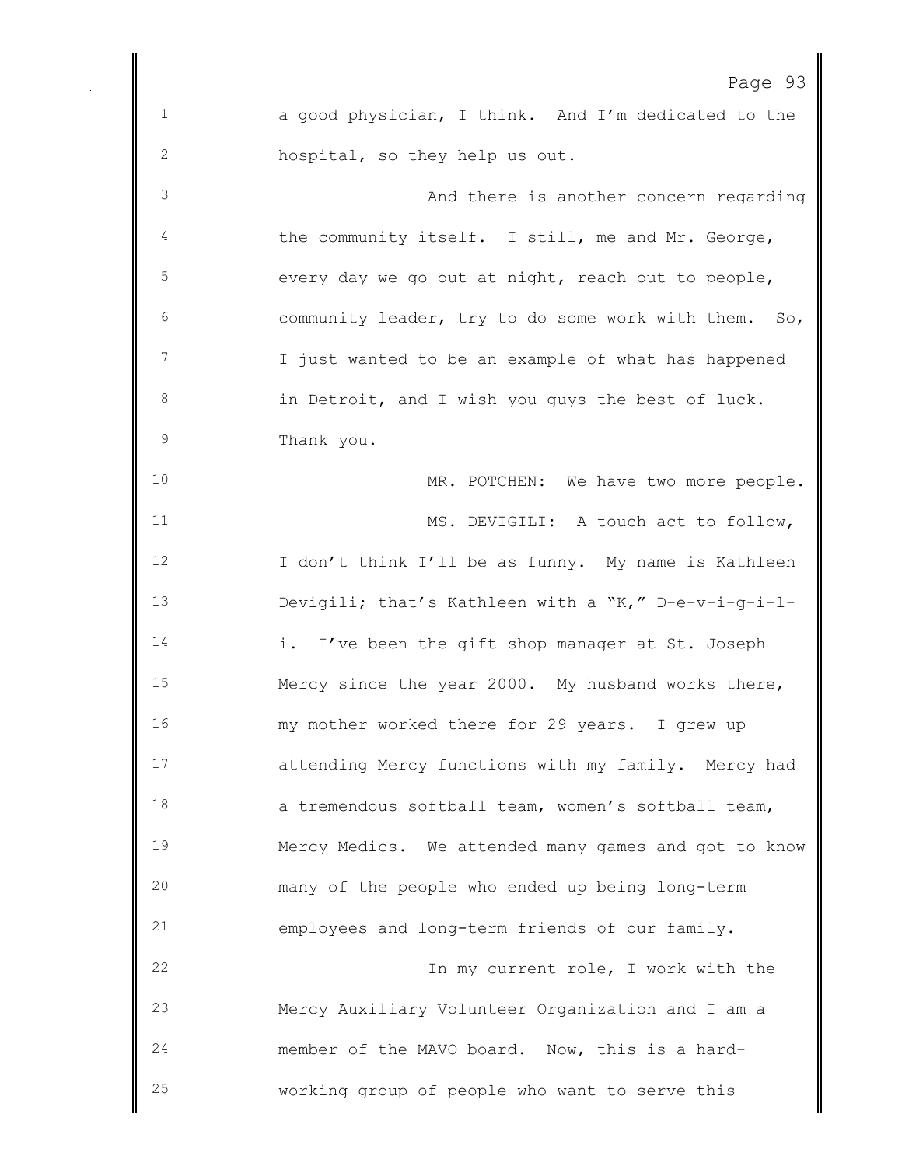Page 93 a good physician, I think. And I'm dedicated to the hospital, so they help us out. And there is another concern regarding the community itself. I still, me and Mr. George, every day we go out at night, reach out to people, community leader, try to do some work with them. So, 7 I just wanted to be an example of what has happened in Detroit, and I wish you guys the best of luck. Thank you. MR. POTCHEN: We have two more people. 11 MS. DEVIGILI: A touch act to follow, 12 I don't think I'll be as funny. My name is Kathleen Devigili; that's Kathleen with a "K," D-e-v-i-g-i-l- i. I've been the gift shop manager at St. Joseph Mercy since the year 2000. My husband works there, my mother worked there for 29 years. I grew up attending Mercy functions with my family. Mercy had a tremendous softball team, women's softball team, Mercy Medics. We attended many games and got to know many of the people who ended up being long-term employees and long-term friends of our family. In my current role, I work with the Mercy Auxiliary Volunteer Organization and I am a member of the MAVO board. Now, this is a hard-working group of people who want to serve this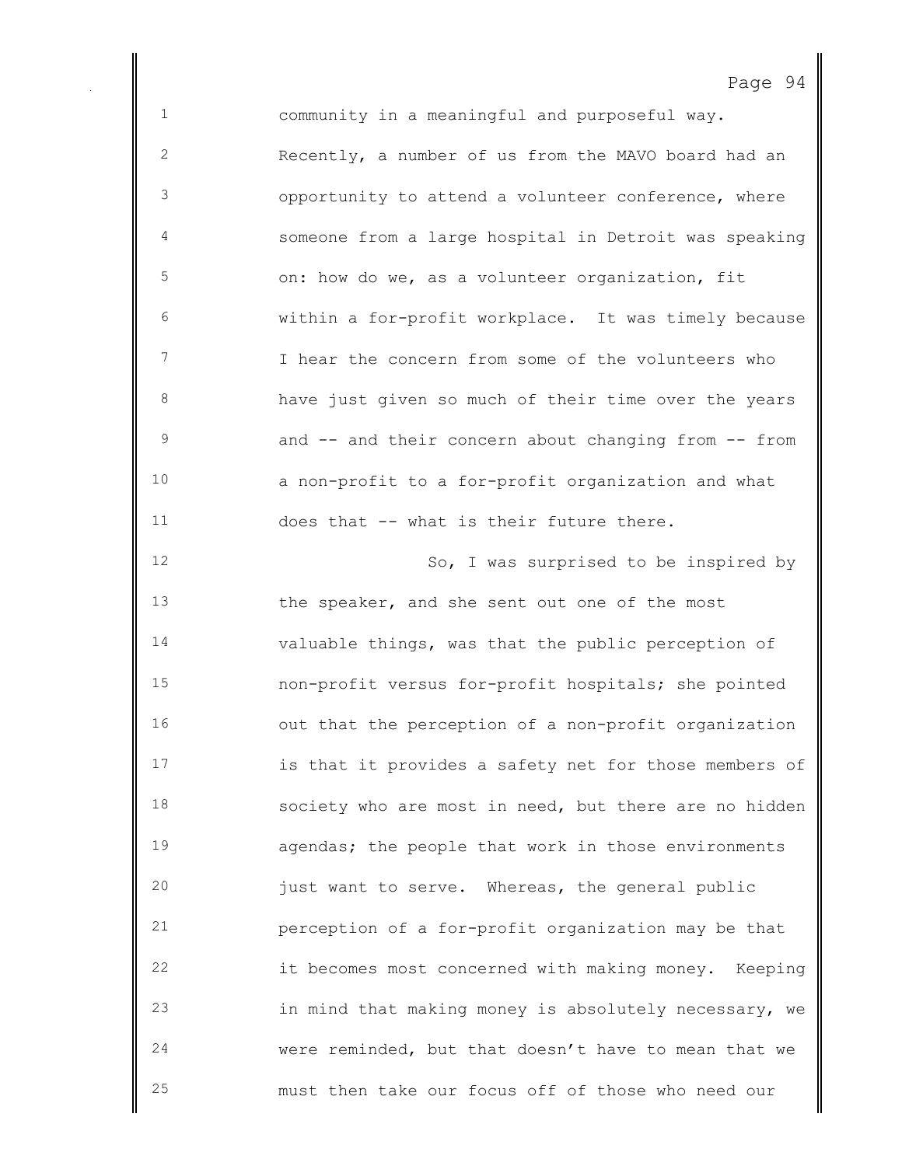community in a meaningful and purposeful way. Recently, a number of us from the MAVO board had an opportunity to attend a volunteer conference, where someone from a large hospital in Detroit was speaking on: how do we, as a volunteer organization, fit within a for-profit workplace. It was timely because I hear the concern from some of the volunteers who have just given so much of their time over the years and -- and their concern about changing from -- from a non-profit to a for-profit organization and what does that -- what is their future there. So, I was surprised to be inspired by the speaker, and she sent out one of the most valuable things, was that the public perception of non-profit versus for-profit hospitals; she pointed out that the perception of a non-profit organization is that it provides a safety net for those members of society who are most in need, but there are no hidden agendas; the people that work in those environments just want to serve. Whereas, the general public perception of a for-profit organization may be that it becomes most concerned with making money. Keeping in mind that making money is absolutely necessary, we were reminded, but that doesn't have to mean that we must then take our focus off of those who need our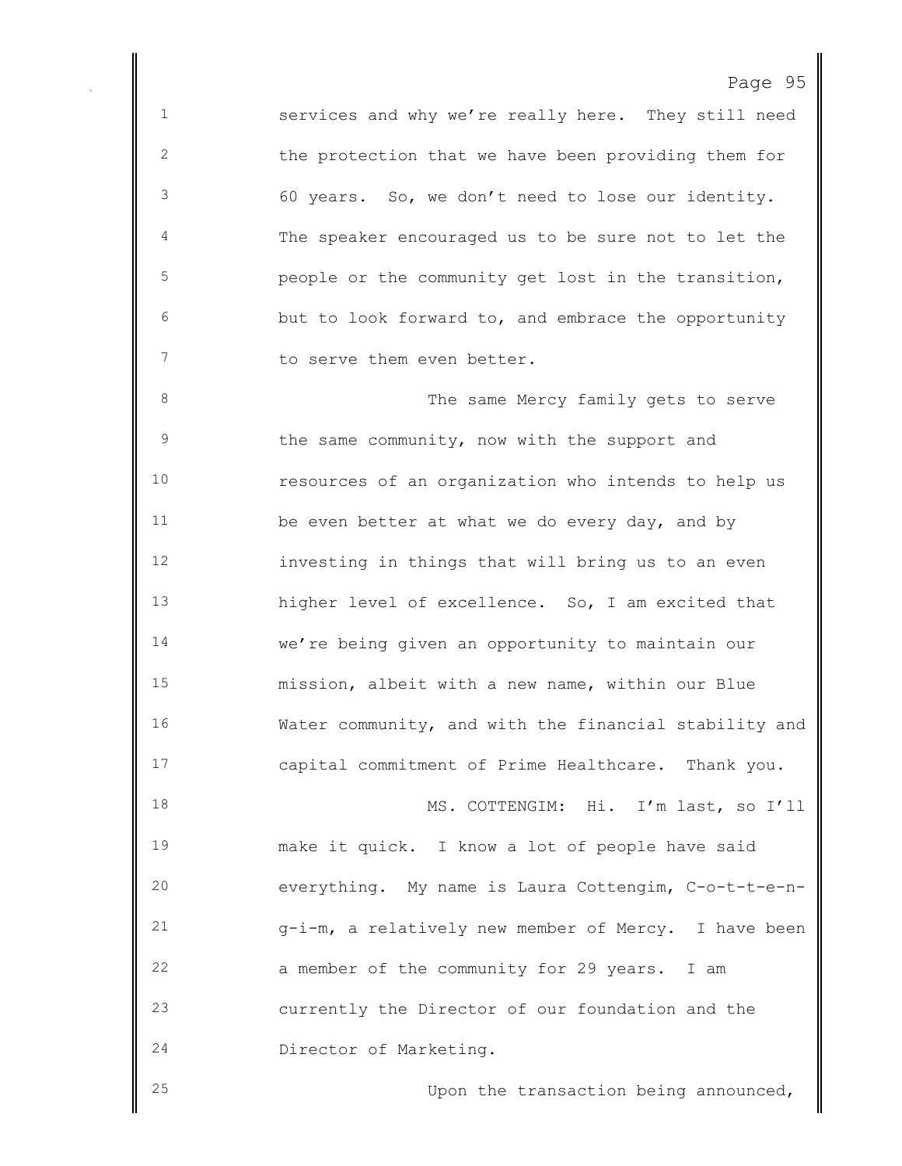services and why we're really here. They still need the protection that we have been providing them for 60 years. So, we don't need to lose our identity. The speaker encouraged us to be sure not to let the people or the community get lost in the transition, but to look forward to, and embrace the opportunity 7 to serve them even better.

8 The same Mercy family gets to serve the same community, now with the support and resources of an organization who intends to help us 11 be even better at what we do every day, and by investing in things that will bring us to an even higher level of excellence. So, I am excited that we're being given an opportunity to maintain our mission, albeit with a new name, within our Blue Water community, and with the financial stability and capital commitment of Prime Healthcare. Thank you. MS. COTTENGIM: Hi. I'm last, so I'll make it quick. I know a lot of people have said everything. My name is Laura Cottengim, C-o-t-t-e-n-

 g-i-m, a relatively new member of Mercy. I have been a member of the community for 29 years. I am currently the Director of our foundation and the Director of Marketing.

Upon the transaction being announced,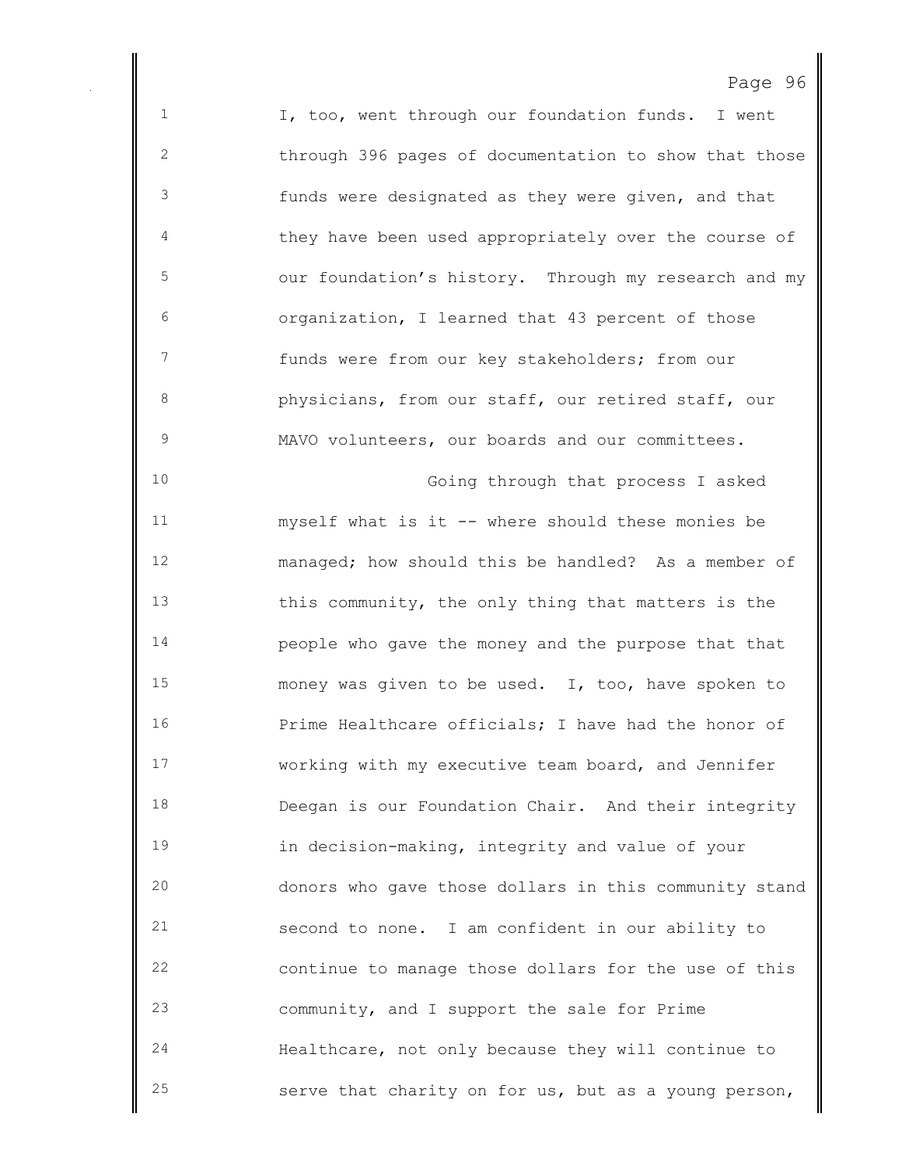I, too, went through our foundation funds. I went through 396 pages of documentation to show that those funds were designated as they were given, and that they have been used appropriately over the course of our foundation's history. Through my research and my organization, I learned that 43 percent of those funds were from our key stakeholders; from our physicians, from our staff, our retired staff, our MAVO volunteers, our boards and our committees. Going through that process I asked myself what is it -- where should these monies be managed; how should this be handled? As a member of this community, the only thing that matters is the people who gave the money and the purpose that that money was given to be used. I, too, have spoken to Prime Healthcare officials; I have had the honor of working with my executive team board, and Jennifer Deegan is our Foundation Chair. And their integrity in decision-making, integrity and value of your donors who gave those dollars in this community stand second to none. I am confident in our ability to continue to manage those dollars for the use of this community, and I support the sale for Prime Healthcare, not only because they will continue to serve that charity on for us, but as a young person,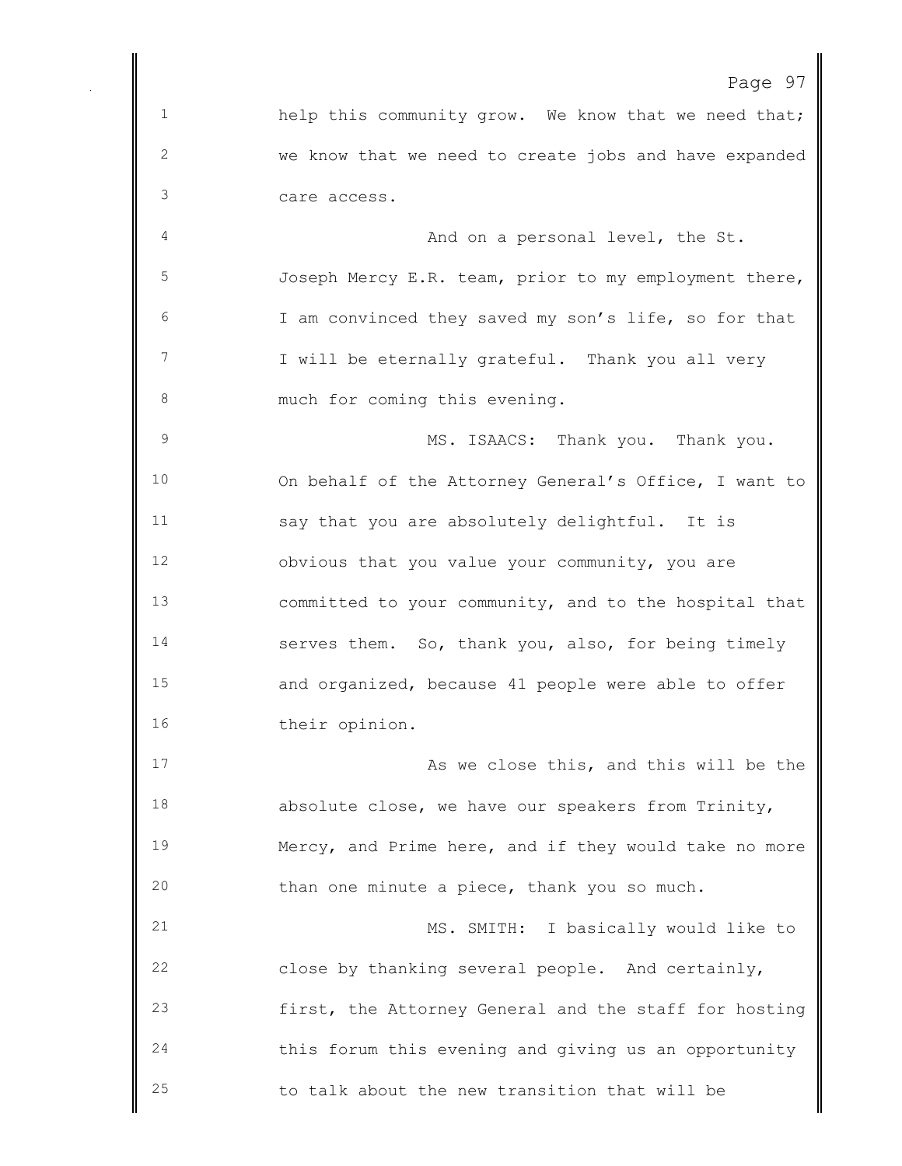help this community grow. We know that we need that; we know that we need to create jobs and have expanded care access. 4 And on a personal level, the St.

 Joseph Mercy E.R. team, prior to my employment there, I am convinced they saved my son's life, so for that 7 I will be eternally grateful. Thank you all very 8 much for coming this evening.

 MS. ISAACS: Thank you. Thank you. On behalf of the Attorney General's Office, I want to say that you are absolutely delightful. It is obvious that you value your community, you are committed to your community, and to the hospital that serves them. So, thank you, also, for being timely and organized, because 41 people were able to offer their opinion.

17 As we close this, and this will be the absolute close, we have our speakers from Trinity, Mercy, and Prime here, and if they would take no more than one minute a piece, thank you so much.

 MS. SMITH: I basically would like to close by thanking several people. And certainly, first, the Attorney General and the staff for hosting this forum this evening and giving us an opportunity to talk about the new transition that will be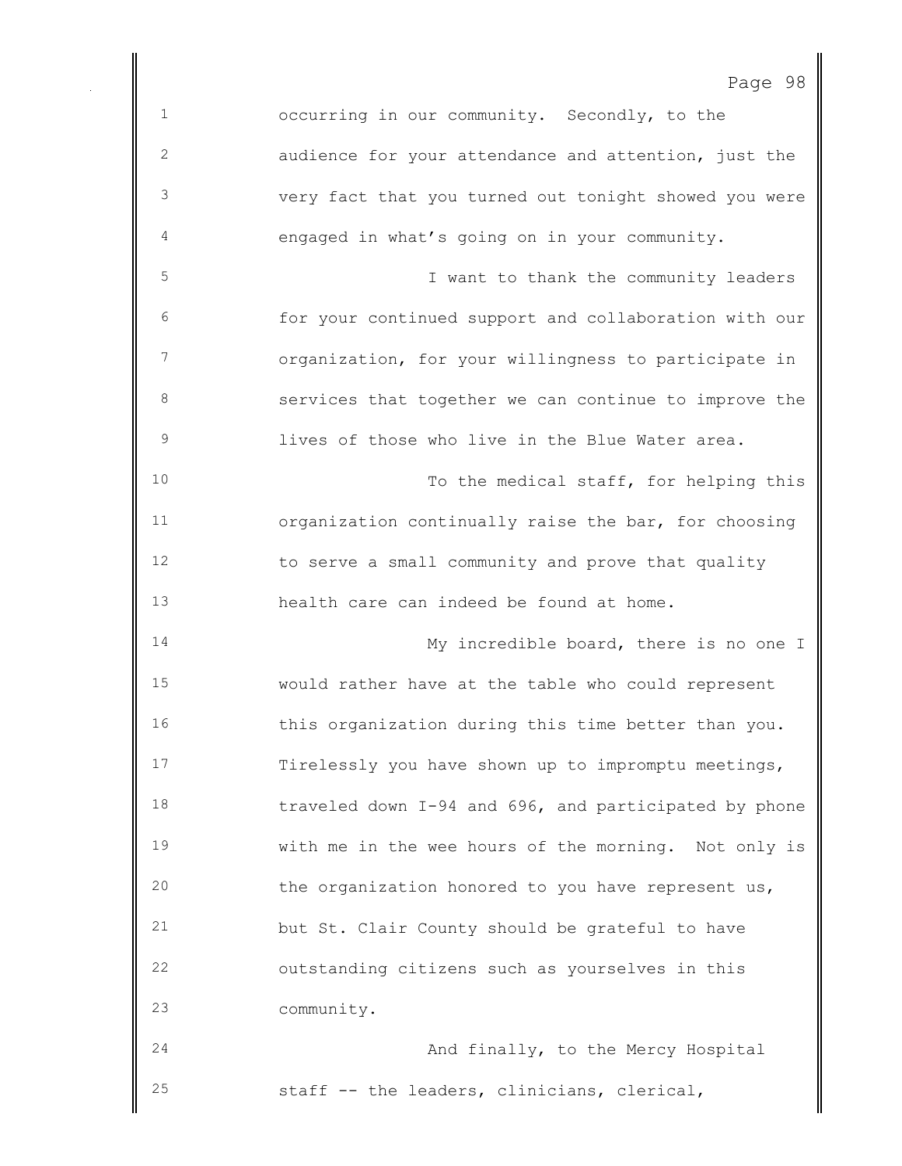occurring in our community. Secondly, to the audience for your attendance and attention, just the very fact that you turned out tonight showed you were engaged in what's going on in your community. I want to thank the community leaders for your continued support and collaboration with our organization, for your willingness to participate in services that together we can continue to improve the lives of those who live in the Blue Water area. 10 To the medical staff, for helping this organization continually raise the bar, for choosing to serve a small community and prove that quality health care can indeed be found at home. My incredible board, there is no one I would rather have at the table who could represent this organization during this time better than you. Tirelessly you have shown up to impromptu meetings, traveled down I-94 and 696, and participated by phone with me in the wee hours of the morning. Not only is the organization honored to you have represent us, but St. Clair County should be grateful to have outstanding citizens such as yourselves in this community. **And finally, to the Mercy Hospital** staff -- the leaders, clinicians, clerical,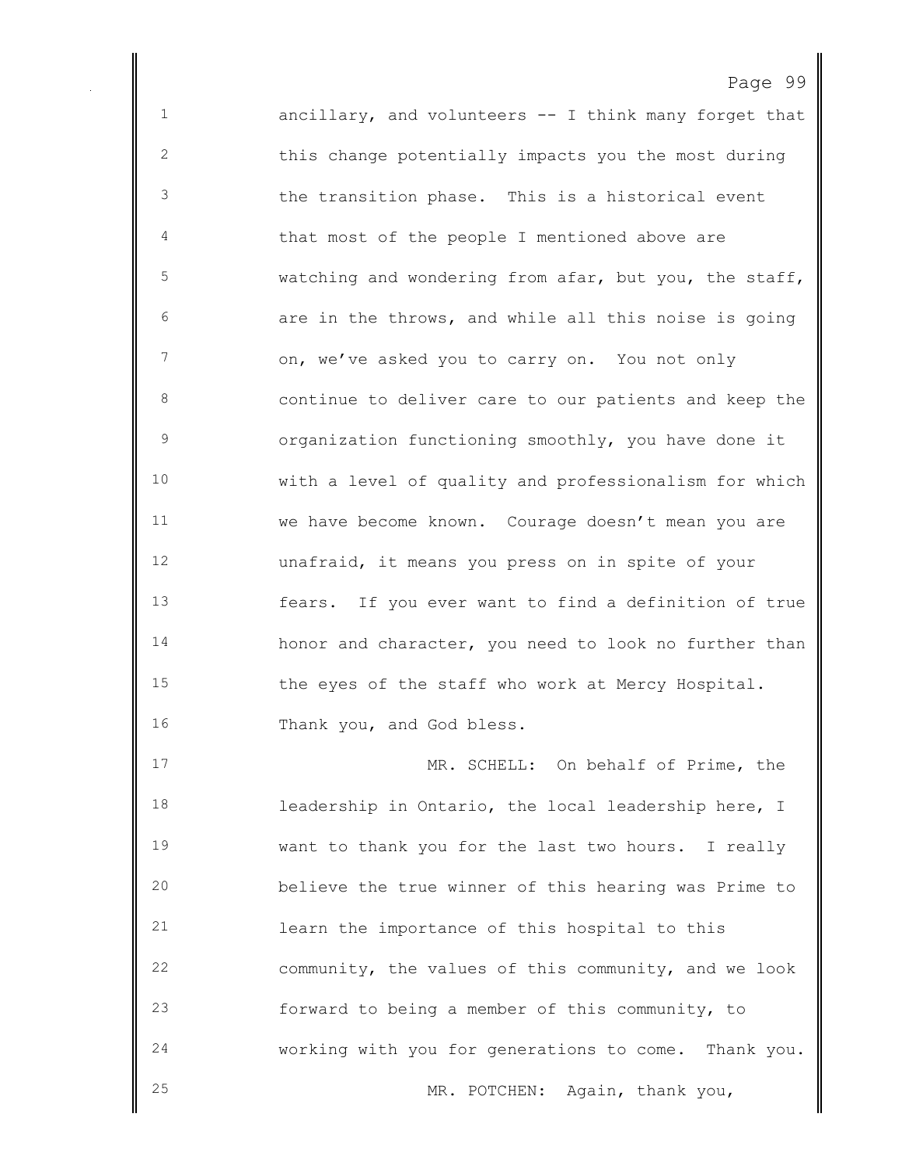ancillary, and volunteers -- I think many forget that this change potentially impacts you the most during the transition phase. This is a historical event that most of the people I mentioned above are watching and wondering from afar, but you, the staff, are in the throws, and while all this noise is going on, we've asked you to carry on. You not only continue to deliver care to our patients and keep the organization functioning smoothly, you have done it with a level of quality and professionalism for which we have become known. Courage doesn't mean you are unafraid, it means you press on in spite of your fears. If you ever want to find a definition of true 14 honor and character, you need to look no further than the eyes of the staff who work at Mercy Hospital. 16 Thank you, and God bless.

 MR. SCHELL: On behalf of Prime, the leadership in Ontario, the local leadership here, I want to thank you for the last two hours. I really believe the true winner of this hearing was Prime to learn the importance of this hospital to this community, the values of this community, and we look forward to being a member of this community, to working with you for generations to come. Thank you. 25 MR. POTCHEN: Again, thank you,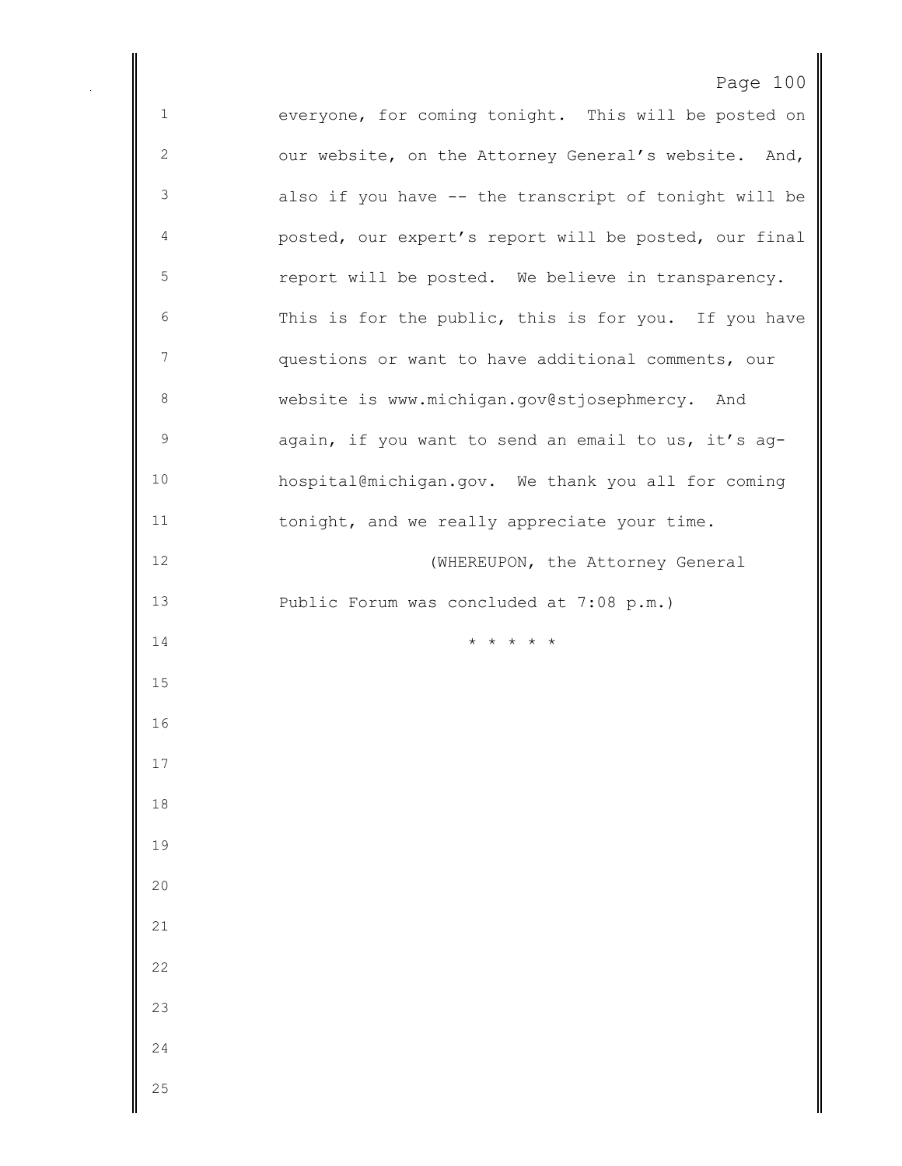everyone, for coming tonight. This will be posted on our website, on the Attorney General's website. And, also if you have -- the transcript of tonight will be posted, our expert's report will be posted, our final report will be posted. We believe in transparency. This is for the public, this is for you. If you have questions or want to have additional comments, our website is www.michigan.gov@stjosephmercy. And again, if you want to send an email to us, it's ag- hospital@michigan.gov. We thank you all for coming tonight, and we really appreciate your time. 12 (WHEREUPON, the Attorney General Public Forum was concluded at 7:08 p.m.)  $\star \star \star \star \star \star$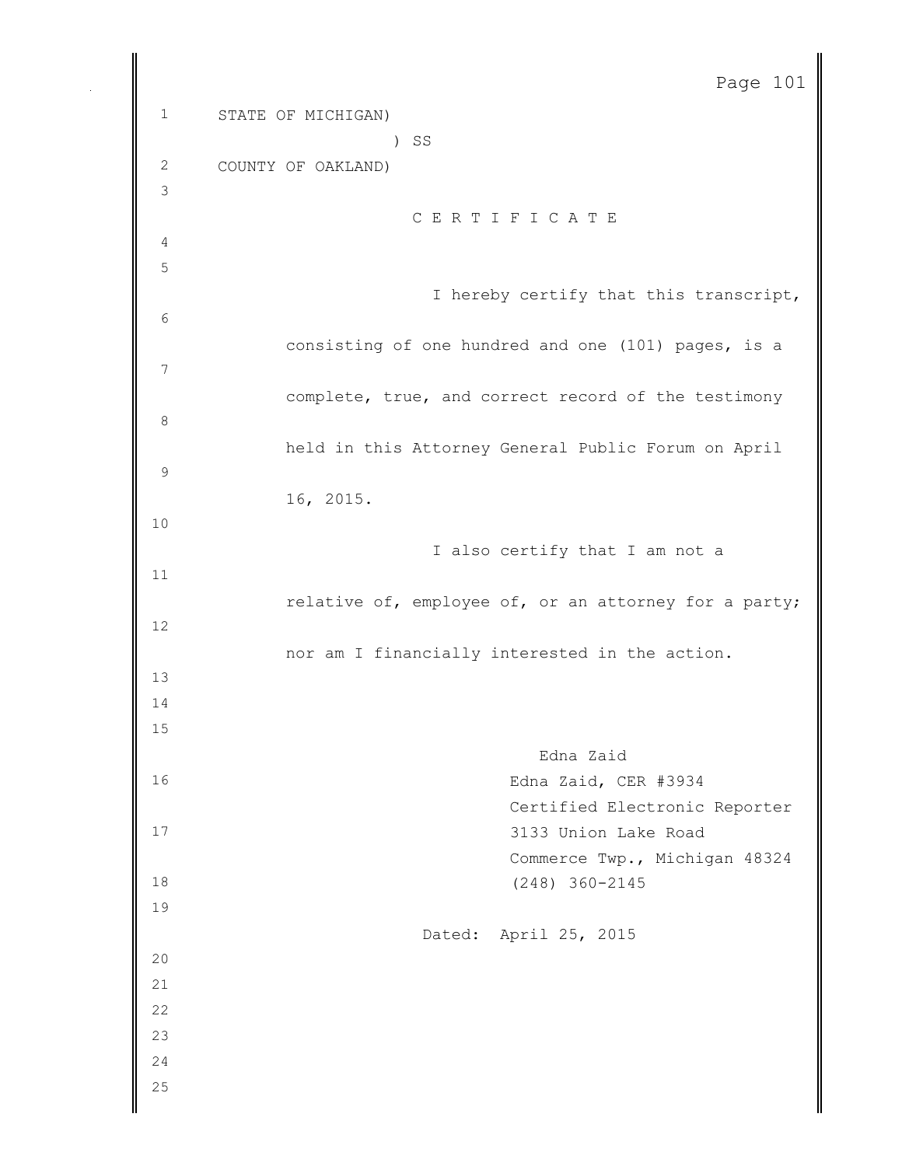STATE OF MICHIGAN) ) SS COUNTY OF OAKLAND) C E R T I F I C A T E I hereby certify that this transcript, consisting of one hundred and one (101) pages, is a complete, true, and correct record of the testimony held in this Attorney General Public Forum on April 16, 2015. I also certify that I am not a relative of, employee of, or an attorney for a party; nor am I financially interested in the action. Edna Zaid Edna Zaid, CER #3934 Certified Electronic Reporter 3133 Union Lake Road Commerce Twp., Michigan 48324 (248) 360-2145 Dated: April 25, 2015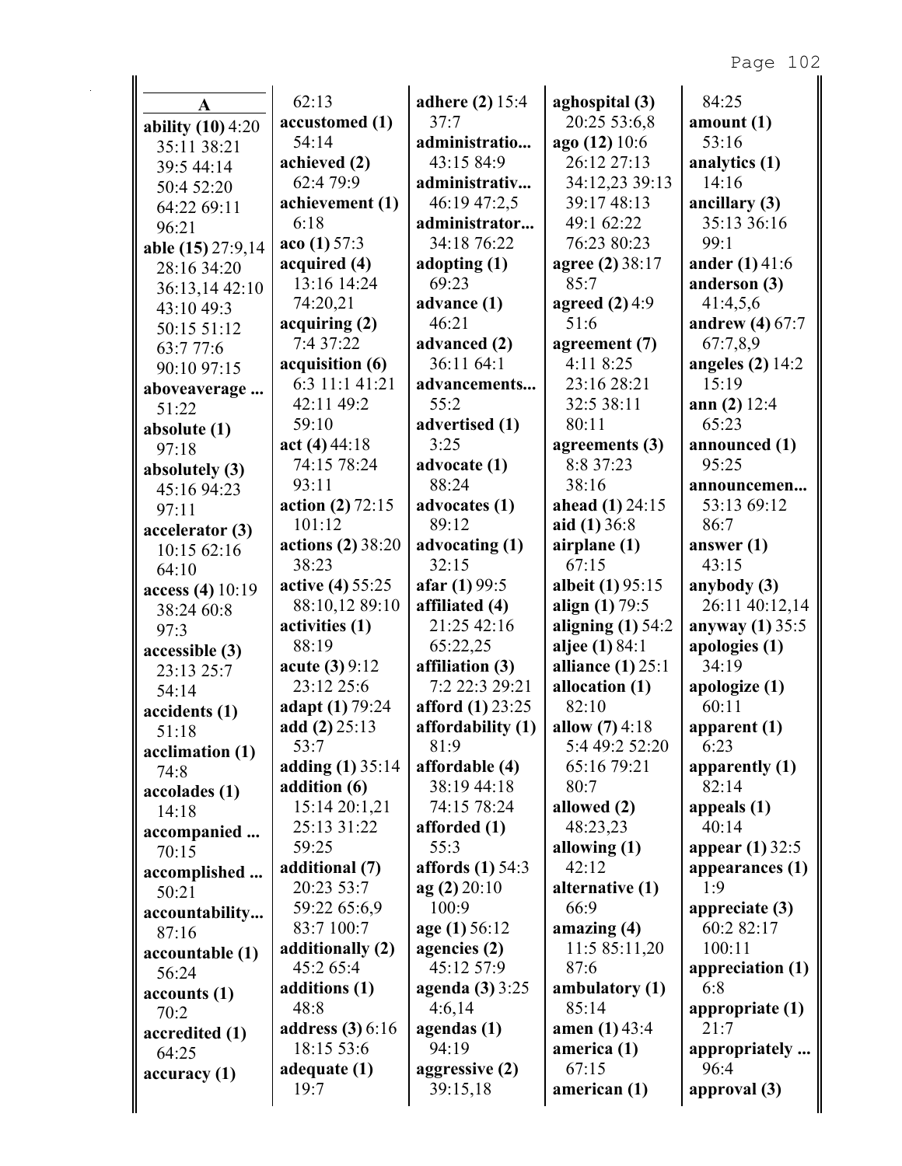| A                   | 62:13                 | <b>adhere</b> (2) 15:4  | aghospital (3)      | 84:25                   |
|---------------------|-----------------------|-------------------------|---------------------|-------------------------|
| ability $(10)$ 4:20 | accustomed (1)        | 37:7                    | 20:25 53:6,8        | amount $(1)$            |
| 35:11 38:21         | 54:14                 | administratio           | ago (12) 10:6       | 53:16                   |
| 39:5 44:14          | achieved (2)          | 43:15 84:9              | 26:12 27:13         | analytics (1)           |
| 50:4 52:20          | 62:4 79:9             | administrativ           | 34:12,23 39:13      | 14:16                   |
| 64:22 69:11         | achievement (1)       | 46:19 47:2,5            | 39:17 48:13         | ancillary (3)           |
|                     | 6:18                  | administrator           | 49:1 62:22          | 35:13 36:16             |
| 96:21               | acc(1) 57:3           | 34:18 76:22             | 76:23 80:23         | 99:1                    |
| able (15) 27:9,14   | acquired (4)          | adopting $(1)$          | agree (2) 38:17     | <b>ander</b> $(1)$ 41:6 |
| 28:16 34:20         | 13:16 14:24           | 69:23                   | 85:7                | anderson (3)            |
| 36:13,14 42:10      | 74:20,21              | advance (1)             | agreed $(2)$ 4:9    | 41:4,5,6                |
| 43:10 49:3          |                       | 46:21                   | 51:6                |                         |
| 50:15 51:12         | acquiring (2)         |                         |                     | andrew $(4)$ 67:7       |
| 63:7 77:6           | 7:4 37:22             | advanced (2)            | agreement (7)       | 67:7,8,9                |
| 90:10 97:15         | acquisition (6)       | 36:11 64:1              | 4:11 8:25           | angeles $(2)$ 14:2      |
| aboveaverage        | 6:3 11:1 41:21        | advancements            | 23:16 28:21         | 15:19                   |
| 51:22               | 42:11 49:2            | 55:2                    | 32:5 38:11          | ann $(2)$ 12:4          |
| absolute $(1)$      | 59:10                 | advertised (1)          | 80:11               | 65:23                   |
| 97:18               | act(4) 44:18          | 3:25                    | agreements (3)      | announced (1)           |
| absolutely (3)      | 74:15 78:24           | advocate (1)            | 8:8 37:23           | 95:25                   |
| 45:16 94:23         | 93:11                 | 88:24                   | 38:16               | announcemen             |
| 97:11               | action (2) $72:15$    | advocates (1)           | ahead $(1)$ 24:15   | 53:13 69:12             |
| accelerator (3)     | 101:12                | 89:12                   | aid $(1)$ 36:8      | 86:7                    |
| 10:15 62:16         | actions (2) 38:20     | advocating (1)          | airplane $(1)$      | answer $(1)$            |
| 64:10               | 38:23                 | 32:15                   | 67:15               | 43:15                   |
| access (4) $10:19$  | active (4) 55:25      | afar $(1)$ 99:5         | albeit (1) 95:15    | anybody (3)             |
| 38:24 60:8          | 88:10,12 89:10        | affiliated (4)          | align $(1) 79:5$    | 26:11 40:12,14          |
| 97:3                | activities (1)        | 21:25 42:16             | aligning $(1)$ 54:2 | anyway $(1)$ 35:5       |
|                     | 88:19                 | 65:22,25                | aljee $(1) 84:1$    | apologies (1)           |
| accessible (3)      | <b>acute (3)</b> 9:12 | affiliation (3)         | alliance $(1)$ 25:1 | 34:19                   |
| 23:13 25:7          | 23:12 25:6            | 7:2 22:3 29:21          | allocation (1)      | apologize (1)           |
| 54:14               | adapt (1) 79:24       | <b>afford</b> (1) 23:25 | 82:10               | 60:11                   |
| accidents (1)       | add (2) 25:13         | affordability (1)       | allow $(7)$ 4:18    | apparent $(1)$          |
| 51:18               | 53:7                  | 81:9                    | 5:4 49:2 52:20      | 6:23                    |
| acclimation (1)     |                       | affordable (4)          | 65:16 79:21         |                         |
| 74:8                | adding (1) 35:14      |                         |                     | apparently (1)          |
| accolades (1)       | addition (6)          | 38:19 44:18             | 80:7                | 82:14                   |
| 14:18               | 15:14 20:1,21         | 74:15 78:24             | allowed (2)         | appeals $(1)$           |
| accompanied         | 25:13 31:22           | afforded (1)            | 48:23,23            | 40:14                   |
| 70:15               | 59:25                 | 55:3                    | allowing $(1)$      | appear (1) 32:5         |
| accomplished        | additional (7)        | <b>affords</b> (1) 54:3 | 42:12               | appearances (1)         |
| 50:21               | 20:23 53:7            | ag(2)20:10              | alternative (1)     | 1:9                     |
| accountability      | 59:22 65:6,9          | 100:9                   | 66:9                | appreciate $(3)$        |
| 87:16               | 83:7 100:7            | age (1) 56:12           | amazing $(4)$       | 60:2 82:17              |
| accountable (1)     | additionally (2)      | agencies (2)            | 11:5 85:11,20       | 100:11                  |
| 56:24               | 45:2 65:4             | 45:12 57:9              | 87:6                | appreciation (1)        |
| accounts(1)         | additions (1)         | agenda (3) 3:25         | ambulatory (1)      | 6:8                     |
| 70:2                | 48:8                  | 4:6,14                  | 85:14               | appropriate $(1)$       |
| accredited (1)      | address $(3)$ 6:16    | agendas (1)             | amen $(1)$ 43:4     | 21:7                    |
| 64:25               | 18:15 53:6            | 94:19                   | america (1)         | appropriately           |
| accuracy(1)         | adequate (1)          | aggressive (2)          | 67:15               | 96:4                    |
|                     | 19:7                  | 39:15,18                | american (1)        | approval (3)            |
|                     |                       |                         |                     |                         |
|                     |                       |                         |                     |                         |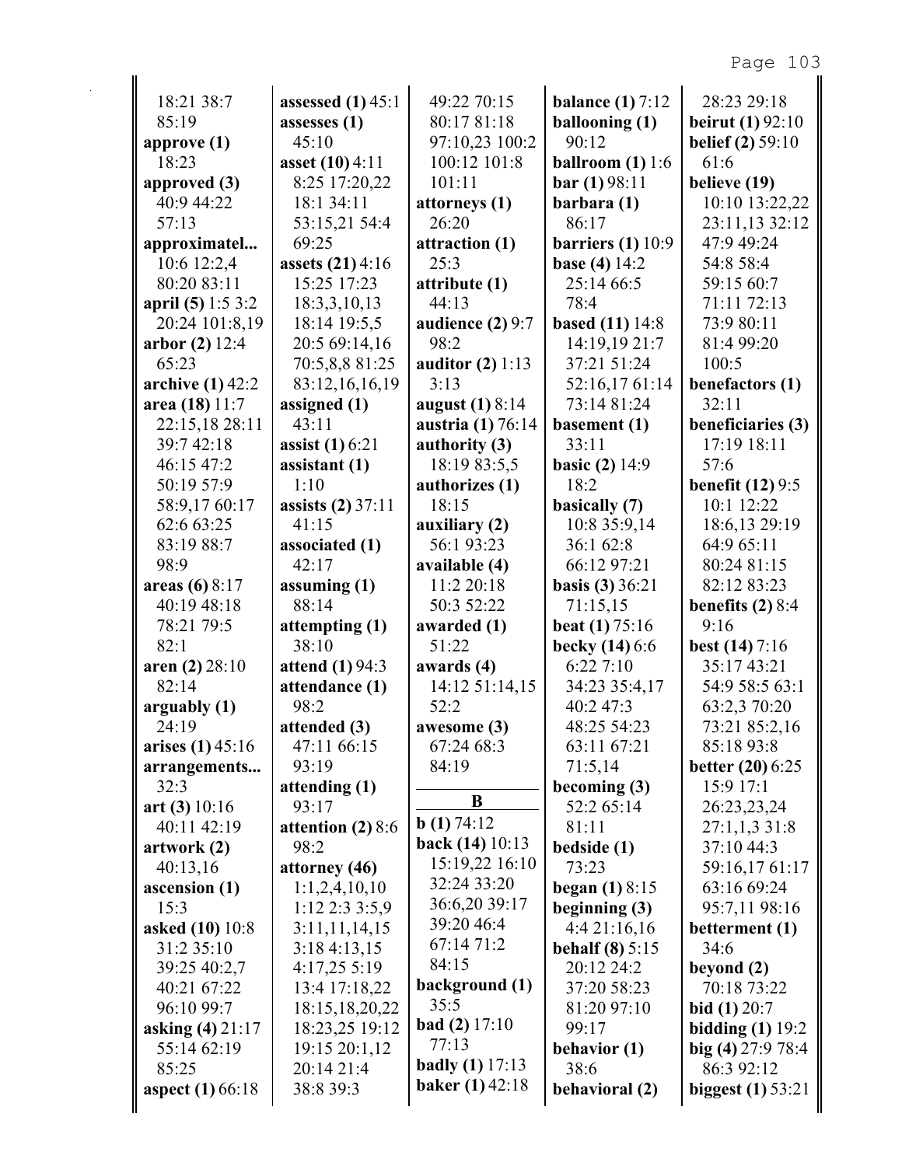| 18:21 38:7                | assessed $(1)$ 45:1                      | 49:22 70:15                  | balance $(1)$ 7:12           | 28:23 29:18                            |
|---------------------------|------------------------------------------|------------------------------|------------------------------|----------------------------------------|
| 85:19                     | assesses (1)                             | 80:17 81:18                  | ballooning (1)               | <b>beirut</b> (1) $92:10$              |
| approve $(1)$             | 45:10                                    | 97:10,23 100:2               | 90:12                        | <b>belief</b> (2) 59:10                |
| 18:23                     | asset (10) 4:11                          | 100:12 101:8                 | ballroom $(1)$ 1:6           | 61:6                                   |
| approved $(3)$            | 8:25 17:20,22                            | 101:11                       | bar(1)98:11                  | believe (19)                           |
| 40:9 44:22                | 18:1 34:11                               | attorneys (1)                | barbara (1)                  | 10:10 13:22,22                         |
| 57:13                     | 53:15,21 54:4                            | 26:20                        | 86:17                        | 23:11,13 32:12                         |
| approximatel              | 69:25                                    | attraction (1)               | barriers $(1)$ 10:9          | 47:9 49:24                             |
| 10:6 12:2,4               | assets (21) 4:16                         | 25:3                         | <b>base</b> (4) $14:2$       | 54:8 58:4                              |
| 80:20 83:11               | 15:25 17:23                              | attribute (1)                | 25:14 66:5                   | 59:15 60:7                             |
| april $(5)$ 1:5 3:2       | 18:3,3,10,13                             | 44:13                        | 78:4                         | 71:11 72:13                            |
| 20:24 101:8,19            | 18:14 19:5,5                             | audience $(2)$ 9:7           | <b>based</b> (11) 14:8       | 73:9 80:11                             |
| arbor $(2)$ 12:4          | 20:5 69:14,16                            | 98:2                         | 14:19,19 21:7                | 81:4 99:20                             |
| 65:23                     | 70:5,8,8 81:25                           | auditor $(2)$ 1:13           | 37:21 51:24                  | 100:5                                  |
| archive $(1)$ 42:2        | 83:12,16,16,19                           | 3:13                         | 52:16,1761:14                | benefactors (1)                        |
| area (18) 11:7            | assigned (1)                             | august (1) 8:14              | 73:14 81:24                  | 32:11                                  |
| 22:15,18 28:11            | 43:11                                    | austria (1) 76:14            | basement (1)                 | beneficiaries (3)                      |
| 39:7 42:18                | <b>assist</b> (1) 6:21                   | authority (3)                | 33:11                        | 17:19 18:11                            |
| 46:15 47:2                | assistant (1)                            | 18:19 83:5,5                 | <b>basic</b> (2) $14:9$      | 57:6                                   |
| 50:19 57:9                | 1:10                                     | authorizes (1)               | 18:2                         | <b>benefit (12)</b> 9:5                |
| 58:9,17 60:17             | <b>assists (2)</b> 37:11                 | 18:15                        | basically (7)                | 10:1 12:22                             |
| 62:6 63:25                | 41:15                                    | auxiliary (2)                | 10:8 35:9,14                 | 18:6,13 29:19                          |
| 83:19 88:7                | associated (1)                           | 56:1 93:23                   | 36:1 62:8                    | 64:9 65:11                             |
| 98:9                      | 42:17                                    | available (4)                | 66:12 97:21                  | 80:24 81:15                            |
| areas $(6) 8:17$          | assuming $(1)$<br>88:14                  | 11:2 20:18                   | <b>basis</b> (3) $36:21$     | 82:12 83:23                            |
| 40:19 48:18<br>78:21 79:5 |                                          | 50:3 52:22                   | 71:15,15                     | benefits $(2)$ 8:4<br>9:16             |
| 82:1                      | attempting (1)<br>38:10                  | awarded (1)<br>51:22         | <b>beat</b> (1) $75:16$      |                                        |
|                           |                                          |                              | becky $(14)$ 6:6<br>6:227:10 | <b>best</b> $(14) 7:16$<br>35:17 43:21 |
| aren (2) 28:10<br>82:14   | <b>attend</b> (1) 94:3<br>attendance (1) | awards (4)<br>14:12 51:14,15 | 34:23 35:4,17                | 54:9 58:5 63:1                         |
| arguably (1)              | 98:2                                     | 52:2                         | 40:2 47:3                    | 63:2,3 70:20                           |
| 24:19                     |                                          | awesome $(3)$                | 48:25 54:23                  | 73:21 85:2,16                          |
| arises $(1)$ 45:16        | attended (3)<br>47:11 66:15              | 67:24 68:3                   | 63:11 67:21                  | 85:18 93:8                             |
| arrangements              | 93:19                                    | 84:19                        | 71:5,14                      | <b>better</b> $(20)$ 6:25              |
| 32:3                      | attending (1)                            |                              | becoming (3)                 | 15:9 17:1                              |
| art $(3)$ 10:16           | 93:17                                    | B                            | 52:2 65:14                   | 26:23,23,24                            |
| 40:11 42:19               | attention $(2)$ 8:6                      | b(1) 74:12                   | 81:11                        | 27:1,1,3 31:8                          |
| artwork(2)                | 98:2                                     | back (14) 10:13              | bedside (1)                  | 37:10 44:3                             |
| 40:13,16                  | attorney (46)                            | 15:19,22 16:10               | 73:23                        | 59:16,17 61:17                         |
| ascension (1)             | 1:1,2,4,10,10                            | 32:24 33:20                  | <b>began</b> $(1) 8:15$      | 63:16 69:24                            |
| 15:3                      | 1:12 2:3 3:5,9                           | 36:6,20 39:17                | beginning $(3)$              | 95:7,11 98:16                          |
| asked (10) 10:8           | 3:11,11,14,15                            | 39:20 46:4                   | 4:4 21:16,16                 | betterment (1)                         |
| 31:2 35:10                | 3:184:13,15                              | 67:14 71:2                   | behalf $(8)$ 5:15            | 34:6                                   |
| 39:25 40:2,7              | 4:17,25 5:19                             | 84:15                        | 20:12 24:2                   | beyond (2)                             |
| 40:21 67:22               | 13:4 17:18,22                            | background (1)               | 37:20 58:23                  | 70:18 73:22                            |
| 96:10 99:7                | 18:15, 18, 20, 22                        | 35:5                         | 81:20 97:10                  | <b>bid</b> $(1)$ 20:7                  |
| asking (4) 21:17          | 18:23,25 19:12                           | <b>bad</b> (2) $17:10$       | 99:17                        | bidding $(1)$ 19:2                     |
| 55:14 62:19               | 19:15 20:1,12                            | 77:13                        | behavior (1)                 | big $(4)$ 27:9 78:4                    |
| 85:25                     | 20:14 21:4                               | <b>badly</b> (1) $17:13$     | 38:6                         | 86:3 92:12                             |
| <b>aspect</b> (1) 66:18   | 38:8 39:3                                | <b>baker</b> $(1)$ 42:18     | behavioral (2)               | biggest $(1)$ 53:21                    |
|                           |                                          |                              |                              |                                        |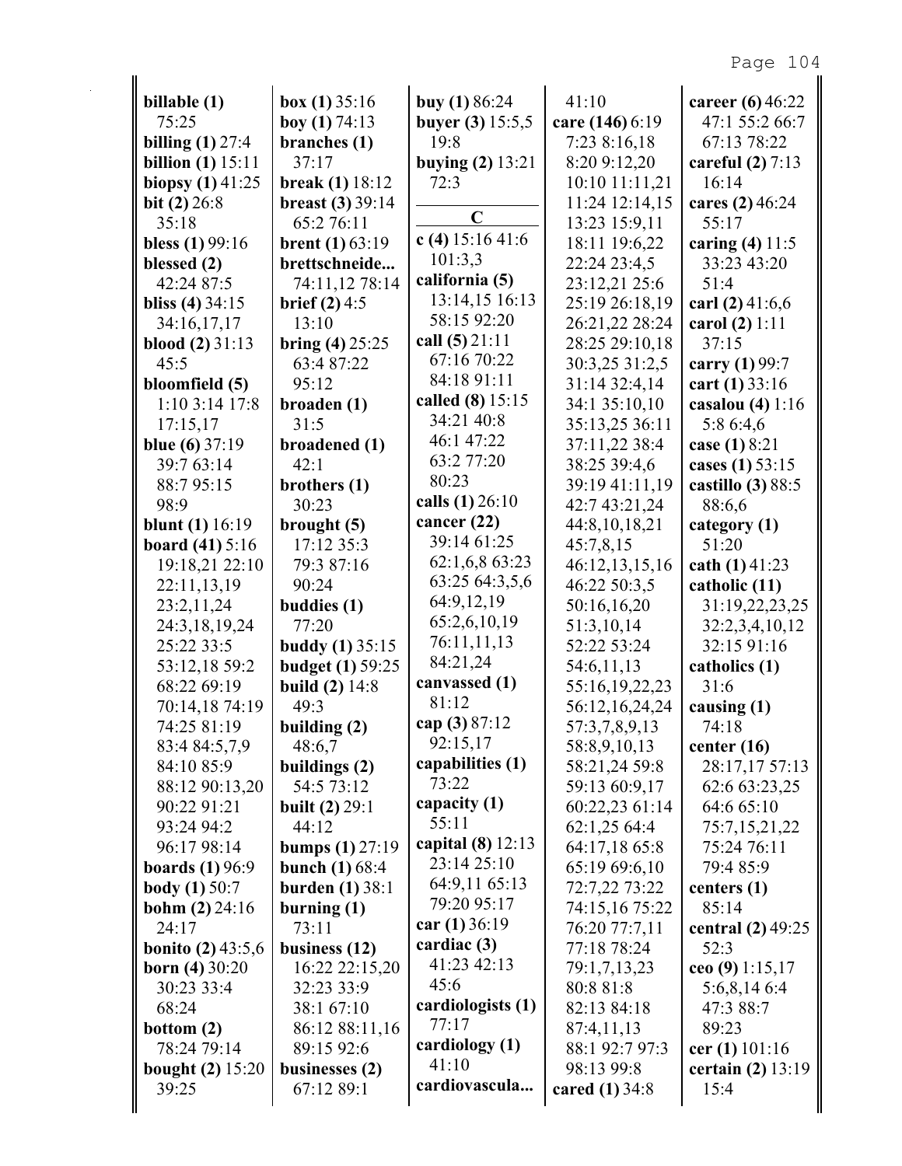| billable (1)               | box $(1)$ 35:16          | buy $(1) 86:24$    | 41:10            | career (6) 46:22    |
|----------------------------|--------------------------|--------------------|------------------|---------------------|
| 75:25                      | boy $(1)$ 74:13          | buyer (3) 15:5,5   | care (146) 6:19  | 47:1 55:2 66:7      |
| billing $(1)$ 27:4         | branches (1)             | 19:8               | 7:23 8:16,18     | 67:13 78:22         |
| billion $(1)$ 15:11        | 37:17                    | buying $(2)$ 13:21 | 8:20 9:12,20     | careful $(2)$ 7:13  |
| biopsy $(1)$ 41:25         | <b>break</b> (1) $18:12$ | 72:3               | 10:10 11:11,21   | 16:14               |
| bit $(2)$ 26:8             | breast $(3)$ 39:14       | $\overline{C}$     | 11:24 12:14,15   | cares (2) 46:24     |
| 35:18                      | 65:2 76:11               |                    | 13:23 15:9,11    | 55:17               |
| bless $(1)$ 99:16          | <b>brent</b> $(1)$ 63:19 | c (4) $15:1641:6$  | 18:11 19:6,22    | caring $(4)$ 11:5   |
| blessed (2)                | brettschneide            | 101:3,3            | 22:24 23:4,5     | 33:23 43:20         |
| 42:24 87:5                 | 74:11,12 78:14           | california (5)     | 23:12,21 25:6    | 51:4                |
| bliss $(4)$ 34:15          | <b>brief</b> $(2)$ 4:5   | 13:14,15 16:13     | 25:19 26:18,19   | carl $(2)$ 41:6,6   |
| 34:16,17,17                | 13:10                    | 58:15 92:20        | 26:21,22 28:24   | carol $(2) 1:11$    |
| <b>blood</b> $(2)$ 31:13   | bring $(4)$ 25:25        | call $(5)$ 21:11   | 28:25 29:10,18   | 37:15               |
| 45:5                       | 63:4 87:22               | 67:16 70:22        | 30:3,25 31:2,5   | carry (1) 99:7      |
| bloomfield (5)             | 95:12                    | 84:18 91:11        | 31:14 32:4,14    | cart $(1)$ 33:16    |
| 1:10 3:14 17:8             | broaden (1)              | called (8) 15:15   | 34:1 35:10,10    | casalou $(4)$ 1:16  |
| 17:15,17                   | 31:5                     | 34:21 40:8         | 35:13,25 36:11   | 5:8 6:4,6           |
| blue $(6)$ 37:19           | broadened (1)            | 46:1 47:22         | 37:11,22 38:4    | case (1) 8:21       |
| 39:7 63:14                 | 42:1                     | 63:2 77:20         | 38:25 39:4,6     | cases (1) 53:15     |
| 88:795:15                  | brothers (1)             | 80:23              | 39:19 41:11,19   | castillo $(3)$ 88:5 |
| 98:9                       | 30:23                    | calls (1) 26:10    | 42:7 43:21,24    | 88:6,6              |
| <b>blunt</b> (1) $16:19$   | brought $(5)$            | cancer $(22)$      | 44:8,10,18,21    | category (1)        |
| <b>board</b> $(41) 5:16$   | 17:12 35:3               | 39:14 61:25        | 45:7,8,15        | 51:20               |
| 19:18,21 22:10             | 79:3 87:16               | 62:1,6,8 63:23     | 46:12,13,15,16   | cath $(1)$ 41:23    |
| 22:11,13,19                | 90:24                    | 63:25 64:3,5,6     | 46:22 50:3,5     | catholic (11)       |
| 23:2,11,24                 | buddies (1)              | 64:9,12,19         | 50:16,16,20      | 31:19,22,23,25      |
| 24:3,18,19,24              | 77:20                    | 65:2,6,10,19       | 51:3,10,14       | 32:2,3,4,10,12      |
| 25:22 33:5                 | <b>buddy</b> (1) 35:15   | 76:11,11,13        | 52:22 53:24      | 32:15 91:16         |
| 53:12,18 59:2              | <b>budget</b> (1) 59:25  | 84:21,24           | 54:6,11,13       | catholics (1)       |
| 68:22 69:19                | <b>build</b> $(2)$ 14:8  | canvassed (1)      | 55:16,19,22,23   | 31:6                |
| 70:14,18 74:19             | 49:3                     | 81:12              | 56:12,16,24,24   | causing $(1)$       |
| 74:25 81:19                | building (2)             | cap (3) 87:12      | 57:3,7,8,9,13    | 74:18               |
| 83:4 84:5,7,9              | 48:6,7                   | 92:15,17           | 58:8,9,10,13     | center $(16)$       |
| 84:10 85:9                 | buildings (2)            | capabilities (1)   | 58:21,24 59:8    | 28:17,17 57:13      |
| 88:12 90:13,20             | 54:5 73:12               | 73:22              | 59:13 60:9,17    | 62:6 63:23,25       |
| 90:22 91:21                | <b>built</b> $(2) 29:1$  | capacity (1)       | 60:22,23 61:14   | 64:6 65:10          |
| 93:24 94:2                 | 44:12                    | 55:11              | 62:1,25 64:4     | 75:7,15,21,22       |
| 96:17 98:14                | bumps $(1)$ 27:19        | capital (8) 12:13  | 64:17,18 65:8    | 75:24 76:11         |
| boards $(1)$ 96:9          | <b>bunch</b> $(1) 68:4$  | 23:14 25:10        | 65:19 69:6,10    | 79:4 85:9           |
| <b>body</b> (1) $50:7$     | burden $(1)$ 38:1        | 64:9,11 65:13      | 72:7,22 73:22    | centers $(1)$       |
| <b>bohm</b> $(2)$ 24:16    | burning $(1)$            | 79:20 95:17        | 74:15,16 75:22   | 85:14               |
| 24:17                      | 73:11                    | car $(1)$ 36:19    | 76:20 77:7,11    | central $(2)$ 49:25 |
| <b>bonito</b> $(2)$ 43:5,6 | business $(12)$          | cardiac (3)        | 77:18 78:24      | 52:3                |
| <b>born</b> (4) $30:20$    | 16:22 22:15,20           | 41:23 42:13        | 79:1,7,13,23     | ceo (9) $1:15,17$   |
| 30:23 33:4                 | 32:23 33:9               | 45:6               | 80:8 81:8        | 5:6,8,146:4         |
| 68:24                      | 38:1 67:10               | cardiologists (1)  | 82:13 84:18      | 47:3 88:7           |
| bottom $(2)$               | 86:12 88:11,16           | 77:17              | 87:4,11,13       | 89:23               |
| 78:24 79:14                | 89:15 92:6               | cardiology (1)     | 88:1 92:7 97:3   | cer (1) $101:16$    |
| <b>bought (2)</b> 15:20    | businesses $(2)$         | 41:10              | 98:13 99:8       | certain $(2)$ 13:19 |
| 39:25                      | 67:12 89:1               | cardiovascula      | cared $(1)$ 34:8 | 15:4                |
|                            |                          |                    |                  |                     |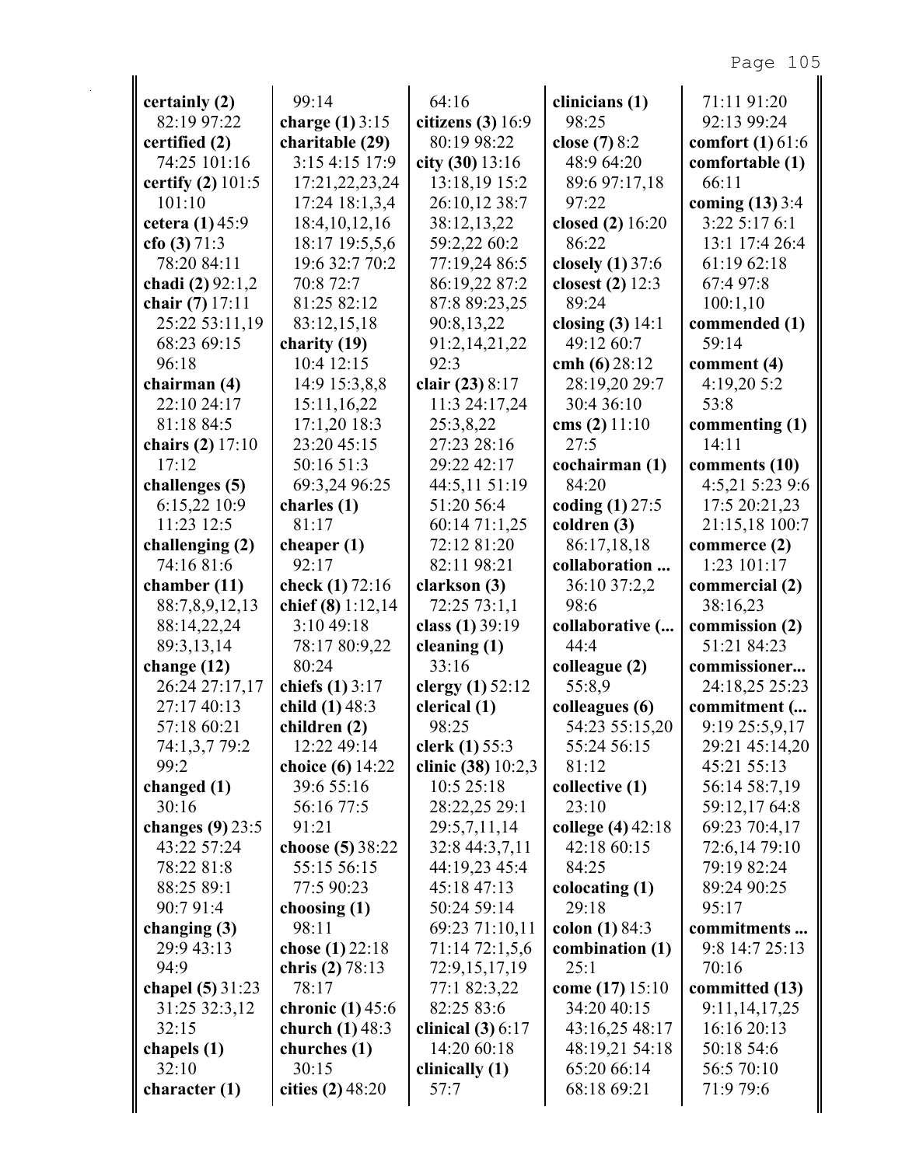| certainly (2)       | 99:14               | 64:16               | clinicians (1)      | 71:11 91:20        |
|---------------------|---------------------|---------------------|---------------------|--------------------|
| 82:19 97:22         | charge $(1)$ 3:15   | citizens $(3)$ 16:9 | 98:25               | 92:13 99:24        |
| certified (2)       | charitable (29)     | 80:19 98:22         | close (7) 8:2       | comfort $(1)$ 61:6 |
| 74:25 101:16        | 3:154:1517:9        | city $(30)$ 13:16   | 48:9 64:20          | comfortable (1)    |
| certify (2) $101:5$ | 17:21,22,23,24      | 13:18,19 15:2       | 89:6 97:17,18       | 66:11              |
| 101:10              | 17:24 18:1,3,4      | 26:10,12 38:7       | 97:22               | coming $(13)$ 3:4  |
| cetera (1) 45:9     | 18:4, 10, 12, 16    | 38:12,13,22         | closed (2) 16:20    | 3:22 5:17 6:1      |
| cfo (3) $71:3$      | 18:17 19:5,5,6      | 59:2,22 60:2        | 86:22               | 13:1 17:4 26:4     |
| 78:20 84:11         | 19:6 32:7 70:2      | 77:19,24 86:5       | closely $(1)$ 37:6  | 61:19 62:18        |
| chadi (2) 92:1,2    | 70:8 72:7           | 86:19,22 87:2       | closest $(2)$ 12:3  | 67:4 97:8          |
| chair (7) 17:11     | 81:25 82:12         | 87:8 89:23,25       | 89:24               | 100:1,10           |
| 25:22 53:11,19      | 83:12,15,18         | 90:8,13,22          | closing $(3)$ 14:1  | commended (1)      |
| 68:23 69:15         | charity (19)        | 91:2,14,21,22       | 49:12 60:7          | 59:14              |
| 96:18               | 10:4 12:15          | 92:3                | cmh $(6)$ 28:12     | comment $(4)$      |
| chairman (4)        | 14:9 15:3,8,8       | clair (23) 8:17     | 28:19,20 29:7       | 4:19,20 5:2        |
| 22:10 24:17         | 15:11,16,22         | 11:3 24:17,24       | 30:4 36:10          | 53:8               |
| 81:18 84:5          | $17:1,20$ 18:3      | 25:3,8,22           | cms $(2)$ 11:10     | commenting (1)     |
| chairs (2) 17:10    | 23:20 45:15         | 27:23 28:16         | 27:5                | 14:11              |
| 17:12               | 50:16 51:3          | 29:22 42:17         | cochairman (1)      | comments (10)      |
| challenges (5)      | 69:3,24 96:25       | 44:5,11 51:19       | 84:20               | 4:5,21 5:23 9:6    |
| 6:15,22 10:9        | charles (1)         | 51:20 56:4          | coding $(1)$ 27:5   | 17:5 20:21,23      |
| 11:23 12:5          | 81:17               | 60:14 71:1,25       | $\text{coldren}(3)$ | 21:15,18 100:7     |
| challenging (2)     | cheaper $(1)$       | 72:12 81:20         | 86:17,18,18         | commerce $(2)$     |
| 74:16 81:6          | 92:17               | 82:11 98:21         | collaboration       | 1:23 101:17        |
| chamber $(11)$      | check $(1) 72:16$   | clarkson (3)        | 36:10 37:2,2        | commercial (2)     |
| 88:7,8,9,12,13      | chief $(8)$ 1:12,14 | 72:25 73:1,1        | 98:6                | 38:16,23           |
| 88:14,22,24         | 3:10 49:18          | class (1) 39:19     | collaborative (     | commission (2)     |
| 89:3,13,14          | 78:17 80:9,22       | cleaning $(1)$      | 44:4                | 51:21 84:23        |
| change $(12)$       | 80:24               | 33:16               | colleague (2)       | commissioner       |
| 26:24 27:17,17      | chiefs (1) 3:17     | clergy $(1)$ 52:12  | 55:8,9              | 24:18,25 25:23     |
| 27:17 40:13         | child (1) 48:3      | clerical (1)        | colleagues (6)      | commitment (       |
| 57:18 60:21         | children (2)        | 98:25               | 54:23 55:15,20      | 9:19 25:5,9,17     |
| 74:1,3,7 79:2       | 12:22 49:14         | clerk (1) 55:3      | 55:24 56:15         | 29:21 45:14,20     |
| 99:2                | choice (6) 14:22    | clinic (38) 10:2,3  | 81:12               | 45:21 55:13        |
| changed $(1)$       | 39:6 55:16          | 10:5 25:18          | collective (1)      | 56:14 58:7,19      |
| 30:16               | 56:16 77:5          | 28:22,25 29:1       | 23:10               | 59:12,1764:8       |
| changes $(9)$ 23:5  | 91:21               | 29:5,7,11,14        | college (4) 42:18   | 69:23 70:4,17      |
| 43:22 57:24         | choose (5) 38:22    | 32:8 44:3,7,11      | 42:18 60:15         | 72:6,14 79:10      |
| 78:22 81:8          | 55:15 56:15         | 44:19,23 45:4       | 84:25               | 79:19 82:24        |
| 88:25 89:1          | 77:5 90:23          | 45:18 47:13         | colocating (1)      | 89:24 90:25        |
| 90:7 91:4           | choosing (1)        | 50:24 59:14         | 29:18               | 95:17              |
| changing $(3)$      | 98:11               | 69:23 71:10,11      | colon $(1) 84:3$    | commitments        |
| 29:9 43:13          | chose (1) 22:18     | 71:14 72:1,5,6      | combination (1)     | 9:8 14:7 25:13     |
| 94:9                | chris $(2) 78:13$   | 72:9,15,17,19       | 25:1                | 70:16              |
| chapel (5) 31:23    | 78:17               | 77:1 82:3,22        | come (17) 15:10     | committed (13)     |
| 31:25 32:3,12       | chronic $(1)$ 45:6  | 82:25 83:6          | 34:20 40:15         | 9:11, 14, 17, 25   |
| 32:15               | church $(1)$ 48:3   | clinical $(3)$ 6:17 | 43:16,25 48:17      | 16:16 20:13        |
| chapels (1)         | churches (1)        | 14:20 60:18         | 48:19,21 54:18      | 50:18 54:6         |
| 32:10               | 30:15               | clinically (1)      | 65:20 66:14         | 56:5 70:10         |
| character $(1)$     | cities (2) 48:20    | 57:7                | 68:18 69:21         | 71:9 79:6          |
|                     |                     |                     |                     |                    |
|                     |                     |                     |                     |                    |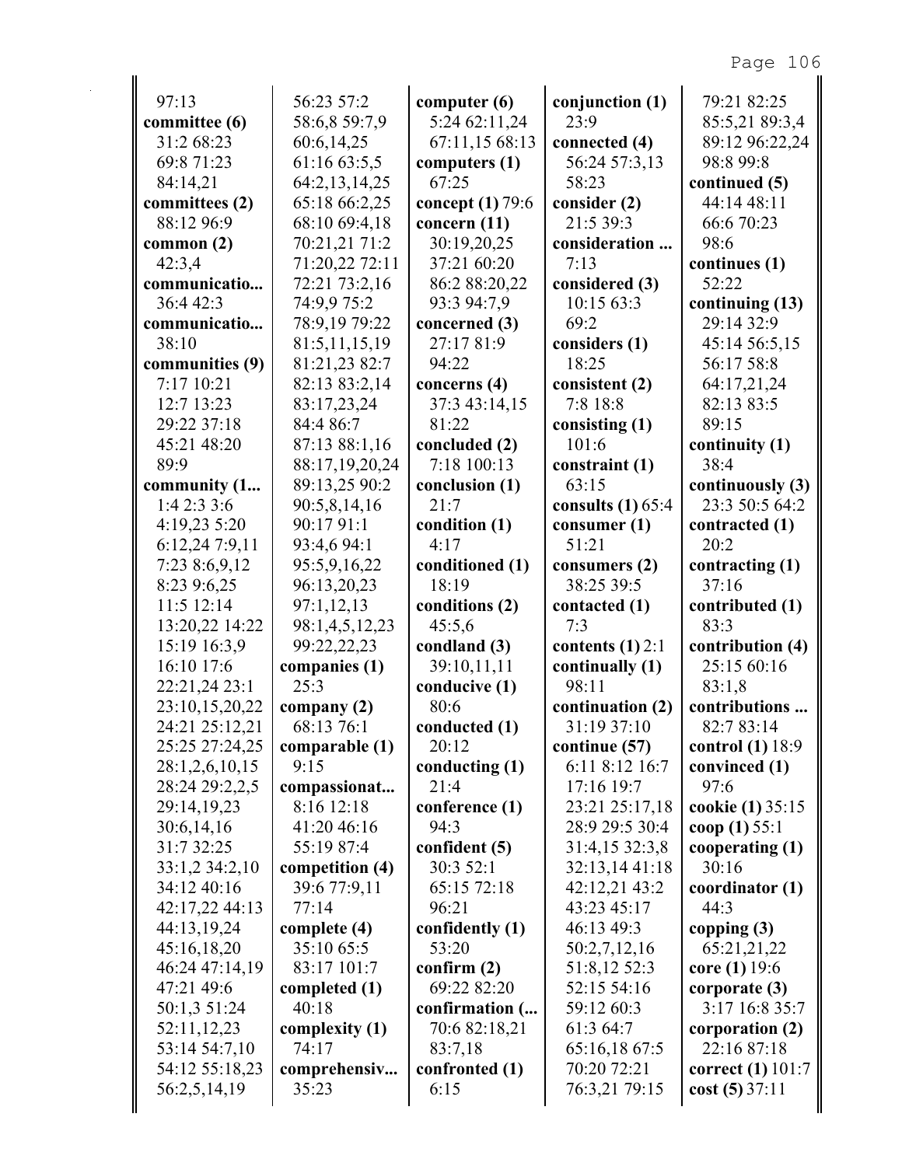| 97:13           | 56:23 57:2      | computer $(6)$     | conjunction (1)     | 79:21 82:25        |
|-----------------|-----------------|--------------------|---------------------|--------------------|
| committee (6)   | 58:6,8 59:7,9   | 5:24 62:11,24      | 23:9                | 85:5,21 89:3,4     |
| 31:2 68:23      | 60:6,14,25      | 67:11,15 68:13     | connected (4)       | 89:12 96:22,24     |
| 69:8 71:23      | 61:16 63:5,5    | computers (1)      | 56:24 57:3,13       | 98:8 99:8          |
| 84:14,21        | 64:2,13,14,25   | 67:25              | 58:23               | continued (5)      |
| committees (2)  | 65:18 66:2,25   | concept $(1)$ 79:6 | consider (2)        | 44:14 48:11        |
| 88:12 96:9      | 68:10 69:4,18   | concern $(11)$     | 21:5 39:3           | 66:6 70:23         |
| common $(2)$    | 70:21,21 71:2   | 30:19,20,25        | consideration       | 98:6               |
| 42:3,4          | 71:20,22 72:11  | 37:21 60:20        | 7:13                | continues (1)      |
| communicatio    | 72:21 73:2,16   | 86:2 88:20,22      | considered (3)      | 52:22              |
| 36:4 42:3       | 74:9,9 75:2     | 93:3 94:7,9        | 10:15 63:3          | continuing (13)    |
| communicatio    | 78:9,19 79:22   | concerned (3)      | 69:2                | 29:14 32:9         |
| 38:10           | 81:5,11,15,19   | 27:17 81:9         | considers (1)       | 45:14 56:5,15      |
| communities (9) | 81:21,23 82:7   | 94:22              | 18:25               | 56:17 58:8         |
| 7:17 10:21      | 82:13 83:2,14   | concerns (4)       | consistent (2)      | 64:17,21,24        |
| 12:7 13:23      | 83:17,23,24     | 37:3 43:14,15      | 7:8 18:8            | 82:13 83:5         |
| 29:22 37:18     | 84:4 86:7       | 81:22              | consisting $(1)$    | 89:15              |
| 45:21 48:20     | 87:13 88:1,16   | concluded (2)      | 101:6               | continuity (1)     |
| 89:9            | 88:17,19,20,24  | 7:18 100:13        | constraint (1)      | 38:4               |
| community (1    | 89:13,25 90:2   | conclusion (1)     | 63:15               | continuously (3)   |
| 1:42:33:6       | 90:5,8,14,16    | 21:7               | consults $(1)$ 65:4 | 23:3 50:5 64:2     |
| 4:19,23 5:20    | 90:17 91:1      | condition (1)      | consumer $(1)$      | contracted (1)     |
| 6:12,24 7:9,11  | 93:4,6 94:1     | 4:17               | 51:21               | 20:2               |
| 7:23 8:6,9,12   | 95:5,9,16,22    | conditioned (1)    | consumers $(2)$     | contracting (1)    |
| 8:23 9:6,25     | 96:13,20,23     | 18:19              | 38:25 39:5          | 37:16              |
| 11:5 12:14      | 97:1,12,13      | conditions (2)     | contacted (1)       | contributed (1)    |
| 13:20,22 14:22  | 98:1,4,5,12,23  | 45:5,6             | 7:3                 | 83:3               |
| 15:19 16:3,9    | 99:22,22,23     | condland (3)       | contents $(1)$ 2:1  | contribution (4)   |
| 16:10 17:6      | companies (1)   | 39:10,11,11        | continually (1)     | 25:15 60:16        |
| 22:21,24 23:1   | 25:3            | conducive (1)      | 98:11               | 83:1,8             |
| 23:10,15,20,22  | company $(2)$   | 80:6               | continuation (2)    | contributions      |
| 24:21 25:12,21  | 68:13 76:1      | conducted (1)      | 31:19 37:10         | 82:7 83:14         |
| 25:25 27:24,25  | comparable (1)  | 20:12              | continue (57)       | control $(1)$ 18:9 |
| 28:1,2,6,10,15  | 9:15            | conducting (1)     | 6:11 8:12 16:7      | convinced (1)      |
| 28:24 29:2,2,5  | compassionat    | 21:4               | 17:16 19:7          | 97:6               |
| 29:14,19,23     | 8:16 12:18      | conference (1)     | 23:21 25:17,18      | cookie (1) 35:15   |
| 30:6,14,16      | 41:20 46:16     | 94:3               | 28:9 29:5 30:4      | coop $(1)$ 55:1    |
| 31:7 32:25      | 55:19 87:4      | confident (5)      | 31:4,15 32:3,8      | cooperating (1)    |
| 33:1,2 34:2,10  | competition (4) | 30:3 52:1          | 32:13,14 41:18      | 30:16              |
| 34:12 40:16     | 39:6 77:9,11    | 65:15 72:18        | 42:12,21 43:2       | coordinator (1)    |
| 42:17,22 44:13  | 77:14           | 96:21              | 43:23 45:17         | 44:3               |
| 44:13,19,24     | complete (4)    | confidently (1)    | 46:13 49:3          | copping $(3)$      |
| 45:16,18,20     | 35:10 65:5      | 53:20              | 50:2,7,12,16        | 65:21,21,22        |
| 46:24 47:14,19  | 83:17 101:7     | confirm $(2)$      | 51:8,12 52:3        | core $(1)$ 19:6    |
| 47:21 49:6      | completed (1)   | 69:22 82:20        | 52:15 54:16         | corporate (3)      |
| 50:1,3 51:24    | 40:18           | confirmation (     | 59:12 60:3          | 3:17 16:8 35:7     |
| 52:11,12,23     | complexity (1)  | 70:6 82:18,21      | 61:3 64:7           | corporation (2)    |
| 53:14 54:7,10   | 74:17           | 83:7,18            | 65:16,18 67:5       | 22:16 87:18        |
| 54:12 55:18,23  | comprehensiv    | confronted (1)     | 70:20 72:21         | correct (1) 101:7  |
| 56:2,5,14,19    | 35:23           | 6:15               | 76:3,21 79:15       | cost(5) 37:11      |
|                 |                 |                    |                     |                    |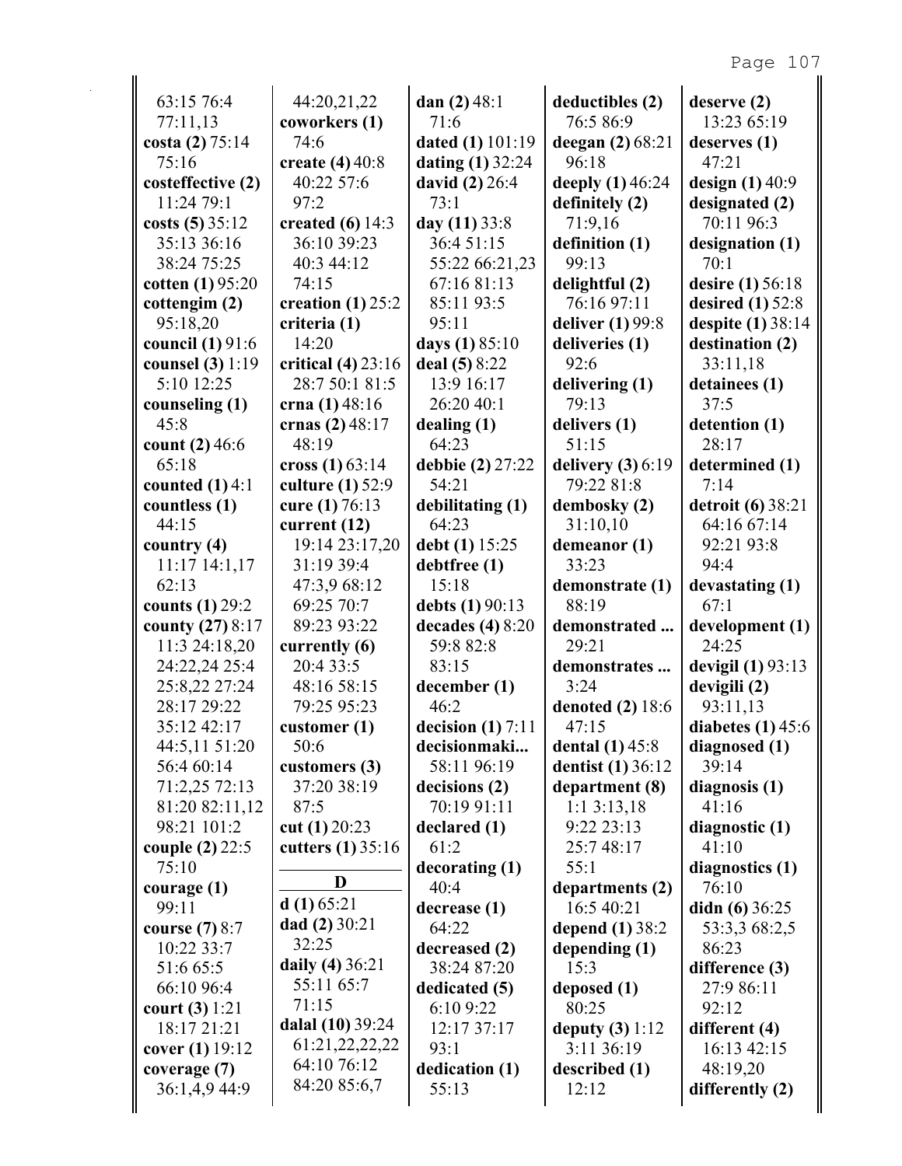| 63:15 76:4                         |                                        |                         |                                 |                                        |
|------------------------------------|----------------------------------------|-------------------------|---------------------------------|----------------------------------------|
| 77:11,13                           | 44:20,21,22<br>coworkers (1)           | dan $(2)$ 48:1<br>71:6  | deductibles (2)<br>76:5 86:9    | deserve (2)<br>13:23 65:19             |
| costa (2) 75:14                    | 74:6                                   | <b>dated (1)</b> 101:19 | deegan (2) 68:21                | deserves $(1)$                         |
| 75:16                              | create $(4)$ 40:8                      | dating $(1)$ 32:24      | 96:18                           | 47:21                                  |
| costeffective (2)                  | 40:22 57:6                             | david (2) 26:4          | deeply (1) 46:24                | design $(1)$ 40:9                      |
| 11:24 79:1                         | 97:2                                   | 73:1                    | definitely (2)                  | designated (2)                         |
| costs $(5)$ 35:12                  | created $(6)$ 14:3                     | day (11) 33:8           | 71:9,16                         | 70:11 96:3                             |
| 35:13 36:16                        | 36:10 39:23                            | 36:4 51:15              | definition (1)                  | designation (1)                        |
| 38:24 75:25                        | 40:3 44:12                             | 55:22 66:21,23          | 99:13                           | 70:1                                   |
| cotten (1) 95:20                   | 74:15                                  | 67:16 81:13             | delightful (2)                  | <b>desire</b> (1) 56:18                |
| cottengim (2)                      | creation $(1)$ 25:2                    | 85:11 93:5              | 76:16 97:11                     | desired $(1)$ 52:8                     |
| 95:18,20                           | criteria (1)                           | 95:11                   | deliver (1) 99:8                |                                        |
| council (1) 91:6                   | 14:20                                  | days (1) 85:10          | deliveries (1)                  | despite (1) 38:14<br>destination (2)   |
|                                    |                                        | deal (5) 8:22           | 92:6                            | 33:11,18                               |
| counsel (3) 1:19<br>5:10 12:25     | critical $(4)$ 23:16<br>28:7 50:1 81:5 | 13:9 16:17              |                                 | detainees (1)                          |
|                                    |                                        | 26:20 40:1              | delivering (1)                  |                                        |
| counseling (1)                     | crna $(1)$ 48:16                       |                         | 79:13                           | 37:5                                   |
| 45:8                               | crnas (2) 48:17                        | dealing(1)              | delivers (1)                    | detention (1)                          |
| count $(2)$ 46:6                   | 48:19                                  | 64:23                   | 51:15                           | 28:17                                  |
| 65:18                              | cross $(1) 63:14$                      | debbie (2) 27:22        | delivery $(3)$ 6:19             | determined (1)                         |
| counted $(1)$ 4:1                  | culture (1) 52:9                       | 54:21                   | 79:22 81:8                      | 7:14                                   |
| countless (1)                      | cure (1) 76:13                         | debilitating (1)        | dembosky (2)                    | detroit (6) 38:21                      |
| 44:15                              | current (12)                           | 64:23                   | 31:10,10                        | 64:16 67:14                            |
| country $(4)$                      | 19:14 23:17,20                         | debt (1) 15:25          | demeanor (1)                    | 92:21 93:8                             |
| $11:17$ $14:1,17$                  | 31:19 39:4                             | debtfree (1)            | 33:23                           | 94:4                                   |
| 62:13                              | 47:3,9 68:12                           | 15:18                   | demonstrate (1)                 | devastating (1)                        |
| counts (1) 29:2                    | 69:25 70:7                             | debts (1) 90:13         | 88:19                           | 67:1                                   |
|                                    |                                        |                         |                                 |                                        |
| county (27) 8:17                   | 89:23 93:22                            | decades $(4)$ 8:20      | demonstrated                    |                                        |
| 11:3 24:18,20                      | currently (6)                          | 59:8 82:8               | 29:21                           | 24:25                                  |
| 24:22,24 25:4                      | 20:4 33:5                              | 83:15                   | demonstrates                    | devigil $(1)$ 93:13                    |
| 25:8,22 27:24                      | 48:16 58:15                            | december (1)            | 3:24                            | devigili (2)                           |
| 28:17 29:22                        | 79:25 95:23                            | 46:2                    | <b>denoted</b> (2) 18:6         | 93:11,13                               |
| 35:12 42:17                        | customer $(1)$                         | decision $(1)$ 7:11     | 47:15                           |                                        |
| 44:5,11 51:20                      | 50:6                                   | decisionmaki            | dental (1) 45:8                 | diagnosed (1)                          |
| 56:4 60:14                         | customers (3)                          | 58:11 96:19             | <b>dentist</b> (1) 36:12        | 39:14                                  |
| 71:2,25 72:13                      | 37:20 38:19                            | decisions (2)           | department (8)                  | diagnosis (1)                          |
| 81:20 82:11,12                     | 87:5                                   | 70:19 91:11             | $1:1\,3:13,18$                  | 41:16                                  |
| 98:21 101:2                        | cut $(1)$ 20:23                        | declared (1)            | $9:22\,23:13$                   | diagnostic (1)                         |
| couple (2) 22:5                    | cutters $(1)$ 35:16                    | 61:2                    | 25:748:17                       | 41:10                                  |
| 75:10                              |                                        | decorating (1)          | 55:1                            | diagnostics (1)                        |
| courage $(1)$                      | D                                      | 40:4                    | departments (2)                 | 76:10                                  |
| 99:11                              | $d(1)$ 65:21                           | decrease (1)            | 16:5 40:21                      | didn $(6)$ 36:25                       |
| course $(7)$ 8:7                   | dad $(2)$ 30:21                        | 64:22                   | depend (1) 38:2                 | 53:3,3 68:2,5                          |
| 10:22 33:7                         | 32:25                                  | decreased (2)           | depending $(1)$                 | 86:23                                  |
| 51:6 65:5                          | daily (4) 36:21                        | 38:24 87:20             | 15:3                            | difference (3)                         |
| 66:10 96:4                         | 55:11 65:7                             | dedicated (5)           | deposed (1)                     | 27:9 86:11                             |
| court (3) 1:21                     | 71:15                                  | 6:10 9:22               | 80:25                           | 92:12                                  |
| 18:17 21:21                        | dalal (10) 39:24                       | 12:17 37:17             |                                 |                                        |
|                                    | 61:21,22,22,22                         | 93:1                    | deputy $(3) 1:12$<br>3:11 36:19 | different (4)<br>16:13 42:15           |
| cover (1) 19:12                    | 64:10 76:12                            |                         |                                 | development (1)<br>diabetes $(1)$ 45:6 |
| coverage (7)<br>36:1,4,9 44:9<br>∥ | 84:20 85:6,7                           | dedication (1)<br>55:13 | described (1)<br>12:12          | 48:19,20<br>differently (2)            |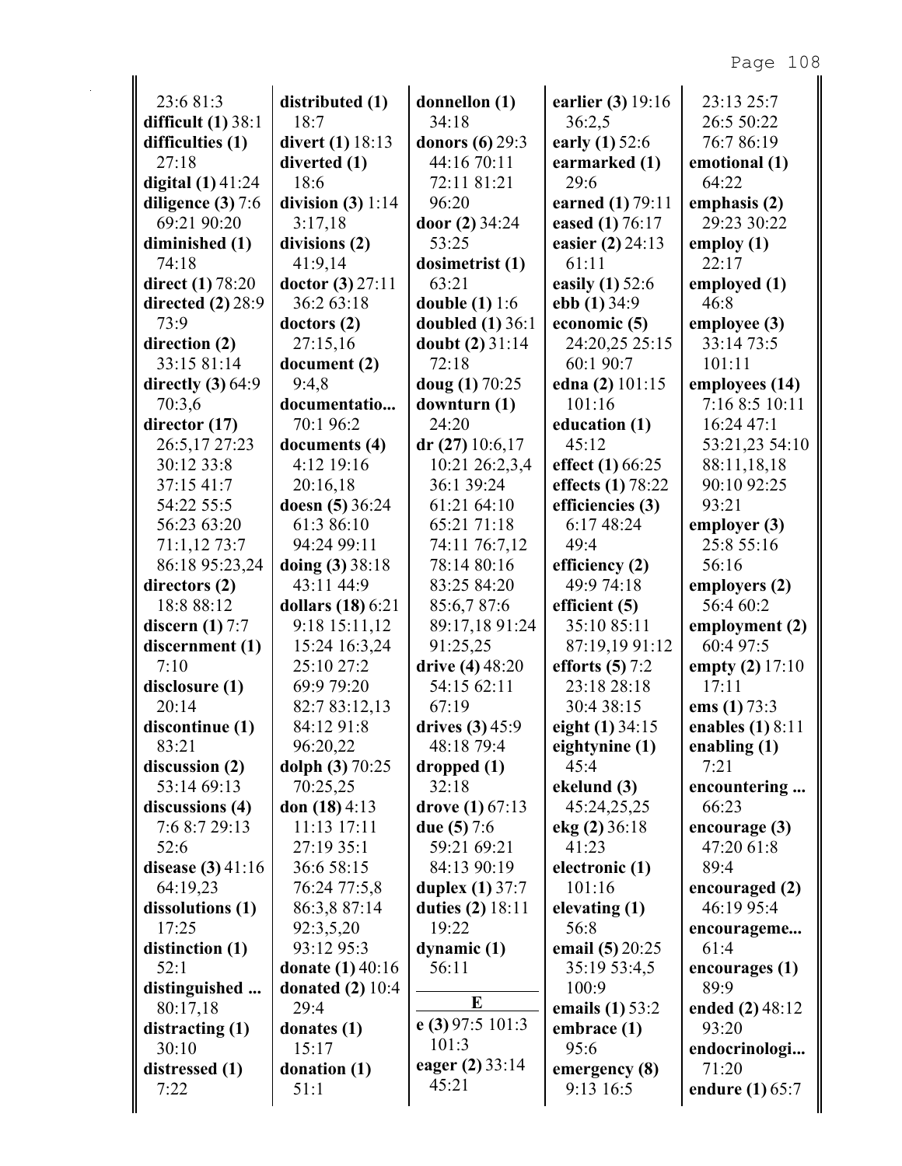| 23:6 81:3               | distributed (1)         | donnellon (1)          | earlier (3) 19:16 | 23:13 25:7         |
|-------------------------|-------------------------|------------------------|-------------------|--------------------|
| difficult $(1)$ 38:1    | 18:7                    | 34:18                  | 36:2,5            | 26:5 50:22         |
| difficulties (1)        | <b>divert</b> (1) 18:13 | <b>donors</b> (6) 29:3 | early (1) 52:6    | 76:786:19          |
| 27:18                   | diverted (1)            | 44:16 70:11            | earmarked (1)     | emotional (1)      |
| digital $(1)$ 41:24     | 18:6                    | 72:11 81:21            | 29:6              | 64:22              |
| diligence $(3)$ 7:6     | division $(3) 1:14$     | 96:20                  | earned (1) 79:11  | emphasis (2)       |
| 69:21 90:20             | 3:17,18                 | door (2) 34:24         | eased (1) 76:17   | 29:23 30:22        |
| diminished (1)          | divisions (2)           | 53:25                  | easier (2) 24:13  | employ (1)         |
| 74:18                   | 41:9,14                 | dosimetrist (1)        | 61:11             | 22:17              |
| <b>direct</b> (1) 78:20 | doctor $(3)$ 27:11      | 63:21                  | easily (1) 52:6   | employed (1)       |
| directed $(2)$ 28:9     | 36:2 63:18              | double $(1) 1:6$       | ebb $(1)$ 34:9    | 46:8               |
| 73:9                    | dotors(2)               | doubled $(1)$ 36:1     | economic (5)      | employee (3)       |
| direction (2)           | 27:15,16                | doubt $(2)$ 31:14      | 24:20,25 25:15    | 33:14 73:5         |
| 33:15 81:14             | document (2)            | 72:18                  | 60:1 90:7         | 101:11             |
| directly $(3)$ 64:9     | 9:4,8                   | doug (1) 70:25         | edna (2) 101:15   | employees (14)     |
| 70:3,6                  | documentatio            | downturn (1)           | 101:16            | 7:16 8:5 10:11     |
| director (17)           | 70:1 96:2               | 24:20                  | education (1)     | 16:24 47:1         |
| 26:5,17 27:23           | documents (4)           | $dr(27)$ 10:6,17       | 45:12             | 53:21,23 54:10     |
| 30:12 33:8              | 4:12 19:16              | 10:21 26:2,3,4         | effect (1) 66:25  | 88:11,18,18        |
| 37:15 41:7              | 20:16,18                | 36:1 39:24             | effects (1) 78:22 | 90:10 92:25        |
| 54:22 55:5              | doesn (5) 36:24         | 61:21 64:10            | efficiencies (3)  | 93:21              |
| 56:23 63:20             | 61:3 86:10              | 65:21 71:18            | 6:17 48:24        | employer (3)       |
| 71:1,12 73:7            | 94:24 99:11             | 74:11 76:7,12          | 49:4              | 25:8 55:16         |
| 86:18 95:23,24          | doing (3) 38:18         | 78:14 80:16            | efficiency (2)    | 56:16              |
| directors (2)           | 43:11 44:9              | 83:25 84:20            | 49:9 74:18        | employers (2)      |
| 18:8 88:12              | dollars (18) 6:21       | 85:6,787:6             | efficient $(5)$   | 56:4 60:2          |
| discern $(1)$ 7:7       | 9:18 15:11,12           | 89:17,18 91:24         | 35:10 85:11       | employment (2)     |
| discernment (1)         | 15:24 16:3,24           | 91:25,25               | 87:19,19 91:12    | 60:4 97:5          |
| 7:10                    | 25:10 27:2              | drive (4) 48:20        | efforts $(5)$ 7:2 | empty (2) 17:10    |
| disclosure (1)          | 69:9 79:20              | 54:15 62:11            | 23:18 28:18       | 17:11              |
| 20:14                   | 82:7 83:12,13           | 67:19                  | 30:4 38:15        | ems $(1) 73:3$     |
| discontinue (1)         | 84:12 91:8              | drives $(3)$ 45:9      | eight (1) 34:15   | enables $(1)$ 8:11 |
| 83:21                   | 96:20,22                | 48:18 79:4             | eightynine (1)    | enabling $(1)$     |
| discussion (2)          | dolph (3) 70:25         | dropped(1)             | 45:4              | 7:21               |
| 53:14 69:13             | 70:25,25                | 32:18                  | ekelund (3)       | encountering       |
| discussions (4)         | don $(18)$ 4:13         | drove $(1)$ 67:13      | 45:24,25,25       | 66:23              |
| 7:6 8:7 29:13           | 11:13 17:11             | due $(5)$ 7:6          | ekg (2) 36:18     | encourage (3)      |
| 52:6                    | 27:19 35:1              | 59:21 69:21            | 41:23             | 47:20 61:8         |
| disease $(3)$ 41:16     | 36:6 58:15              | 84:13 90:19            | electronic (1)    | 89:4               |
| 64:19,23                | 76:24 77:5,8            | <b>duplex</b> (1) 37:7 | 101:16            | encouraged (2)     |
| dissolutions (1)        | 86:3,8 87:14            | duties (2) 18:11       | elevating (1)     | 46:19 95:4         |
| 17:25                   | 92:3,5,20               | 19:22                  | 56:8              |                    |
|                         | 93:12 95:3              |                        |                   | encourageme        |
| distinction (1)         |                         | dynamic (1)<br>56:11   | email (5) 20:25   | 61:4               |
| 52:1                    | <b>donate</b> (1) 40:16 |                        | 35:19 53:4,5      | encourages (1)     |
| distinguished           | donated $(2)$ 10:4      | E                      | 100:9             | 89:9               |
| 80:17,18                | 29:4                    | e (3) 97:5 101:3       | emails (1) 53:2   | ended (2) 48:12    |
| distracting $(1)$       | donates (1)             | 101:3                  | embrace (1)       | 93:20              |
| 30:10                   | 15:17                   | eager (2) 33:14        | 95:6              | endocrinologi      |
| distressed (1)          | donation (1)            | 45:21                  | emergency (8)     | 71:20              |
| 7:22                    | 51:1                    |                        | 9:13 16:5         | endure (1) 65:7    |
|                         |                         |                        |                   |                    |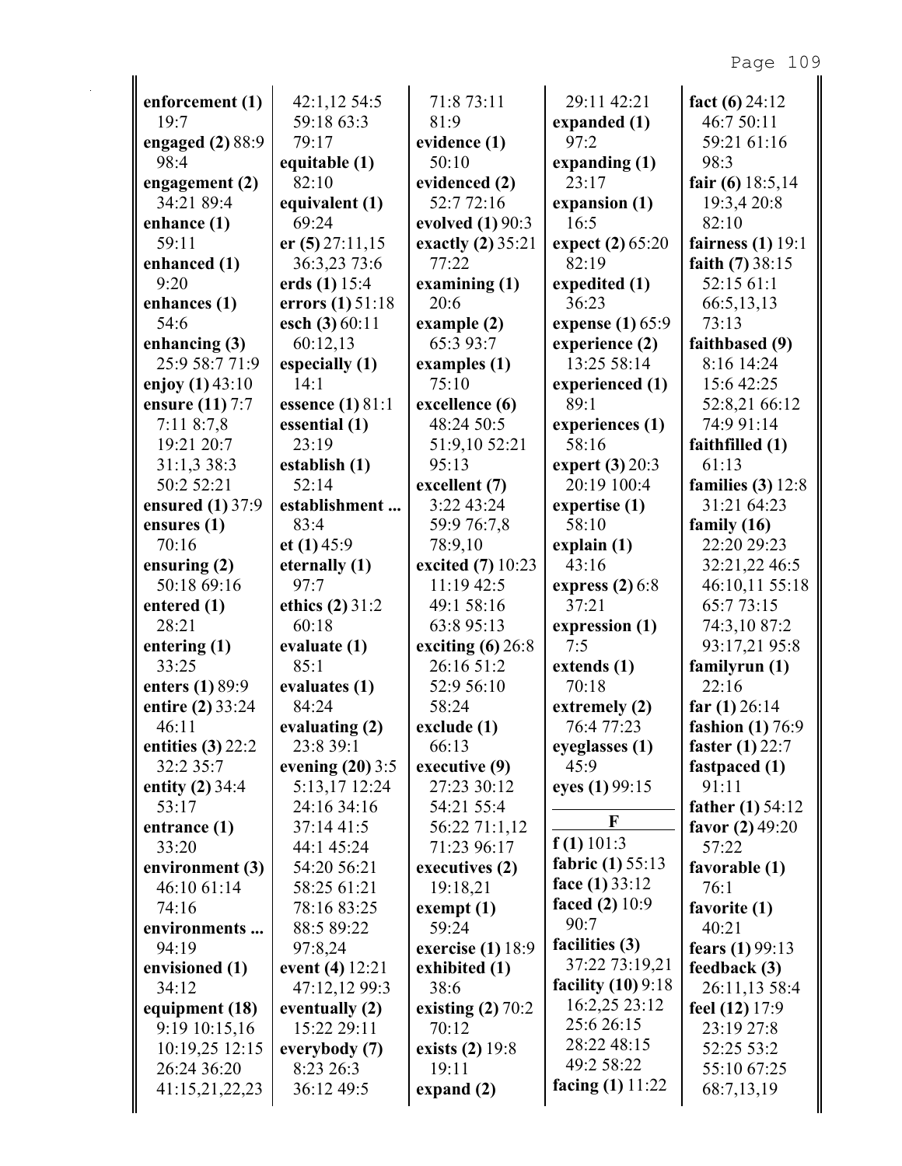| enforcement (1)                 | 42:1,1254:5                   | 71:8 73:11                   | 29:11 42:21          | fact $(6)$ 24:12             |
|---------------------------------|-------------------------------|------------------------------|----------------------|------------------------------|
| 19:7                            | 59:18 63:3                    | 81:9                         | expanded (1)         | 46:7 50:11                   |
| engaged $(2)$ 88:9              | 79:17                         | evidence (1)                 | 97:2                 | 59:21 61:16                  |
| 98:4                            | equitable (1)                 | 50:10                        | expanding $(1)$      | 98:3                         |
| engagement (2)                  | 82:10                         | evidenced (2)                | 23:17                | fair (6) $18:5,14$           |
| 34:21 89:4                      | equivalent (1)                | 52:772:16                    | expansion (1)        | 19:3,4 20:8                  |
| enhance (1)                     | 69:24                         | evolved (1) 90:3             | 16:5                 | 82:10                        |
| 59:11                           | er $(5)$ 27:11,15             | exactly (2) 35:21            | expect (2) 65:20     | fairness $(1)$ 19:1          |
| enhanced (1)                    | 36:3,23 73:6                  | 77:22                        | 82:19                | faith $(7)$ 38:15            |
| 9:20                            | erds $(1)$ 15:4               | examining $(1)$              | expedited (1)        | 52:15 61:1                   |
| enhances (1)                    | errors (1) 51:18              | 20:6                         | 36:23                | 66:5,13,13                   |
| 54:6                            | esch (3) 60:11                | example(2)                   | expense (1) 65:9     | 73:13                        |
| enhancing $(3)$                 | 60:12,13                      | 65:3 93:7                    | experience (2)       | faithbased (9)               |
| 25:9 58:7 71:9                  | especially (1)                | examples (1)                 | 13:25 58:14          | 8:16 14:24                   |
| enjoy $(1)$ 43:10               | 14:1                          | 75:10                        | experienced (1)      | 15:6 42:25                   |
| ensure (11) 7:7                 | essence $(1)$ 81:1            | excellence (6)               | 89:1                 | 52:8,21 66:12                |
| 7:118:7,8                       | essential (1)                 | 48:24 50:5                   | experiences (1)      | 74:9 91:14                   |
| 19:21 20:7                      | 23:19                         | 51:9,10 52:21                | 58:16                | faithfilled (1)              |
| 31:1,3 38:3                     | establish (1)                 | 95:13                        | expert (3) 20:3      | 61:13                        |
| 50:2 52:21                      | 52:14                         | excellent (7)                | 20:19 100:4          | families $(3)$ 12:8          |
| ensured (1) 37:9                | establishment                 | 3:22 43:24                   | expertise (1)        | 31:21 64:23                  |
| ensures $(1)$                   | 83:4                          | 59:9 76:7,8                  | 58:10                | family $(16)$                |
| 70:16                           | et $(1)$ 45:9                 | 78:9,10                      | explain $(1)$        | 22:20 29:23                  |
| ensuring $(2)$                  | eternally (1)                 | excited (7) 10:23            | 43:16                | 32:21,22 46:5                |
| 50:18 69:16                     | 97:7                          | 11:19 42:5                   | express $(2)$ 6:8    | 46:10,11 55:18               |
| entered (1)                     | ethics $(2)$ 31:2             | 49:1 58:16                   | 37:21                | 65:773:15                    |
| 28:21                           | 60:18                         | 63:8 95:13                   | expression (1)       | 74:3,10 87:2                 |
| entering (1)                    | evaluate (1)                  | exciting $(6)$ 26:8          | 7:5                  | 93:17,21 95:8                |
| 33:25                           | 85:1                          | 26:16 51:2                   | extends (1)          | familyrun (1)                |
| enters (1) 89:9                 | evaluates (1)                 | 52:9 56:10                   | 70:18                | 22:16                        |
| entire (2) 33:24                | 84:24                         | 58:24                        | extremely (2)        | far $(1)$ 26:14              |
| 46:11                           | evaluating (2)                | $\vert$ exclude $(1)$        | 76:4 77:23           | fashion $(1)$ 76:9           |
| entities $(3)$ 22:2             | 23:8 39:1                     | 66:13                        | eyeglasses (1)       | <b>faster</b> (1) 22:7       |
| 32:2 35:7                       | evening $(20)$ 3:5            | executive (9)                | 45:9                 | fastpaced (1)                |
| entity (2) 34:4                 | 5:13,17 12:24                 | 27:23 30:12                  | eyes (1) 99:15       | 91:11                        |
| 53:17                           | 24:16 34:16                   | 54:21 55:4                   | F                    | father $(1) 54:12$           |
| entrance (1)                    | 37:14 41:5                    | 56:22 71:1,12                | $f(1)$ 101:3         | favor $(2)$ 49:20            |
| 33:20                           | 44:1 45:24                    | 71:23 96:17                  | fabric (1) 55:13     | 57:22                        |
| environment (3)                 | 54:20 56:21                   | executives (2)               | face $(1)$ 33:12     | favorable (1)                |
| 46:10 61:14                     | 58:25 61:21                   | 19:18,21                     | faced $(2)$ 10:9     | 76:1                         |
| 74:16                           | 78:16 83:25                   | exempt(1)                    | 90:7                 | favorite (1)                 |
| environments                    | 88:5 89:22                    | 59:24                        | facilities (3)       | 40:21                        |
| 94:19                           | 97:8,24                       | exercise (1) 18:9            | 37:22 73:19,21       | fears (1) 99:13              |
| envisioned (1)<br>34:12         | event (4) 12:21               | exhibited (1)                | facility $(10)$ 9:18 | feedback(3)                  |
|                                 | 47:12,12 99:3                 | 38:6                         | 16:2,25 23:12        | 26:11,13 58:4                |
| equipment (18)                  | eventually (2)<br>15:22 29:11 | existing $(2)$ 70:2<br>70:12 | 25:6 26:15           | feel (12) 17:9<br>23:19 27:8 |
| 9:19 10:15,16<br>10:19,25 12:15 |                               | exists (2) 19:8              | 28:22 48:15          | 52:25 53:2                   |
| 26:24 36:20                     | everybody (7)<br>8:23 26:3    | 19:11                        | 49:2 58:22           | 55:10 67:25                  |
| 41:15,21,22,23                  | 36:12 49:5                    | expand $(2)$                 | facing $(1)$ 11:22   | 68:7,13,19                   |
|                                 |                               |                              |                      |                              |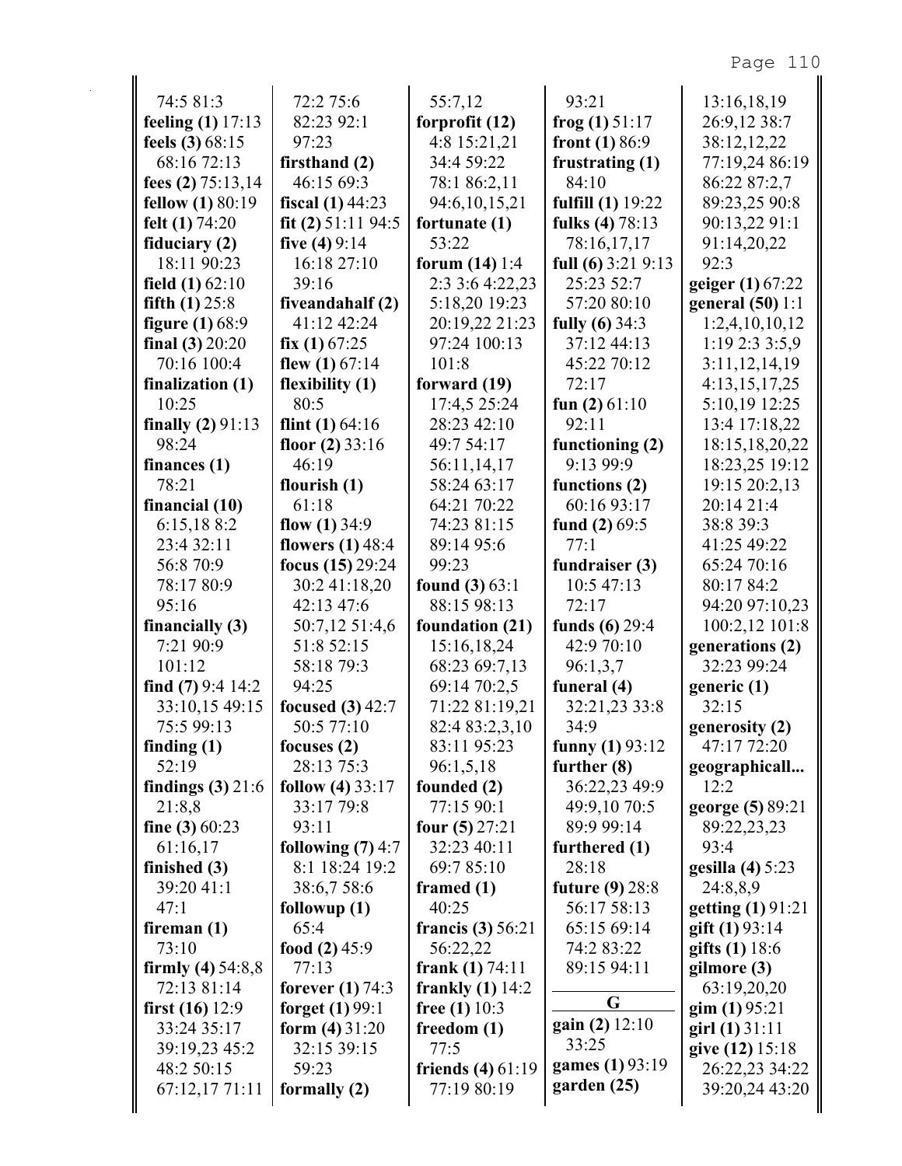| 74:5 81:3               | 72:2 75:6            | 55:7,12             | 93:21               | 13:16,18,19              |
|-------------------------|----------------------|---------------------|---------------------|--------------------------|
| feeling $(1)$ 17:13     | 82:23 92:1           | forprofit (12)      | frog $(1)$ 51:17    | 26:9,12 38:7             |
| feels $(3)$ 68:15       | 97:23                | 4:8 15:21,21        | front $(1) 86:9$    | 38:12,12,22              |
| 68:16 72:13             | firsthand (2)        | 34:4 59:22          | frustrating (1)     | 77:19,24 86:19           |
| fees $(2)$ 75:13,14     | 46:15 69:3           | 78:1 86:2,11        | 84:10               | 86:22 87:2,7             |
| <b>fellow</b> (1) 80:19 | fiscal $(1)$ 44:23   | 94:6,10,15,21       | fulfill (1) 19:22   | 89:23,25 90:8            |
| felt $(1)$ 74:20        | fit (2) $51:11$ 94:5 | fortunate $(1)$     | fulks (4) 78:13     | 90:13,22 91:1            |
| fiduciary (2)           | five $(4)9:14$       | 53:22               | 78:16,17,17         | 91:14,20,22              |
| 18:11 90:23             | 16:18 27:10          | forum $(14)$ 1:4    | full (6) $3:219:13$ | 92:3                     |
| field $(1)$ 62:10       | 39:16                | 2:3 3:6 4:22,23     | 25:23 52:7          | geiger $(1)$ 67:22       |
| fifth $(1)$ 25:8        | fiveandahalf (2)     | 5:18,20 19:23       | 57:20 80:10         | general $(50)$ 1:1       |
| figure $(1)$ 68:9       | 41:12 42:24          | 20:19,22 21:23      | fully $(6)$ 34:3    | 1:2,4,10,10,12           |
| final $(3) 20:20$       | fix $(1)$ 67:25      | 97:24 100:13        | 37:12 44:13         | 1:19 2:3 3:5,9           |
| 70:16 100:4             | flew $(1)$ 67:14     | 101:8               | 45:22 70:12         | 3:11,12,14,19            |
| finalization (1)        | flexibility (1)      | forward (19)        | 72:17               | 4:13,15,17,25            |
| 10:25                   | 80:5                 | 17:4,5 25:24        | fun $(2)$ 61:10     | 5:10,19 12:25            |
| finally $(2) 91:13$     | flint $(1)$ 64:16    | 28:23 42:10         | 92:11               | 13:4 17:18,22            |
| 98:24                   | floor $(2)$ 33:16    | 49:7 54:17          | functioning (2)     | 18:15, 18, 20, 22        |
| finances $(1)$          | 46:19                | 56:11,14,17         | 9:13 99:9           | 18:23,25 19:12           |
| 78:21                   | flourish $(1)$       | 58:24 63:17         | functions (2)       | 19:15 20:2,13            |
| financial (10)          | 61:18                | 64:21 70:22         | 60:16 93:17         | 20:14 21:4               |
| 6:15,188:2              | flow $(1)$ 34:9      | 74:23 81:15         | fund $(2)$ 69:5     | 38:8 39:3                |
| 23:4 32:11              | flowers $(1)$ 48:4   | 89:14 95:6          | 77:1                | 41:25 49:22              |
| 56:8 70:9               | focus (15) 29:24     | 99:23               | fundraiser (3)      | 65:24 70:16              |
| 78:17 80:9              | 30:2 41:18,20        | found $(3) 63:1$    | 10:5 47:13          | 80:17 84:2               |
| 95:16                   | 42:13 47:6           | 88:15 98:13         | 72:17               | 94:20 97:10,23           |
| financially (3)         | 50:7,12 51:4,6       | foundation (21)     | funds $(6)$ 29:4    | 100:2,12 101:8           |
| 7:21 90:9               | 51:8 52:15           | 15:16,18,24         | 42:9 70:10          | generations (2)          |
| 101:12                  | 58:18 79:3           | 68:23 69:7,13       | 96:1,3,7            | 32:23 99:24              |
| find $(7)$ 9:4 14:2     | 94:25                | 69:14 70:2,5        | funeral (4)         | generic (1)              |
| 33:10,15 49:15          | focused $(3)$ 42:7   | 71:22 81:19,21      | 32:21,23 33:8       | 32:15                    |
| 75:5 99:13              | 50:5 77:10           | 82:4 83:2,3,10      | 34:9                | generosity (2)           |
| finding $(1)$           | focuses $(2)$        | 83:11 95:23         | funny $(1)$ 93:12   | 47:17 72:20              |
| 52:19                   | 28:13 75:3           | 96:1,5,18           | further $(8)$       | geographicall            |
| findings $(3)$ 21:6     | follow $(4)$ 33:17   | founded (2)         | 36:22,23 49:9       | 12:2                     |
| 21:8,8                  | 33:17 79:8           | 77:15 90:1          | 49:9,10 70:5        | george (5) 89:21         |
| fine (3) $60:23$        | 93:11                | four $(5)$ 27:21    | 89:9 99:14          | 89:22,23,23              |
| 61:16,17                | following $(7)$ 4:7  | 32:23 40:11         | furthered (1)       | 93:4                     |
| finished (3)            | 8:1 18:24 19:2       | 69:785:10           | 28:18               | gesilla $(4)$ 5:23       |
| 39:20 41:1              | 38:6,7 58:6          | framed $(1)$        | future $(9) 28:8$   | 24:8,8,9                 |
| 47:1                    | followup $(1)$       | 40:25               | 56:17 58:13         | getting (1) 91:21        |
| fireman $(1)$           | 65:4                 | francis (3) $56:21$ | 65:15 69:14         | gift $(1)$ 93:14         |
| 73:10                   | food $(2)$ 45:9      | 56:22,22            | 74:2 83:22          | gifts $(1)$ 18:6         |
| firmly $(4)$ 54:8,8     | 77:13                | frank $(1) 74:11$   | 89:15 94:11         | gilmore (3)              |
| 72:13 81:14             | forever $(1)$ 74:3   | frankly $(1)$ 14:2  | G                   | 63:19,20,20              |
| first $(16)$ 12:9       | forget (1) 99:1      | free $(1)$ 10:3     | gain (2) 12:10      | $\text{gim}(1)95:21$     |
| 33:24 35:17             | form $(4)$ 31:20     | freedom $(1)$       | 33:25               | $\left( 1 \right) 31:11$ |
| 39:19,23 45:2           | 32:15 39:15          | 77:5                | games (1) 93:19     | give (12) 15:18          |
| 48:2 50:15              | 59:23                | friends $(4) 61:19$ | garden(25)          | 26:22,23 34:22           |
| 67:12,17 71:11          | formally $(2)$       | 77:19 80:19         |                     | 39:20,24 43:20           |
|                         |                      |                     |                     |                          |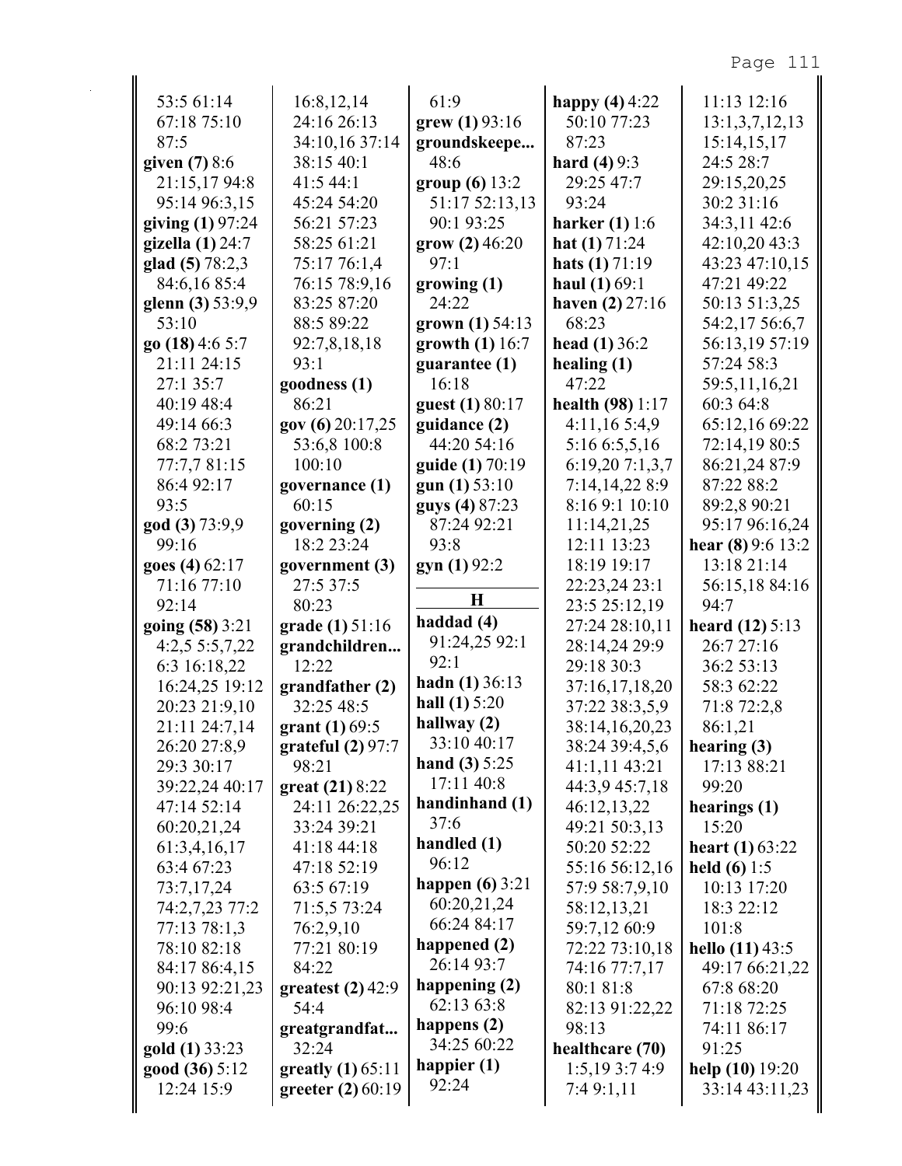| 78:10 82:18                   | 77:21 80:19                          | happened (2)<br>26:14 93:7 | 72:22 73:10,18                   | hello $(11)$ 43:5        |
|-------------------------------|--------------------------------------|----------------------------|----------------------------------|--------------------------|
| 77:13 78:1,3                  | 76:2,9,10                            |                            | 59:7,12 60:9                     | 101:8                    |
| 74:2,7,23 77:2                | 71:5,5 73:24                         | 66:24 84:17                | 58:12,13,21                      | 18:3 22:12               |
|                               |                                      | 60:20,21,24                |                                  |                          |
| 73:7,17,24                    | 63:5 67:19                           | happen $(6)$ 3:21          | 57:9 58:7,9,10                   | 10:13 17:20              |
| 63:4 67:23                    | 47:18 52:19                          | 96:12                      | 55:16 56:12,16                   | held $(6) 1:5$           |
| 60:20,21,24<br>61:3,4,16,17   | 41:18 44:18                          | handled (1)                | 49:21 50:3,13<br>50:20 52:22     | <b>heart</b> (1) $63:22$ |
|                               | 24:11 26:22,25<br>33:24 39:21        | 37:6                       |                                  | 15:20                    |
| 47:14 52:14                   |                                      | handinhand (1)             | 46:12,13,22                      | hearings (1)             |
| 39:22,24 40:17                | $gr$ (21) 8:22                       | 17:11 40:8                 | 44:3,9 45:7,18                   | 99:20                    |
| 29:3 30:17                    | 98:21                                | hand $(3) 5:25$            | 41:1,11 43:21                    | 17:13 88:21              |
| 26:20 27:8,9                  | grant(1) 69:5<br>grateful $(2)$ 97:7 | 33:10 40:17                | 38:14,16,20,23<br>38:24 39:4,5,6 | 86:1,21<br>hearing $(3)$ |
| 21:11 24:7,14                 |                                      | hallway (2)                |                                  |                          |
| 20:23 21:9,10                 | 32:25 48:5                           | hall $(1)$ 5:20            | 37:22 38:3,5,9                   | 71:8 72:2,8              |
| 16:24,25 19:12                | grandfather(2)                       | hadn $(1)$ 36:13           | 37:16,17,18,20                   | 58:3 62:22               |
| 6:3 16:18,22                  | 12:22                                | 92:1                       | 29:18 30:3                       | 36:2 53:13               |
| 4:2,55:5,7,22                 | grandchildren                        | 91:24,25 92:1              | 28:14,24 29:9                    | 26:7 27:16               |
| going (58) 3:21               | <b>grade</b> (1) $51:16$             | haddad (4)                 | 27:24 28:10,11                   | heard $(12) 5:13$        |
| 92:14                         | 80:23                                | $\bf H$                    | 23:5 25:12,19                    | 56:15,18 84:16<br>94:7   |
| goes (4) 62:17<br>71:16 77:10 | government (3)<br>27:5 37:5          | gyn(1)92:2                 | 18:19 19:17<br>22:23,24 23:1     | 13:18 21:14              |
| 99:16                         | 18:2 23:24                           | 93:8                       | 12:11 13:23                      | hear $(8)$ 9:6 13:2      |
| god (3) 73:9,9                | governing (2)                        | 87:24 92:21                | 11:14,21,25                      | 95:17 96:16,24           |
| 93:5                          | 60:15                                | guys (4) 87:23             | 8:16 9:1 10:10                   | 89:2,8 90:21             |
| 86:4 92:17                    | governance (1)                       | gun $(1)$ 53:10            | 7:14,14,228:9                    | 87:22 88:2               |
| 77:7,781:15                   | 100:10                               | guide (1) 70:19            | 6:19,20 7:1,3,7                  | 86:21,24 87:9            |
| 68:2 73:21                    | 53:6,8 100:8                         | 44:20 54:16                | 5:16 6:5,5,16                    | 72:14,19 80:5            |
| 49:14 66:3                    | gov(6) 20:17,25                      | guidance (2)               | 4:11,165:4,9                     | 65:12,16 69:22           |
| 40:19 48:4                    | 86:21                                | guest (1) 80:17            | health $(98)$ 1:17               | 60:3 64:8                |
| 27:1 35:7                     | goodness (1)                         | 16:18                      | 47:22                            | 59:5,11,16,21            |
| 21:11 24:15                   | 93:1                                 | guarantee $(1)$            | healing $(1)$                    | 57:24 58:3               |
| go $(18)$ 4:6 5:7             | 92:7,8,18,18                         | growth $(1)$ 16:7          | head $(1)$ 36:2                  | 56:13,19 57:19           |
| 53:10                         | 88:5 89:22                           | grown (1) 54:13            | 68:23                            | 54:2,17 56:6,7           |
| glenn $(3)$ 53:9,9            | 83:25 87:20                          | 24:22                      | haven $(2)$ 27:16                | 50:13 51:3,25            |
| 84:6,1685:4                   | 76:15 78:9,16                        | growing(1)                 | haul $(1) 69:1$                  | 47:21 49:22              |
| glad (5) 78:2,3               | 75:17 76:1,4                         | 97:1                       | <b>hats</b> (1) $71:19$          | 43:23 47:10,15           |
| gizella $(1)$ 24:7            | 58:25 61:21                          | $\text{grow} (2) 46:20$    | <b>hat</b> (1) $71:24$           | 42:10,20 43:3            |
| giving $(1)$ 97:24            | 56:21 57:23                          | 90:1 93:25                 | harker $(1) 1:6$                 | 34:3,11 42:6             |
| 95:14 96:3,15                 | 45:24 54:20                          | 51:17 52:13,13             | 93:24                            | 30:2 31:16               |
| 21:15,17 94:8                 | 41:5 44:1                            | group $(6)$ 13:2           | 29:25 47:7                       | 29:15,20,25              |
| given $(7)$ 8:6               | 38:15 40:1                           | 48:6                       | <b>hard</b> (4) $9:3$            | 24:5 28:7                |
| 87:5                          | 34:10,16 37:14                       | groundskeepe               | 87:23                            | 15:14,15,17              |
| 67:18 75:10                   | 24:16 26:13                          | grew $(1)$ 93:16           | 50:10 77:23                      | 13:1,3,7,12,13           |
|                               | 16:8,12,14                           | 61:9                       | happy $(4)$ 4:22                 | 11:13 12:16              |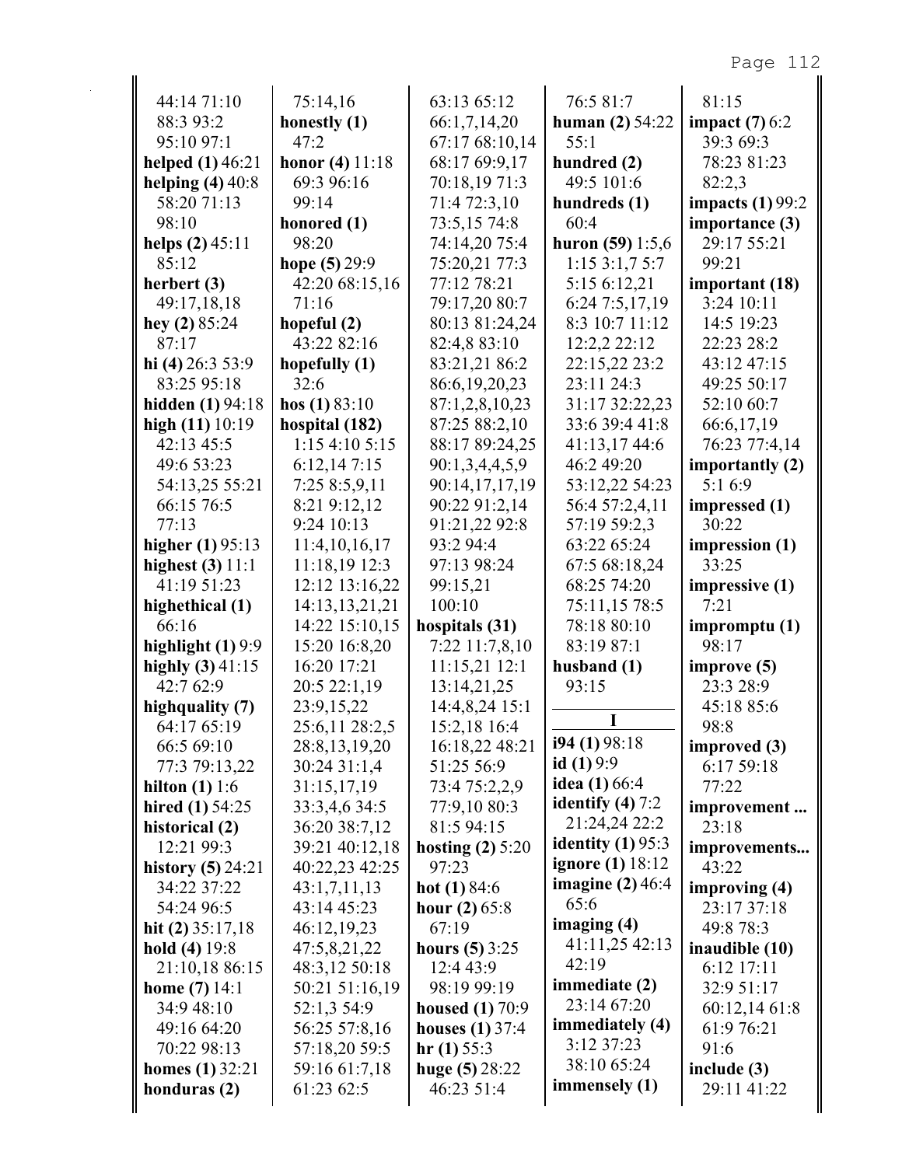| 44:14 71:10                       | 75:14,16                        | 63:13 65:12                | 76:5 81:7                    | 81:15                   |
|-----------------------------------|---------------------------------|----------------------------|------------------------------|-------------------------|
| 88:3 93:2                         | honestly (1)                    | 66:1,7,14,20               | human $(2)$ 54:22            | impact $(7)$ 6:2        |
| 95:10 97:1                        | 47:2                            | 67:17 68:10,14             | 55:1                         | 39:3 69:3               |
| helped $(1)$ 46:21                | honor $(4)$ 11:18               | 68:17 69:9,17              | hundred (2)                  | 78:23 81:23             |
| helping $(4)$ 40:8                | 69:3 96:16                      | 70:18,19 71:3              | 49:5 101:6                   | 82:2,3                  |
| 58:20 71:13                       | 99:14                           | 71:4 72:3,10               | hundreds (1)                 | impacts $(1)$ 99:2      |
| 98:10                             | honored (1)                     | 73:5,15 74:8               | 60:4                         | importance (3)          |
| helps $(2)$ 45:11                 | 98:20                           | 74:14,20 75:4              | huron $(59)$ 1:5,6           | 29:17 55:21             |
| 85:12                             | hope $(5) 29:9$                 | 75:20,21 77:3              | 1:153:1,75:7                 | 99:21                   |
| herbert (3)                       | 42:20 68:15,16                  | 77:12 78:21                | 5:15 6:12,21                 | important (18)          |
| 49:17,18,18                       | 71:16                           | 79:17,20 80:7              | 6:24 7:5,17,19               | 3:24 10:11              |
| hey $(2)$ 85:24                   | hopeful (2)                     | 80:13 81:24,24             | 8:3 10:7 11:12               | 14:5 19:23              |
| 87:17                             | 43:22 82:16                     | 82:4,8 83:10               | 12:2,2 22:12                 | 22:23 28:2              |
| hi (4) $26:353:9$                 | hopefully $(1)$                 | 83:21,21 86:2              | 22:15,22 23:2                | 43:12 47:15             |
| 83:25 95:18                       | 32:6                            | 86:6,19,20,23              | 23:11 24:3                   | 49:25 50:17             |
| <b>hidden</b> (1) 94:18           | hos $(1) 83:10$                 | 87:1,2,8,10,23             | 31:17 32:22,23               | 52:10 60:7              |
| high $(11)$ 10:19                 | hospital (182)                  | 87:25 88:2,10              | 33:6 39:4 41:8               | 66:6,17,19              |
| 42:13 45:5                        | 1:15 4:10 5:15                  | 88:17 89:24,25             | 41:13,17 44:6                | 76:23 77:4,14           |
| 49:6 53:23                        | 6:12,147:15                     | 90:1,3,4,4,5,9             | 46:2 49:20                   | importantly (2)         |
| 54:13,25 55:21                    | 7:25 8:5,9,11                   | 90:14,17,17,19             | 53:12,22 54:23               | 5:16:9                  |
| 66:15 76:5                        | 8:21 9:12,12                    | 90:22 91:2,14              | 56:4 57:2,4,11               | impressed (1)<br>30:22  |
| 77:13                             | 9:24 10:13                      | 91:21,22 92:8<br>93:2 94:4 | 57:19 59:2,3                 |                         |
| higher $(1)$ 95:13                | 11:4,10,16,17                   |                            | 63:22 65:24                  | impression (1)<br>33:25 |
| highest $(3)$ 11:1<br>41:19 51:23 | 11:18,19 12:3<br>12:12 13:16,22 | 97:13 98:24                | 67:5 68:18,24<br>68:25 74:20 |                         |
|                                   | 14:13,13,21,21                  | 99:15,21<br>100:10         | 75:11,15 78:5                | impressive (1)<br>7:21  |
| highethical (1)<br>66:16          | 14:22 15:10,15                  | hospitals (31)             | 78:18 80:10                  | impromptu (1)           |
| highlight $(1)$ 9:9               | 15:20 16:8,20                   | 7:22 11:7,8,10             | 83:19 87:1                   | 98:17                   |
| highly $(3)$ 41:15                | 16:20 17:21                     | 11:15,21 12:1              | husband $(1)$                | improve (5)             |
| 42:7 62:9                         | 20:5 22:1,19                    | 13:14,21,25                | 93:15                        | 23:3 28:9               |
| highquality (7)                   | 23:9,15,22                      | 14:4,8,24 15:1             |                              | 45:18 85:6              |
| 64:17 65:19                       | 25:6,11 28:2,5                  | 15:2,18 16:4               | I                            | 98:8                    |
| 66:5 69:10                        | 28:8,13,19,20                   | 16:18,22 48:21             | i94 (1) 98:18                | improved (3)            |
| 77:3 79:13,22                     | 30:24 31:1,4                    | 51:25 56:9                 | id $(1)9:9$                  | 6:17 59:18              |
| hilton $(1)$ 1:6                  | 31:15,17,19                     | 73:4 75:2,2,9              | idea $(1)$ 66:4              | 77:22                   |
| hired $(1)$ 54:25                 | 33:3,4,6 34:5                   | 77:9,10 80:3               | identify $(4)$ 7:2           | improvement             |
| historical (2)                    | 36:20 38:7,12                   | 81:5 94:15                 | 21:24,24 22:2                | 23:18                   |
| 12:21 99:3                        | 39:21 40:12,18                  | hosting $(2)$ 5:20         | identity $(1)$ 95:3          | improvements            |
| history $(5)$ 24:21               | 40:22,23 42:25                  | 97:23                      | <b>ignore</b> (1) 18:12      | 43:22                   |
| 34:22 37:22                       | 43:1,7,11,13                    | hot $(1)$ 84:6             | imagine $(2)$ 46:4           | improving (4)           |
| 54:24 96:5                        | 43:14 45:23                     | hour $(2)$ 65:8            | 65:6                         | 23:17 37:18             |
| hit $(2)$ 35:17,18                | 46:12,19,23                     | 67:19                      | imaging $(4)$                | 49:8 78:3               |
| hold $(4)$ 19:8                   | 47:5,8,21,22                    | hours $(5)$ 3:25           | 41:11,25 42:13               | inaudible (10)          |
| 21:10,18 86:15                    | 48:3,12 50:18                   | 12:4 43:9                  | 42:19                        | 6:12 17:11              |
| <b>home</b> $(7)$ 14:1            | 50:21 51:16,19                  | 98:19 99:19                | immediate (2)                | 32:9 51:17              |
| 34:9 48:10                        | 52:1,3 54:9                     | <b>housed</b> (1) $70:9$   | 23:14 67:20                  | 60:12,14 61:8           |
| 49:16 64:20                       | 56:25 57:8,16                   | houses $(1)$ 37:4          | immediately (4)              | 61:9 76:21              |
| 70:22 98:13                       | 57:18,20 59:5                   | hr(1) 55:3                 | 3:12 37:23                   | 91:6                    |
| homes $(1)$ 32:21                 | 59:16 61:7,18                   | huge $(5) 28:22$           | 38:10 65:24                  | include (3)             |
| honduras (2)                      | 61:23 62:5                      | 46:23 51:4                 | immensely $(1)$              | 29:11 41:22             |
|                                   |                                 |                            |                              |                         |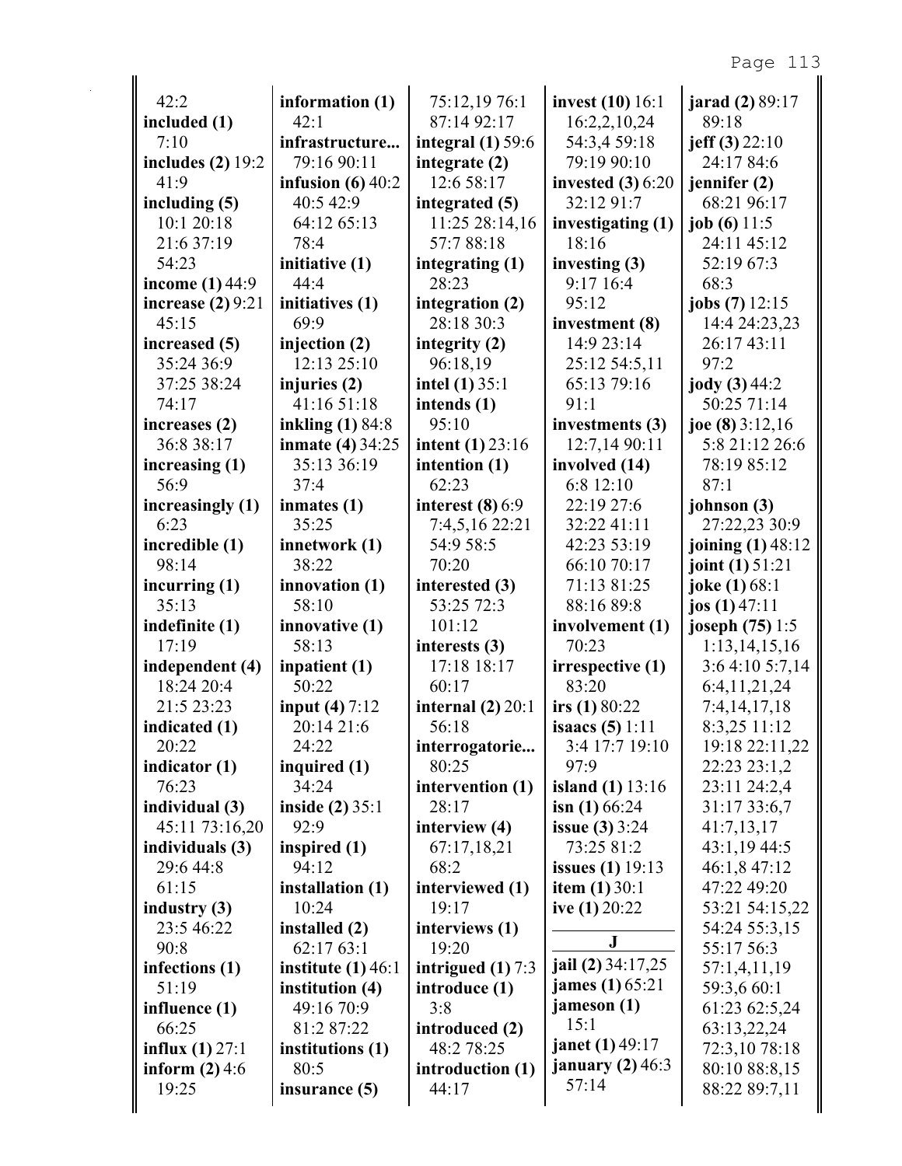| 42:2                                         | information (1)          | 75:12,19 76:1                | <b>invest</b> (10) 16:1  | <b>jarad</b> (2) 89:17       |
|----------------------------------------------|--------------------------|------------------------------|--------------------------|------------------------------|
| included (1)                                 | 42:1                     | 87:14 92:17                  | 16:2,2,10,24             | 89:18                        |
| 7:10                                         | infrastructure           | integral $(1)$ 59:6          | 54:3,4 59:18             | jeff $(3)$ 22:10             |
| includes $(2)$ 19:2                          | 79:16 90:11              | integrate (2)                | 79:19 90:10              | 24:17 84:6                   |
| 41:9                                         | infusion $(6)$ 40:2      | 12:6 58:17                   | invested $(3)$ 6:20      | jennifer $(2)$               |
| including (5)                                | 40:5 42:9                | integrated (5)               | 32:12 91:7               | 68:21 96:17                  |
| 10:1 20:18                                   | 64:12 65:13              | 11:25 28:14,16               | investigating (1)        | job $(6)$ 11:5               |
| 21:6 37:19                                   | 78:4                     | 57:788:18                    | 18:16                    | 24:11 45:12                  |
| 54:23                                        | initiative (1)           | integrating (1)              | investing $(3)$          | 52:19 67:3                   |
| income $(1)$ 44:9                            | 44:4                     | 28:23                        | 9:17 16:4                | 68:3                         |
| increase $(2)$ 9:21                          | initiatives (1)          | integration (2)              | 95:12                    | jobs (7) 12:15               |
| 45:15                                        | 69:9                     | 28:18 30:3                   | investment (8)           | 14:4 24:23,23                |
| increased (5)                                | injection (2)            | integrity $(2)$              | 14:9 23:14               | 26:17 43:11                  |
| 35:24 36:9                                   | 12:13 25:10              | 96:18,19                     | 25:12 54:5,11            | 97:2                         |
| 37:25 38:24                                  | injuries (2)             | intel $(1)$ 35:1             | 65:13 79:16              | jody (3) 44:2                |
| 74:17                                        | 41:16 51:18              | intends (1)                  | 91:1                     | 50:25 71:14                  |
| increases (2)                                | inkling (1) 84:8         | 95:10                        | investments (3)          | joe $(8)$ 3:12,16            |
| 36:8 38:17                                   | <b>inmate (4) 34:25</b>  | <b>intent</b> $(1)$ 23:16    | 12:7,14 90:11            | 5:8 21:12 26:6               |
| increasing (1)                               | 35:13 36:19              | intention (1)                | involved (14)            | 78:19 85:12                  |
| 56:9                                         | 37:4                     | 62:23                        | 6:8 12:10                | 87:1                         |
| increasingly (1)                             | inmates $(1)$            | interest $(8)$ 6:9           | 22:19 27:6               | johnson (3)                  |
| 6:23                                         | 35:25                    | 7:4,5,16 22:21               | 32:22 41:11              | 27:22,23 30:9                |
| incredible (1)                               | innetwork (1)            | 54:9 58:5                    | 42:23 53:19              | joining (1) 48:12            |
| 98:14                                        | 38:22                    | 70:20                        | 66:10 70:17              | joint $(1)$ 51:21            |
| incurring $(1)$                              | innovation (1)           | interested (3)               | 71:13 81:25              | joke (1) 68:1                |
| 35:13                                        | 58:10                    | 53:25 72:3                   | 88:16 89:8               | jos $(1)$ 47:11              |
| indefinite (1)                               | innovative (1)           | 101:12                       | involvement (1)          | joseph (75) 1:5              |
| 17:19                                        | 58:13                    | interests (3)                | 70:23                    | 1:13,14,15,16                |
| independent (4)                              | inpatient (1)            | 17:18 18:17                  | irrespective (1)         | 3:64:105:7,14                |
| 18:24 20:4                                   | 50:22                    | 60:17                        | 83:20                    | 6:4,11,21,24                 |
| 21:5 23:23                                   | input $(4) 7:12$         | internal $(2)$ 20:1          | irs $(1) 80:22$          | 7:4,14,17,18                 |
| indicated (1)                                | 20:14 21:6               | 56:18                        | <b>isaacs</b> $(5) 1:11$ | 8:3,25 11:12                 |
| 20:22                                        | 24:22                    | interrogatorie               | 3:4 17:7 19:10           | 19:18 22:11,22               |
| indicator (1)                                | inquired (1)             | 80:25                        | 97:9                     | 22:23 23:1,2                 |
| 76:23                                        | 34:24                    | intervention (1)             | island $(1)$ 13:16       | 23:11 24:2,4                 |
| individual (3)                               | inside $(2)$ 35:1        | 28:17                        | isn $(1)$ 66:24          | 31:17 33:6,7                 |
| 45:11 73:16,20                               | 92:9                     | interview (4)                | <b>issue</b> (3) $3:24$  | 41:7,13,17                   |
| individuals (3)                              | inspired $(1)$           | 67:17,18,21                  | 73:25 81:2               | 43:1,19 44:5                 |
| 29:6 44:8                                    | 94:12                    | 68:2                         | <b>issues</b> (1) 19:13  | 46:1,8 47:12                 |
| 61:15                                        | installation (1)         | interviewed (1)              | <b>item</b> $(1) 30:1$   | 47:22 49:20                  |
| industry $(3)$                               | 10:24                    | 19:17                        | ive $(1)$ 20:22          | 53:21 54:15,22               |
| 23:5 46:22                                   | installed (2)            | interviews (1)               | $\bf J$                  | 54:24 55:3,15                |
| 90:8                                         | 62:17 63:1               | 19:20                        | jail (2) 34:17,25        | 55:17 56:3                   |
| infections (1)                               | institute $(1)$ 46:1     | intrigued $(1)$ 7:3          | james (1) 65:21          | 57:1,4,11,19                 |
| 51:19                                        | institution (4)          | introduce (1)<br>3:8         | jameson (1)              | 59:3,6 60:1                  |
| influence (1)<br>66:25                       | 49:16 70:9<br>81:2 87:22 |                              | 15:1                     | 61:23 62:5,24                |
|                                              |                          | introduced (2)<br>48:2 78:25 | <b>janet</b> (1) 49:17   | 63:13,22,24<br>72:3,10 78:18 |
| <b>influx</b> (1) $27:1$<br>inform $(2)$ 4:6 | institutions (1)<br>80:5 | introduction (1)             | january $(2)$ 46:3       | 80:10 88:8,15                |
| 19:25                                        | insurance (5)            | 44:17                        | 57:14                    | 88:22 89:7,11                |
|                                              |                          |                              |                          |                              |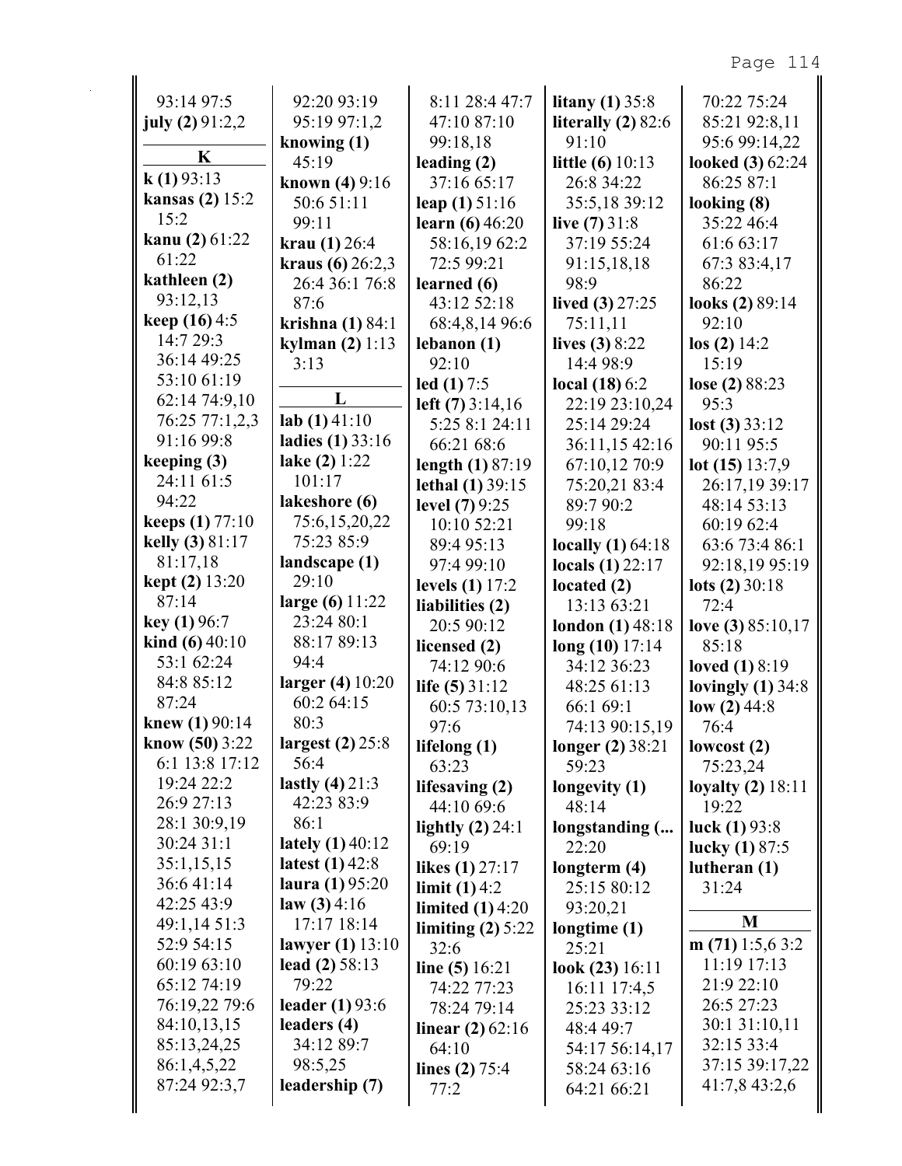| 93:14 97:5                           | 92:20 93:19                    | 8:11 28:4 47:7                        | litany $(1)$ 35:8                | 70:22 75:24                 |
|--------------------------------------|--------------------------------|---------------------------------------|----------------------------------|-----------------------------|
| july $(2)$ 91:2,2                    | 95:19 97:1,2                   | 47:10 87:10                           | literally $(2)$ 82:6             | 85:21 92:8,11               |
| K                                    | knowing (1)                    | 99:18,18                              | 91:10                            | 95:6 99:14,22               |
| k(1)93:13                            | 45:19                          | leading $(2)$                         | <b>little</b> (6) $10:13$        | looked (3) 62:24            |
| <b>kansas</b> (2) $15:2$             | <b>known</b> (4) $9:16$        | 37:16 65:17                           | 26:8 34:22                       | 86:25 87:1                  |
| 15:2                                 | 50:6 51:11<br>99:11            | leap $(1)$ 51:16<br>learn $(6)$ 46:20 | 35:5,18 39:12<br>live $(7)$ 31:8 | looking $(8)$<br>35:22 46:4 |
| kanu (2) 61:22                       | krau $(1)$ 26:4                | 58:16,1962:2                          | 37:19 55:24                      | 61:6 63:17                  |
| 61:22                                | kraus $(6)$ 26:2,3             | 72:5 99:21                            | 91:15,18,18                      | 67:3 83:4,17                |
| kathleen (2)                         | 26:4 36:1 76:8                 | learned (6)                           | 98:9                             | 86:22                       |
| 93:12,13                             | 87:6                           | 43:12 52:18                           | lived $(3)$ 27:25                | looks (2) 89:14             |
| keep $(16)$ 4:5                      | krishna $(1)$ 84:1             | 68:4,8,14 96:6                        | 75:11,11                         | 92:10                       |
| 14:7 29:3                            | kylman $(2) 1:13$              | lebanon(1)                            | lives $(3) 8:22$                 | $\log(2)$ 14:2              |
| 36:14 49:25                          | 3:13                           | 92:10                                 | 14:4 98:9                        | 15:19                       |
| 53:10 61:19                          |                                | led $(1)$ 7:5                         | local $(18)$ 6:2                 | lose (2) 88:23              |
| 62:14 74:9,10                        | L                              | left $(7)$ 3:14,16                    | 22:19 23:10,24                   | 95:3                        |
| 76:25 77:1,2,3                       | lab(1)41:10                    | 5:25 8:1 24:11                        | 25:14 29:24                      | lost(3) 33:12               |
| 91:16 99:8                           | ladies (1) 33:16               | 66:21 68:6                            | 36:11,15 42:16                   | 90:11 95:5                  |
| keeping $(3)$                        | lake $(2) 1:22$                | length $(1) 87:19$                    | 67:10,12 70:9                    | lot $(15)$ 13:7,9           |
| 24:11 61:5                           | 101:17                         | lethal $(1)$ 39:15                    | 75:20,21 83:4                    | 26:17,19 39:17              |
| 94:22                                | lakeshore (6)                  | level (7) 9:25                        | 89:7 90:2                        | 48:14 53:13                 |
| <b>keeps</b> (1) 77:10               | 75:6,15,20,22                  | 10:10 52:21                           | 99:18                            | 60:19 62:4                  |
| kelly (3) 81:17                      | 75:23 85:9                     | 89:4 95:13                            | locally $(1)$ 64:18              | 63:6 73:4 86:1              |
| 81:17,18                             | landscape (1)                  | 97:4 99:10                            | locals $(1)$ 22:17               | 92:18,19 95:19              |
| <b>kept (2)</b> 13:20                | 29:10                          | levels $(1)$ 17:2                     | located $(2)$                    | lots $(2)$ 30:18            |
| 87:14                                | large $(6)$ 11:22              | liabilities (2)                       | 13:13 63:21                      | 72:4                        |
| key(1)96:7                           | 23:24 80:1                     | 20:5 90:12                            | <b>london</b> $(1)$ 48:18        | love (3) $85:10,17$         |
| kind $(6)$ 40:10                     | 88:17 89:13                    | licensed (2)                          | $long(10)$ 17:14                 | 85:18                       |
| 53:1 62:24                           | 94:4                           | 74:12 90:6                            | 34:12 36:23                      | loved $(1) 8:19$            |
| 84:8 85:12                           | larger (4) 10:20<br>60:2 64:15 | life $(5)$ 31:12                      | 48:25 61:13                      | lovingly $(1)$ 34:8         |
| 87:24                                |                                | 60:5 73:10,13                         | 66:1 69:1                        | low $(2)$ 44:8              |
| knew $(1)$ 90:14<br>know $(50)$ 3:22 | 80:3<br>largest $(2)$ 25:8     | 97:6                                  | 74:13 90:15,19                   | 76:4                        |
| 6:1 13:8 17:12                       | 56:4                           | lifelong (1)                          | longer (2) 38:21                 | lowcost $(2)$               |
| 19:24 22:2                           | lastly $(4)$ 21:3              | 63:23                                 | 59:23                            | 75:23,24                    |
| 26:9 27:13                           | 42:23 83:9                     | lifesaving $(2)$                      | longevity (1)<br>48:14           | loyalty $(2)$ 18:11         |
| 28:1 30:9,19                         | 86:1                           | 44:10 69:6                            |                                  | 19:22<br>luck $(1)$ 93:8    |
| 30:24 31:1                           | lately $(1)$ 40:12             | lightly $(2)$ 24:1<br>69:19           | longstanding (<br>22:20          | lucky $(1) 87:5$            |
| 35:1,15,15                           | latest $(1)$ 42:8              | likes $(1)$ 27:17                     | longterm $(4)$                   | lutheran $(1)$              |
| 36:641:14                            | laura (1) 95:20                | limit $(1)$ 4:2                       | 25:15 80:12                      | 31:24                       |
| 42:25 43:9                           | law(3)4:16                     | limited $(1)$ 4:20                    | 93:20,21                         |                             |
| 49:1,14 51:3                         | 17:17 18:14                    | limiting $(2)$ 5:22                   | longtime $(1)$                   | M                           |
| 52:9 54:15                           | lawyer $(1)$ 13:10             | 32:6                                  | 25:21                            | m $(71)$ 1:5,6 3:2          |
| 60:19 63:10                          | lead $(2)$ 58:13               | line $(5) 16:21$                      | look $(23)$ 16:11                | 11:19 17:13                 |
| 65:12 74:19                          | 79:22                          | 74:22 77:23                           | 16:11 17:4,5                     | 21:9 22:10                  |
| 76:19,22 79:6                        | leader $(1)$ 93:6              | 78:24 79:14                           | 25:23 33:12                      | 26:5 27:23                  |
| 84:10,13,15                          | leaders (4)                    | linear $(2)$ 62:16                    | 48:4 49:7                        | 30:1 31:10,11               |
| 85:13,24,25                          | 34:12 89:7                     | 64:10                                 | 54:17 56:14,17                   | 32:15 33:4                  |
| 86:1,4,5,22                          | 98:5,25                        | lines $(2) 75:4$                      | 58:24 63:16                      | 37:15 39:17,22              |
| 87:24 92:3,7                         | leadership (7)                 | 77:2                                  | 64:21 66:21                      | 41:7,8 43:2,6               |
|                                      |                                |                                       |                                  |                             |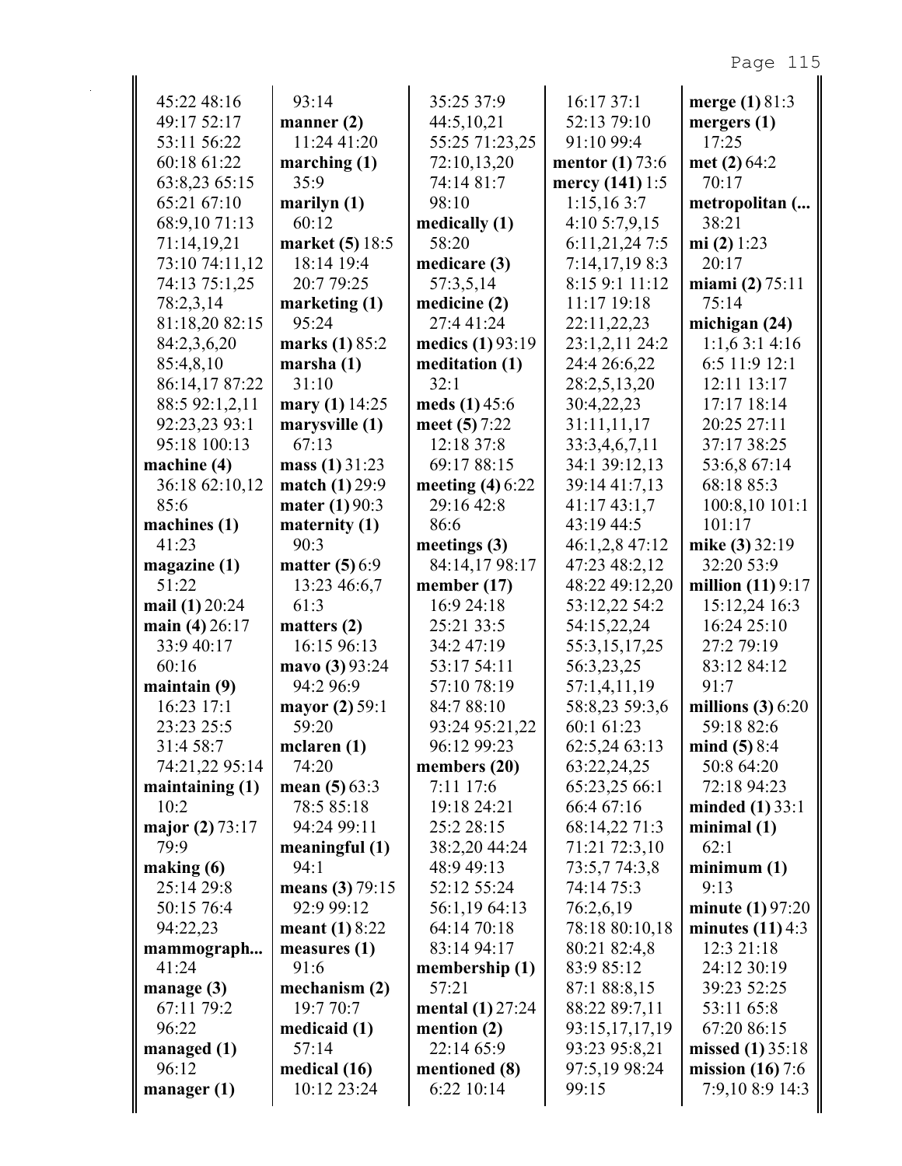| 45:22 48:16                | 93:14                           | 35:25 37:9                  | 16:17 37:1                  | merge $(1) 81:3$           |
|----------------------------|---------------------------------|-----------------------------|-----------------------------|----------------------------|
| 49:17 52:17                | manner $(2)$                    | 44:5,10,21                  | 52:13 79:10                 | mergers $(1)$              |
| 53:11 56:22                | 11:24 41:20                     | 55:25 71:23,25              | 91:10 99:4                  | 17:25                      |
| 60:18 61:22                | marching $(1)$                  | 72:10,13,20                 | mentor $(1)$ 73:6           | met $(2)$ 64:2             |
| 63:8,23 65:15              | 35:9                            | 74:14 81:7                  | mercy (141) 1:5             | 70:17                      |
| 65:21 67:10                | marilyn (1)                     | 98:10                       | 1:15,163:7                  | metropolitan (             |
| 68:9,10 71:13              | 60:12                           | medically (1)               | 4:10 5:7,9,15               | 38:21                      |
| 71:14,19,21                | market (5) 18:5                 | 58:20                       | 6:11,21,24 7:5              | mi $(2)$ 1:23              |
| 73:10 74:11,12             | 18:14 19:4                      | medicare (3)                | 7:14,17,198:3               | 20:17                      |
| 74:13 75:1,25              | 20:7 79:25                      | 57:3,5,14                   | 8:15 9:1 11:12              | miami $(2)$ 75:11          |
| 78:2,3,14                  | marketing $(1)$                 | medicine (2)                | 11:17 19:18                 | 75:14                      |
| 81:18,20 82:15             | 95:24                           | 27:4 41:24                  | 22:11,22,23                 | michigan (24)              |
| 84:2,3,6,20                | marks (1) 85:2                  | medics (1) 93:19            | 23:1,2,11 24:2              | 1:1,63:14:16               |
| 85:4,8,10                  | marsha $(1)$                    | meditation (1)              | 24:4 26:6,22                | 6:5 11:9 12:1              |
| 86:14,17 87:22             | 31:10                           | 32:1                        | 28:2,5,13,20                | 12:11 13:17                |
| 88:5 92:1,2,11             | mary (1) 14:25                  | meds $(1)$ 45:6             | 30:4,22,23                  | 17:17 18:14                |
| 92:23,23 93:1              | marysville (1)                  | meet $(5) 7:22$             | 31:11,11,17                 | 20:25 27:11                |
| 95:18 100:13               | 67:13                           | 12:18 37:8                  | 33:3,4,6,7,11               | 37:17 38:25                |
| machine $(4)$              | mass $(1)$ 31:23                | 69:17 88:15                 | 34:1 39:12,13               | 53:6,8 67:14               |
| 36:18 62:10,12             | match (1) 29:9                  | meeting $(4)$ 6:22          | 39:14 41:7,13               | 68:18 85:3                 |
| 85:6                       | mater (1) 90:3                  | 29:16 42:8                  | 41:17 43:1,7                | 100:8,10101:1              |
| machines $(1)$             | maternity $(1)$                 | 86:6                        | 43:19 44:5                  | 101:17                     |
| 41:23                      | 90:3                            | meetings $(3)$              | 46:1,2,8 47:12              | mike (3) 32:19             |
| magazine (1)               | matter $(5)$ 6:9                | 84:14,17 98:17              | 47:23 48:2,12               | 32:20 53:9                 |
| 51:22                      | 13:23 46:6,7                    | member $(17)$               | 48:22 49:12,20              | million $(11)9:17$         |
| mail (1) 20:24             | 61:3                            | 16:9 24:18                  | 53:12,22 54:2               | 15:12,24 16:3              |
| main (4) 26:17             | matters $(2)$                   | 25:21 33:5                  | 54:15,22,24                 | 16:24 25:10                |
| 33:9 40:17                 | 16:15 96:13                     | 34:2 47:19                  | 55:3,15,17,25               | 27:2 79:19                 |
| 60:16                      | mavo (3) 93:24                  | 53:17 54:11                 | 56:3,23,25                  | 83:12 84:12                |
| maintain $(9)$             | 94:2 96:9                       | 57:10 78:19                 | 57:1,4,11,19                | 91:7                       |
| 16:23 17:1                 | mayor (2) 59:1                  | 84:7 88:10                  | 58:8,23 59:3,6              | millions $(3)$ 6:20        |
| 23:23 25:5                 | 59:20                           | 93:24 95:21,22              | 60:1 61:23                  | 59:18 82:6                 |
| 31:4 58:7                  | mclaren $(1)$                   | 96:12 99:23                 | 62:5,24 63:13               | mind $(5)$ 8:4             |
| 74:21,22 95:14             | 74:20                           | members (20)                | 63:22,24,25                 | 50:8 64:20                 |
| maintaining $(1)$          | mean $(5)$ 63:3                 | 7:11 17:6                   | 65:23,25 66:1<br>66:4 67:16 | 72:18 94:23                |
| 10:2                       | 78:5 85:18                      | 19:18 24:21                 | 68:14,22 71:3               | minded $(1)$ 33:1          |
| major (2) 73:17<br>79:9    | 94:24 99:11                     | 25:2 28:15                  |                             | minimal $(1)$<br>62:1      |
|                            | meaningful $(1)$                | 38:2,20 44:24<br>48:9 49:13 | 71:21 72:3,10               |                            |
| making (6)                 | 94:1                            | 52:12 55:24                 | 73:5,774:3,8                | minimum(1)<br>9:13         |
| 25:14 29:8                 | means (3) $79:15$<br>92:9 99:12 |                             | 74:14 75:3                  |                            |
| 50:15 76:4                 |                                 | 56:1,19 64:13               | 76:2,6,19                   | minute $(1)97:20$          |
| 94:22,23                   | meant $(1) 8:22$                | 64:14 70:18                 | 78:18 80:10,18              | minutes $(11)$ 4:3         |
| mammograph                 | measures $(1)$                  | 83:14 94:17                 | 80:21 82:4,8                | 12:3 21:18                 |
| 41:24                      | 91:6                            | membership (1)<br>57:21     | 83:9 85:12<br>87:1 88:8,15  | 24:12 30:19<br>39:23 52:25 |
| manage $(3)$<br>67:11 79:2 | mechanism (2)<br>19:7 70:7      |                             |                             |                            |
|                            |                                 | mental $(1)$ 27:24          | 88:22 89:7,11               | 53:11 65:8                 |
| 96:22                      | medicaid (1)<br>57:14           | mention (2)<br>22:14 65:9   | 93:15,17,17,19              | 67:20 86:15                |
| managed $(1)$              |                                 |                             | 93:23 95:8,21               | missed $(1)$ 35:18         |
| 96:12                      | medical (16)<br>10:12 23:24     | mentioned (8)               | 97:5,19 98:24               | mission $(16)$ 7:6         |
| manager $(1)$              |                                 | 6:22 10:14                  | 99:15                       | 7:9,10 8:9 14:3            |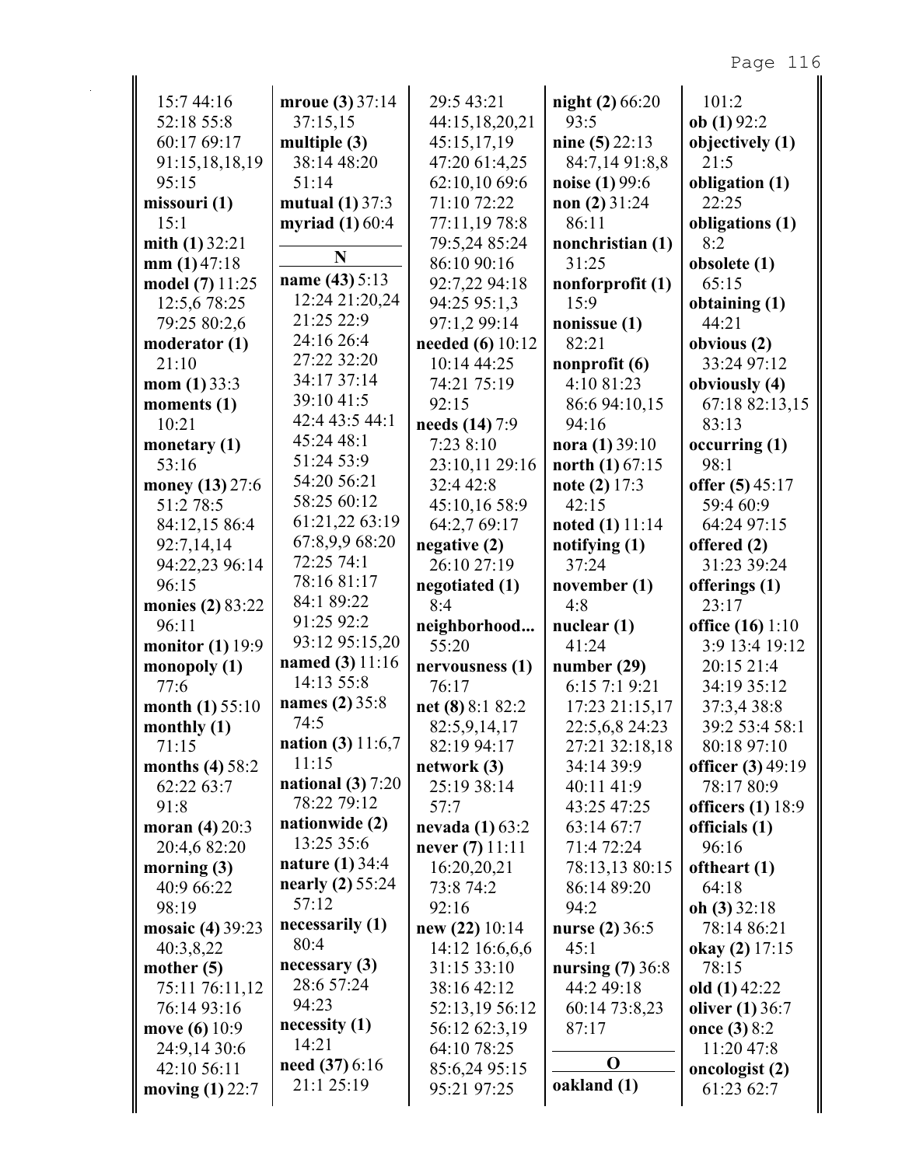| 15:7 44:16                       | mroue (3) 37:14                   | 29:5 43:21                   | night (2) 66:20              | 101:2                                |
|----------------------------------|-----------------------------------|------------------------------|------------------------------|--------------------------------------|
| 52:18 55:8                       | 37:15,15                          | 44:15,18,20,21               | 93:5                         | ob(1)92:2                            |
| 60:17 69:17                      | multiple $(3)$                    | 45:15,17,19                  | nine $(5)$ 22:13             | objectively (1)                      |
| 91:15,18,18,19                   | 38:14 48:20                       | 47:20 61:4,25                | 84:7,14 91:8,8               | 21:5                                 |
| 95:15                            | 51:14                             | 62:10,10 69:6                | noise (1) 99:6               | obligation (1)                       |
| missouri (1)                     | mutual $(1)$ 37:3                 | 71:10 72:22                  | non $(2)$ 31:24              | 22:25                                |
| 15:1                             | myriad $(1)$ 60:4                 | 77:11,19 78:8                | 86:11                        | obligations (1)                      |
| mith $(1)$ 32:21                 |                                   | 79:5,24 85:24                | nonchristian (1)             | 8:2                                  |
| mm(1)47:18                       | N                                 | 86:10 90:16                  | 31:25                        | obsolete (1)                         |
| model (7) 11:25                  | name (43) 5:13                    | 92:7,22 94:18                | nonforprofit (1)             | 65:15                                |
| 12:5,6 78:25                     | 12:24 21:20,24                    | 94:25 95:1,3                 | 15:9                         | obtaining $(1)$                      |
| 79:25 80:2,6                     | 21:25 22:9                        | 97:1,2 99:14                 | nonissue $(1)$               | 44:21                                |
| moderator (1)                    | 24:16 26:4                        | <b>needed</b> (6) 10:12      | 82:21                        | obvious (2)                          |
| 21:10                            | 27:22 32:20                       | 10:14 44:25                  | nonprofit $(6)$              | 33:24 97:12                          |
| mom $(1)$ 33:3                   | 34:17 37:14                       | 74:21 75:19                  | 4:10 81:23                   | obviously (4)                        |
| moments (1)                      | 39:10 41:5                        | 92:15                        | 86:6 94:10,15                | 67:18 82:13,15                       |
| 10:21                            | 42:4 43:5 44:1                    | needs (14) 7:9               | 94:16                        | 83:13                                |
| monetary $(1)$                   | 45:24 48:1                        | 7:23 8:10                    | nora $(1)$ 39:10             | occurring(1)                         |
| 53:16                            | 51:24 53:9                        | 23:10,11 29:16               | north $(1) 67:15$            | 98:1                                 |
| money (13) 27:6                  | 54:20 56:21                       | 32:4 42:8                    | note $(2)$ 17:3              | offer $(5)$ 45:17                    |
| 51:2 78:5                        | 58:25 60:12                       | 45:10,16 58:9                | 42:15                        | 59:4 60:9                            |
| 84:12,15 86:4                    | 61:21,22 63:19                    | 64:2,7 69:17                 | <b>noted</b> (1) $11:14$     | 64:24 97:15                          |
| 92:7,14,14                       | 67:8,9,9 68:20                    | negative (2)                 | notifying (1)                | offered (2)                          |
| 94:22,23 96:14                   | 72:25 74:1                        | 26:10 27:19                  | 37:24                        | 31:23 39:24                          |
| 96:15                            | 78:16 81:17                       | negotiated (1)               | november (1)                 | offerings (1)                        |
| monies (2) 83:22                 | 84:1 89:22                        | 8:4                          | 4:8                          | 23:17                                |
| 96:11                            | 91:25 92:2                        | neighborhood                 | nuclear $(1)$                | office (16) 1:10                     |
| monitor $(1)$ 19:9               | 93:12 95:15,20<br>named (3) 11:16 | 55:20                        | 41:24                        | 3:9 13:4 19:12                       |
| monopoly $(1)$                   | 14:13 55:8                        | nervousness (1)              | number $(29)$                | 20:15 21:4                           |
| 77:6                             | names (2) 35:8                    | 76:17                        | 6:15 7:1 9:21                | 34:19 35:12                          |
| month $(1) 55:10$                | 74:5                              | net $(8)$ 8:1 82:2           | 17:23 21:15,17               | 37:3,4 38:8                          |
| monthly $(1)$                    | <b>nation</b> (3) $11:6,7$        | 82:5,9,14,17                 | 22:5,6,8 24:23               | 39:2 53:4 58:1                       |
| 71:15                            | 11:15                             | 82:19 94:17                  | 27:21 32:18,18<br>34:14 39:9 | 80:18 97:10                          |
| months $(4)$ 58:2                | national $(3)$ 7:20               | network(3)<br>25:19 38:14    |                              | officer (3) 49:19<br>78:17 80:9      |
| 62:22 63:7<br>91:8               | 78:22 79:12                       | 57:7                         | 40:11 41:9<br>43:25 47:25    |                                      |
| moran $(4) 20:3$                 | nationwide (2)                    | nevada $(1)$ 63:2            | 63:14 67:7                   | officers $(1)$ 18:9<br>officials (1) |
| 20:4,6 82:20                     | 13:25 35:6                        | never $(7)$ 11:11            | 71:4 72:24                   | 96:16                                |
| morning (3)                      | <b>nature</b> (1) 34:4            |                              | 78:13,13 80:15               | oftheart (1)                         |
|                                  |                                   |                              |                              |                                      |
|                                  |                                   | 16:20,20,21                  |                              |                                      |
| 40:9 66:22                       | nearly $(2)$ 55:24                | 73:8 74:2                    | 86:14 89:20                  | 64:18                                |
| 98:19                            | 57:12                             | 92:16                        | 94:2                         | oh $(3)$ 32:18                       |
| mosaic (4) 39:23                 | necessarily (1)<br>80:4           | new $(22)$ 10:14             | nurse (2) 36:5               | 78:14 86:21                          |
| 40:3,8,22                        | necessary(3)                      | 14:12 16:6,6,6               | 45:1                         | okay (2) 17:15                       |
| mother $(5)$                     | 28:6 57:24                        | 31:15 33:10                  | nursing $(7)$ 36:8           | 78:15                                |
| 75:11 76:11,12                   | 94:23                             | 38:16 42:12                  | 44:2 49:18                   | old $(1)$ 42:22                      |
| 76:14 93:16                      | necessity(1)                      | 52:13,19 56:12               | 60:14 73:8,23                | oliver $(1)$ 36:7                    |
| move (6) 10:9                    | 14:21                             | 56:12 62:3,19                | 87:17                        | once (3) 8:2                         |
| 24:9,14 30:6                     | need $(37)$ 6:16                  | 64:10 78:25                  | $\mathbf 0$                  | 11:20 47:8                           |
| 42:10 56:11<br>moving $(1)$ 22:7 | 21:1 25:19                        | 85:6,24 95:15<br>95:21 97:25 | oakland (1)                  | oncologist (2)<br>61:23 62:7         |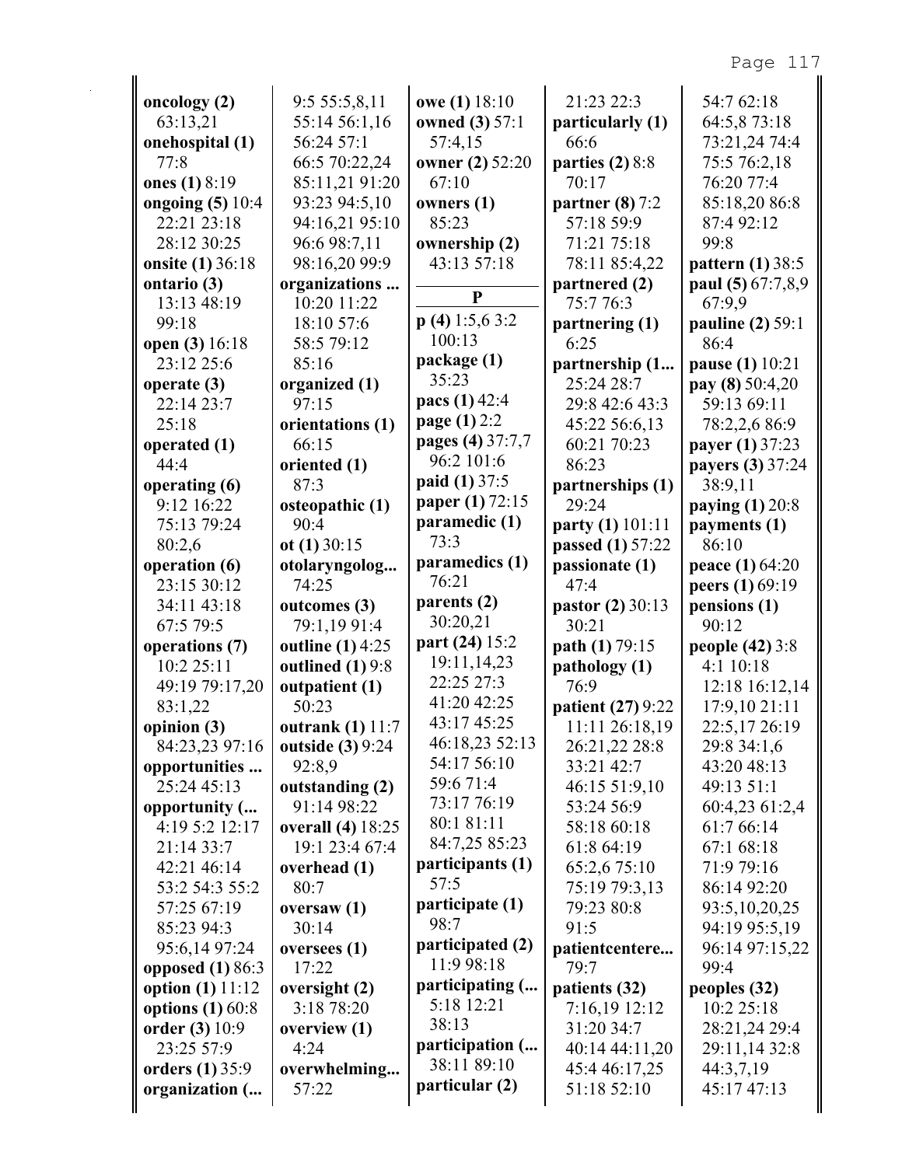| oncology $(2)$            | 9:5 55:5,8,11            | owe (1) 18:10       | 21:23 22:3        | 54:7 62:18              |
|---------------------------|--------------------------|---------------------|-------------------|-------------------------|
| 63:13,21                  | 55:14 56:1,16            | owned (3) 57:1      | particularly (1)  | 64:5,873:18             |
| onehospital (1)           | 56:24 57:1               | 57:4,15             | 66:6              | 73:21,24 74:4           |
| 77:8                      | 66:5 70:22,24            | owner (2) 52:20     | parties $(2)$ 8:8 | 75:5 76:2,18            |
| ones (1) 8:19             | 85:11,21 91:20           | 67:10               | 70:17             | 76:20 77:4              |
| ongoing (5) 10:4          | 93:23 94:5,10            | owners $(1)$        | partner $(8)$ 7:2 | 85:18,20 86:8           |
| 22:21 23:18               | 94:16,21 95:10           | 85:23               | 57:18 59:9        | 87:4 92:12              |
| 28:12 30:25               | 96:6 98:7,11             | ownership (2)       | 71:21 75:18       | 99:8                    |
| onsite (1) 36:18          | 98:16,20 99:9            | 43:13 57:18         | 78:11 85:4,22     | pattern $(1)$ 38:5      |
| ontario (3)               | organizations            |                     | partnered (2)     | paul (5) 67:7,8,9       |
| 13:13 48:19               | 10:20 11:22              | P                   | 75:776:3          | 67:9,9                  |
| 99:18                     | 18:10 57:6               | $p(4)$ 1:5,6 3:2    | partnering (1)    | <b>pauline</b> (2) 59:1 |
| open (3) 16:18            | 58:5 79:12               | 100:13              | 6:25              | 86:4                    |
| 23:12 25:6                | 85:16                    | package (1)         | partnership (1    | pause (1) 10:21         |
| operate (3)               | organized (1)            | 35:23               | 25:24 28:7        | pay (8) 50:4,20         |
| 22:14 23:7                | 97:15                    | pacs (1) 42:4       | 29:8 42:6 43:3    | 59:13 69:11             |
| 25:18                     | orientations (1)         | <b>page</b> (1) 2:2 | 45:22 56:6,13     | 78:2,2,6 86:9           |
| operated (1)              | 66:15                    | pages (4) 37:7,7    | 60:21 70:23       | payer (1) 37:23         |
| 44:4                      | oriented (1)             | 96:2 101:6          | 86:23             | payers (3) 37:24        |
| operating (6)             | 87:3                     | paid (1) 37:5       | partnerships (1)  | 38:9,11                 |
| 9:12 16:22                | osteopathic (1)          | paper (1) 72:15     | 29:24             | paying $(1)$ 20:8       |
| 75:13 79:24               | 90:4                     | paramedic (1)       | party (1) 101:11  | payments (1)            |
| 80:2,6                    | ot $(1)$ 30:15           | 73:3                | passed (1) 57:22  | 86:10                   |
| operation (6)             | otolaryngolog            | paramedics (1)      | passionate (1)    | peace (1) 64:20         |
| 23:15 30:12               | 74:25                    | 76:21               | 47:4              | peers (1) 69:19         |
|                           |                          |                     |                   |                         |
| 34:11 43:18               | outcomes (3)             | parents (2)         | pastor (2) 30:13  | pensions (1)            |
| 67:5 79:5                 | 79:1,19 91:4             | 30:20,21            | 30:21             | 90:12                   |
| operations (7)            | <b>outline</b> (1) 4:25  | part (24) 15:2      | path (1) 79:15    | people (42) 3:8         |
| 10:2 25:11                | outlined $(1)$ 9:8       | 19:11,14,23         | pathology (1)     | 4:1 10:18               |
| 49:19 79:17,20            | outpatient (1)           | 22:25 27:3          | 76:9              | 12:18 16:12,14          |
| 83:1,22                   | 50:23                    | 41:20 42:25         | patient (27) 9:22 | 17:9,10 21:11           |
| opinion (3)               | outrank (1) 11:7         | 43:17 45:25         | 11:11 26:18,19    | 22:5,17 26:19           |
| 84:23,23 97:16            | <b>outside</b> (3) 9:24  | 46:18,23 52:13      | 26:21,22 28:8     | 29:8 34:1,6             |
| opportunities             | 92:8,9                   | 54:17 56:10         | 33:21 42:7        | 43:20 48:13             |
| 25:24 45:13               | outstanding (2)          | 59:6 71:4           | 46:15 51:9,10     | 49:13 51:1              |
| opportunity (             | 91:14 98:22              | 73:17 76:19         | 53:24 56:9        | 60:4,23 61:2,4          |
| 4:19 5:2 12:17            | <b>overall</b> (4) 18:25 | 80:1 81:11          | 58:18 60:18       | 61:7 66:14              |
| 21:14 33:7                | 19:1 23:4 67:4           | 84:7,25 85:23       | 61:8 64:19        | 67:1 68:18              |
| 42:21 46:14               | overhead (1)             | participants (1)    | 65:2,6 75:10      | 71:9 79:16              |
| 53:2 54:3 55:2            | 80:7                     | 57:5                | 75:19 79:3,13     | 86:14 92:20             |
| 57:25 67:19               | oversaw $(1)$            | participate (1)     | 79:23 80:8        | 93:5, 10, 20, 25        |
| 85:23 94:3                | 30:14                    | 98:7                | 91:5              | 94:19 95:5,19           |
| 95:6,14 97:24             | oversees (1)             | participated (2)    | patientcentere    | 96:14 97:15,22          |
| opposed $(1)$ 86:3        | 17:22                    | 11:9 98:18          | 79:7              | 99:4                    |
| <b>option</b> (1) $11:12$ | oversight (2)            | participating (     | patients (32)     | peoples (32)            |
| options $(1)$ 60:8        | 3:18 78:20               | 5:18 12:21          | 7:16,19 12:12     | 10:2 25:18              |
| order (3) 10:9            | overview (1)             | 38:13               | 31:20 34:7        | 28:21,24 29:4           |
| 23:25 57:9                | 4:24                     | participation (     | 40:14 44:11,20    | 29:11,14 32:8           |
| <b>orders</b> (1) 35:9    | overwhelming             | 38:11 89:10         | 45:4 46:17,25     | 44:3,7,19               |
| organization (            | 57:22                    | particular (2)      | 51:18 52:10       | 45:17 47:13             |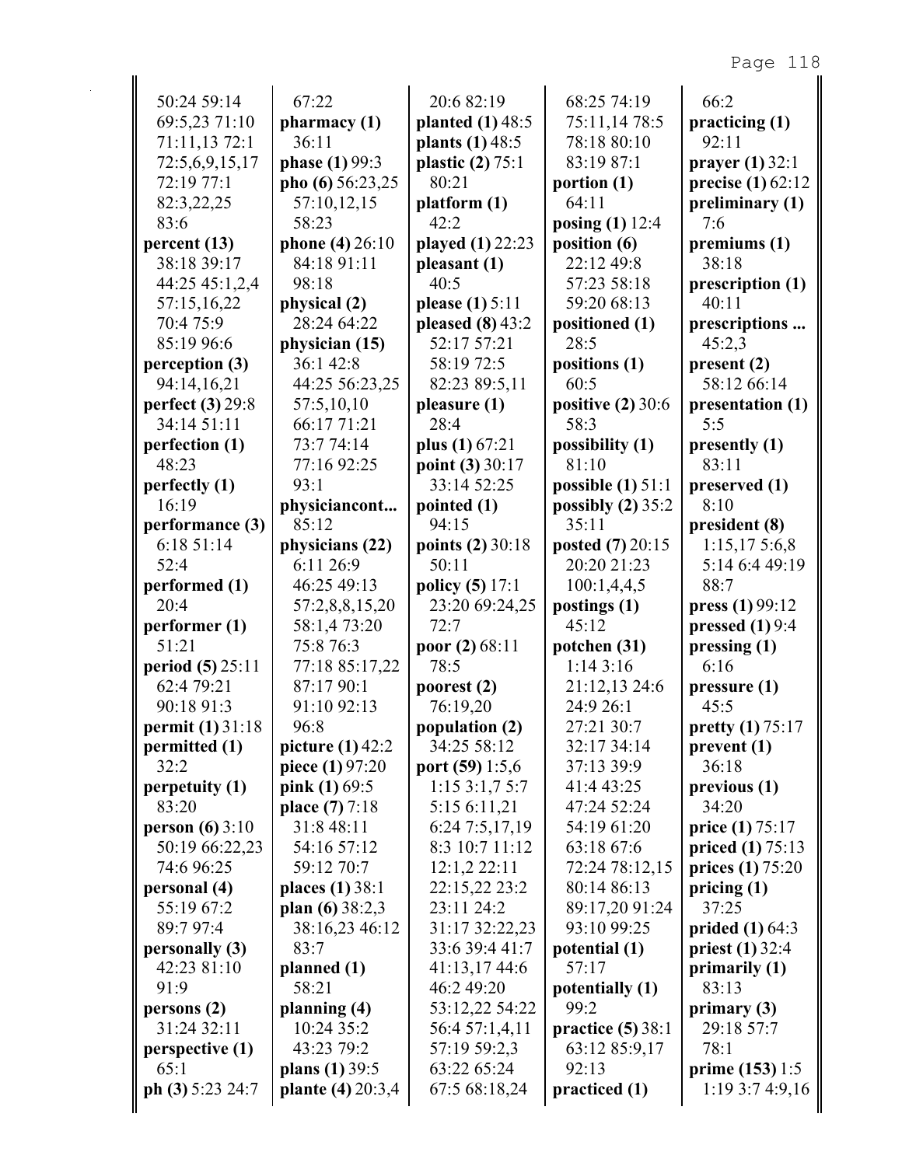| 50:24 59:14                  | 67:22                               | 20:6 82:19                       | 68:25 74:19               | 66:2                      |
|------------------------------|-------------------------------------|----------------------------------|---------------------------|---------------------------|
| 69:5,23 71:10                | pharmacy(1)                         | planted $(1)$ 48:5               | 75:11,14 78:5             | practicing (1)            |
| 71:11,13 72:1                | 36:11                               | plants (1) 48:5                  | 78:18 80:10               | 92:11                     |
| 72:5,6,9,15,17               | phase (1) 99:3                      | plastic $(2)$ 75:1               | 83:19 87:1                | prayer $(1)$ 32:1         |
| 72:19 77:1                   | pho (6) 56:23,25                    | 80:21                            | portion $(1)$             | precise (1) 62:12         |
| 82:3,22,25                   | 57:10,12,15                         | platform(1)                      | 64:11                     | preliminary (1)           |
| 83:6                         | 58:23                               | 42:2                             | posing (1) 12:4           | 7:6                       |
| percent(13)                  | phone (4) 26:10                     | played (1) 22:23                 | position (6)              | premiums (1)              |
| 38:18 39:17                  | 84:18 91:11                         | pleasant (1)                     | 22:12 49:8                | 38:18                     |
| 44:25 45:1,2,4               | 98:18                               | 40:5                             | 57:23 58:18               | prescription (1)          |
| 57:15,16,22                  | physical (2)                        | please (1) 5:11                  | 59:20 68:13               | 40:11                     |
| 70:4 75:9                    | 28:24 64:22                         | pleased $(8)$ 43:2               | positioned (1)            | prescriptions             |
| 85:19 96:6                   | physician (15)                      | 52:17 57:21                      | 28:5                      | 45:2,3                    |
| perception (3)               | 36:1 42:8                           | 58:19 72:5                       | positions (1)             | present(2)                |
| 94:14,16,21                  | 44:25 56:23,25                      | 82:23 89:5,11                    | 60:5                      | 58:12 66:14               |
| perfect (3) 29:8             | 57:5,10,10                          | pleasure (1)                     | positive $(2)$ 30:6       | presentation (1)          |
| 34:14 51:11                  | 66:17 71:21                         | 28:4                             | 58:3                      | 5:5                       |
| perfection (1)               | 73:7 74:14                          | plus $(1)$ 67:21                 | possibility (1)           | presently (1)             |
| 48:23                        | 77:16 92:25                         | point $(3) 30:17$                | 81:10                     | 83:11                     |
| perfectly (1)                | 93:1                                | 33:14 52:25                      | possible $(1)$ 51:1       | preserved (1)             |
| 16:19                        | physiciancont                       | pointed (1)                      | possibly (2) 35:2         | 8:10                      |
| performance (3)              | 85:12                               | 94:15                            | 35:11                     | president (8)             |
| 6:18 51:14                   | physicians (22)                     | points (2) 30:18                 | posted (7) 20:15          | 1:15,175:6,8              |
| 52:4                         | 6:11 26:9                           | 50:11                            | 20:20 21:23               | 5:14 6:4 49:19            |
| performed (1)                | 46:25 49:13                         | policy (5) 17:1                  | 100:1,4,4,5               | 88:7                      |
| 20:4                         | 57:2,8,8,15,20                      | 23:20 69:24,25                   | postings (1)              | press (1) 99:12           |
| performer(1)                 | 58:1,4 73:20                        | 72:7                             | 45:12                     | pressed $(1)$ 9:4         |
| 51:21                        | 75:8 76:3                           | poor $(2) 68:11$                 | potchen (31)              | pressing (1)              |
| <b>period</b> (5) 25:11      | 77:18 85:17,22                      | 78:5                             | 1:143:16                  | 6:16                      |
| 62:4 79:21                   | 87:17 90:1                          | poorest (2)                      | 21:12,13 24:6             | pressure <sub>(1)</sub>   |
| 90:18 91:3                   | 91:10 92:13                         | 76:19,20                         | 24:9 26:1                 | 45:5                      |
| permit (1) 31:18             | 96:8                                | population (2)                   | 27:21 30:7                | <b>pretty</b> (1) $75:17$ |
| permitted (1)                | picture $(1)$ 42:2                  | 34:25 58:12                      | 32:17 34:14               | prevent (1)               |
| 32:2                         | piece $(1)$ 97:20                   | port $(59)$ 1:5,6                | 37:13 39:9                | 36:18                     |
| perpetuity (1)               | pink $(1)$ 69:5                     | 1:153:1,75:7                     | 41:4 43:25                | previous (1)              |
| 83:20                        | place (7) 7:18<br>31:8 48:11        | 5:15 6:11,21                     | 47:24 52:24               | 34:20                     |
| <b>person</b> (6) $3:10$     | 54:16 57:12                         | 6:24 7:5,17,19<br>8:3 10:7 11:12 | 54:19 61:20<br>63:18 67:6 | price $(1) 75:17$         |
| 50:19 66:22,23<br>74:6 96:25 | 59:12 70:7                          | 12:1,2 22:11                     | 72:24 78:12,15            | priced $(1) 75:13$        |
| personal (4)                 |                                     | 22:15,22 23:2                    | 80:14 86:13               | prices $(1) 75:20$        |
| 55:19 67:2                   | <b>places</b> (1) 38:1              | 23:11 24:2                       | 89:17,20 91:24            | pricing $(1)$<br>37:25    |
| 89:7 97:4                    | plan $(6)$ 38:2,3<br>38:16,23 46:12 | 31:17 32:22,23                   | 93:10 99:25               | prided $(1)$ 64:3         |
| personally (3)               | 83:7                                | 33:6 39:4 41:7                   | potential (1)             | priest $(1)$ 32:4         |
| 42:23 81:10                  | planned (1)                         | 41:13,17 44:6                    | 57:17                     | primarily $(1)$           |
| 91:9                         | 58:21                               | 46:2 49:20                       | potentially (1)           | 83:13                     |
| persons(2)                   | planning (4)                        | 53:12,22 54:22                   | 99:2                      | primary $(3)$             |
| 31:24 32:11                  | 10:24 35:2                          | 56:4 57:1,4,11                   | practice $(5)$ 38:1       | 29:18 57:7                |
| perspective (1)              | 43:23 79:2                          | 57:19 59:2,3                     | 63:12 85:9,17             | 78:1                      |
| 65:1                         | plans $(1)$ 39:5                    | 63:22 65:24                      | 92:13                     | prime $(153)$ 1:5         |
| ph (3) $5:23\,24:7$          | plante (4) 20:3,4                   | 67:5 68:18,24                    | practiced (1)             | 1:193:74:9,16             |
|                              |                                     |                                  |                           |                           |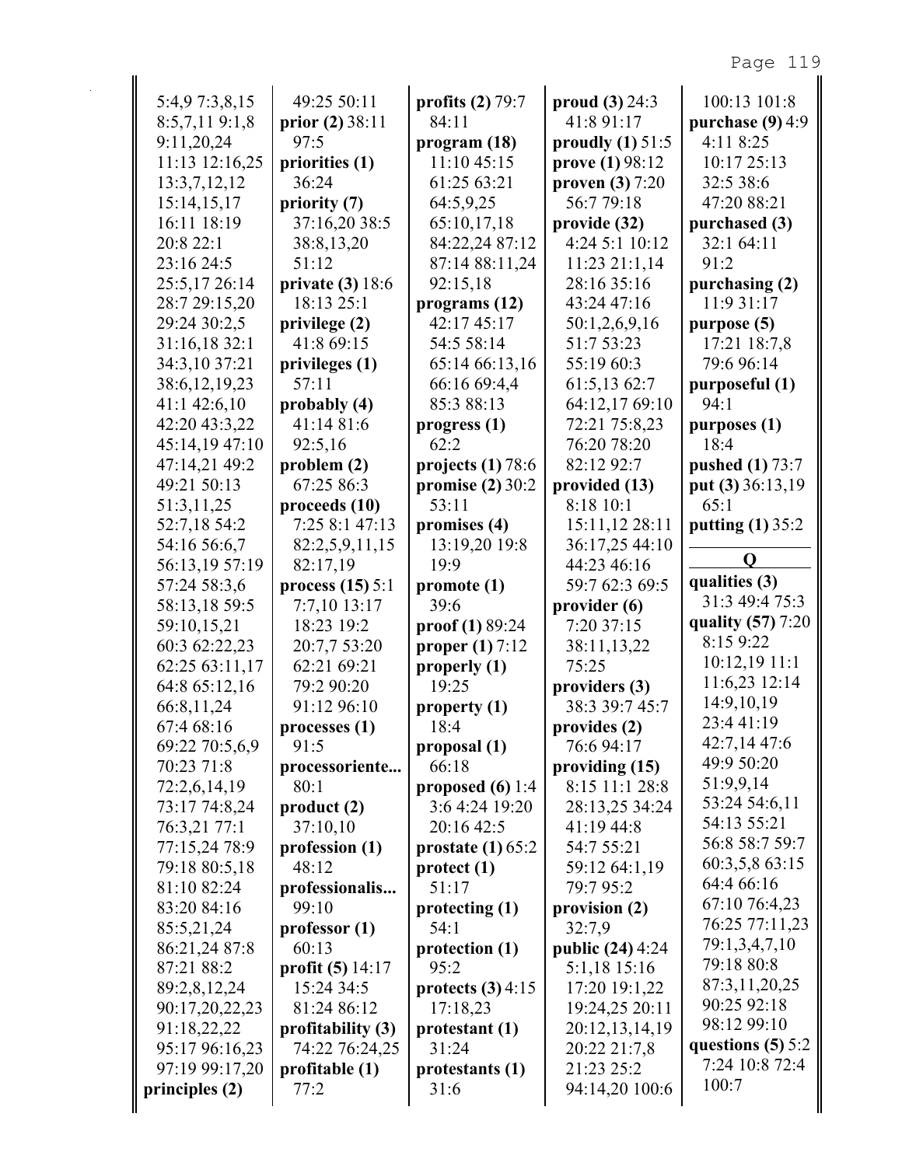| 5:4,9 7:3,8,15   | 49:25 50:11        | profits $(2)$ 79:7       | proud $(3) 24:3$        | 100:13 101:8           |
|------------------|--------------------|--------------------------|-------------------------|------------------------|
| 8:5,7,119:1,8    | prior $(2)$ 38:11  | 84:11                    | 41:8 91:17              | purchase $(9)$ 4:9     |
| 9:11,20,24       | 97:5               | program (18)             | proudly $(1)$ 51:5      | 4:11 8:25              |
| 11:13 12:16,25   | priorities (1)     | 11:10 45:15              | prove (1) 98:12         | 10:17 25:13            |
| 13:3,7,12,12     | 36:24              | 61:25 63:21              | proven $(3)$ 7:20       | 32:5 38:6              |
| 15:14,15,17      | priority (7)       | 64:5,9,25                | 56:7 79:18              | 47:20 88:21            |
| 16:11 18:19      | 37:16,20 38:5      | 65:10,17,18              | provide (32)            | purchased (3)          |
| 20:8 22:1        | 38:8,13,20         | 84:22,24 87:12           | 4:24 5:1 10:12          | 32:1 64:11             |
| 23:16 24:5       | 51:12              | 87:14 88:11,24           | 11:23 21:1,14           | 91:2                   |
| 25:5,17 26:14    | private $(3)$ 18:6 | 92:15,18                 | 28:16 35:16             | purchasing (2)         |
| 28:7 29:15,20    | 18:13 25:1         | programs $(12)$          | 43:24 47:16             | 11:9 31:17             |
| 29:24 30:2,5     | privilege (2)      | 42:17 45:17              | 50:1,2,6,9,16           | purpose (5)            |
| 31:16,18 32:1    | 41:8 69:15         | 54:5 58:14               | 51:7 53:23              | 17:21 18:7,8           |
| 34:3,10 37:21    | privileges (1)     | 65:14 66:13,16           | 55:19 60:3              | 79:6 96:14             |
| 38:6, 12, 19, 23 | 57:11              | 66:16 69:4,4             | 61:5,13 62:7            | purposeful (1)         |
| 41:1 42:6,10     | probably (4)       | 85:3 88:13               | 64:12,17 69:10          | 94:1                   |
| 42:20 43:3,22    | 41:14 81:6         | progress <sub>1</sub> )  | 72:21 75:8,23           | purposes (1)           |
| 45:14,19 47:10   | 92:5,16            | 62:2                     | 76:20 78:20             | 18:4                   |
| 47:14,21 49:2    | problem (2)        | projects $(1)$ 78:6      | 82:12 92:7              | <b>pushed</b> (1) 73:7 |
| 49:21 50:13      | 67:25 86:3         | promise (2) 30:2         | provided (13)           | put (3) 36:13,19       |
| 51:3,11,25       | proceeds (10)      | 53:11                    | 8:18 10:1               | 65:1                   |
| 52:7,18 54:2     | 7:25 8:1 47:13     | promises (4)             | 15:11,12 28:11          | putting $(1)$ 35:2     |
| 54:16 56:6,7     | 82:2,5,9,11,15     | 13:19,20 19:8            | 36:17,25 44:10          |                        |
| 56:13,19 57:19   | 82:17,19           | 19:9                     | 44:23 46:16             | Q                      |
| 57:24 58:3,6     | process $(15)$ 5:1 | promote (1)              | 59:7 62:3 69:5          | qualities (3)          |
| 58:13,18 59:5    | 7:7,10 13:17       | 39:6                     | provider (6)            | 31:3 49:4 75:3         |
| 59:10,15,21      | 18:23 19:2         | $\text{proof} (1) 89:24$ | 7:20 37:15              | quality (57) 7:20      |
| 60:3 62:22,23    | 20:7,7 53:20       | proper $(1)$ 7:12        | 38:11,13,22             | 8:15 9:22              |
| 62:25 63:11,17   | 62:21 69:21        | properly (1)             | 75:25                   | $10:12,19$ 11:1        |
| 64:8 65:12,16    | 79:2 90:20         | 19:25                    | providers (3)           | 11:6,23 12:14          |
| 66:8,11,24       | 91:12 96:10        | property $(1)$           | 38:3 39:7 45:7          | 14:9,10,19             |
| 67:4 68:16       | processes (1)      | 18:4                     | provides (2)            | 23:4 41:19             |
| 69:22 70:5,6,9   | 91:5               | proposal (1)             | 76:6 94:17              | 42:7,1447:6            |
| 70:23 71:8       | processoriente     | 66:18                    | providing (15)          | 49:9 50:20             |
| 72:2,6,14,19     | 80:1               | proposed $(6)$ 1:4       | 8:15 11:1 28:8          | 51:9,9,14              |
| 73:17 74:8,24    | product(2)         | 3:6 4:24 19:20           | 28:13,25 34:24          | 53:24 54:6,11          |
| 76:3,21 77:1     | 37:10,10           | 20:16 42:5               | 41:19 44:8              | 54:13 55:21            |
| 77:15,24 78:9    | profession (1)     | prostate $(1)$ 65:2      | 54:7 55:21              | 56:8 58:7 59:7         |
| 79:18 80:5,18    | 48:12              | protect(1)               | 59:12 64:1,19           | 60:3,5,8 63:15         |
| 81:10 82:24      | professionalis     | 51:17                    | 79:7 95:2               | 64:4 66:16             |
| 83:20 84:16      | 99:10              | protecting (1)           | provision (2)           | 67:10 76:4,23          |
| 85:5,21,24       | professor(1)       | 54:1                     | 32:7,9                  | 76:25 77:11,23         |
| 86:21,24 87:8    | 60:13              | protection (1)           | <b>public (24)</b> 4:24 | 79:1,3,4,7,10          |
| 87:21 88:2       | profit $(5)$ 14:17 | 95:2                     | 5:1,18 15:16            | 79:18 80:8             |
| 89:2,8,12,24     | 15:24 34:5         | protects $(3)$ 4:15      | 17:20 19:1,22           | 87:3,11,20,25          |
| 90:17,20,22,23   | 81:24 86:12        | 17:18,23                 | 19:24,25 20:11          | 90:25 92:18            |
| 91:18,22,22      | profitability (3)  | protestant (1)           | 20:12,13,14,19          | 98:12 99:10            |
| 95:17 96:16,23   | 74:22 76:24,25     | 31:24                    | 20:22 21:7,8            | questions $(5)$ 5:2    |
| 97:19 99:17,20   | profitable (1)     | protestants (1)          | 21:23 25:2              | 7:24 10:8 72:4         |
| principles (2)   | 77:2               | 31:6                     | 94:14,20 100:6          | 100:7                  |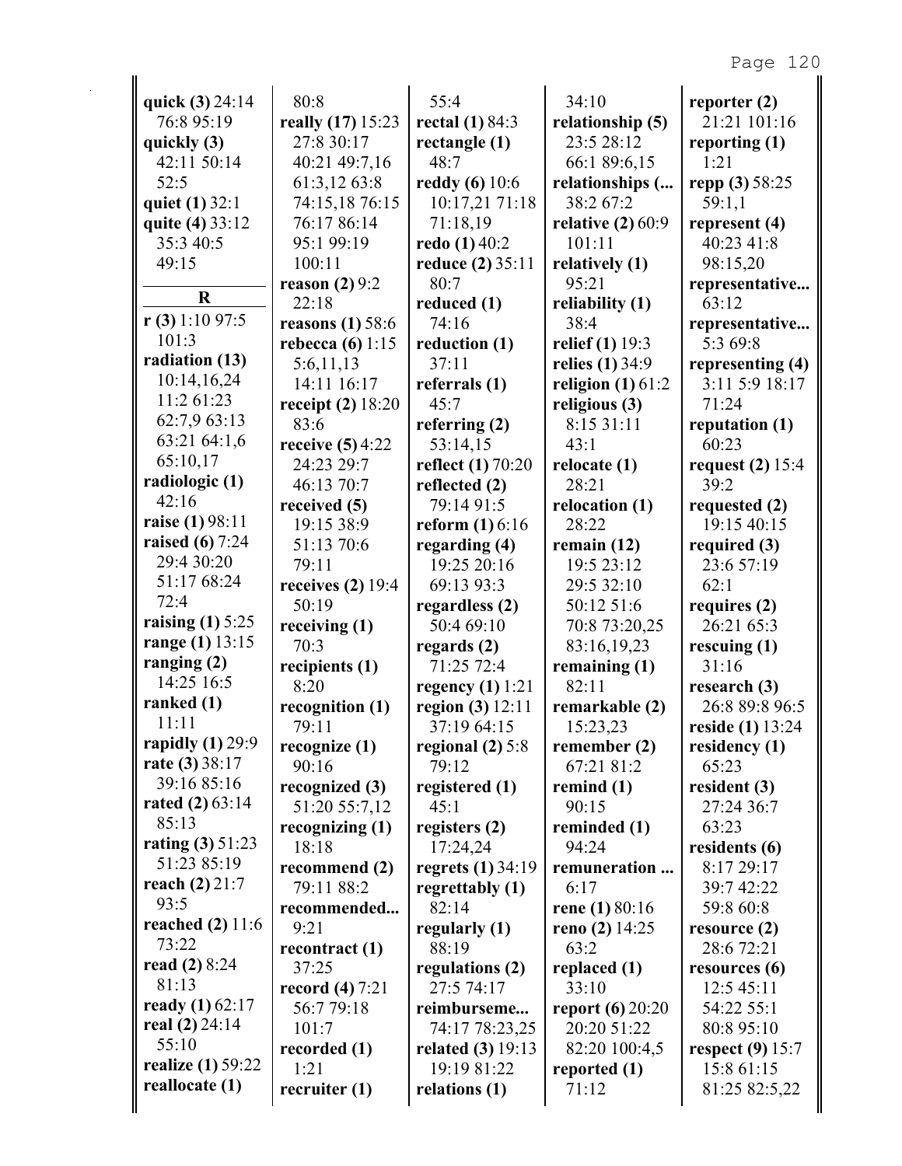| quick (3) 24:14          | 80:8                      | 55:4                     | 34:10                     | reporter $(2)$          |
|--------------------------|---------------------------|--------------------------|---------------------------|-------------------------|
| 76:8 95:19               | really (17) 15:23         | rectal $(1)$ 84:3        | relationship (5)          | 21:21 101:16            |
| quickly (3)              | 27:8 30:17                | rectangle $(1)$          | 23:5 28:12                | reporting $(1)$         |
| 42:11 50:14              | 40:21 49:7,16             | 48:7                     | 66:1 89:6,15              | 1:21                    |
| 52:5                     | 61:3,12 63:8              | <b>reddy</b> (6) 10:6    | relationships (           | repp (3) 58:25          |
| quiet (1) 32:1           | 74:15,18 76:15            | 10:17,21 71:18           | 38:2 67:2                 | 59:1,1                  |
| quite (4) 33:12          | 76:17 86:14               | 71:18,19                 | relative $(2)$ 60:9       | represent $(4)$         |
| 35:3 40:5                | 95:1 99:19                | redo (1) 40:2            | 101:11                    | 40:23 41:8              |
| 49:15                    | 100:11                    | reduce (2) 35:11<br>80:7 | relatively (1)            | 98:15,20                |
| $\bf R$                  | reason $(2)$ 9:2<br>22:18 | reduced (1)              | 95:21<br>reliability (1)  | representative<br>63:12 |
| $r(3)$ 1:10 97:5         | reasons $(1)$ 58:6        | 74:16                    | 38:4                      | representative          |
| 101:3                    | rebecca $(6)$ 1:15        | reduction (1)            | <b>relief</b> (1) 19:3    | 5:3 69:8                |
| radiation (13)           | 5:6,11,13                 | 37:11                    | relies (1) 34:9           | representing (4)        |
| 10:14,16,24              | 14:11 16:17               | referrals $(1)$          | religion $(1)$ 61:2       | 3:11 5:9 18:17          |
| 11:2 61:23               | receipt $(2)$ 18:20       | 45:7                     | religious (3)             | 71:24                   |
| 62:7,9 63:13             | 83:6                      | referring $(2)$          | 8:15 31:11                | reputation (1)          |
| 63:21 64:1,6             | receive $(5)$ 4:22        | 53:14,15                 | 43:1                      | 60:23                   |
| 65:10,17                 | 24:23 29:7                | <b>reflect</b> (1) 70:20 | relocate $(1)$            | request $(2)$ 15:4      |
| radiologic (1)           | 46:13 70:7                | reflected (2)            | 28:21                     | 39:2                    |
| 42:16                    | received (5)              | 79:14 91:5               | relocation (1)            | requested (2)           |
| raise (1) 98:11          | 19:15 38:9                | <b>reform</b> $(1) 6:16$ | 28:22                     | 19:15 40:15             |
| raised $(6)$ 7:24        | 51:13 70:6                | regarding (4)            | remain $(12)$             | required $(3)$          |
| 29:4 30:20               | 79:11                     | 19:25 20:16              | 19:5 23:12                | 23:6 57:19              |
| 51:17 68:24              | receives $(2)$ 19:4       | 69:13 93:3               | 29:5 32:10                | 62:1                    |
| 72:4                     | 50:19                     | regardless (2)           | 50:12 51:6                | requires (2)            |
| raising $(1)$ 5:25       | receiving $(1)$           | 50:4 69:10               | 70:8 73:20,25             | 26:21 65:3              |
| range (1) 13:15          | 70:3                      | regards $(2)$            | 83:16,19,23               | rescuing $(1)$          |
| ranging $(2)$            | recipients (1)            | 71:25 72:4               | remaining $(1)$           | 31:16                   |
| 14:25 16:5               | 8:20                      | regency $(1)$ 1:21       | 82:11                     | research (3)            |
| ranked $(1)$             | recognition (1)           | region (3) $12:11$       | remarkable (2)            | 26:8 89:8 96:5          |
| 11:11                    | 79:11                     | 37:19 64:15              | 15:23,23                  | <b>reside (1)</b> 13:24 |
| rapidly $(1)$ 29:9       | recognize $(1)$           | regional $(2)$ 5:8       | remember (2)              | residency (1)           |
| rate (3) 38:17           | 90:16                     | 79:12                    | 67:21 81:2                | 65:23                   |
| 39:16 85:16              | recognized (3)            | registered (1)           | remind $(1)$              | resident $(3)$          |
| rated $(2)$ 63:14        | 51:20 55:7,12             | 45:1                     | 90:15                     | 27:24 36:7              |
| 85:13                    | recognizing $(1)$         | registers (2)            | reminded (1)              | 63:23                   |
| rating $(3) 51:23$       | 18:18                     | 17:24,24                 | 94:24                     | residents (6)           |
| 51:23 85:19              | recommend (2)             | regrets (1) 34:19        | remuneration              | 8:17 29:17              |
| reach $(2)$ 21:7         | 79:11 88:2                | regrettably (1)          | 6:17                      | 39:7 42:22              |
| 93:5                     | recommended               | 82:14                    | rene $(1) 80:16$          | 59:8 60:8               |
| reached (2) 11:6         | 9:21                      | regularly (1)            | reno (2) $14:25$          | resource $(2)$          |
| 73:22                    | recontract $(1)$          | 88:19                    | 63:2                      | 28:6 72:21              |
| read $(2) 8:24$          | 37:25                     | regulations (2)          | replaced (1)              | resources $(6)$         |
| 81:13                    | record $(4) 7:21$         | 27:5 74:17               | 33:10                     | 12:5 45:11              |
| ready $(1)$ 62:17        | 56:7 79:18                | reimburseme              | <b>report</b> (6) $20:20$ | 54:22 55:1              |
| real $(2)$ 24:14         | 101:7                     | 74:17 78:23,25           | 20:20 51:22               | 80:8 95:10              |
| 55:10                    | recorded (1)              | <b>related (3)</b> 19:13 | 82:20 100:4,5             | respect $(9)$ 15:7      |
| <b>realize</b> (1) 59:22 | 1:21                      | 19:19 81:22              | reported (1)              | 15:8 61:15              |
| reallocate (1)           | recruiter $(1)$           | relations (1)            | 71:12                     | 81:25 82:5,22           |
|                          |                           |                          |                           |                         |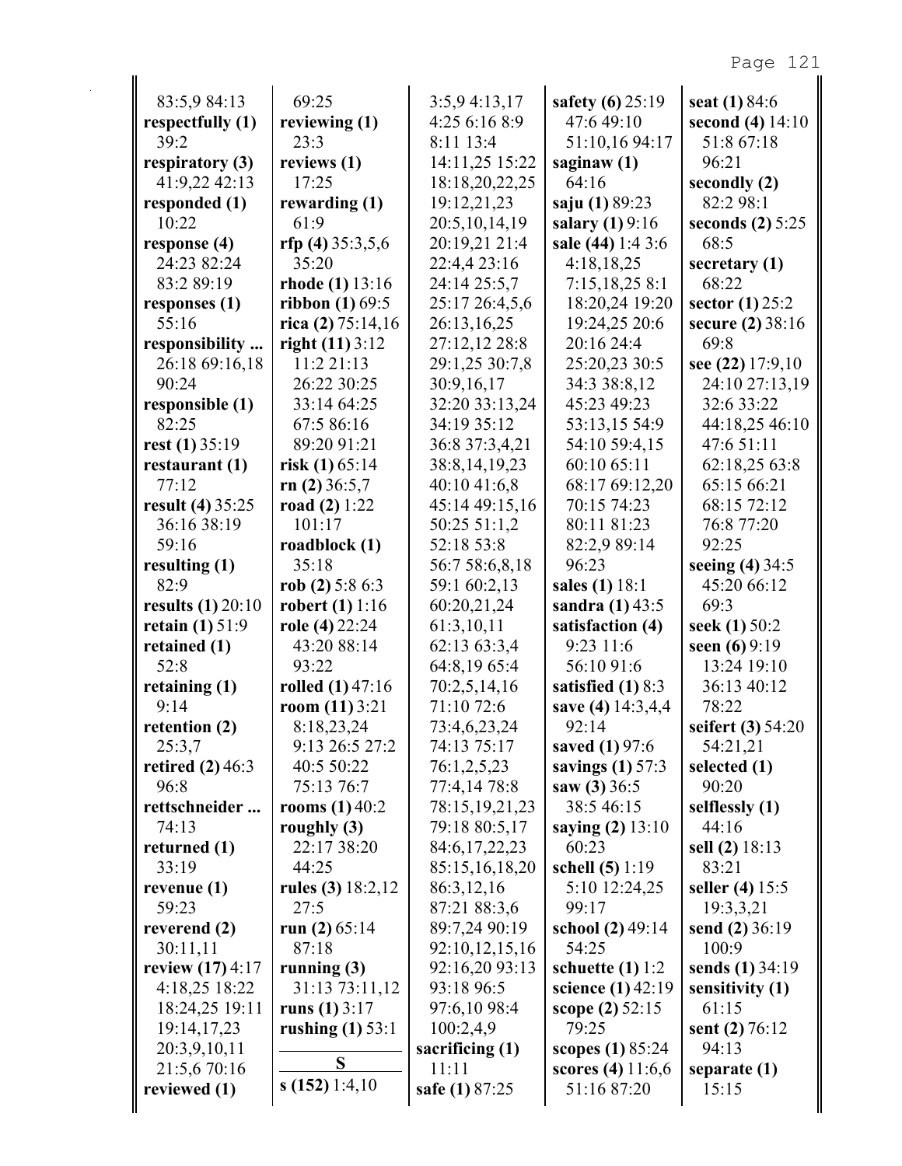| 83:5,9 84:13                        | 69:25                           | 3:5,94:13,17                  | safety $(6)$ 25:19                        | seat (1) 84:6                |
|-------------------------------------|---------------------------------|-------------------------------|-------------------------------------------|------------------------------|
| respectfully (1)                    | reviewing $(1)$                 | 4:25 6:16 8:9                 | 47:649:10                                 | second $(4) 14:10$           |
| 39:2                                | 23:3                            | 8:11 13:4                     | 51:10,16 94:17                            | 51:8 67:18                   |
| respiratory (3)                     | reviews (1)                     | 14:11,25 15:22                | saginaw $(1)$                             | 96:21                        |
| 41:9,22 42:13                       | 17:25                           | 18:18,20,22,25                | 64:16                                     | secondly (2)                 |
| responded (1)                       | rewarding (1)                   | 19:12,21,23                   | saju (1) 89:23                            | 82:2 98:1                    |
| 10:22                               | 61:9                            | 20:5, 10, 14, 19              | salary $(1) 9:16$                         | seconds $(2)$ 5:25           |
| response $(4)$                      | rfp (4) $35:3,5,6$              | 20:19,21 21:4                 | sale (44) 1:4 3:6                         | 68:5                         |
| 24:23 82:24                         | 35:20                           | 22:4,4 23:16                  | 4:18,18,25                                | secretary (1)                |
| 83:2 89:19                          | rhode $(1)$ 13:16               | 24:14 25:5,7                  | 7:15,18,258:1                             | 68:22                        |
| responses $(1)$                     | <b>ribbon</b> $(1)$ 69:5        | 25:17 26:4,5,6                | 18:20,24 19:20                            | sector $(1)$ 25:2            |
| 55:16                               | rica (2) $75:14,16$             | 26:13,16,25                   | 19:24,25 20:6                             | secure (2) 38:16             |
| responsibility                      | right $(11)$ 3:12               | 27:12,12 28:8                 | 20:16 24:4                                | 69:8                         |
| 26:18 69:16,18<br>90:24             | 11:2 21:13                      | 29:1,25 30:7,8                | 25:20,23 30:5                             | see (22) 17:9,10             |
|                                     | 26:22 30:25                     | 30:9,16,17                    | 34:3 38:8,12<br>45:23 49:23               | 24:10 27:13,19<br>32:6 33:22 |
| responsible (1)<br>82:25            | 33:14 64:25<br>67:5 86:16       | 32:20 33:13,24<br>34:19 35:12 | 53:13,15 54:9                             | 44:18,25 46:10               |
| rest $(1)$ 35:19                    | 89:20 91:21                     | 36:8 37:3,4,21                | 54:10 59:4,15                             | 47:6 51:11                   |
| restaurant (1)                      | risk $(1)$ 65:14                | 38:8, 14, 19, 23              | 60:10 65:11                               | 62:18,25 63:8                |
| 77:12                               | rn $(2)$ 36:5,7                 | 40:10 41:6,8                  | 68:17 69:12,20                            | 65:15 66:21                  |
| <b>result (4) 35:25</b>             | road $(2) 1:22$                 | 45:14 49:15,16                | 70:15 74:23                               | 68:15 72:12                  |
| 36:16 38:19                         | 101:17                          | 50:25 51:1,2                  | 80:11 81:23                               | 76:8 77:20                   |
| 59:16                               | roadblock $(1)$                 | 52:18 53:8                    | 82:2,9 89:14                              | 92:25                        |
| resulting $(1)$                     | 35:18                           | 56:7 58:6,8,18                | 96:23                                     | seeing (4) 34:5              |
| 82:9                                | rob (2) $5:86:3$                | 59:1 60:2,13                  | sales (1) 18:1                            | 45:20 66:12                  |
| results $(1)$ 20:10                 | <b>robert</b> (1) $1:16$        | 60:20,21,24                   | sandra $(1)$ 43:5                         | 69:3                         |
| retain $(1)$ 51:9                   | role (4) 22:24                  | 61:3,10,11                    | satisfaction (4)                          | seek (1) 50:2                |
| retained (1)                        | 43:20 88:14                     | 62:13 63:3,4                  | 9:23 11:6                                 | seen $(6)$ 9:19              |
| 52:8                                | 93:22                           | 64:8,19 65:4                  | 56:10 91:6                                | 13:24 19:10                  |
| retaining $(1)$                     | rolled $(1)$ 47:16              | 70:2,5,14,16                  | satisfied $(1)$ 8:3                       | 36:13 40:12                  |
| 9:14                                | room $(11)$ 3:21                | 71:10 72:6                    | save (4) 14:3,4,4                         | 78:22                        |
| retention (2)                       | 8:18,23,24                      | 73:4,6,23,24                  | 92:14                                     | seifert (3) 54:20            |
| 25:3,7                              | 9:13 26:5 27:2                  | 74:13 75:17                   | saved (1) 97:6                            | 54:21,21                     |
| retired $(2)$ 46:3                  | 40:5 50:22                      | 76:1,2,5,23                   | savings $(1)$ 57:3                        | selected (1)                 |
| 96:8                                | 75:13 76:7                      | 77:4,14 78:8                  | saw $(3)$ 36:5                            | 90:20                        |
| rettschneider                       | <b>rooms</b> $(1)$ 40:2         | 78:15,19,21,23                | 38:5 46:15                                | selflessly (1)               |
| 74:13                               | roughly $(3)$                   | 79:18 80:5,17                 | saying (2) 13:10                          | 44:16                        |
| returned (1)                        | 22:17 38:20                     | 84:6, 17, 22, 23              | 60:23                                     | sell (2) 18:13               |
| 33:19                               | 44:25                           | 85:15,16,18,20                | schell (5) 1:19                           | 83:21                        |
| revenue $(1)$                       | rules (3) $18:2,12$             | 86:3,12,16                    | 5:10 12:24,25                             | seller (4) 15:5              |
| 59:23                               | 27:5                            | 87:21 88:3,6                  | 99:17                                     | 19:3,3,21                    |
| reverend (2)                        | run $(2)$ 65:14<br>87:18        | 89:7,24 90:19                 | school (2) 49:14                          | send (2) 36:19               |
| 30:11,11                            |                                 | 92:10,12,15,16                | 54:25                                     | 100:9                        |
| review $(17)$ 4:17<br>4:18,25 18:22 | running $(3)$<br>31:13 73:11,12 | 92:16,20 93:13<br>93:18 96:5  | schuette $(1)$ 1:2<br>science $(1)$ 42:19 | sends (1) 34:19              |
| 18:24,25 19:11                      | runs $(1) 3:17$                 | 97:6,10 98:4                  | scope (2) 52:15                           | sensitivity (1)<br>61:15     |
| 19:14,17,23                         | rushing $(1)$ 53:1              | 100:2,4,9                     | 79:25                                     | sent $(2) 76:12$             |
| 20:3,9,10,11                        |                                 | sacrificing $(1)$             | scopes (1) 85:24                          | 94:13                        |
| 21:5,6 70:16                        | S                               | 11:11                         | scores (4) $11:6,6$                       | separate (1)                 |
| reviewed (1)                        | s(152)1:4,10                    | safe (1) 87:25                | 51:16 87:20                               | 15:15                        |
|                                     |                                 |                               |                                           |                              |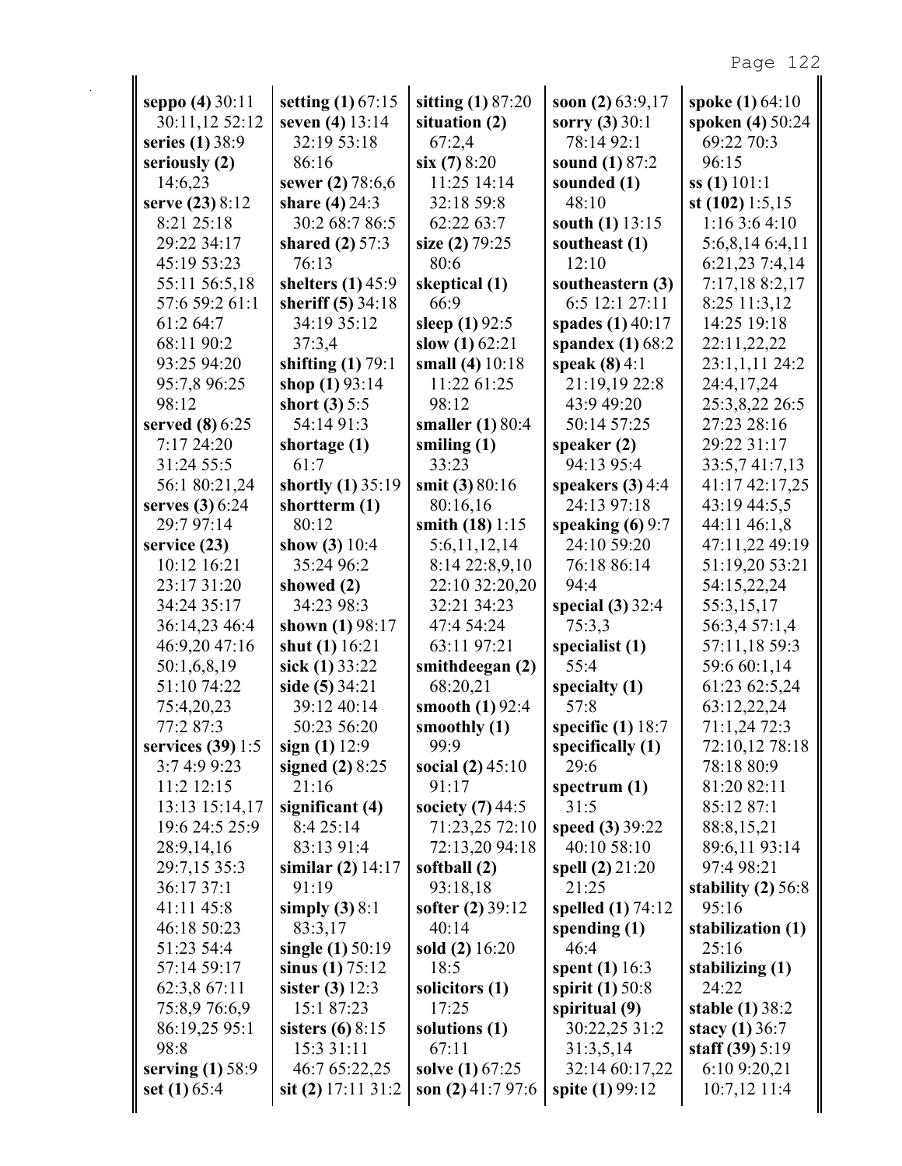| seppo (4) 30:11               | setting $(1)$ 67:15             | sitting $(1)$ 87:20       | soon (2) $63:9,17$             | spoke (1) 64:10                       |
|-------------------------------|---------------------------------|---------------------------|--------------------------------|---------------------------------------|
| 30:11,12 52:12                | seven (4) 13:14                 | situation (2)             | sorry $(3)$ 30:1               | spoken (4) 50:24                      |
| series (1) 38:9               | 32:19 53:18                     | 67:2,4                    | 78:14 92:1                     | 69:22 70:3                            |
| seriously (2)                 | 86:16                           | six(7)8:20                | sound (1) 87:2                 | 96:15                                 |
| 14:6,23                       | sewer (2) 78:6,6                | 11:25 14:14               | sounded (1)                    | $ss(1)$ 101:1                         |
| serve (23) 8:12               | share $(4)$ 24:3                | 32:18 59:8                | 48:10                          | st $(102)$ 1:5,15                     |
| 8:21 25:18                    | 30:2 68:7 86:5                  | 62:22 63:7                | south (1) 13:15                | 1:163:64:10                           |
| 29:22 34:17                   | shared $(2)$ 57:3               | size (2) 79:25            | southeast (1)                  | 5:6,8,14 6:4,11                       |
| 45:19 53:23                   | 76:13                           | 80:6                      | 12:10                          | 6:21,23 7:4,14                        |
| 55:11 56:5,18                 | shelters $(1)$ 45:9             | skeptical (1)             | southeastern (3)               | 7:17,18 8:2,17                        |
| 57:6 59:2 61:1                | sheriff (5) 34:18               | 66:9                      | 6:5 12:1 27:11                 | 8:25 11:3,12                          |
| 61:2 64:7                     | 34:19 35:12                     | sleep $(1)$ 92:5          | spades (1) 40:17               | 14:25 19:18                           |
| 68:11 90:2                    | 37:3,4                          | slow $(1)$ 62:21          | spandex $(1)$ 68:2             | 22:11,22,22                           |
| 93:25 94:20                   | shifting $(1)$ 79:1             | small (4) 10:18           | speak $(8)$ 4:1                | 23:1,1,11 24:2                        |
| 95:7,8 96:25                  | shop $(1)$ 93:14                | 11:22 61:25               | 21:19,19 22:8                  | 24:4,17,24                            |
| 98:12                         | short $(3) 5:5$                 | 98:12                     | 43:9 49:20                     | 25:3,8,22 26:5                        |
| served (8) 6:25               | 54:14 91:3                      | smaller (1) 80:4          | 50:14 57:25                    | 27:23 28:16                           |
| 7:1724:20                     | shortage $(1)$                  | smiling $(1)$             | speaker $(2)$                  | 29:22 31:17                           |
| 31:24 55:5                    | 61:7                            | 33:23                     | 94:13 95:4                     | 33:5,741:7,13                         |
| 56:1 80:21,24                 | shortly (1) 35:19               | smit (3) 80:16            | speakers $(3)$ 4:4             | 41:17 42:17,25                        |
| serves (3) 6:24               | shortterm (1)                   | 80:16,16                  | 24:13 97:18                    | 43:19 44:5,5                          |
| 29:7 97:14                    | 80:12                           | smith $(18)$ 1:15         | speaking $(6)$ 9:7             | 44:11 46:1,8                          |
| service $(23)$                | show $(3) 10:4$                 | 5:6,11,12,14              | 24:10 59:20                    | 47:11,22 49:19                        |
| 10:12 16:21                   | 35:24 96:2                      | 8:14 22:8,9,10            | 76:18 86:14                    | 51:19,20 53:21                        |
| 23:17 31:20                   | showed (2)                      | 22:10 32:20,20            | 94:4                           | 54:15,22,24                           |
| 34:24 35:17                   | 34:23 98:3                      | 32:21 34:23               | special $(3)$ 32:4             | 55:3,15,17                            |
| 36:14,23 46:4                 | shown (1) 98:17                 | 47:4 54:24                | 75:3,3                         | 56:3,4 57:1,4                         |
| 46:9,20 47:16                 | shut (1) 16:21                  | 63:11 97:21               | specialist $(1)$               | 57:11,18 59:3                         |
| 50:1,6,8,19                   | sick $(1)$ 33:22                | smithdeegan (2)           | 55:4                           | 59:6 60:1,14                          |
| 51:10 74:22                   | side (5) 34:21                  | 68:20,21                  | specialty (1)                  | 61:23 62:5,24                         |
| 75:4,20,23                    | 39:12 40:14                     | smooth $(1)$ 92:4         | 57:8                           | 63:12,22,24                           |
| 77:2 87:3                     | 50:23 56:20                     | smoothly $(1)$            | specific $(1)$ 18:7            | 71:1,24 72:3                          |
| services $(39)$ 1:5           | sign $(1)$ 12:9                 | 99:9                      | specifically $(1)$             | 72:10,12 78:18                        |
| 3:7 4:9 9:23                  | signed $(2)$ 8:25               | social $(2)$ 45:10        | 29:6                           | 78:18 80:9                            |
| 11:2 12:15                    | 21:16                           | 91:17                     | spectrum $(1)$                 | 81:20 82:11                           |
| 13:13 15:14,17                | significant (4)                 | society $(7)$ 44:5        | 31:5                           | 85:12 87:1                            |
| 19:6 24:5 25:9                | 8:4 25:14                       | 71:23,25 72:10            | speed (3) 39:22                | 88:8,15,21                            |
| 28:9,14,16                    | 83:13 91:4                      | 72:13,20 94:18            | 40:10 58:10                    | 89:6,11 93:14                         |
| 29:7,15 35:3                  | similar $(2)$ 14:17<br>91:19    | softball (2)              | spell $(2)$ 21:20<br>21:25     | 97:4 98:21                            |
| 36:17 37:1                    |                                 | 93:18,18                  |                                | stability $(2)$ 56:8                  |
| 41:11 45:8                    | simply $(3)$ 8:1                | <b>softer</b> (2) $39:12$ | spelled $(1)$ 74:12            | 95:16                                 |
| 46:18 50:23                   | 83:3,17                         | 40:14                     | spending $(1)$                 | stabilization (1)                     |
| 51:23 54:4                    | single $(1)$ 50:19              | sold $(2)$ 16:20<br>18:5  | 46:4                           | 25:16                                 |
| 57:14 59:17                   | sinus $(1) 75:12$               |                           | spent $(1)$ 16:3               | stabilizing $(1)$                     |
| 62:3,8 67:11                  | sister $(3) 12:3$<br>15:1 87:23 | solicitors (1)<br>17:25   | spirit $(1)$ 50:8              | 24:22                                 |
| 75:8,976:6,9<br>86:19,25 95:1 | sisters $(6)$ 8:15              | solutions (1)             | spiritual (9)<br>30:22,25 31:2 | stable $(1)$ 38:2<br>stacy $(1)$ 36:7 |
| 98:8                          | 15:3 31:11                      | 67:11                     | 31:3,5,14                      | staff (39) 5:19                       |
| serving $(1)$ 58:9            | 46:7 65:22,25                   | solve (1) 67:25           | 32:14 60:17,22                 | 6:10 9:20,21                          |
| set $(1)$ 65:4                | sit (2) $17:11 \, 31:2$         | son $(2)$ 41:7 97:6       | spite (1) 99:12                | $10:7,12$ 11:4                        |
|                               |                                 |                           |                                |                                       |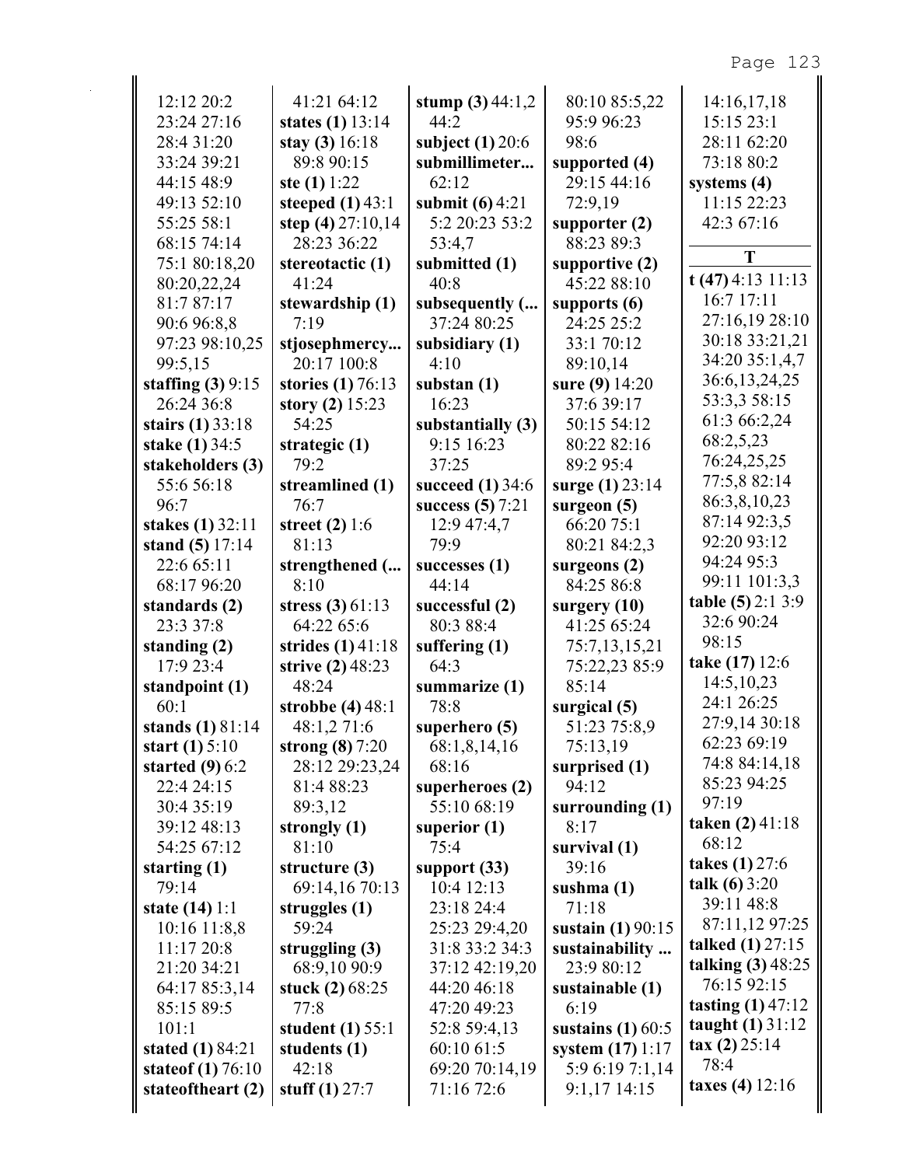| 12:12 20:2              | 41:21 64:12         | stump $(3)$ 44:1,2 | 80:10 85:5,22       | 14:16,17,18               |
|-------------------------|---------------------|--------------------|---------------------|---------------------------|
| 23:24 27:16             | states $(1)$ 13:14  | 44:2               | 95:9 96:23          | 15:15 23:1                |
| 28:4 31:20              | stay $(3)$ 16:18    | subject $(1)$ 20:6 | 98:6                | 28:11 62:20               |
| 33:24 39:21             | 89:8 90:15          | submillimeter      | supported (4)       | 73:18 80:2                |
| 44:15 48:9              | ste $(1) 1:22$      | 62:12              | 29:15 44:16         | systems $(4)$             |
| 49:13 52:10             | steeped $(1)$ 43:1  | submit $(6)$ 4:21  | 72:9,19             | 11:15 22:23               |
| 55:25 58:1              | step $(4)$ 27:10,14 | 5:2 20:23 53:2     | supporter $(2)$     | 42:3 67:16                |
| 68:15 74:14             | 28:23 36:22         | 53:4,7             | 88:23 89:3          |                           |
| 75:1 80:18,20           | stereotactic (1)    | submitted (1)      | supportive $(2)$    | T                         |
| 80:20,22,24             | 41:24               | 40:8               | 45:22 88:10         | $t(47)$ 4:13 11:13        |
| 81:7 87:17              | stewardship (1)     | subsequently (     | supports $(6)$      | 16:7 17:11                |
| 90:6 96:8,8             | 7:19                | 37:24 80:25        | 24:25 25:2          | 27:16,19 28:10            |
| 97:23 98:10,25          | stjosephmercy       | subsidiary (1)     | 33:1 70:12          | 30:18 33:21,21            |
| 99:5,15                 | 20:17 100:8         | 4:10               | 89:10,14            | 34:20 35:1,4,7            |
| staffing $(3)$ 9:15     | stories (1) 76:13   | substan $(1)$      | sure (9) 14:20      | 36:6,13,24,25             |
| 26:24 36:8              | story $(2)$ 15:23   | 16:23              | 37:6 39:17          | 53:3,3 58:15              |
| stairs $(1)$ 33:18      | 54:25               | substantially (3)  | 50:15 54:12         | 61:3 66:2,24              |
| <b>stake (1) 34:5</b>   | strategic (1)       | 9:15 16:23         | 80:22 82:16         | 68:2,5,23                 |
| stakeholders (3)        | 79:2                | 37:25              | 89:2 95:4           | 76:24,25,25               |
| 55:6 56:18              | streamlined (1)     | succeed $(1)$ 34:6 | surge (1) 23:14     | 77:5,8 82:14              |
| 96:7                    | 76:7                | success $(5)$ 7:21 | surgeon $(5)$       | 86:3,8,10,23              |
| stakes (1) 32:11        | street $(2)$ 1:6    | 12:9 47:4,7        | 66:20 75:1          | 87:14 92:3,5              |
| stand $(5)$ 17:14       | 81:13               | 79:9               | 80:21 84:2,3        | 92:20 93:12               |
| 22:6 65:11              | strengthened (      | successes $(1)$    | surgeons $(2)$      | 94:24 95:3                |
| 68:17 96:20             | 8:10                | 44:14              | 84:25 86:8          | 99:11 101:3,3             |
| standards (2)           | stress $(3) 61:13$  | successful (2)     | surgery $(10)$      | table (5) 2:1 3:9         |
| 23:3 37:8               | 64:22 65:6          | 80:3 88:4          | 41:25 65:24         | 32:6 90:24                |
| standing (2)            | strides $(1)$ 41:18 | suffering $(1)$    | 75:7,13,15,21       | 98:15                     |
| 17:9 23:4               | strive (2) 48:23    | 64:3               | 75:22,23 85:9       | take (17) 12:6            |
| standpoint (1)          | 48:24               | summarize (1)      | 85:14               | 14:5,10,23                |
| 60:1                    | strobbe $(4)$ 48:1  | 78:8               | surgical (5)        | 24:1 26:25                |
| stands (1) 81:14        | 48:1.2 71:6         | superhero $(5)$    | 51:23 75:8,9        | 27:9,14 30:18             |
| start $(1) 5:10$        | strong $(8)$ 7:20   | 68:1,8,14,16       | 75:13,19            | 62:23 69:19               |
| started $(9)$ 6:2       | 28:12 29:23,24      | 68:16              | surprised (1)       | 74:8 84:14,18             |
| 22:4 24:15              | 81:4 88:23          | superheroes (2)    | 94:12               | 85:23 94:25               |
| 30:4 35:19              | 89:3,12             | 55:10 68:19        | surrounding $(1)$   | 97:19                     |
| 39:12 48:13             | strongly $(1)$      | superior $(1)$     | 8:17                | taken $(2)$ 41:18         |
| 54:25 67:12             | 81:10               | 75:4               | survival $(1)$      | 68:12                     |
| starting $(1)$          | structure $(3)$     | support $(33)$     | 39:16               | takes $(1)$ 27:6          |
| 79:14                   | 69:14,16 70:13      | 10:4 12:13         | sushma $(1)$        | talk $(6) 3:20$           |
| state $(14)$ 1:1        | struggles $(1)$     | 23:18 24:4         | 71:18               | 39:11 48:8                |
| 10:16 11:8,8            | 59:24               | 25:23 29:4,20      | sustain $(1)$ 90:15 | 87:11,12 97:25            |
| 11:1720:8               | struggling $(3)$    | 31:8 33:2 34:3     | sustainability      | <b>talked</b> $(1)$ 27:15 |
| 21:20 34:21             | 68:9,10 90:9        | 37:12 42:19,20     | 23:9 80:12          | talking $(3)$ 48:25       |
| 64:17 85:3,14           |                     | 44:20 46:18        | sustainable (1)     | 76:15 92:15               |
|                         | stuck $(2)$ 68:25   |                    |                     |                           |
| 85:15 89:5              | 77:8                | 47:20 49:23        | 6:19                | tasting $(1)$ 47:12       |
| 101:1                   | student $(1)$ 55:1  | 52:8 59:4,13       | sustains $(1)$ 60:5 | taught $(1)$ 31:12        |
| stated $(1) 84:21$      | students (1)        | 60:10 61:5         | system $(17)$ 1:17  | $\tan(2)$ 25:14           |
| state<br>of $(1)$ 76:10 | 42:18               | 69:20 70:14,19     | 5:9 6:19 7:1,14     | 78:4                      |
| stateoftheart (2)       | stuff $(1)$ 27:7    | 71:16 72:6         | $9:1,17$ 14:15      | taxes (4) $12:16$         |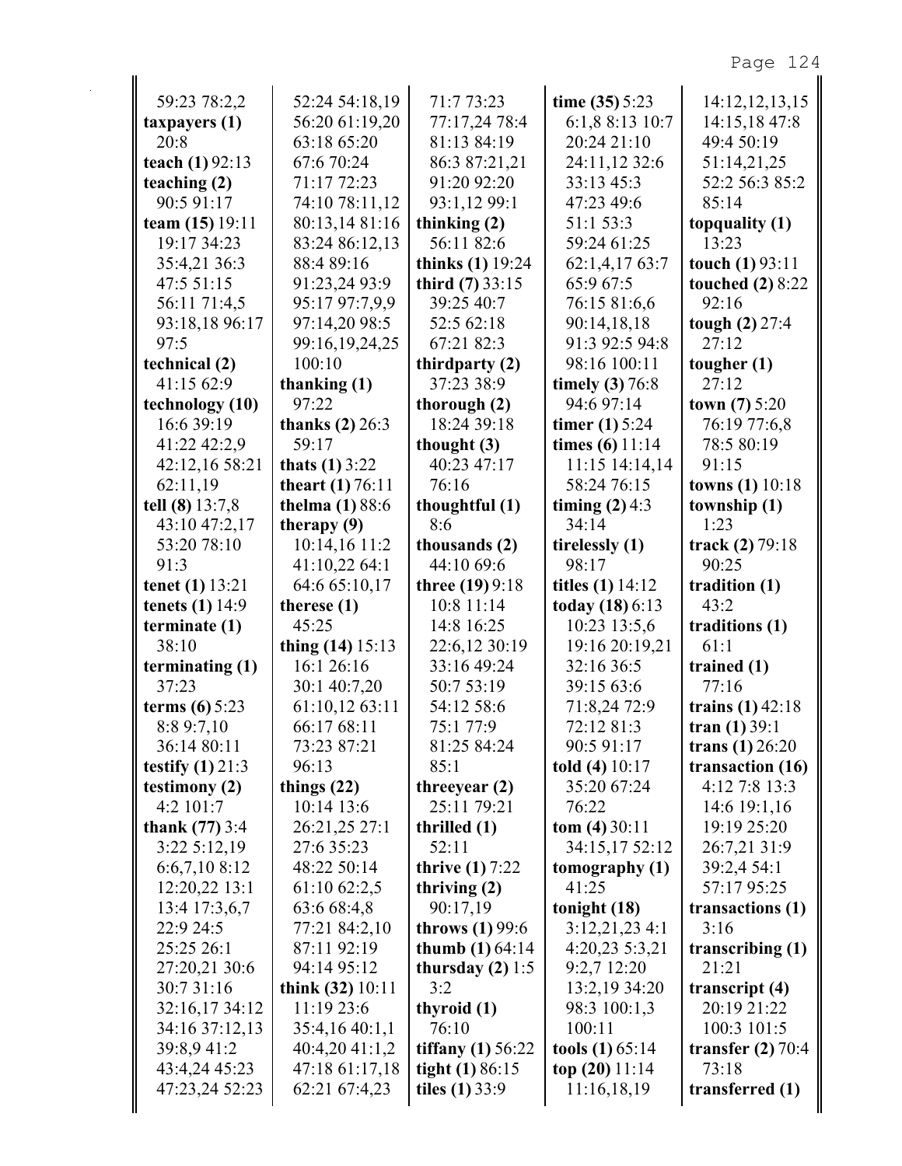| 59:23 78:2,2            | 52:24 54:18,19         | 71:7 73:23               | time $(35)$ 5:23        | 14:12,12,13,15          |
|-------------------------|------------------------|--------------------------|-------------------------|-------------------------|
| taryers(1)              | 56:20 61:19,20         | 77:17,24 78:4            | 6:1,8 8:13 10:7         | 14:15,18 47:8           |
| 20:8                    | 63:18 65:20            | 81:13 84:19              | 20:24 21:10             | 49:4 50:19              |
| teach (1) 92:13         | 67:6 70:24             | 86:3 87:21,21            | 24:11,12 32:6           | 51:14,21,25             |
| teaching (2)            | 71:17 72:23            | 91:20 92:20              | 33:13 45:3              | 52:2 56:3 85:2          |
| 90:5 91:17              | 74:10 78:11,12         | 93:1,12 99:1             | 47:23 49:6              | 85:14                   |
| team $(15)$ 19:11       | 80:13,14 81:16         | thinking $(2)$           | 51:1 53:3               | topquality (1)          |
| 19:17 34:23             | 83:24 86:12,13         | 56:11 82:6               | 59:24 61:25             | 13:23                   |
| 35:4,21 36:3            | 88:4 89:16             | thinks $(1)$ 19:24       | 62:1,4,17 63:7          | touch $(1)$ 93:11       |
| 47:5 51:15              | 91:23,24 93:9          | third $(7)$ 33:15        | 65:9 67:5               | <b>touched</b> (2) 8:22 |
| 56:11 71:4,5            | 95:17 97:7,9,9         | 39:25 40:7               | 76:15 81:6,6            | 92:16                   |
| 93:18,18 96:17          | 97:14,20 98:5          | 52:5 62:18               | 90:14,18,18             | tough $(2)$ 27:4        |
| 97:5                    | 99:16,19,24,25         | 67:21 82:3               | 91:3 92:5 94:8          | 27:12                   |
| technical (2)           | 100:10                 | thirdparty (2)           | 98:16 100:11            | tougher $(1)$           |
| 41:15 62:9              | thanking $(1)$         | 37:23 38:9               | timely $(3)$ 76:8       | 27:12                   |
| technology (10)         | 97:22                  | thorough $(2)$           | 94:6 97:14              | <b>town</b> (7) $5:20$  |
| 16:6 39:19              | thanks $(2)$ 26:3      | 18:24 39:18              | <b>timer</b> (1) $5:24$ | 76:19 77:6,8            |
| 41:22 42:2,9            | 59:17                  | thought $(3)$            | times $(6)$ 11:14       | 78:5 80:19              |
| 42:12,16 58:21          | thats $(1)$ 3:22       | 40:23 47:17              | $11:15$ $14:14,14$      | 91:15                   |
| 62:11,19                | theart $(1) 76:11$     | 76:16                    | 58:24 76:15             | towns (1) 10:18         |
| tell (8) 13:7,8         | <b>thelma</b> (1) 88:6 | thoughtful (1)           | timing $(2)$ 4:3        | township (1)            |
| 43:10 47:2,17           | therapy $(9)$          | 8:6                      | 34:14                   | 1:23                    |
| 53:20 78:10             | 10:14,16 11:2          | thousands (2)            | tirelessly (1)          | track $(2) 79:18$       |
| 91:3                    | 41:10,22 64:1          | 44:10 69:6               | 98:17                   | 90:25                   |
| tenet $(1)$ 13:21       | 64:6 65:10,17          | three (19) 9:18          | titles $(1)$ 14:12      | tradition (1)           |
| tenets $(1)$ 14:9       | therese $(1)$          | 10:8 11:14               | today $(18)$ 6:13       | 43:2                    |
| terminate $(1)$         | 45:25                  | 14:8 16:25               | 10:23 13:5,6            | traditions (1)          |
| 38:10                   | thing $(14)$ 15:13     | 22:6,12 30:19            | 19:16 20:19,21          | 61:1                    |
| terminating $(1)$       | 16:1 26:16             | 33:16 49:24              | 32:16 36:5              | trained $(1)$           |
| 37:23                   | 30:1 40:7,20           | 50:7 53:19               | 39:15 63:6              | 77:16                   |
| terms $(6) 5:23$        | 61:10,12 63:11         | 54:12 58:6               | 71:8,24 72:9            | trains $(1)$ 42:18      |
| 8:89:7,10               | 66:17 68:11            | 75:1 77:9                | 72:12 81:3              | tran $(1) 39:1$         |
| 36:14 80:11             | 73:23 87:21            | 81:25 84:24              | 90:5 91:17              | trans $(1)$ 26:20       |
| testify $(1)$ 21:3      | 96:13                  | 85:1                     | told $(4)$ 10:17        | transaction (16)        |
| testimony $(2)$         | things $(22)$          | threeyear $(2)$          | 35:20 67:24             | 4:12 7:8 13:3           |
| 4:2 101:7               | 10:14 13:6             | 25:11 79:21              | 76:22                   | 14:6 19:1,16            |
| <b>thank</b> $(77)$ 3:4 | 26:21,25 27:1          | thrilled $(1)$           | $tom (4) 30:11$         | 19:19 25:20             |
| 3:225:12,19             | 27:6 35:23             | 52:11                    | 34:15,17 52:12          | 26:7,21 31:9            |
| 6:6,7,10 8:12           | 48:22 50:14            | <b>thrive (1)</b> 7:22   | tomography $(1)$        | 39:2,4 54:1             |
| 12:20,22 13:1           | 61:10 62:2,5           | thriving $(2)$           | 41:25                   | 57:17 95:25             |
| 13:4 17:3,6,7           | 63:6 68:4,8            | 90:17,19                 | tonight $(18)$          | transactions (1)        |
| 22:9 24:5               | 77:21 84:2,10          | throws $(1)$ 99:6        | $3:12,21,23$ 4:1        | 3:16                    |
| 25:25 26:1              | 87:11 92:19            | <b>thumb</b> $(1) 64:14$ | 4:20,23 5:3,21          | transcribing $(1)$      |
| 27:20,21 30:6           | 94:14 95:12            | thursday $(2)$ 1:5       | 9:2,7 12:20             | 21:21                   |
| 30:7 31:16              | think $(32)$ 10:11     | 3:2                      | 13:2,19 34:20           | transcript $(4)$        |
| 32:16,17 34:12          | 11:19 23:6             | thyroid (1)              | 98:3 100:1,3            | 20:19 21:22             |
| 34:16 37:12,13          | 35:4,16 40:1,1         | 76:10                    | 100:11                  | 100:3 101:5             |
| 39:8,9 41:2             | 40:4,20 41:1,2         | tiffany $(1)$ 56:22      | tools $(1)$ 65:14       | transfer $(2)$ 70:4     |
| 43:4,24 45:23           | 47:18 61:17,18         | tight $(1) 86:15$        | top $(20)$ 11:14        | 73:18                   |
| 47:23,24 52:23          | 62:21 67:4,23          | tiles $(1)$ 33:9         | 11:16,18,19             | transferred (1)         |
|                         |                        |                          |                         |                         |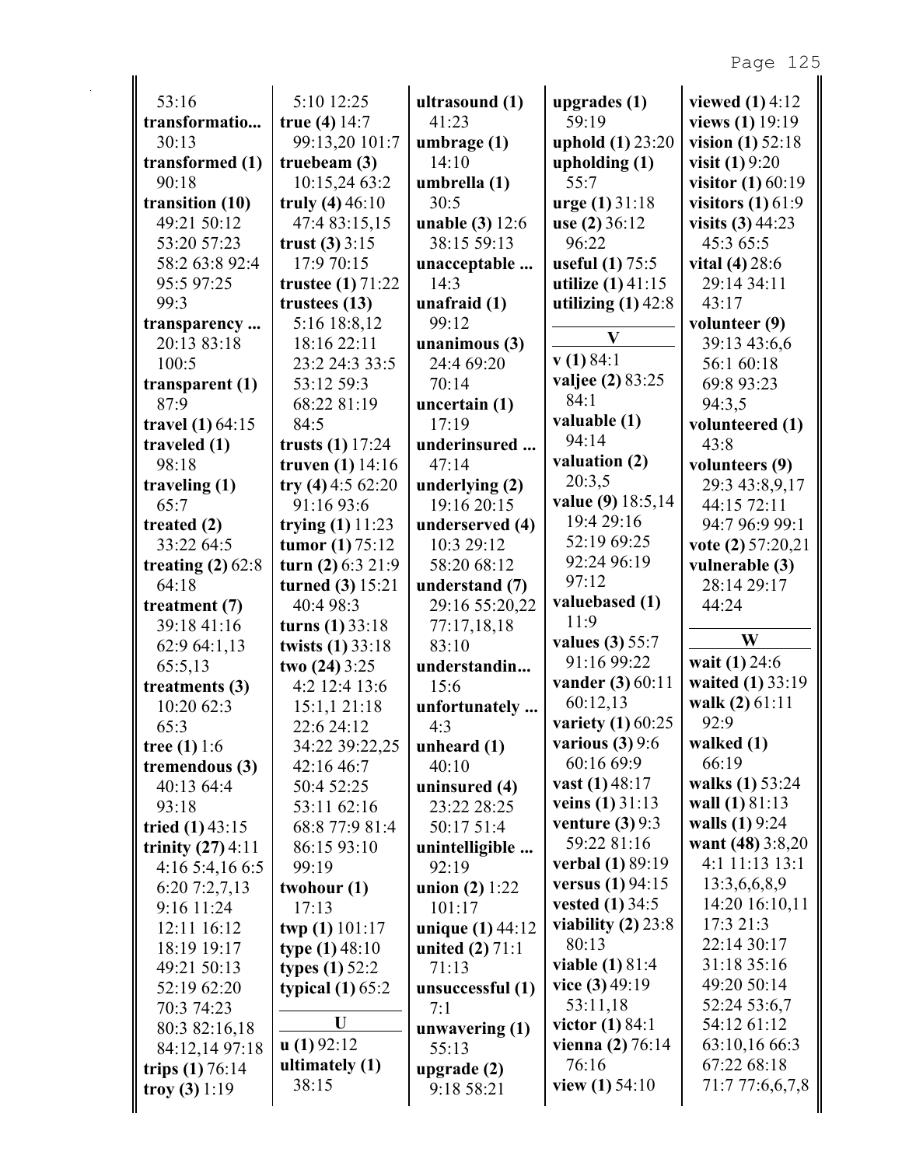| 53:16<br>5:10 12:25<br>viewed $(1)$ 4:12<br>ultrasound (1)<br>upgrades $(1)$<br>transformatio<br>41:23<br>views (1) 19:19<br>true $(4)$ 14:7<br>59:19<br>99:13,20 101:7<br>uphold (1) 23:20<br>30:13<br>umbrage (1)<br>vision $(1)$ 52:18<br>transformed (1)<br>14:10<br>truebeam $(3)$<br>upholding $(1)$<br><b>visit</b> $(1) 9:20$<br>10:15,24 63:2<br>90:18<br>umbrella (1)<br>55:7<br>transition $(10)$<br>truly $(4)$ 46:10<br>$urge (1) 31:18$<br>visitors $(1)$ 61:9<br>30:5<br>49:21 50:12<br>47:4 83:15,15<br>unable (3) 12:6<br>use $(2)$ 36:12<br>visits $(3)$ 44:23<br>53:20 57:23<br>trust $(3)$ 3:15<br>38:15 59:13<br>96:22<br>45:3 65:5<br>58:2 63:8 92:4<br>17:9 70:15<br>useful $(1)$ 75:5<br>vital $(4)$ 28:6<br>unacceptable<br>95:5 97:25<br>utilize $(1)$ 41:15<br>trustee $(1)$ 71:22<br>14:3<br>29:14 34:11<br>99:3<br>43:17<br>trustees $(13)$<br>unafraid $(1)$<br>utilizing $(1)$ 42:8<br>5:16 18:8,12<br>99:12<br>volunteer (9)<br>transparency<br>$\mathbf{V}$<br>unanimous $(3)$<br>20:13 83:18<br>18:16 22:11<br>39:13 43:6,6<br>v(1) 84:1<br>100:5<br>23:2 24:3 33:5<br>24:4 69:20<br>56:1 60:18<br><b>valjee</b> (2) 83:25<br>70:14<br>69:8 93:23<br>transparent $(1)$<br>53:12 59:3<br>84:1<br>87:9<br>68:22 81:19<br>uncertain (1)<br>94:3,5<br>valuable (1)<br>17:19<br>travel $(1)$ 64:15<br>84:5<br>volunteered (1)<br>94:14<br>trusts $(1)$ 17:24<br>43:8<br>traveled $(1)$<br>underinsured<br>valuation (2)<br>98:18<br>truven $(1)$ 14:16<br>47:14<br>volunteers (9)<br>20:3,5<br>try $(4)$ 4:5 62:20<br>traveling $(1)$<br>underlying (2)<br>29:3 43:8,9,17<br>value (9) 18:5,14<br>65:7<br>91:16 93:6<br>19:16 20:15<br>44:15 72:11<br>19:4 29:16<br>treated $(2)$<br>trying $(1)$ 11:23<br>underserved (4)<br>94:7 96:9 99:1<br>52:19 69:25<br>10:3 29:12<br>vote $(2)$ 57:20,21<br>33:22 64:5<br>tumor $(1) 75:12$<br>92:24 96:19<br>turn $(2)$ 6:3 21:9<br>58:20 68:12<br>treating $(2)$ 62:8<br>vulnerable (3)<br>97:12<br>64:18<br>turned $(3)$ 15:21<br>understand (7)<br>28:14 29:17<br>valuebased (1)<br>40:4 98:3<br>29:16 55:20,22<br>44:24<br>treatment $(7)$<br>11:9<br>39:18 41:16<br>turns $(1) 33:18$<br>77:17,18,18<br>W<br>values (3) 55:7<br>83:10<br>62:9 64:1,13<br>twists (1) 33:18<br>91:16 99:22<br>wait (1) 24:6<br>65:5,13<br>two $(24)$ 3:25<br>understandin<br><b>vander</b> (3) 60:11<br>4:2 12:4 13:6<br>treatments (3)<br>15:6<br>60:12,13<br>walk (2) 61:11<br>10:20 62:3<br>15:1,121:18<br>unfortunately<br>variety $(1)$ 60:25<br>92:9<br>65:3<br>22:6 24:12<br>4.3<br>various $(3)$ 9:6<br>walked $(1)$<br>34:22 39:22,25<br>tree $(1) 1:6$<br>unheard $(1)$<br>66:19<br>60:16 69:9<br>tremendous (3)<br>40:10<br>42:16 46:7<br>walks (1) 53:24<br>vast $(1)$ 48:17<br>40:13 64:4<br>uninsured (4)<br>50:4 52:25<br>veins $(1)$ 31:13<br>wall (1) 81:13<br>93:18<br>23:22 28:25<br>53:11 62:16<br>venture $(3)$ 9:3<br>walls $(1) 9:24$<br>68:8 77:9 81:4<br>50:17 51:4<br>tried $(1)$ 43:15<br>59:22 81:16<br>want $(48)$ 3:8,20<br>trinity $(27)$ 4:11<br>unintelligible<br>86:15 93:10<br><b>verbal</b> (1) 89:19<br>4:1 11:13 13:1<br>4:165:4,166:5<br>92:19<br>99:19<br><b>versus</b> $(1) 94:15$<br>13:3,6,6,8,9<br>union $(2) 1:22$<br>6:207:2,7,13<br>twohour $(1)$<br><b>vested</b> (1) $34:5$<br>14:20 16:10,11<br>17:13<br>101:17<br>9:16 11:24<br>viability $(2)$ 23:8<br>17:3 21:3<br>unique (1) 44:12<br>12:11 16:12<br>twp (1) 101:17<br>22:14 30:17<br>80:13<br>18:19 19:17<br>type $(1)$ 48:10<br>united $(2)$ 71:1<br><b>viable (1) 81:4</b><br>31:18 35:16<br>49:21 50:13<br><b>types</b> (1) $52:2$<br>71:13<br>vice $(3)$ 49:19<br>49:20 50:14<br>52:19 62:20<br>typical $(1)$ 65:2<br>unsuccessful (1)<br>53:11,18<br>52:24 53:6,7<br>70:3 74:23<br>7:1<br>U<br>victor $(1)$ 84:1<br>54:12 61:12<br>80:3 82:16,18<br>unwavering $(1)$<br>$\mathbf{u}(1)92:12$<br>vienna $(2) 76:14$<br>63:10,16 66:3<br>84:12,14 97:18<br>55:13<br>76:16<br>ultimately (1)<br>67:22 68:18<br>trips $(1) 76:14$<br>upgrade (2)<br>38:15<br>view $(1)$ 54:10<br>71:7 77:6,6,7,8<br>9:18 58:21<br>troy (3) $1:19$ |  |  |                     |
|----------------------------------------------------------------------------------------------------------------------------------------------------------------------------------------------------------------------------------------------------------------------------------------------------------------------------------------------------------------------------------------------------------------------------------------------------------------------------------------------------------------------------------------------------------------------------------------------------------------------------------------------------------------------------------------------------------------------------------------------------------------------------------------------------------------------------------------------------------------------------------------------------------------------------------------------------------------------------------------------------------------------------------------------------------------------------------------------------------------------------------------------------------------------------------------------------------------------------------------------------------------------------------------------------------------------------------------------------------------------------------------------------------------------------------------------------------------------------------------------------------------------------------------------------------------------------------------------------------------------------------------------------------------------------------------------------------------------------------------------------------------------------------------------------------------------------------------------------------------------------------------------------------------------------------------------------------------------------------------------------------------------------------------------------------------------------------------------------------------------------------------------------------------------------------------------------------------------------------------------------------------------------------------------------------------------------------------------------------------------------------------------------------------------------------------------------------------------------------------------------------------------------------------------------------------------------------------------------------------------------------------------------------------------------------------------------------------------------------------------------------------------------------------------------------------------------------------------------------------------------------------------------------------------------------------------------------------------------------------------------------------------------------------------------------------------------------------------------------------------------------------------------------------------------------------------------------------------------------------------------------------------------------------------------------------------------------------------------------------------------------------------------------------------------------------------------------------------------------------------------------------------------------------------------------------------------------------------------------------------------------------------------------------------------------------------------------------------------------------------------------------------------------------------------------------------------------------------------------------------------------------------------------------------------------------------------------------------------------------------------------------------------------------------------------------------------------------------------|--|--|---------------------|
|                                                                                                                                                                                                                                                                                                                                                                                                                                                                                                                                                                                                                                                                                                                                                                                                                                                                                                                                                                                                                                                                                                                                                                                                                                                                                                                                                                                                                                                                                                                                                                                                                                                                                                                                                                                                                                                                                                                                                                                                                                                                                                                                                                                                                                                                                                                                                                                                                                                                                                                                                                                                                                                                                                                                                                                                                                                                                                                                                                                                                                                                                                                                                                                                                                                                                                                                                                                                                                                                                                                                                                                                                                                                                                                                                                                                                                                                                                                                                                                                                                                                                                    |  |  |                     |
|                                                                                                                                                                                                                                                                                                                                                                                                                                                                                                                                                                                                                                                                                                                                                                                                                                                                                                                                                                                                                                                                                                                                                                                                                                                                                                                                                                                                                                                                                                                                                                                                                                                                                                                                                                                                                                                                                                                                                                                                                                                                                                                                                                                                                                                                                                                                                                                                                                                                                                                                                                                                                                                                                                                                                                                                                                                                                                                                                                                                                                                                                                                                                                                                                                                                                                                                                                                                                                                                                                                                                                                                                                                                                                                                                                                                                                                                                                                                                                                                                                                                                                    |  |  |                     |
|                                                                                                                                                                                                                                                                                                                                                                                                                                                                                                                                                                                                                                                                                                                                                                                                                                                                                                                                                                                                                                                                                                                                                                                                                                                                                                                                                                                                                                                                                                                                                                                                                                                                                                                                                                                                                                                                                                                                                                                                                                                                                                                                                                                                                                                                                                                                                                                                                                                                                                                                                                                                                                                                                                                                                                                                                                                                                                                                                                                                                                                                                                                                                                                                                                                                                                                                                                                                                                                                                                                                                                                                                                                                                                                                                                                                                                                                                                                                                                                                                                                                                                    |  |  |                     |
|                                                                                                                                                                                                                                                                                                                                                                                                                                                                                                                                                                                                                                                                                                                                                                                                                                                                                                                                                                                                                                                                                                                                                                                                                                                                                                                                                                                                                                                                                                                                                                                                                                                                                                                                                                                                                                                                                                                                                                                                                                                                                                                                                                                                                                                                                                                                                                                                                                                                                                                                                                                                                                                                                                                                                                                                                                                                                                                                                                                                                                                                                                                                                                                                                                                                                                                                                                                                                                                                                                                                                                                                                                                                                                                                                                                                                                                                                                                                                                                                                                                                                                    |  |  |                     |
|                                                                                                                                                                                                                                                                                                                                                                                                                                                                                                                                                                                                                                                                                                                                                                                                                                                                                                                                                                                                                                                                                                                                                                                                                                                                                                                                                                                                                                                                                                                                                                                                                                                                                                                                                                                                                                                                                                                                                                                                                                                                                                                                                                                                                                                                                                                                                                                                                                                                                                                                                                                                                                                                                                                                                                                                                                                                                                                                                                                                                                                                                                                                                                                                                                                                                                                                                                                                                                                                                                                                                                                                                                                                                                                                                                                                                                                                                                                                                                                                                                                                                                    |  |  | visitor $(1)$ 60:19 |
|                                                                                                                                                                                                                                                                                                                                                                                                                                                                                                                                                                                                                                                                                                                                                                                                                                                                                                                                                                                                                                                                                                                                                                                                                                                                                                                                                                                                                                                                                                                                                                                                                                                                                                                                                                                                                                                                                                                                                                                                                                                                                                                                                                                                                                                                                                                                                                                                                                                                                                                                                                                                                                                                                                                                                                                                                                                                                                                                                                                                                                                                                                                                                                                                                                                                                                                                                                                                                                                                                                                                                                                                                                                                                                                                                                                                                                                                                                                                                                                                                                                                                                    |  |  |                     |
|                                                                                                                                                                                                                                                                                                                                                                                                                                                                                                                                                                                                                                                                                                                                                                                                                                                                                                                                                                                                                                                                                                                                                                                                                                                                                                                                                                                                                                                                                                                                                                                                                                                                                                                                                                                                                                                                                                                                                                                                                                                                                                                                                                                                                                                                                                                                                                                                                                                                                                                                                                                                                                                                                                                                                                                                                                                                                                                                                                                                                                                                                                                                                                                                                                                                                                                                                                                                                                                                                                                                                                                                                                                                                                                                                                                                                                                                                                                                                                                                                                                                                                    |  |  |                     |
|                                                                                                                                                                                                                                                                                                                                                                                                                                                                                                                                                                                                                                                                                                                                                                                                                                                                                                                                                                                                                                                                                                                                                                                                                                                                                                                                                                                                                                                                                                                                                                                                                                                                                                                                                                                                                                                                                                                                                                                                                                                                                                                                                                                                                                                                                                                                                                                                                                                                                                                                                                                                                                                                                                                                                                                                                                                                                                                                                                                                                                                                                                                                                                                                                                                                                                                                                                                                                                                                                                                                                                                                                                                                                                                                                                                                                                                                                                                                                                                                                                                                                                    |  |  |                     |
|                                                                                                                                                                                                                                                                                                                                                                                                                                                                                                                                                                                                                                                                                                                                                                                                                                                                                                                                                                                                                                                                                                                                                                                                                                                                                                                                                                                                                                                                                                                                                                                                                                                                                                                                                                                                                                                                                                                                                                                                                                                                                                                                                                                                                                                                                                                                                                                                                                                                                                                                                                                                                                                                                                                                                                                                                                                                                                                                                                                                                                                                                                                                                                                                                                                                                                                                                                                                                                                                                                                                                                                                                                                                                                                                                                                                                                                                                                                                                                                                                                                                                                    |  |  |                     |
|                                                                                                                                                                                                                                                                                                                                                                                                                                                                                                                                                                                                                                                                                                                                                                                                                                                                                                                                                                                                                                                                                                                                                                                                                                                                                                                                                                                                                                                                                                                                                                                                                                                                                                                                                                                                                                                                                                                                                                                                                                                                                                                                                                                                                                                                                                                                                                                                                                                                                                                                                                                                                                                                                                                                                                                                                                                                                                                                                                                                                                                                                                                                                                                                                                                                                                                                                                                                                                                                                                                                                                                                                                                                                                                                                                                                                                                                                                                                                                                                                                                                                                    |  |  |                     |
|                                                                                                                                                                                                                                                                                                                                                                                                                                                                                                                                                                                                                                                                                                                                                                                                                                                                                                                                                                                                                                                                                                                                                                                                                                                                                                                                                                                                                                                                                                                                                                                                                                                                                                                                                                                                                                                                                                                                                                                                                                                                                                                                                                                                                                                                                                                                                                                                                                                                                                                                                                                                                                                                                                                                                                                                                                                                                                                                                                                                                                                                                                                                                                                                                                                                                                                                                                                                                                                                                                                                                                                                                                                                                                                                                                                                                                                                                                                                                                                                                                                                                                    |  |  |                     |
|                                                                                                                                                                                                                                                                                                                                                                                                                                                                                                                                                                                                                                                                                                                                                                                                                                                                                                                                                                                                                                                                                                                                                                                                                                                                                                                                                                                                                                                                                                                                                                                                                                                                                                                                                                                                                                                                                                                                                                                                                                                                                                                                                                                                                                                                                                                                                                                                                                                                                                                                                                                                                                                                                                                                                                                                                                                                                                                                                                                                                                                                                                                                                                                                                                                                                                                                                                                                                                                                                                                                                                                                                                                                                                                                                                                                                                                                                                                                                                                                                                                                                                    |  |  |                     |
|                                                                                                                                                                                                                                                                                                                                                                                                                                                                                                                                                                                                                                                                                                                                                                                                                                                                                                                                                                                                                                                                                                                                                                                                                                                                                                                                                                                                                                                                                                                                                                                                                                                                                                                                                                                                                                                                                                                                                                                                                                                                                                                                                                                                                                                                                                                                                                                                                                                                                                                                                                                                                                                                                                                                                                                                                                                                                                                                                                                                                                                                                                                                                                                                                                                                                                                                                                                                                                                                                                                                                                                                                                                                                                                                                                                                                                                                                                                                                                                                                                                                                                    |  |  |                     |
|                                                                                                                                                                                                                                                                                                                                                                                                                                                                                                                                                                                                                                                                                                                                                                                                                                                                                                                                                                                                                                                                                                                                                                                                                                                                                                                                                                                                                                                                                                                                                                                                                                                                                                                                                                                                                                                                                                                                                                                                                                                                                                                                                                                                                                                                                                                                                                                                                                                                                                                                                                                                                                                                                                                                                                                                                                                                                                                                                                                                                                                                                                                                                                                                                                                                                                                                                                                                                                                                                                                                                                                                                                                                                                                                                                                                                                                                                                                                                                                                                                                                                                    |  |  |                     |
|                                                                                                                                                                                                                                                                                                                                                                                                                                                                                                                                                                                                                                                                                                                                                                                                                                                                                                                                                                                                                                                                                                                                                                                                                                                                                                                                                                                                                                                                                                                                                                                                                                                                                                                                                                                                                                                                                                                                                                                                                                                                                                                                                                                                                                                                                                                                                                                                                                                                                                                                                                                                                                                                                                                                                                                                                                                                                                                                                                                                                                                                                                                                                                                                                                                                                                                                                                                                                                                                                                                                                                                                                                                                                                                                                                                                                                                                                                                                                                                                                                                                                                    |  |  |                     |
|                                                                                                                                                                                                                                                                                                                                                                                                                                                                                                                                                                                                                                                                                                                                                                                                                                                                                                                                                                                                                                                                                                                                                                                                                                                                                                                                                                                                                                                                                                                                                                                                                                                                                                                                                                                                                                                                                                                                                                                                                                                                                                                                                                                                                                                                                                                                                                                                                                                                                                                                                                                                                                                                                                                                                                                                                                                                                                                                                                                                                                                                                                                                                                                                                                                                                                                                                                                                                                                                                                                                                                                                                                                                                                                                                                                                                                                                                                                                                                                                                                                                                                    |  |  |                     |
|                                                                                                                                                                                                                                                                                                                                                                                                                                                                                                                                                                                                                                                                                                                                                                                                                                                                                                                                                                                                                                                                                                                                                                                                                                                                                                                                                                                                                                                                                                                                                                                                                                                                                                                                                                                                                                                                                                                                                                                                                                                                                                                                                                                                                                                                                                                                                                                                                                                                                                                                                                                                                                                                                                                                                                                                                                                                                                                                                                                                                                                                                                                                                                                                                                                                                                                                                                                                                                                                                                                                                                                                                                                                                                                                                                                                                                                                                                                                                                                                                                                                                                    |  |  |                     |
|                                                                                                                                                                                                                                                                                                                                                                                                                                                                                                                                                                                                                                                                                                                                                                                                                                                                                                                                                                                                                                                                                                                                                                                                                                                                                                                                                                                                                                                                                                                                                                                                                                                                                                                                                                                                                                                                                                                                                                                                                                                                                                                                                                                                                                                                                                                                                                                                                                                                                                                                                                                                                                                                                                                                                                                                                                                                                                                                                                                                                                                                                                                                                                                                                                                                                                                                                                                                                                                                                                                                                                                                                                                                                                                                                                                                                                                                                                                                                                                                                                                                                                    |  |  |                     |
|                                                                                                                                                                                                                                                                                                                                                                                                                                                                                                                                                                                                                                                                                                                                                                                                                                                                                                                                                                                                                                                                                                                                                                                                                                                                                                                                                                                                                                                                                                                                                                                                                                                                                                                                                                                                                                                                                                                                                                                                                                                                                                                                                                                                                                                                                                                                                                                                                                                                                                                                                                                                                                                                                                                                                                                                                                                                                                                                                                                                                                                                                                                                                                                                                                                                                                                                                                                                                                                                                                                                                                                                                                                                                                                                                                                                                                                                                                                                                                                                                                                                                                    |  |  |                     |
|                                                                                                                                                                                                                                                                                                                                                                                                                                                                                                                                                                                                                                                                                                                                                                                                                                                                                                                                                                                                                                                                                                                                                                                                                                                                                                                                                                                                                                                                                                                                                                                                                                                                                                                                                                                                                                                                                                                                                                                                                                                                                                                                                                                                                                                                                                                                                                                                                                                                                                                                                                                                                                                                                                                                                                                                                                                                                                                                                                                                                                                                                                                                                                                                                                                                                                                                                                                                                                                                                                                                                                                                                                                                                                                                                                                                                                                                                                                                                                                                                                                                                                    |  |  |                     |
|                                                                                                                                                                                                                                                                                                                                                                                                                                                                                                                                                                                                                                                                                                                                                                                                                                                                                                                                                                                                                                                                                                                                                                                                                                                                                                                                                                                                                                                                                                                                                                                                                                                                                                                                                                                                                                                                                                                                                                                                                                                                                                                                                                                                                                                                                                                                                                                                                                                                                                                                                                                                                                                                                                                                                                                                                                                                                                                                                                                                                                                                                                                                                                                                                                                                                                                                                                                                                                                                                                                                                                                                                                                                                                                                                                                                                                                                                                                                                                                                                                                                                                    |  |  |                     |
|                                                                                                                                                                                                                                                                                                                                                                                                                                                                                                                                                                                                                                                                                                                                                                                                                                                                                                                                                                                                                                                                                                                                                                                                                                                                                                                                                                                                                                                                                                                                                                                                                                                                                                                                                                                                                                                                                                                                                                                                                                                                                                                                                                                                                                                                                                                                                                                                                                                                                                                                                                                                                                                                                                                                                                                                                                                                                                                                                                                                                                                                                                                                                                                                                                                                                                                                                                                                                                                                                                                                                                                                                                                                                                                                                                                                                                                                                                                                                                                                                                                                                                    |  |  |                     |
|                                                                                                                                                                                                                                                                                                                                                                                                                                                                                                                                                                                                                                                                                                                                                                                                                                                                                                                                                                                                                                                                                                                                                                                                                                                                                                                                                                                                                                                                                                                                                                                                                                                                                                                                                                                                                                                                                                                                                                                                                                                                                                                                                                                                                                                                                                                                                                                                                                                                                                                                                                                                                                                                                                                                                                                                                                                                                                                                                                                                                                                                                                                                                                                                                                                                                                                                                                                                                                                                                                                                                                                                                                                                                                                                                                                                                                                                                                                                                                                                                                                                                                    |  |  |                     |
|                                                                                                                                                                                                                                                                                                                                                                                                                                                                                                                                                                                                                                                                                                                                                                                                                                                                                                                                                                                                                                                                                                                                                                                                                                                                                                                                                                                                                                                                                                                                                                                                                                                                                                                                                                                                                                                                                                                                                                                                                                                                                                                                                                                                                                                                                                                                                                                                                                                                                                                                                                                                                                                                                                                                                                                                                                                                                                                                                                                                                                                                                                                                                                                                                                                                                                                                                                                                                                                                                                                                                                                                                                                                                                                                                                                                                                                                                                                                                                                                                                                                                                    |  |  |                     |
|                                                                                                                                                                                                                                                                                                                                                                                                                                                                                                                                                                                                                                                                                                                                                                                                                                                                                                                                                                                                                                                                                                                                                                                                                                                                                                                                                                                                                                                                                                                                                                                                                                                                                                                                                                                                                                                                                                                                                                                                                                                                                                                                                                                                                                                                                                                                                                                                                                                                                                                                                                                                                                                                                                                                                                                                                                                                                                                                                                                                                                                                                                                                                                                                                                                                                                                                                                                                                                                                                                                                                                                                                                                                                                                                                                                                                                                                                                                                                                                                                                                                                                    |  |  |                     |
|                                                                                                                                                                                                                                                                                                                                                                                                                                                                                                                                                                                                                                                                                                                                                                                                                                                                                                                                                                                                                                                                                                                                                                                                                                                                                                                                                                                                                                                                                                                                                                                                                                                                                                                                                                                                                                                                                                                                                                                                                                                                                                                                                                                                                                                                                                                                                                                                                                                                                                                                                                                                                                                                                                                                                                                                                                                                                                                                                                                                                                                                                                                                                                                                                                                                                                                                                                                                                                                                                                                                                                                                                                                                                                                                                                                                                                                                                                                                                                                                                                                                                                    |  |  |                     |
|                                                                                                                                                                                                                                                                                                                                                                                                                                                                                                                                                                                                                                                                                                                                                                                                                                                                                                                                                                                                                                                                                                                                                                                                                                                                                                                                                                                                                                                                                                                                                                                                                                                                                                                                                                                                                                                                                                                                                                                                                                                                                                                                                                                                                                                                                                                                                                                                                                                                                                                                                                                                                                                                                                                                                                                                                                                                                                                                                                                                                                                                                                                                                                                                                                                                                                                                                                                                                                                                                                                                                                                                                                                                                                                                                                                                                                                                                                                                                                                                                                                                                                    |  |  |                     |
|                                                                                                                                                                                                                                                                                                                                                                                                                                                                                                                                                                                                                                                                                                                                                                                                                                                                                                                                                                                                                                                                                                                                                                                                                                                                                                                                                                                                                                                                                                                                                                                                                                                                                                                                                                                                                                                                                                                                                                                                                                                                                                                                                                                                                                                                                                                                                                                                                                                                                                                                                                                                                                                                                                                                                                                                                                                                                                                                                                                                                                                                                                                                                                                                                                                                                                                                                                                                                                                                                                                                                                                                                                                                                                                                                                                                                                                                                                                                                                                                                                                                                                    |  |  |                     |
|                                                                                                                                                                                                                                                                                                                                                                                                                                                                                                                                                                                                                                                                                                                                                                                                                                                                                                                                                                                                                                                                                                                                                                                                                                                                                                                                                                                                                                                                                                                                                                                                                                                                                                                                                                                                                                                                                                                                                                                                                                                                                                                                                                                                                                                                                                                                                                                                                                                                                                                                                                                                                                                                                                                                                                                                                                                                                                                                                                                                                                                                                                                                                                                                                                                                                                                                                                                                                                                                                                                                                                                                                                                                                                                                                                                                                                                                                                                                                                                                                                                                                                    |  |  | waited (1) 33:19    |
|                                                                                                                                                                                                                                                                                                                                                                                                                                                                                                                                                                                                                                                                                                                                                                                                                                                                                                                                                                                                                                                                                                                                                                                                                                                                                                                                                                                                                                                                                                                                                                                                                                                                                                                                                                                                                                                                                                                                                                                                                                                                                                                                                                                                                                                                                                                                                                                                                                                                                                                                                                                                                                                                                                                                                                                                                                                                                                                                                                                                                                                                                                                                                                                                                                                                                                                                                                                                                                                                                                                                                                                                                                                                                                                                                                                                                                                                                                                                                                                                                                                                                                    |  |  |                     |
|                                                                                                                                                                                                                                                                                                                                                                                                                                                                                                                                                                                                                                                                                                                                                                                                                                                                                                                                                                                                                                                                                                                                                                                                                                                                                                                                                                                                                                                                                                                                                                                                                                                                                                                                                                                                                                                                                                                                                                                                                                                                                                                                                                                                                                                                                                                                                                                                                                                                                                                                                                                                                                                                                                                                                                                                                                                                                                                                                                                                                                                                                                                                                                                                                                                                                                                                                                                                                                                                                                                                                                                                                                                                                                                                                                                                                                                                                                                                                                                                                                                                                                    |  |  |                     |
|                                                                                                                                                                                                                                                                                                                                                                                                                                                                                                                                                                                                                                                                                                                                                                                                                                                                                                                                                                                                                                                                                                                                                                                                                                                                                                                                                                                                                                                                                                                                                                                                                                                                                                                                                                                                                                                                                                                                                                                                                                                                                                                                                                                                                                                                                                                                                                                                                                                                                                                                                                                                                                                                                                                                                                                                                                                                                                                                                                                                                                                                                                                                                                                                                                                                                                                                                                                                                                                                                                                                                                                                                                                                                                                                                                                                                                                                                                                                                                                                                                                                                                    |  |  |                     |
|                                                                                                                                                                                                                                                                                                                                                                                                                                                                                                                                                                                                                                                                                                                                                                                                                                                                                                                                                                                                                                                                                                                                                                                                                                                                                                                                                                                                                                                                                                                                                                                                                                                                                                                                                                                                                                                                                                                                                                                                                                                                                                                                                                                                                                                                                                                                                                                                                                                                                                                                                                                                                                                                                                                                                                                                                                                                                                                                                                                                                                                                                                                                                                                                                                                                                                                                                                                                                                                                                                                                                                                                                                                                                                                                                                                                                                                                                                                                                                                                                                                                                                    |  |  |                     |
|                                                                                                                                                                                                                                                                                                                                                                                                                                                                                                                                                                                                                                                                                                                                                                                                                                                                                                                                                                                                                                                                                                                                                                                                                                                                                                                                                                                                                                                                                                                                                                                                                                                                                                                                                                                                                                                                                                                                                                                                                                                                                                                                                                                                                                                                                                                                                                                                                                                                                                                                                                                                                                                                                                                                                                                                                                                                                                                                                                                                                                                                                                                                                                                                                                                                                                                                                                                                                                                                                                                                                                                                                                                                                                                                                                                                                                                                                                                                                                                                                                                                                                    |  |  |                     |
|                                                                                                                                                                                                                                                                                                                                                                                                                                                                                                                                                                                                                                                                                                                                                                                                                                                                                                                                                                                                                                                                                                                                                                                                                                                                                                                                                                                                                                                                                                                                                                                                                                                                                                                                                                                                                                                                                                                                                                                                                                                                                                                                                                                                                                                                                                                                                                                                                                                                                                                                                                                                                                                                                                                                                                                                                                                                                                                                                                                                                                                                                                                                                                                                                                                                                                                                                                                                                                                                                                                                                                                                                                                                                                                                                                                                                                                                                                                                                                                                                                                                                                    |  |  |                     |
|                                                                                                                                                                                                                                                                                                                                                                                                                                                                                                                                                                                                                                                                                                                                                                                                                                                                                                                                                                                                                                                                                                                                                                                                                                                                                                                                                                                                                                                                                                                                                                                                                                                                                                                                                                                                                                                                                                                                                                                                                                                                                                                                                                                                                                                                                                                                                                                                                                                                                                                                                                                                                                                                                                                                                                                                                                                                                                                                                                                                                                                                                                                                                                                                                                                                                                                                                                                                                                                                                                                                                                                                                                                                                                                                                                                                                                                                                                                                                                                                                                                                                                    |  |  |                     |
|                                                                                                                                                                                                                                                                                                                                                                                                                                                                                                                                                                                                                                                                                                                                                                                                                                                                                                                                                                                                                                                                                                                                                                                                                                                                                                                                                                                                                                                                                                                                                                                                                                                                                                                                                                                                                                                                                                                                                                                                                                                                                                                                                                                                                                                                                                                                                                                                                                                                                                                                                                                                                                                                                                                                                                                                                                                                                                                                                                                                                                                                                                                                                                                                                                                                                                                                                                                                                                                                                                                                                                                                                                                                                                                                                                                                                                                                                                                                                                                                                                                                                                    |  |  |                     |
|                                                                                                                                                                                                                                                                                                                                                                                                                                                                                                                                                                                                                                                                                                                                                                                                                                                                                                                                                                                                                                                                                                                                                                                                                                                                                                                                                                                                                                                                                                                                                                                                                                                                                                                                                                                                                                                                                                                                                                                                                                                                                                                                                                                                                                                                                                                                                                                                                                                                                                                                                                                                                                                                                                                                                                                                                                                                                                                                                                                                                                                                                                                                                                                                                                                                                                                                                                                                                                                                                                                                                                                                                                                                                                                                                                                                                                                                                                                                                                                                                                                                                                    |  |  |                     |
|                                                                                                                                                                                                                                                                                                                                                                                                                                                                                                                                                                                                                                                                                                                                                                                                                                                                                                                                                                                                                                                                                                                                                                                                                                                                                                                                                                                                                                                                                                                                                                                                                                                                                                                                                                                                                                                                                                                                                                                                                                                                                                                                                                                                                                                                                                                                                                                                                                                                                                                                                                                                                                                                                                                                                                                                                                                                                                                                                                                                                                                                                                                                                                                                                                                                                                                                                                                                                                                                                                                                                                                                                                                                                                                                                                                                                                                                                                                                                                                                                                                                                                    |  |  |                     |
|                                                                                                                                                                                                                                                                                                                                                                                                                                                                                                                                                                                                                                                                                                                                                                                                                                                                                                                                                                                                                                                                                                                                                                                                                                                                                                                                                                                                                                                                                                                                                                                                                                                                                                                                                                                                                                                                                                                                                                                                                                                                                                                                                                                                                                                                                                                                                                                                                                                                                                                                                                                                                                                                                                                                                                                                                                                                                                                                                                                                                                                                                                                                                                                                                                                                                                                                                                                                                                                                                                                                                                                                                                                                                                                                                                                                                                                                                                                                                                                                                                                                                                    |  |  |                     |
|                                                                                                                                                                                                                                                                                                                                                                                                                                                                                                                                                                                                                                                                                                                                                                                                                                                                                                                                                                                                                                                                                                                                                                                                                                                                                                                                                                                                                                                                                                                                                                                                                                                                                                                                                                                                                                                                                                                                                                                                                                                                                                                                                                                                                                                                                                                                                                                                                                                                                                                                                                                                                                                                                                                                                                                                                                                                                                                                                                                                                                                                                                                                                                                                                                                                                                                                                                                                                                                                                                                                                                                                                                                                                                                                                                                                                                                                                                                                                                                                                                                                                                    |  |  |                     |
|                                                                                                                                                                                                                                                                                                                                                                                                                                                                                                                                                                                                                                                                                                                                                                                                                                                                                                                                                                                                                                                                                                                                                                                                                                                                                                                                                                                                                                                                                                                                                                                                                                                                                                                                                                                                                                                                                                                                                                                                                                                                                                                                                                                                                                                                                                                                                                                                                                                                                                                                                                                                                                                                                                                                                                                                                                                                                                                                                                                                                                                                                                                                                                                                                                                                                                                                                                                                                                                                                                                                                                                                                                                                                                                                                                                                                                                                                                                                                                                                                                                                                                    |  |  |                     |
|                                                                                                                                                                                                                                                                                                                                                                                                                                                                                                                                                                                                                                                                                                                                                                                                                                                                                                                                                                                                                                                                                                                                                                                                                                                                                                                                                                                                                                                                                                                                                                                                                                                                                                                                                                                                                                                                                                                                                                                                                                                                                                                                                                                                                                                                                                                                                                                                                                                                                                                                                                                                                                                                                                                                                                                                                                                                                                                                                                                                                                                                                                                                                                                                                                                                                                                                                                                                                                                                                                                                                                                                                                                                                                                                                                                                                                                                                                                                                                                                                                                                                                    |  |  |                     |
|                                                                                                                                                                                                                                                                                                                                                                                                                                                                                                                                                                                                                                                                                                                                                                                                                                                                                                                                                                                                                                                                                                                                                                                                                                                                                                                                                                                                                                                                                                                                                                                                                                                                                                                                                                                                                                                                                                                                                                                                                                                                                                                                                                                                                                                                                                                                                                                                                                                                                                                                                                                                                                                                                                                                                                                                                                                                                                                                                                                                                                                                                                                                                                                                                                                                                                                                                                                                                                                                                                                                                                                                                                                                                                                                                                                                                                                                                                                                                                                                                                                                                                    |  |  |                     |
|                                                                                                                                                                                                                                                                                                                                                                                                                                                                                                                                                                                                                                                                                                                                                                                                                                                                                                                                                                                                                                                                                                                                                                                                                                                                                                                                                                                                                                                                                                                                                                                                                                                                                                                                                                                                                                                                                                                                                                                                                                                                                                                                                                                                                                                                                                                                                                                                                                                                                                                                                                                                                                                                                                                                                                                                                                                                                                                                                                                                                                                                                                                                                                                                                                                                                                                                                                                                                                                                                                                                                                                                                                                                                                                                                                                                                                                                                                                                                                                                                                                                                                    |  |  |                     |
|                                                                                                                                                                                                                                                                                                                                                                                                                                                                                                                                                                                                                                                                                                                                                                                                                                                                                                                                                                                                                                                                                                                                                                                                                                                                                                                                                                                                                                                                                                                                                                                                                                                                                                                                                                                                                                                                                                                                                                                                                                                                                                                                                                                                                                                                                                                                                                                                                                                                                                                                                                                                                                                                                                                                                                                                                                                                                                                                                                                                                                                                                                                                                                                                                                                                                                                                                                                                                                                                                                                                                                                                                                                                                                                                                                                                                                                                                                                                                                                                                                                                                                    |  |  |                     |
|                                                                                                                                                                                                                                                                                                                                                                                                                                                                                                                                                                                                                                                                                                                                                                                                                                                                                                                                                                                                                                                                                                                                                                                                                                                                                                                                                                                                                                                                                                                                                                                                                                                                                                                                                                                                                                                                                                                                                                                                                                                                                                                                                                                                                                                                                                                                                                                                                                                                                                                                                                                                                                                                                                                                                                                                                                                                                                                                                                                                                                                                                                                                                                                                                                                                                                                                                                                                                                                                                                                                                                                                                                                                                                                                                                                                                                                                                                                                                                                                                                                                                                    |  |  |                     |
|                                                                                                                                                                                                                                                                                                                                                                                                                                                                                                                                                                                                                                                                                                                                                                                                                                                                                                                                                                                                                                                                                                                                                                                                                                                                                                                                                                                                                                                                                                                                                                                                                                                                                                                                                                                                                                                                                                                                                                                                                                                                                                                                                                                                                                                                                                                                                                                                                                                                                                                                                                                                                                                                                                                                                                                                                                                                                                                                                                                                                                                                                                                                                                                                                                                                                                                                                                                                                                                                                                                                                                                                                                                                                                                                                                                                                                                                                                                                                                                                                                                                                                    |  |  |                     |
|                                                                                                                                                                                                                                                                                                                                                                                                                                                                                                                                                                                                                                                                                                                                                                                                                                                                                                                                                                                                                                                                                                                                                                                                                                                                                                                                                                                                                                                                                                                                                                                                                                                                                                                                                                                                                                                                                                                                                                                                                                                                                                                                                                                                                                                                                                                                                                                                                                                                                                                                                                                                                                                                                                                                                                                                                                                                                                                                                                                                                                                                                                                                                                                                                                                                                                                                                                                                                                                                                                                                                                                                                                                                                                                                                                                                                                                                                                                                                                                                                                                                                                    |  |  |                     |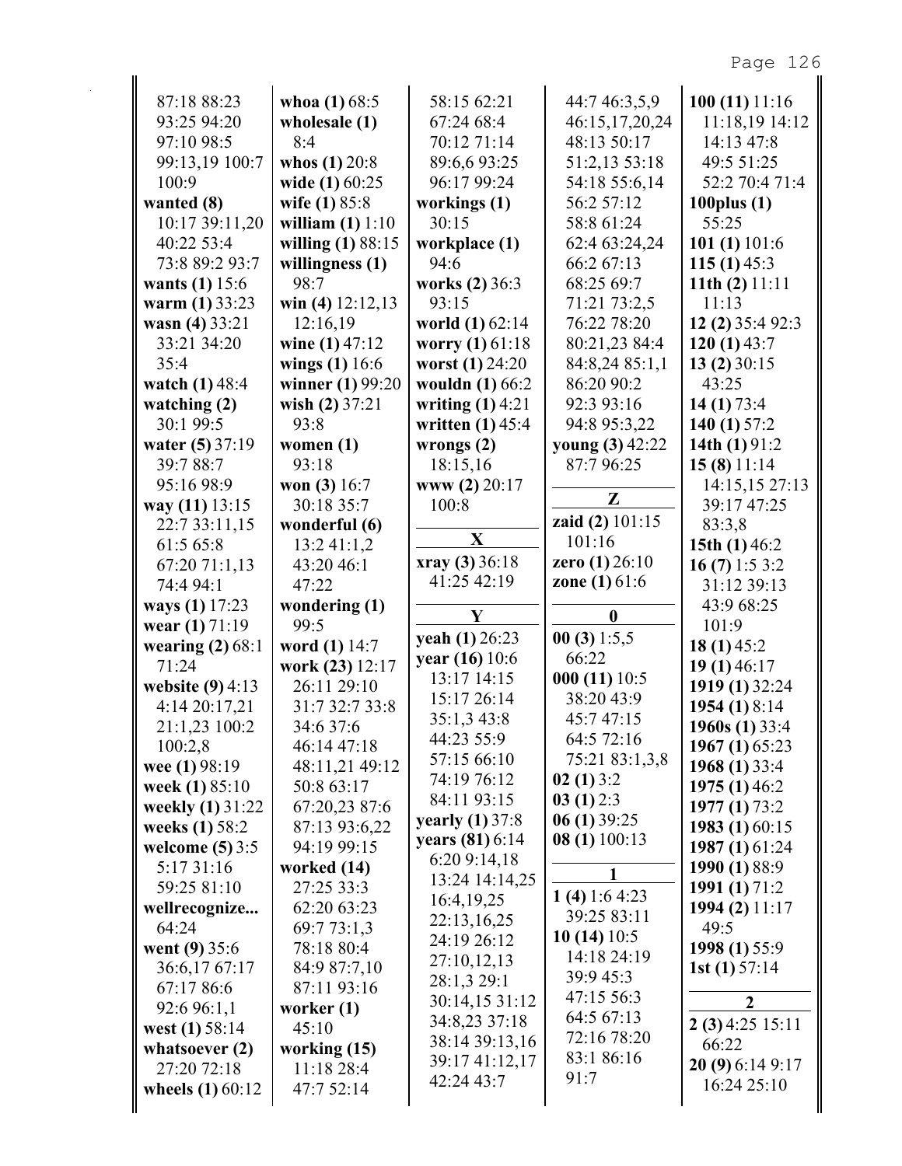| 87:18 88:23                         | whoa $(1)$ 68:5                | 58:15 62:21            | 44:7 46:3,5,9          | 100(11)11:16                    |
|-------------------------------------|--------------------------------|------------------------|------------------------|---------------------------------|
| 93:25 94:20                         | wholesale (1)                  | 67:24 68:4             | 46:15,17,20,24         | 11:18,19 14:12                  |
| 97:10 98:5                          | 8:4                            | 70:12 71:14            | 48:13 50:17            | 14:13 47:8                      |
| 99:13,19 100:7                      | whos $(1) 20:8$                | 89:6,693:25            | 51:2,13 53:18          | 49:5 51:25                      |
| 100:9                               | wide (1) 60:25                 | 96:17 99:24            | 54:18 55:6,14          | 52:2 70:4 71:4                  |
| wanted (8)                          | wife (1) 85:8                  | workings (1)           | 56:2 57:12             | 100 $plus(1)$                   |
| 10:17 39:11,20                      | william $(1) 1:10$             | 30:15                  | 58:8 61:24             | 55:25                           |
| 40:22 53:4                          | willing (1) 88:15              | workplace (1)          | 62:4 63:24,24          | 101 $(1)$ 101:6                 |
| 73:8 89:2 93:7                      | willingness (1)                | 94:6                   | 66:2 67:13             | 115 $(1)$ 45:3                  |
| wants (1) 15:6                      | 98:7                           | works $(2)$ 36:3       | 68:25 69:7             | 11th $(2)$ 11:11                |
| warm (1) 33:23                      | win (4) $12:12,13$             | 93:15                  | 71:21 73:2,5           | 11:13                           |
| wasn (4) 33:21                      | 12:16,19                       | world (1) 62:14        | 76:22 78:20            | 12 (2) 35:4 92:3                |
| 33:21 34:20                         | wine $(1)$ 47:12               | worry $(1)$ 61:18      | 80:21,23 84:4          | 120 $(1)$ 43:7                  |
| 35:4                                | wings $(1)$ 16:6               | worst (1) 24:20        | 84:8,24 85:1,1         | 13(2)30:15                      |
| watch $(1)$ 48:4                    | winner (1) 99:20               | wouldn (1) 66:2        | 86:20 90:2             | 43:25                           |
| watching $(2)$                      | wish $(2)$ 37:21               | writing $(1)$ 4:21     | 92:3 93:16             | 14 $(1)$ 73:4                   |
| 30:1 99:5                           | 93:8                           | written $(1)$ 45:4     | 94:8 95:3,22           | 140 $(1)$ 57:2                  |
| water (5) 37:19                     | women $(1)$                    | wrongs $(2)$           | young (3) 42:22        | 14th $(1)$ 91:2                 |
| 39:7 88:7                           | 93:18                          | 18:15,16               | 87:796:25              | 15(8)11:14                      |
| 95:16 98:9                          | won $(3)$ 16:7                 | www (2) 20:17          |                        | 14:15,15 27:13                  |
| way (11) 13:15                      | 30:18 35:7                     | 100:8                  | Z                      | 39:17 47:25                     |
| 22:7 33:11,15                       | wonderful (6)                  |                        | zaid (2) 101:15        | 83:3,8                          |
| 61:5 65:8                           | 13:241:1,2                     | $\mathbf X$            | 101:16                 | 15th $(1)$ 46:2                 |
| 67:20 71:1,13                       | 43:20 46:1                     | xray (3) 36:18         | zero $(1)$ 26:10       | 16 $(7)$ 1:5 3:2                |
| 74:4 94:1                           | 47:22                          | 41:25 42:19            | <b>zone</b> (1) $61:6$ | 31:12 39:13                     |
|                                     |                                |                        |                        |                                 |
|                                     |                                |                        |                        |                                 |
| ways (1) 17:23                      | wondering (1)<br>99:5          | Y                      | $\boldsymbol{0}$       | 43:9 68:25<br>101:9             |
| wear $(1)$ 71:19                    |                                | yeah (1) 26:23         | 00(3)1:5,5             |                                 |
| wearing $(2)$ 68:1<br>71:24         | word (1) 14:7                  | year (16) 10:6         | 66:22                  | 18 $(1)$ 45:2                   |
|                                     | work (23) 12:17<br>26:11 29:10 | 13:17 14:15            | 000(11)10:5            | 19(1)46:17<br>1919 (1) 32:24    |
| website $(9)$ 4:13<br>4:14 20:17,21 | 31:7 32:7 33:8                 | 15:17 26:14            | 38:20 43:9             |                                 |
| 21:1,23 100:2                       | 34:6 37:6                      | 35:1,3 43:8            | 45:7 47:15             | 1954 (1) 8:14<br>1960s (1) 33:4 |
|                                     | 46:14 47:18                    | 44:23 55:9             | 64:5 72:16             |                                 |
| 100:2,8                             | 48:11,21 49:12                 | 57:15 66:10            | 75:21 83:1,3,8         | 1967 (1) 65:23                  |
| wee $(1)$ 98:19                     | 50:8 63:17                     | 74:19 76:12            | 02(1)3:2               | 1968 (1) 33:4<br>1975 (1) 46:2  |
| week (1) 85:10<br>weekly (1) 31:22  | 67:20,23 87:6                  | 84:11 93:15            | 03(1)2:3               | 1977 (1) 73:2                   |
| weeks (1) 58:2                      | 87:13 93:6,22                  | <b>yearly</b> (1) 37:8 | 06(1)39:25             |                                 |
| welcome $(5)$ 3:5                   | 94:19 99:15                    | years (81) 6:14        | 08 (1) 100:13          | 1983 (1) 60:15                  |
| 5:17 31:16                          |                                | 6:20 9:14,18           |                        | 1987 (1) 61:24                  |
| 59:25 81:10                         | worked (14)<br>27:25 33:3      | 13:24 14:14,25         | 1                      | 1990 (1) 88:9                   |
|                                     |                                | 16:4, 19, 25           | 1 (4) 1:6 4:23         | 1991 (1) 71:2                   |
| wellrecognize<br>64:24              | 62:20 63:23                    | 22:13,16,25            | 39:25 83:11            | 1994 (2) 11:17<br>49:5          |
| went $(9)$ 35:6                     | 69:7 73:1,3<br>78:18 80:4      | 24:19 26:12            | 10(14)10:5             | 1998 (1) 55:9                   |
| 36:6,1767:17                        | 84:9 87:7,10                   | 27:10,12,13            | 14:18 24:19            |                                 |
| 67:17 86:6                          | 87:11 93:16                    | 28:1,3 29:1            | 39:9 45:3              | 1st $(1)$ 57:14                 |
|                                     |                                | 30:14,15 31:12         | 47:15 56:3             | $\boldsymbol{2}$                |
| 92:6 96:1,1                         | worker $(1)$<br>45:10          | 34:8,23 37:18          | 64:5 67:13             | $2(3)$ 4:25 15:11               |
| west $(1) 58:14$                    |                                | 38:14 39:13,16         | 72:16 78:20            | 66:22                           |
| whatsoever $(2)$                    | working $(15)$                 | 39:17 41:12,17         | 83:1 86:16             | 20(9)6:149:17                   |
| 27:20 72:18<br>wheels $(1)$ 60:12   | 11:18 28:4<br>47:7 52:14       | 42:24 43:7             | 91:7                   | 16:24 25:10                     |